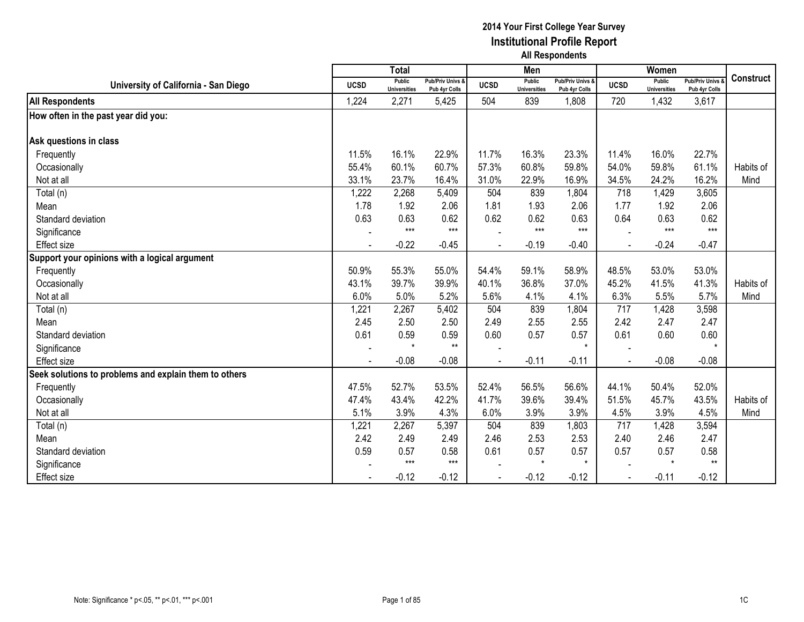|                                                       |                | <b>Total</b>                  |                                              |                | Men                           |                                   |             | Women                                |                                        |                  |
|-------------------------------------------------------|----------------|-------------------------------|----------------------------------------------|----------------|-------------------------------|-----------------------------------|-------------|--------------------------------------|----------------------------------------|------------------|
| University of California - San Diego                  | <b>UCSD</b>    | Public<br><b>Universities</b> | <b>Pub/Priv Univs &amp;</b><br>Pub 4yr Colls | <b>UCSD</b>    | Public<br><b>Universities</b> | Pub/Priv Univs &<br>Pub 4yr Colls | <b>UCSD</b> | <b>Public</b><br><b>Universities</b> | <b>Pub/Priv Univs</b><br>Pub 4yr Colls | <b>Construct</b> |
| <b>All Respondents</b>                                | 1,224          | 2,271                         | 5,425                                        | 504            | 839                           | 1,808                             | 720         | 1,432                                | 3,617                                  |                  |
| How often in the past year did you:                   |                |                               |                                              |                |                               |                                   |             |                                      |                                        |                  |
| Ask questions in class                                |                |                               |                                              |                |                               |                                   |             |                                      |                                        |                  |
| Frequently                                            | 11.5%          | 16.1%                         | 22.9%                                        | 11.7%          | 16.3%                         | 23.3%                             | 11.4%       | 16.0%                                | 22.7%                                  |                  |
| Occasionally                                          | 55.4%          | 60.1%                         | 60.7%                                        | 57.3%          | 60.8%                         | 59.8%                             | 54.0%       | 59.8%                                | 61.1%                                  | Habits of        |
| Not at all                                            | 33.1%          | 23.7%                         | 16.4%                                        | 31.0%          | 22.9%                         | 16.9%                             | 34.5%       | 24.2%                                | 16.2%                                  | Mind             |
| Total (n)                                             | 1,222          | 2,268                         | 5,409                                        | 504            | 839                           | 1,804                             | 718         | 1,429                                | 3,605                                  |                  |
| Mean                                                  | 1.78           | 1.92                          | 2.06                                         | 1.81           | 1.93                          | 2.06                              | 1.77        | 1.92                                 | 2.06                                   |                  |
| Standard deviation                                    | 0.63           | 0.63                          | 0.62                                         | 0.62           | 0.62                          | 0.63                              | 0.64        | 0.63                                 | 0.62                                   |                  |
| Significance                                          |                | $***$                         | $***$                                        |                | $***$                         | $***$                             |             | $***$                                | $***$                                  |                  |
| <b>Effect size</b>                                    | $\blacksquare$ | $-0.22$                       | $-0.45$                                      | $\blacksquare$ | $-0.19$                       | $-0.40$                           | $\sim$      | $-0.24$                              | $-0.47$                                |                  |
| Support your opinions with a logical argument         |                |                               |                                              |                |                               |                                   |             |                                      |                                        |                  |
| Frequently                                            | 50.9%          | 55.3%                         | 55.0%                                        | 54.4%          | 59.1%                         | 58.9%                             | 48.5%       | 53.0%                                | 53.0%                                  |                  |
| Occasionally                                          | 43.1%          | 39.7%                         | 39.9%                                        | 40.1%          | 36.8%                         | 37.0%                             | 45.2%       | 41.5%                                | 41.3%                                  | Habits of        |
| Not at all                                            | 6.0%           | 5.0%                          | 5.2%                                         | 5.6%           | 4.1%                          | 4.1%                              | 6.3%        | 5.5%                                 | 5.7%                                   | Mind             |
| Total (n)                                             | 1,221          | 2,267                         | 5,402                                        | 504            | 839                           | 1,804                             | 717         | 1,428                                | 3,598                                  |                  |
| Mean                                                  | 2.45           | 2.50                          | 2.50                                         | 2.49           | 2.55                          | 2.55                              | 2.42        | 2.47                                 | 2.47                                   |                  |
| Standard deviation                                    | 0.61           | 0.59                          | 0.59                                         | 0.60           | 0.57                          | 0.57                              | 0.61        | 0.60                                 | 0.60                                   |                  |
| Significance                                          |                | $\star$                       | $***$                                        |                |                               | $\star$                           |             |                                      | $\star$                                |                  |
| <b>Effect size</b>                                    |                | $-0.08$                       | $-0.08$                                      |                | $-0.11$                       | $-0.11$                           |             | $-0.08$                              | $-0.08$                                |                  |
| Seek solutions to problems and explain them to others |                |                               |                                              |                |                               |                                   |             |                                      |                                        |                  |
| Frequently                                            | 47.5%          | 52.7%                         | 53.5%                                        | 52.4%          | 56.5%                         | 56.6%                             | 44.1%       | 50.4%                                | 52.0%                                  |                  |
| Occasionally                                          | 47.4%          | 43.4%                         | 42.2%                                        | 41.7%          | 39.6%                         | 39.4%                             | 51.5%       | 45.7%                                | 43.5%                                  | Habits of        |
| Not at all                                            | 5.1%           | 3.9%                          | 4.3%                                         | 6.0%           | 3.9%                          | 3.9%                              | 4.5%        | 3.9%                                 | 4.5%                                   | Mind             |
| Total (n)                                             | 1,221          | 2,267                         | 5,397                                        | 504            | 839                           | 1,803                             | 717         | 1,428                                | 3,594                                  |                  |
| Mean                                                  | 2.42           | 2.49                          | 2.49                                         | 2.46           | 2.53                          | 2.53                              | 2.40        | 2.46                                 | 2.47                                   |                  |
| Standard deviation                                    | 0.59           | 0.57                          | 0.58                                         | 0.61           | 0.57                          | 0.57                              | 0.57        | 0.57                                 | 0.58                                   |                  |
| Significance                                          |                | $***$                         | $***$                                        |                | $\star$                       | $\star$                           |             | $\star$                              | $***$                                  |                  |
| <b>Effect size</b>                                    |                | $-0.12$                       | $-0.12$                                      |                | $-0.12$                       | $-0.12$                           |             | $-0.11$                              | $-0.12$                                |                  |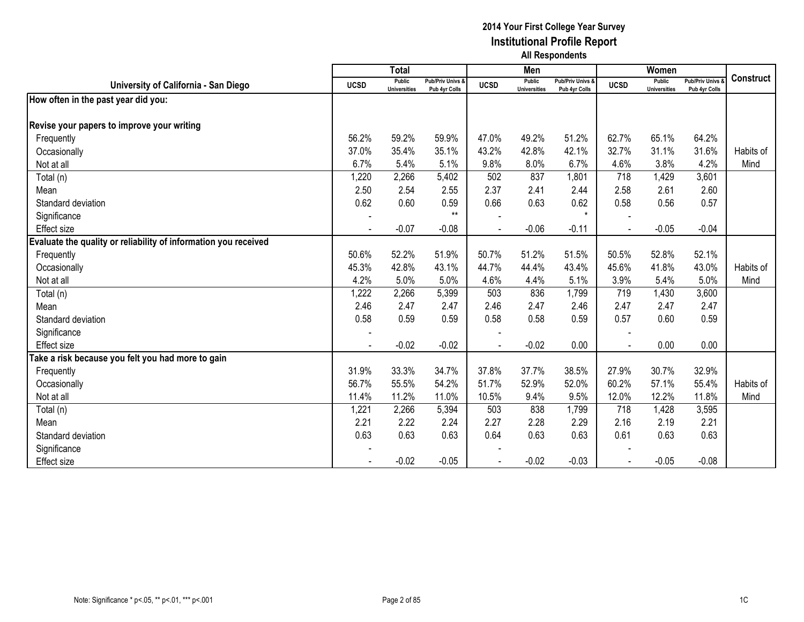|                                                                 |             | <b>Total</b>                         |                                   |             | Men                                  |                                   |                | Women                                |                                        |                  |
|-----------------------------------------------------------------|-------------|--------------------------------------|-----------------------------------|-------------|--------------------------------------|-----------------------------------|----------------|--------------------------------------|----------------------------------------|------------------|
| University of California - San Diego                            | <b>UCSD</b> | <b>Public</b><br><b>Universities</b> | Pub/Priv Univs &<br>Pub 4yr Colls | <b>UCSD</b> | <b>Public</b><br><b>Universities</b> | Pub/Priv Univs &<br>Pub 4yr Colls | <b>UCSD</b>    | <b>Public</b><br><b>Universities</b> | <b>Pub/Priv Univs</b><br>Pub 4yr Colls | <b>Construct</b> |
| How often in the past year did you:                             |             |                                      |                                   |             |                                      |                                   |                |                                      |                                        |                  |
|                                                                 |             |                                      |                                   |             |                                      |                                   |                |                                      |                                        |                  |
| Revise your papers to improve your writing                      |             |                                      |                                   |             |                                      |                                   |                |                                      |                                        |                  |
| Frequently                                                      | 56.2%       | 59.2%                                | 59.9%                             | 47.0%       | 49.2%                                | 51.2%                             | 62.7%          | 65.1%                                | 64.2%                                  |                  |
| Occasionally                                                    | 37.0%       | 35.4%                                | 35.1%                             | 43.2%       | 42.8%                                | 42.1%                             | 32.7%          | 31.1%                                | 31.6%                                  | Habits of        |
| Not at all                                                      | 6.7%        | 5.4%                                 | 5.1%                              | 9.8%        | 8.0%                                 | 6.7%                              | 4.6%           | 3.8%                                 | 4.2%                                   | Mind             |
| Total (n)                                                       | 1,220       | 2,266                                | 5,402                             | 502         | 837                                  | 1,801                             | 718            | 1,429                                | 3,601                                  |                  |
| Mean                                                            | 2.50        | 2.54                                 | 2.55                              | 2.37        | 2.41                                 | 2.44                              | 2.58           | 2.61                                 | 2.60                                   |                  |
| Standard deviation                                              | 0.62        | 0.60                                 | 0.59                              | 0.66        | 0.63                                 | 0.62                              | 0.58           | 0.56                                 | 0.57                                   |                  |
| Significance                                                    |             |                                      | $***$                             |             |                                      | $\star$                           |                |                                      |                                        |                  |
| <b>Effect</b> size                                              |             | $-0.07$                              | $-0.08$                           |             | $-0.06$                              | $-0.11$                           |                | $-0.05$                              | $-0.04$                                |                  |
| Evaluate the quality or reliability of information you received |             |                                      |                                   |             |                                      |                                   |                |                                      |                                        |                  |
| Frequently                                                      | 50.6%       | 52.2%                                | 51.9%                             | 50.7%       | 51.2%                                | 51.5%                             | 50.5%          | 52.8%                                | 52.1%                                  |                  |
| Occasionally                                                    | 45.3%       | 42.8%                                | 43.1%                             | 44.7%       | 44.4%                                | 43.4%                             | 45.6%          | 41.8%                                | 43.0%                                  | Habits of        |
| Not at all                                                      | 4.2%        | 5.0%                                 | 5.0%                              | 4.6%        | 4.4%                                 | 5.1%                              | 3.9%           | 5.4%                                 | 5.0%                                   | Mind             |
| Total (n)                                                       | 1,222       | 2,266                                | 5,399                             | 503         | 836                                  | 1,799                             | 719            | 1,430                                | 3,600                                  |                  |
| Mean                                                            | 2.46        | 2.47                                 | 2.47                              | 2.46        | 2.47                                 | 2.46                              | 2.47           | 2.47                                 | 2.47                                   |                  |
| Standard deviation                                              | 0.58        | 0.59                                 | 0.59                              | 0.58        | 0.58                                 | 0.59                              | 0.57           | 0.60                                 | 0.59                                   |                  |
| Significance                                                    |             |                                      |                                   |             |                                      |                                   |                |                                      |                                        |                  |
| <b>Effect size</b>                                              |             | $-0.02$                              | $-0.02$                           |             | $-0.02$                              | 0.00                              |                | 0.00                                 | 0.00                                   |                  |
| Take a risk because you felt you had more to gain               |             |                                      |                                   |             |                                      |                                   |                |                                      |                                        |                  |
| Frequently                                                      | 31.9%       | 33.3%                                | 34.7%                             | 37.8%       | 37.7%                                | 38.5%                             | 27.9%          | 30.7%                                | 32.9%                                  |                  |
| Occasionally                                                    | 56.7%       | 55.5%                                | 54.2%                             | 51.7%       | 52.9%                                | 52.0%                             | 60.2%          | 57.1%                                | 55.4%                                  | Habits of        |
| Not at all                                                      | 11.4%       | 11.2%                                | 11.0%                             | 10.5%       | 9.4%                                 | 9.5%                              | 12.0%          | 12.2%                                | 11.8%                                  | Mind             |
| Total (n)                                                       | 1,221       | 2,266                                | 5,394                             | 503         | 838                                  | 1,799                             | 718            | 1,428                                | 3,595                                  |                  |
| Mean                                                            | 2.21        | 2.22                                 | 2.24                              | 2.27        | 2.28                                 | 2.29                              | 2.16           | 2.19                                 | 2.21                                   |                  |
| Standard deviation                                              | 0.63        | 0.63                                 | 0.63                              | 0.64        | 0.63                                 | 0.63                              | 0.61           | 0.63                                 | 0.63                                   |                  |
| Significance                                                    |             |                                      |                                   |             |                                      |                                   |                |                                      |                                        |                  |
| <b>Effect size</b>                                              |             | $-0.02$                              | $-0.05$                           |             | $-0.02$                              | $-0.03$                           | $\blacksquare$ | $-0.05$                              | $-0.08$                                |                  |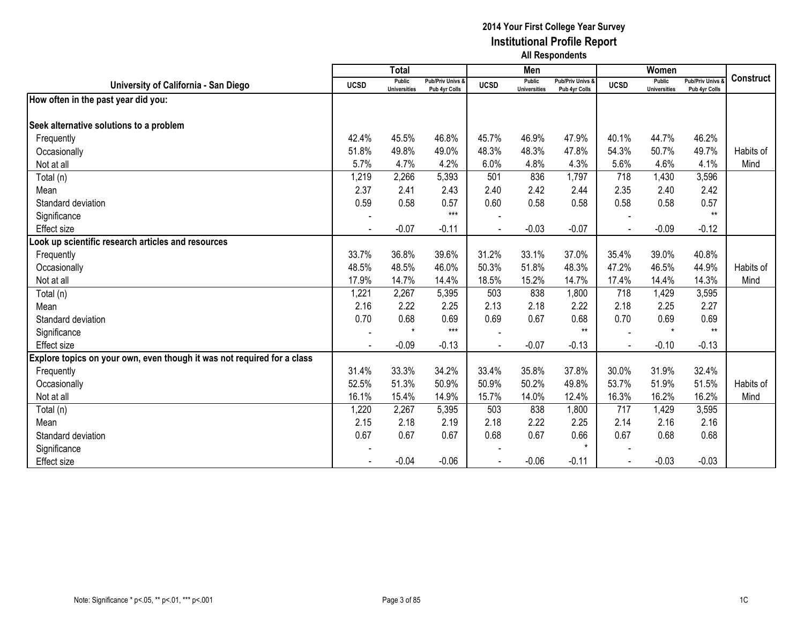|                                                                         |             | <b>Total</b>                  |                                   |             | Men                           |                                   |                | Women                                |                                        |                  |
|-------------------------------------------------------------------------|-------------|-------------------------------|-----------------------------------|-------------|-------------------------------|-----------------------------------|----------------|--------------------------------------|----------------------------------------|------------------|
| University of California - San Diego                                    | <b>UCSD</b> | Public<br><b>Universities</b> | Pub/Priv Univs &<br>Pub 4yr Colls | <b>UCSD</b> | Public<br><b>Universities</b> | Pub/Priv Univs &<br>Pub 4yr Colls | <b>UCSD</b>    | <b>Public</b><br><b>Universities</b> | <b>Pub/Priv Univs</b><br>Pub 4yr Colls | <b>Construct</b> |
| How often in the past year did you:                                     |             |                               |                                   |             |                               |                                   |                |                                      |                                        |                  |
|                                                                         |             |                               |                                   |             |                               |                                   |                |                                      |                                        |                  |
| Seek alternative solutions to a problem                                 |             |                               |                                   |             |                               |                                   |                |                                      |                                        |                  |
| Frequently                                                              | 42.4%       | 45.5%                         | 46.8%                             | 45.7%       | 46.9%                         | 47.9%                             | 40.1%          | 44.7%                                | 46.2%                                  |                  |
| Occasionally                                                            | 51.8%       | 49.8%                         | 49.0%                             | 48.3%       | 48.3%                         | 47.8%                             | 54.3%          | 50.7%                                | 49.7%                                  | Habits of        |
| Not at all                                                              | 5.7%        | 4.7%                          | 4.2%                              | 6.0%        | 4.8%                          | 4.3%                              | 5.6%           | 4.6%                                 | 4.1%                                   | Mind             |
| Total (n)                                                               | 1,219       | 2,266                         | 5,393                             | 501         | 836                           | 1,797                             | 718            | 1,430                                | 3,596                                  |                  |
| Mean                                                                    | 2.37        | 2.41                          | 2.43                              | 2.40        | 2.42                          | 2.44                              | 2.35           | 2.40                                 | 2.42                                   |                  |
| Standard deviation                                                      | 0.59        | 0.58                          | 0.57                              | 0.60        | 0.58                          | 0.58                              | 0.58           | 0.58                                 | 0.57                                   |                  |
| Significance                                                            |             |                               | $***$                             |             |                               |                                   |                |                                      | $***$                                  |                  |
| <b>Effect size</b>                                                      |             | $-0.07$                       | $-0.11$                           |             | $-0.03$                       | $-0.07$                           |                | $-0.09$                              | $-0.12$                                |                  |
| Look up scientific research articles and resources                      |             |                               |                                   |             |                               |                                   |                |                                      |                                        |                  |
| Frequently                                                              | 33.7%       | 36.8%                         | 39.6%                             | 31.2%       | 33.1%                         | 37.0%                             | 35.4%          | 39.0%                                | 40.8%                                  |                  |
| Occasionally                                                            | 48.5%       | 48.5%                         | 46.0%                             | 50.3%       | 51.8%                         | 48.3%                             | 47.2%          | 46.5%                                | 44.9%                                  | Habits of        |
| Not at all                                                              | 17.9%       | 14.7%                         | 14.4%                             | 18.5%       | 15.2%                         | 14.7%                             | 17.4%          | 14.4%                                | 14.3%                                  | Mind             |
| Total (n)                                                               | 1,221       | 2,267                         | 5,395                             | 503         | 838                           | 1,800                             | 718            | 1,429                                | 3,595                                  |                  |
| Mean                                                                    | 2.16        | 2.22                          | 2.25                              | 2.13        | 2.18                          | 2.22                              | 2.18           | 2.25                                 | 2.27                                   |                  |
| Standard deviation                                                      | 0.70        | 0.68                          | 0.69                              | 0.69        | 0.67                          | 0.68                              | 0.70           | 0.69                                 | 0.69                                   |                  |
| Significance                                                            |             | $\star$                       | $***$                             |             |                               | $**$                              |                | $\star$                              | $**$                                   |                  |
| Effect size                                                             |             | $-0.09$                       | $-0.13$                           |             | $-0.07$                       | $-0.13$                           |                | $-0.10$                              | $-0.13$                                |                  |
| Explore topics on your own, even though it was not required for a class |             |                               |                                   |             |                               |                                   |                |                                      |                                        |                  |
| Frequently                                                              | 31.4%       | 33.3%                         | 34.2%                             | 33.4%       | 35.8%                         | 37.8%                             | 30.0%          | 31.9%                                | 32.4%                                  |                  |
| Occasionally                                                            | 52.5%       | 51.3%                         | 50.9%                             | 50.9%       | 50.2%                         | 49.8%                             | 53.7%          | 51.9%                                | 51.5%                                  | Habits of        |
| Not at all                                                              | 16.1%       | 15.4%                         | 14.9%                             | 15.7%       | 14.0%                         | 12.4%                             | 16.3%          | 16.2%                                | 16.2%                                  | Mind             |
| Total (n)                                                               | 1,220       | 2,267                         | 5,395                             | 503         | 838                           | 1,800                             | 717            | 1,429                                | 3,595                                  |                  |
| Mean                                                                    | 2.15        | 2.18                          | 2.19                              | 2.18        | 2.22                          | 2.25                              | 2.14           | 2.16                                 | 2.16                                   |                  |
| Standard deviation                                                      | 0.67        | 0.67                          | 0.67                              | 0.68        | 0.67                          | 0.66                              | 0.67           | 0.68                                 | 0.68                                   |                  |
| Significance                                                            |             |                               |                                   |             |                               | $\star$                           |                |                                      |                                        |                  |
| <b>Effect size</b>                                                      |             | $-0.04$                       | $-0.06$                           |             | $-0.06$                       | $-0.11$                           | $\blacksquare$ | $-0.03$                              | $-0.03$                                |                  |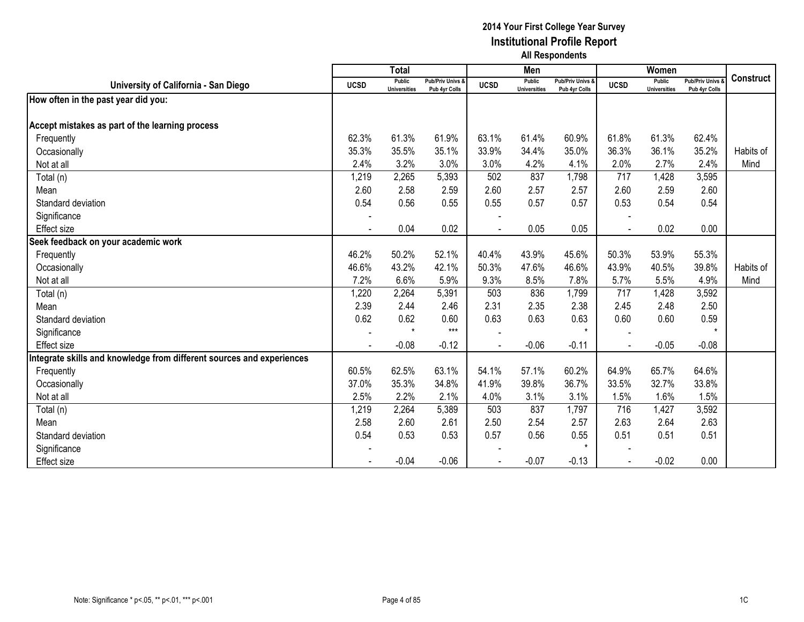|                                                                      |             | <b>Total</b>                         |                                   |             | Men                                  |                                   |                | Women                                |                                        |                  |
|----------------------------------------------------------------------|-------------|--------------------------------------|-----------------------------------|-------------|--------------------------------------|-----------------------------------|----------------|--------------------------------------|----------------------------------------|------------------|
| University of California - San Diego                                 | <b>UCSD</b> | <b>Public</b><br><b>Universities</b> | Pub/Priv Univs &<br>Pub 4yr Colls | <b>UCSD</b> | <b>Public</b><br><b>Universities</b> | Pub/Priv Univs &<br>Pub 4yr Colls | <b>UCSD</b>    | <b>Public</b><br><b>Universities</b> | <b>Pub/Priv Univs</b><br>Pub 4yr Colls | <b>Construct</b> |
| How often in the past year did you:                                  |             |                                      |                                   |             |                                      |                                   |                |                                      |                                        |                  |
|                                                                      |             |                                      |                                   |             |                                      |                                   |                |                                      |                                        |                  |
| Accept mistakes as part of the learning process                      |             |                                      |                                   |             |                                      |                                   |                |                                      |                                        |                  |
| Frequently                                                           | 62.3%       | 61.3%                                | 61.9%                             | 63.1%       | 61.4%                                | 60.9%                             | 61.8%          | 61.3%                                | 62.4%                                  |                  |
| Occasionally                                                         | 35.3%       | 35.5%                                | 35.1%                             | 33.9%       | 34.4%                                | 35.0%                             | 36.3%          | 36.1%                                | 35.2%                                  | Habits of        |
| Not at all                                                           | 2.4%        | 3.2%                                 | 3.0%                              | 3.0%        | 4.2%                                 | 4.1%                              | 2.0%           | 2.7%                                 | 2.4%                                   | Mind             |
| Total (n)                                                            | 1,219       | 2,265                                | 5,393                             | 502         | 837                                  | 1,798                             | 717            | 1,428                                | 3,595                                  |                  |
| Mean                                                                 | 2.60        | 2.58                                 | 2.59                              | 2.60        | 2.57                                 | 2.57                              | 2.60           | 2.59                                 | 2.60                                   |                  |
| Standard deviation                                                   | 0.54        | 0.56                                 | 0.55                              | 0.55        | 0.57                                 | 0.57                              | 0.53           | 0.54                                 | 0.54                                   |                  |
| Significance                                                         |             |                                      |                                   |             |                                      |                                   |                |                                      |                                        |                  |
| <b>Effect size</b>                                                   |             | 0.04                                 | 0.02                              |             | 0.05                                 | 0.05                              |                | 0.02                                 | 0.00                                   |                  |
| Seek feedback on your academic work                                  |             |                                      |                                   |             |                                      |                                   |                |                                      |                                        |                  |
| Frequently                                                           | 46.2%       | 50.2%                                | 52.1%                             | 40.4%       | 43.9%                                | 45.6%                             | 50.3%          | 53.9%                                | 55.3%                                  |                  |
| Occasionally                                                         | 46.6%       | 43.2%                                | 42.1%                             | 50.3%       | 47.6%                                | 46.6%                             | 43.9%          | 40.5%                                | 39.8%                                  | Habits of        |
| Not at all                                                           | 7.2%        | 6.6%                                 | 5.9%                              | 9.3%        | 8.5%                                 | 7.8%                              | 5.7%           | 5.5%                                 | 4.9%                                   | Mind             |
| Total (n)                                                            | 1,220       | 2,264                                | 5,391                             | 503         | 836                                  | 1,799                             | 717            | 1,428                                | 3,592                                  |                  |
| Mean                                                                 | 2.39        | 2.44                                 | 2.46                              | 2.31        | 2.35                                 | 2.38                              | 2.45           | 2.48                                 | 2.50                                   |                  |
| Standard deviation                                                   | 0.62        | 0.62                                 | 0.60                              | 0.63        | 0.63                                 | 0.63                              | 0.60           | 0.60                                 | 0.59                                   |                  |
| Significance                                                         |             | $\star$                              | $***$                             |             |                                      | $\star$                           |                |                                      |                                        |                  |
| Effect size                                                          |             | $-0.08$                              | $-0.12$                           |             | $-0.06$                              | $-0.11$                           |                | $-0.05$                              | $-0.08$                                |                  |
| ntegrate skills and knowledge from different sources and experiences |             |                                      |                                   |             |                                      |                                   |                |                                      |                                        |                  |
| Frequently                                                           | 60.5%       | 62.5%                                | 63.1%                             | 54.1%       | 57.1%                                | 60.2%                             | 64.9%          | 65.7%                                | 64.6%                                  |                  |
| Occasionally                                                         | 37.0%       | 35.3%                                | 34.8%                             | 41.9%       | 39.8%                                | 36.7%                             | 33.5%          | 32.7%                                | 33.8%                                  |                  |
| Not at all                                                           | 2.5%        | 2.2%                                 | 2.1%                              | 4.0%        | 3.1%                                 | 3.1%                              | 1.5%           | 1.6%                                 | 1.5%                                   |                  |
| Total (n)                                                            | 1,219       | 2,264                                | 5,389                             | 503         | 837                                  | 1,797                             | 716            | 1,427                                | 3,592                                  |                  |
| Mean                                                                 | 2.58        | 2.60                                 | 2.61                              | 2.50        | 2.54                                 | 2.57                              | 2.63           | 2.64                                 | 2.63                                   |                  |
| Standard deviation                                                   | 0.54        | 0.53                                 | 0.53                              | 0.57        | 0.56                                 | 0.55                              | 0.51           | 0.51                                 | 0.51                                   |                  |
| Significance                                                         |             |                                      |                                   |             |                                      | $\star$                           |                |                                      |                                        |                  |
| <b>Effect size</b>                                                   |             | $-0.04$                              | $-0.06$                           |             | $-0.07$                              | $-0.13$                           | $\blacksquare$ | $-0.02$                              | 0.00                                   |                  |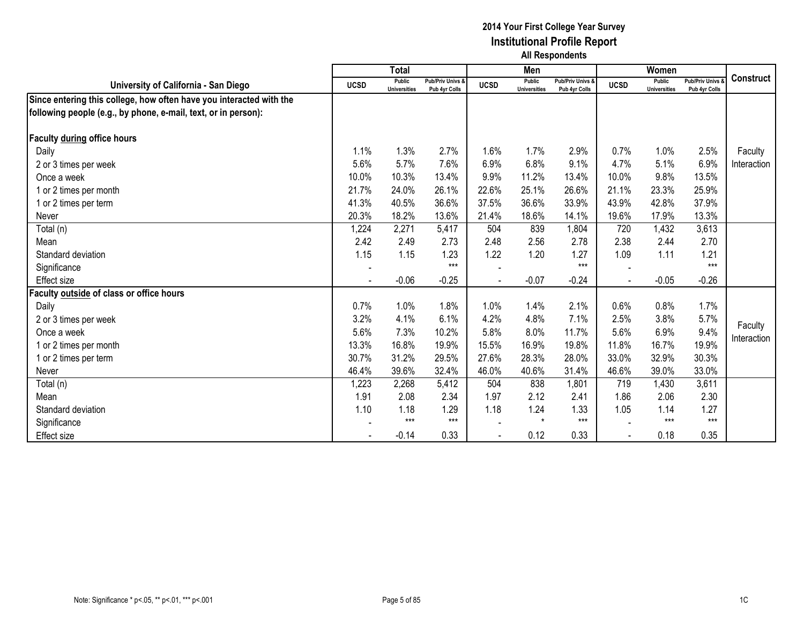|                                                                     |                          | <b>Total</b>                  |                                   |             | Men                                  |                                              |             | Women                         |                                        |                  |
|---------------------------------------------------------------------|--------------------------|-------------------------------|-----------------------------------|-------------|--------------------------------------|----------------------------------------------|-------------|-------------------------------|----------------------------------------|------------------|
| University of California - San Diego                                | <b>UCSD</b>              | Public<br><b>Universities</b> | Pub/Priv Univs &<br>Pub 4yr Colls | <b>UCSD</b> | <b>Public</b><br><b>Universities</b> | <b>Pub/Priv Univs &amp;</b><br>Pub 4yr Colls | <b>UCSD</b> | Public<br><b>Universities</b> | <b>Pub/Priv Univs</b><br>Pub 4yr Colls | <b>Construct</b> |
| Since entering this college, how often have you interacted with the |                          |                               |                                   |             |                                      |                                              |             |                               |                                        |                  |
| following people (e.g., by phone, e-mail, text, or in person):      |                          |                               |                                   |             |                                      |                                              |             |                               |                                        |                  |
|                                                                     |                          |                               |                                   |             |                                      |                                              |             |                               |                                        |                  |
| Faculty during office hours                                         |                          |                               |                                   |             |                                      |                                              |             |                               |                                        |                  |
| Daily                                                               | 1.1%                     | 1.3%                          | 2.7%                              | 1.6%        | 1.7%                                 | 2.9%                                         | 0.7%        | 1.0%                          | 2.5%                                   | Faculty          |
| 2 or 3 times per week                                               | 5.6%                     | 5.7%                          | 7.6%                              | 6.9%        | 6.8%                                 | 9.1%                                         | 4.7%        | 5.1%                          | 6.9%                                   | Interaction      |
| Once a week                                                         | 10.0%                    | 10.3%                         | 13.4%                             | 9.9%        | 11.2%                                | 13.4%                                        | 10.0%       | 9.8%                          | 13.5%                                  |                  |
| 1 or 2 times per month                                              | 21.7%                    | 24.0%                         | 26.1%                             | 22.6%       | 25.1%                                | 26.6%                                        | 21.1%       | 23.3%                         | 25.9%                                  |                  |
| 1 or 2 times per term                                               | 41.3%                    | 40.5%                         | 36.6%                             | 37.5%       | 36.6%                                | 33.9%                                        | 43.9%       | 42.8%                         | 37.9%                                  |                  |
| Never                                                               | 20.3%                    | 18.2%                         | 13.6%                             | 21.4%       | 18.6%                                | 14.1%                                        | 19.6%       | 17.9%                         | 13.3%                                  |                  |
| Total (n)                                                           | 1,224                    | 2,271                         | 5,417                             | 504         | 839                                  | 1,804                                        | 720         | 1,432                         | 3,613                                  |                  |
| Mean                                                                | 2.42                     | 2.49                          | 2.73                              | 2.48        | 2.56                                 | 2.78                                         | 2.38        | 2.44                          | 2.70                                   |                  |
| Standard deviation                                                  | 1.15                     | 1.15                          | 1.23                              | 1.22        | 1.20                                 | 1.27                                         | 1.09        | 1.11                          | 1.21                                   |                  |
| Significance                                                        | $\overline{\phantom{a}}$ |                               | $***$                             |             |                                      | $***$                                        |             |                               | $***$                                  |                  |
| <b>Effect size</b>                                                  |                          | $-0.06$                       | $-0.25$                           |             | $-0.07$                              | $-0.24$                                      |             | $-0.05$                       | $-0.26$                                |                  |
| Faculty outside of class or office hours                            |                          |                               |                                   |             |                                      |                                              |             |                               |                                        |                  |
| Daily                                                               | 0.7%                     | 1.0%                          | 1.8%                              | 1.0%        | 1.4%                                 | 2.1%                                         | 0.6%        | 0.8%                          | 1.7%                                   |                  |
| 2 or 3 times per week                                               | 3.2%                     | 4.1%                          | 6.1%                              | 4.2%        | 4.8%                                 | 7.1%                                         | 2.5%        | 3.8%                          | 5.7%                                   | Faculty          |
| Once a week                                                         | 5.6%                     | 7.3%                          | 10.2%                             | 5.8%        | 8.0%                                 | 11.7%                                        | 5.6%        | 6.9%                          | 9.4%                                   | Interaction      |
| 1 or 2 times per month                                              | 13.3%                    | 16.8%                         | 19.9%                             | 15.5%       | 16.9%                                | 19.8%                                        | 11.8%       | 16.7%                         | 19.9%                                  |                  |
| 1 or 2 times per term                                               | 30.7%                    | 31.2%                         | 29.5%                             | 27.6%       | 28.3%                                | 28.0%                                        | 33.0%       | 32.9%                         | 30.3%                                  |                  |
| Never                                                               | 46.4%                    | 39.6%                         | 32.4%                             | 46.0%       | 40.6%                                | 31.4%                                        | 46.6%       | 39.0%                         | 33.0%                                  |                  |
| Total (n)                                                           | 1,223                    | 2,268                         | 5,412                             | 504         | 838                                  | 1,801                                        | 719         | 1,430                         | 3,611                                  |                  |
| Mean                                                                | 1.91                     | 2.08                          | 2.34                              | 1.97        | 2.12                                 | 2.41                                         | 1.86        | 2.06                          | 2.30                                   |                  |
| Standard deviation                                                  | 1.10                     | 1.18                          | 1.29                              | 1.18        | 1.24                                 | 1.33                                         | 1.05        | 1.14                          | 1.27                                   |                  |
| Significance                                                        |                          | $***$                         | $***$                             |             | $\star$                              | $***$                                        |             | $***$                         | $***$                                  |                  |
| Effect size                                                         |                          | $-0.14$                       | 0.33                              |             | 0.12                                 | 0.33                                         |             | 0.18                          | 0.35                                   |                  |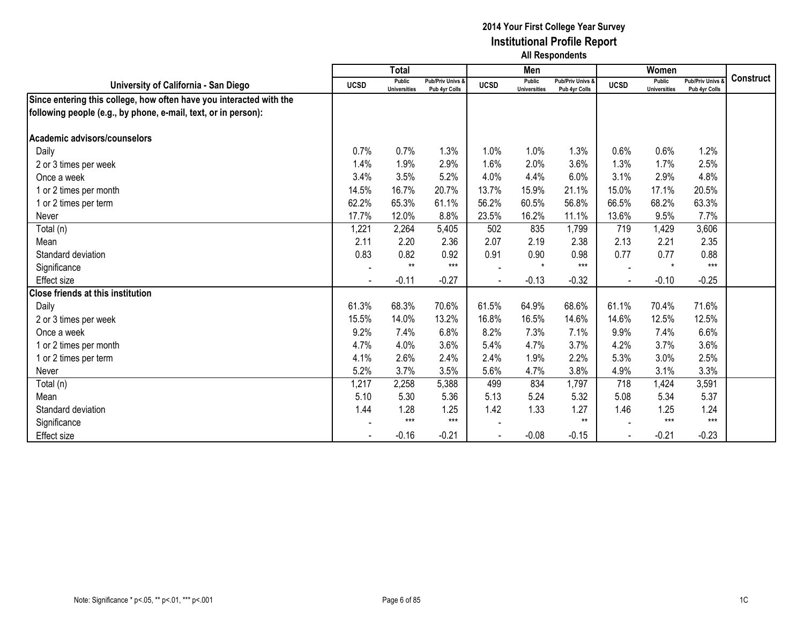|                                                                     |             | <b>Total</b>                  |                                              |             | Men                           |                                   |             | Women                                |                                        |                  |
|---------------------------------------------------------------------|-------------|-------------------------------|----------------------------------------------|-------------|-------------------------------|-----------------------------------|-------------|--------------------------------------|----------------------------------------|------------------|
| University of California - San Diego                                | <b>UCSD</b> | Public<br><b>Universities</b> | <b>Pub/Priv Univs &amp;</b><br>Pub 4yr Colls | <b>UCSD</b> | Public<br><b>Universities</b> | Pub/Priv Univs &<br>Pub 4yr Colls | <b>UCSD</b> | <b>Public</b><br><b>Universities</b> | <b>Pub/Priv Univs</b><br>Pub 4yr Colls | <b>Construct</b> |
| Since entering this college, how often have you interacted with the |             |                               |                                              |             |                               |                                   |             |                                      |                                        |                  |
| following people (e.g., by phone, e-mail, text, or in person):      |             |                               |                                              |             |                               |                                   |             |                                      |                                        |                  |
|                                                                     |             |                               |                                              |             |                               |                                   |             |                                      |                                        |                  |
| Academic advisors/counselors                                        |             |                               |                                              |             |                               |                                   |             |                                      |                                        |                  |
| Daily                                                               | 0.7%        | 0.7%                          | 1.3%                                         | 1.0%        | 1.0%                          | 1.3%                              | 0.6%        | 0.6%                                 | 1.2%                                   |                  |
| 2 or 3 times per week                                               | 1.4%        | 1.9%                          | 2.9%                                         | 1.6%        | 2.0%                          | 3.6%                              | 1.3%        | 1.7%                                 | 2.5%                                   |                  |
| Once a week                                                         | 3.4%        | 3.5%                          | 5.2%                                         | 4.0%        | 4.4%                          | 6.0%                              | 3.1%        | 2.9%                                 | 4.8%                                   |                  |
| 1 or 2 times per month                                              | 14.5%       | 16.7%                         | 20.7%                                        | 13.7%       | 15.9%                         | 21.1%                             | 15.0%       | 17.1%                                | 20.5%                                  |                  |
| 1 or 2 times per term                                               | 62.2%       | 65.3%                         | 61.1%                                        | 56.2%       | 60.5%                         | 56.8%                             | 66.5%       | 68.2%                                | 63.3%                                  |                  |
| Never                                                               | 17.7%       | 12.0%                         | 8.8%                                         | 23.5%       | 16.2%                         | 11.1%                             | 13.6%       | 9.5%                                 | 7.7%                                   |                  |
| Total (n)                                                           | 1,221       | 2,264                         | 5,405                                        | 502         | 835                           | 1,799                             | 719         | 1,429                                | 3,606                                  |                  |
| Mean                                                                | 2.11        | 2.20                          | 2.36                                         | 2.07        | 2.19                          | 2.38                              | 2.13        | 2.21                                 | 2.35                                   |                  |
| Standard deviation                                                  | 0.83        | 0.82                          | 0.92                                         | 0.91        | 0.90                          | 0.98                              | 0.77        | 0.77                                 | 0.88                                   |                  |
| Significance                                                        |             | $**$                          | $***$                                        |             | $\star$                       | $***$                             |             | $\star$                              | $***$                                  |                  |
| Effect size                                                         |             | $-0.11$                       | $-0.27$                                      |             | $-0.13$                       | $-0.32$                           |             | $-0.10$                              | $-0.25$                                |                  |
| <b>Close friends at this institution</b>                            |             |                               |                                              |             |                               |                                   |             |                                      |                                        |                  |
| Daily                                                               | 61.3%       | 68.3%                         | 70.6%                                        | 61.5%       | 64.9%                         | 68.6%                             | 61.1%       | 70.4%                                | 71.6%                                  |                  |
| 2 or 3 times per week                                               | 15.5%       | 14.0%                         | 13.2%                                        | 16.8%       | 16.5%                         | 14.6%                             | 14.6%       | 12.5%                                | 12.5%                                  |                  |
| Once a week                                                         | 9.2%        | 7.4%                          | 6.8%                                         | 8.2%        | 7.3%                          | 7.1%                              | 9.9%        | 7.4%                                 | 6.6%                                   |                  |
| 1 or 2 times per month                                              | 4.7%        | 4.0%                          | 3.6%                                         | 5.4%        | 4.7%                          | 3.7%                              | 4.2%        | 3.7%                                 | 3.6%                                   |                  |
| 1 or 2 times per term                                               | 4.1%        | 2.6%                          | 2.4%                                         | 2.4%        | 1.9%                          | 2.2%                              | 5.3%        | 3.0%                                 | 2.5%                                   |                  |
| Never                                                               | 5.2%        | 3.7%                          | 3.5%                                         | 5.6%        | 4.7%                          | 3.8%                              | 4.9%        | 3.1%                                 | 3.3%                                   |                  |
| Total (n)                                                           | 1,217       | 2,258                         | 5,388                                        | 499         | 834                           | 1,797                             | 718         | 1,424                                | 3,591                                  |                  |
| Mean                                                                | 5.10        | 5.30                          | 5.36                                         | 5.13        | 5.24                          | 5.32                              | 5.08        | 5.34                                 | 5.37                                   |                  |
| Standard deviation                                                  | 1.44        | 1.28                          | 1.25                                         | 1.42        | 1.33                          | 1.27                              | 1.46        | 1.25                                 | 1.24                                   |                  |
| Significance                                                        |             | $***$                         | $***$                                        |             |                               | $**$                              |             | $***$                                | $***$                                  |                  |
| Effect size                                                         |             | $-0.16$                       | $-0.21$                                      |             | $-0.08$                       | $-0.15$                           |             | $-0.21$                              | $-0.23$                                |                  |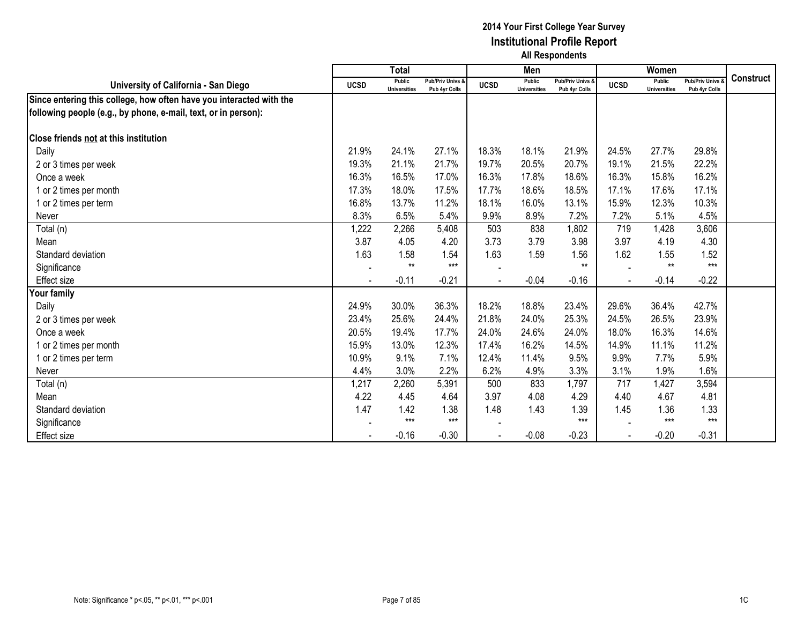|                                                                     |             | <b>Total</b>                  |                                   |             | Men                                  |                                   |             | Women                         |                                        |                  |
|---------------------------------------------------------------------|-------------|-------------------------------|-----------------------------------|-------------|--------------------------------------|-----------------------------------|-------------|-------------------------------|----------------------------------------|------------------|
| University of California - San Diego                                | <b>UCSD</b> | Public<br><b>Universities</b> | Pub/Priv Univs &<br>Pub 4yr Colls | <b>UCSD</b> | <b>Public</b><br><b>Universities</b> | Pub/Priv Univs &<br>Pub 4yr Colls | <b>UCSD</b> | Public<br><b>Universities</b> | <b>Pub/Priv Univs</b><br>Pub 4yr Colls | <b>Construct</b> |
| Since entering this college, how often have you interacted with the |             |                               |                                   |             |                                      |                                   |             |                               |                                        |                  |
| following people (e.g., by phone, e-mail, text, or in person):      |             |                               |                                   |             |                                      |                                   |             |                               |                                        |                  |
|                                                                     |             |                               |                                   |             |                                      |                                   |             |                               |                                        |                  |
| <b>Close friends not at this institution</b>                        |             |                               |                                   |             |                                      |                                   |             |                               |                                        |                  |
| Daily                                                               | 21.9%       | 24.1%                         | 27.1%                             | 18.3%       | 18.1%                                | 21.9%                             | 24.5%       | 27.7%                         | 29.8%                                  |                  |
| 2 or 3 times per week                                               | 19.3%       | 21.1%                         | 21.7%                             | 19.7%       | 20.5%                                | 20.7%                             | 19.1%       | 21.5%                         | 22.2%                                  |                  |
| Once a week                                                         | 16.3%       | 16.5%                         | 17.0%                             | 16.3%       | 17.8%                                | 18.6%                             | 16.3%       | 15.8%                         | 16.2%                                  |                  |
| 1 or 2 times per month                                              | 17.3%       | 18.0%                         | 17.5%                             | 17.7%       | 18.6%                                | 18.5%                             | 17.1%       | 17.6%                         | 17.1%                                  |                  |
| 1 or 2 times per term                                               | 16.8%       | 13.7%                         | 11.2%                             | 18.1%       | 16.0%                                | 13.1%                             | 15.9%       | 12.3%                         | 10.3%                                  |                  |
| Never                                                               | 8.3%        | 6.5%                          | 5.4%                              | 9.9%        | 8.9%                                 | 7.2%                              | 7.2%        | 5.1%                          | 4.5%                                   |                  |
| Total (n)                                                           | 1,222       | 2,266                         | 5,408                             | 503         | 838                                  | 1,802                             | 719         | 1,428                         | 3,606                                  |                  |
| Mean                                                                | 3.87        | 4.05                          | 4.20                              | 3.73        | 3.79                                 | 3.98                              | 3.97        | 4.19                          | 4.30                                   |                  |
| Standard deviation                                                  | 1.63        | 1.58                          | 1.54                              | 1.63        | 1.59                                 | 1.56                              | 1.62        | 1.55                          | 1.52                                   |                  |
| Significance                                                        |             | $***$                         | $***$                             |             |                                      | $**$                              |             | $**$                          | $***$                                  |                  |
| <b>Effect size</b>                                                  |             | $-0.11$                       | $-0.21$                           |             | $-0.04$                              | $-0.16$                           |             | $-0.14$                       | $-0.22$                                |                  |
| Your family                                                         |             |                               |                                   |             |                                      |                                   |             |                               |                                        |                  |
| Daily                                                               | 24.9%       | 30.0%                         | 36.3%                             | 18.2%       | 18.8%                                | 23.4%                             | 29.6%       | 36.4%                         | 42.7%                                  |                  |
| 2 or 3 times per week                                               | 23.4%       | 25.6%                         | 24.4%                             | 21.8%       | 24.0%                                | 25.3%                             | 24.5%       | 26.5%                         | 23.9%                                  |                  |
| Once a week                                                         | 20.5%       | 19.4%                         | 17.7%                             | 24.0%       | 24.6%                                | 24.0%                             | 18.0%       | 16.3%                         | 14.6%                                  |                  |
| 1 or 2 times per month                                              | 15.9%       | 13.0%                         | 12.3%                             | 17.4%       | 16.2%                                | 14.5%                             | 14.9%       | 11.1%                         | 11.2%                                  |                  |
| 1 or 2 times per term                                               | 10.9%       | 9.1%                          | 7.1%                              | 12.4%       | 11.4%                                | 9.5%                              | 9.9%        | 7.7%                          | 5.9%                                   |                  |
| Never                                                               | 4.4%        | 3.0%                          | 2.2%                              | 6.2%        | 4.9%                                 | 3.3%                              | 3.1%        | 1.9%                          | 1.6%                                   |                  |
| Total (n)                                                           | 1,217       | 2,260                         | 5,391                             | 500         | 833                                  | 1,797                             | 717         | 1,427                         | 3,594                                  |                  |
| Mean                                                                | 4.22        | 4.45                          | 4.64                              | 3.97        | 4.08                                 | 4.29                              | 4.40        | 4.67                          | 4.81                                   |                  |
| Standard deviation                                                  | 1.47        | 1.42                          | 1.38                              | 1.48        | 1.43                                 | 1.39                              | 1.45        | 1.36                          | 1.33                                   |                  |
| Significance                                                        |             | $***$                         | $***$                             |             |                                      | $***$                             |             | $***$                         | $***$                                  |                  |
| <b>Effect size</b>                                                  |             | $-0.16$                       | $-0.30$                           |             | $-0.08$                              | $-0.23$                           |             | $-0.20$                       | $-0.31$                                |                  |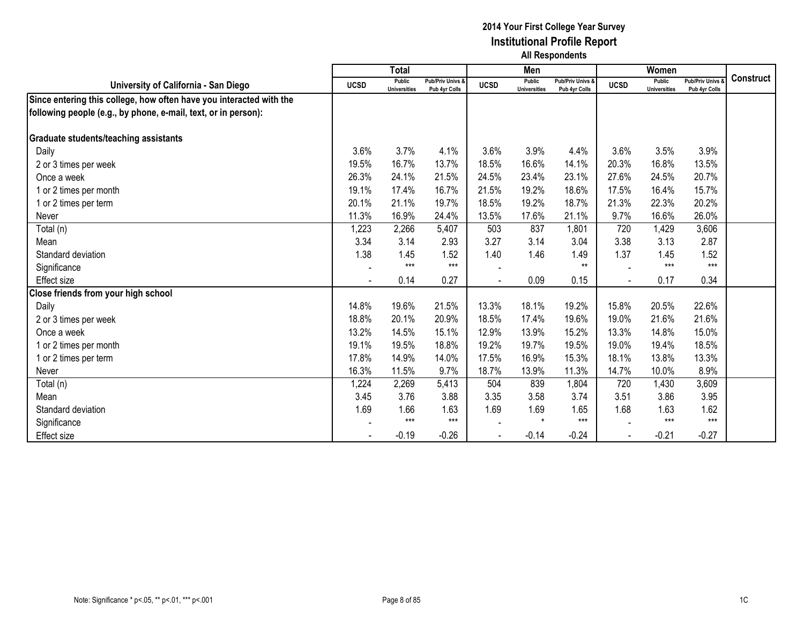|                                                                     |             | <b>Total</b>                  |                                   |             | Men                                  |                                              |             | Women                                |                                        |                  |
|---------------------------------------------------------------------|-------------|-------------------------------|-----------------------------------|-------------|--------------------------------------|----------------------------------------------|-------------|--------------------------------------|----------------------------------------|------------------|
| University of California - San Diego                                | <b>UCSD</b> | Public<br><b>Universities</b> | Pub/Priv Univs &<br>Pub 4yr Colls | <b>UCSD</b> | <b>Public</b><br><b>Universities</b> | <b>Pub/Priv Univs &amp;</b><br>Pub 4yr Colls | <b>UCSD</b> | <b>Public</b><br><b>Universities</b> | <b>Pub/Priv Univs</b><br>Pub 4yr Colls | <b>Construct</b> |
| Since entering this college, how often have you interacted with the |             |                               |                                   |             |                                      |                                              |             |                                      |                                        |                  |
| following people (e.g., by phone, e-mail, text, or in person):      |             |                               |                                   |             |                                      |                                              |             |                                      |                                        |                  |
|                                                                     |             |                               |                                   |             |                                      |                                              |             |                                      |                                        |                  |
| <b>Graduate students/teaching assistants</b>                        |             |                               |                                   |             |                                      |                                              |             |                                      |                                        |                  |
| Daily                                                               | 3.6%        | 3.7%                          | 4.1%                              | 3.6%        | 3.9%                                 | 4.4%                                         | 3.6%        | 3.5%                                 | 3.9%                                   |                  |
| 2 or 3 times per week                                               | 19.5%       | 16.7%                         | 13.7%                             | 18.5%       | 16.6%                                | 14.1%                                        | 20.3%       | 16.8%                                | 13.5%                                  |                  |
| Once a week                                                         | 26.3%       | 24.1%                         | 21.5%                             | 24.5%       | 23.4%                                | 23.1%                                        | 27.6%       | 24.5%                                | 20.7%                                  |                  |
| 1 or 2 times per month                                              | 19.1%       | 17.4%                         | 16.7%                             | 21.5%       | 19.2%                                | 18.6%                                        | 17.5%       | 16.4%                                | 15.7%                                  |                  |
| 1 or 2 times per term                                               | 20.1%       | 21.1%                         | 19.7%                             | 18.5%       | 19.2%                                | 18.7%                                        | 21.3%       | 22.3%                                | 20.2%                                  |                  |
| Never                                                               | 11.3%       | 16.9%                         | 24.4%                             | 13.5%       | 17.6%                                | 21.1%                                        | 9.7%        | 16.6%                                | 26.0%                                  |                  |
| Total (n)                                                           | 1,223       | 2,266                         | 5,407                             | 503         | 837                                  | 1,801                                        | 720         | 1,429                                | 3,606                                  |                  |
| Mean                                                                | 3.34        | 3.14                          | 2.93                              | 3.27        | 3.14                                 | 3.04                                         | 3.38        | 3.13                                 | 2.87                                   |                  |
| Standard deviation                                                  | 1.38        | 1.45                          | 1.52                              | 1.40        | 1.46                                 | 1.49                                         | 1.37        | 1.45                                 | 1.52                                   |                  |
| Significance                                                        |             | $***$                         | $***$                             |             |                                      | $**$                                         |             | $***$                                | $***$                                  |                  |
| Effect size                                                         |             | 0.14                          | 0.27                              |             | 0.09                                 | 0.15                                         |             | 0.17                                 | 0.34                                   |                  |
| Close friends from your high school                                 |             |                               |                                   |             |                                      |                                              |             |                                      |                                        |                  |
| Daily                                                               | 14.8%       | 19.6%                         | 21.5%                             | 13.3%       | 18.1%                                | 19.2%                                        | 15.8%       | 20.5%                                | 22.6%                                  |                  |
| 2 or 3 times per week                                               | 18.8%       | 20.1%                         | 20.9%                             | 18.5%       | 17.4%                                | 19.6%                                        | 19.0%       | 21.6%                                | 21.6%                                  |                  |
| Once a week                                                         | 13.2%       | 14.5%                         | 15.1%                             | 12.9%       | 13.9%                                | 15.2%                                        | 13.3%       | 14.8%                                | 15.0%                                  |                  |
| 1 or 2 times per month                                              | 19.1%       | 19.5%                         | 18.8%                             | 19.2%       | 19.7%                                | 19.5%                                        | 19.0%       | 19.4%                                | 18.5%                                  |                  |
| 1 or 2 times per term                                               | 17.8%       | 14.9%                         | 14.0%                             | 17.5%       | 16.9%                                | 15.3%                                        | 18.1%       | 13.8%                                | 13.3%                                  |                  |
| Never                                                               | 16.3%       | 11.5%                         | 9.7%                              | 18.7%       | 13.9%                                | 11.3%                                        | 14.7%       | 10.0%                                | 8.9%                                   |                  |
| Total (n)                                                           | 1,224       | 2,269                         | 5,413                             | 504         | 839                                  | 1,804                                        | 720         | 1,430                                | 3,609                                  |                  |
| Mean                                                                | 3.45        | 3.76                          | 3.88                              | 3.35        | 3.58                                 | 3.74                                         | 3.51        | 3.86                                 | 3.95                                   |                  |
| Standard deviation                                                  | 1.69        | 1.66                          | 1.63                              | 1.69        | 1.69                                 | 1.65                                         | 1.68        | 1.63                                 | 1.62                                   |                  |
| Significance                                                        |             | $***$                         | $***$                             |             | $\star$                              | $***$                                        |             | $***$                                | $***$                                  |                  |
| <b>Effect size</b>                                                  |             | $-0.19$                       | $-0.26$                           |             | $-0.14$                              | $-0.24$                                      |             | $-0.21$                              | $-0.27$                                |                  |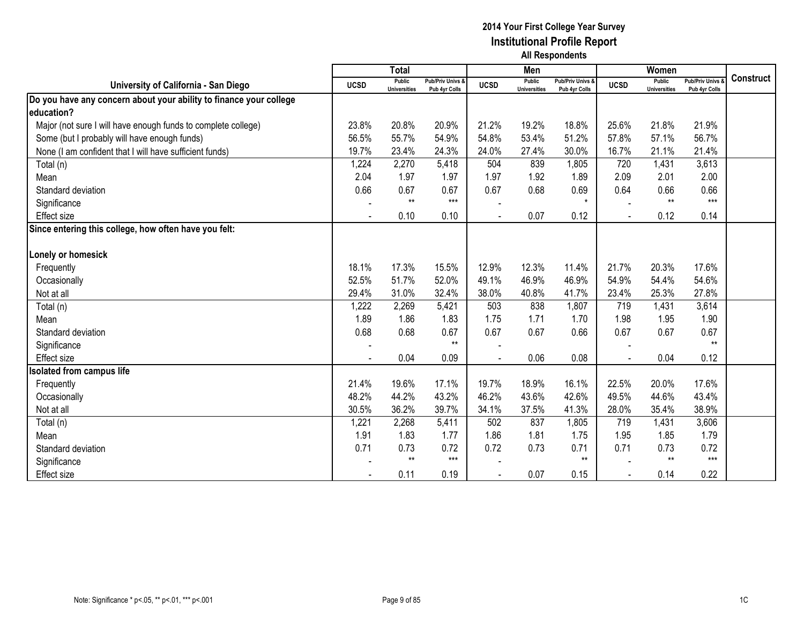|                                                                    |             | <b>Total</b>                         |                                   |             | Men                           |                                   |             | Women                                |                                        |                  |
|--------------------------------------------------------------------|-------------|--------------------------------------|-----------------------------------|-------------|-------------------------------|-----------------------------------|-------------|--------------------------------------|----------------------------------------|------------------|
| University of California - San Diego                               | <b>UCSD</b> | <b>Public</b><br><b>Universities</b> | Pub/Priv Univs &<br>Pub 4yr Colls | <b>UCSD</b> | Public<br><b>Universities</b> | Pub/Priv Univs &<br>Pub 4yr Colls | <b>UCSD</b> | <b>Public</b><br><b>Universities</b> | <b>Pub/Priv Univs</b><br>Pub 4yr Colls | <b>Construct</b> |
| Do you have any concern about your ability to finance your college |             |                                      |                                   |             |                               |                                   |             |                                      |                                        |                  |
| education?                                                         |             |                                      |                                   |             |                               |                                   |             |                                      |                                        |                  |
| Major (not sure I will have enough funds to complete college)      | 23.8%       | 20.8%                                | 20.9%                             | 21.2%       | 19.2%                         | 18.8%                             | 25.6%       | 21.8%                                | 21.9%                                  |                  |
| Some (but I probably will have enough funds)                       | 56.5%       | 55.7%                                | 54.9%                             | 54.8%       | 53.4%                         | 51.2%                             | 57.8%       | 57.1%                                | 56.7%                                  |                  |
| None (I am confident that I will have sufficient funds)            | 19.7%       | 23.4%                                | 24.3%                             | 24.0%       | 27.4%                         | 30.0%                             | 16.7%       | 21.1%                                | 21.4%                                  |                  |
| Total (n)                                                          | 1,224       | 2,270                                | 5,418                             | 504         | 839                           | 1,805                             | 720         | 1,431                                | 3,613                                  |                  |
| Mean                                                               | 2.04        | 1.97                                 | 1.97                              | 1.97        | 1.92                          | 1.89                              | 2.09        | 2.01                                 | 2.00                                   |                  |
| Standard deviation                                                 | 0.66        | 0.67                                 | 0.67                              | 0.67        | 0.68                          | 0.69                              | 0.64        | 0.66                                 | 0.66                                   |                  |
| Significance                                                       |             | $**$                                 | $***$                             |             |                               | $\star$                           |             | $**$                                 | $***$                                  |                  |
| <b>Effect size</b>                                                 |             | 0.10                                 | 0.10                              |             | 0.07                          | 0.12                              | $\sim$      | 0.12                                 | 0.14                                   |                  |
| Since entering this college, how often have you felt:              |             |                                      |                                   |             |                               |                                   |             |                                      |                                        |                  |
|                                                                    |             |                                      |                                   |             |                               |                                   |             |                                      |                                        |                  |
| Lonely or homesick                                                 |             |                                      |                                   |             |                               |                                   |             |                                      |                                        |                  |
| Frequently                                                         | 18.1%       | 17.3%                                | 15.5%                             | 12.9%       | 12.3%                         | 11.4%                             | 21.7%       | 20.3%                                | 17.6%                                  |                  |
| Occasionally                                                       | 52.5%       | 51.7%                                | 52.0%                             | 49.1%       | 46.9%                         | 46.9%                             | 54.9%       | 54.4%                                | 54.6%                                  |                  |
| Not at all                                                         | 29.4%       | 31.0%                                | 32.4%                             | 38.0%       | 40.8%                         | 41.7%                             | 23.4%       | 25.3%                                | 27.8%                                  |                  |
| Total (n)                                                          | 1,222       | 2,269                                | 5,421                             | 503         | 838                           | 1,807                             | 719         | 1,431                                | 3,614                                  |                  |
| Mean                                                               | 1.89        | 1.86                                 | 1.83                              | 1.75        | 1.71                          | 1.70                              | 1.98        | 1.95                                 | 1.90                                   |                  |
| Standard deviation                                                 | 0.68        | 0.68                                 | 0.67                              | 0.67        | 0.67                          | 0.66                              | 0.67        | 0.67                                 | 0.67                                   |                  |
| Significance                                                       |             |                                      | $**$                              |             |                               |                                   |             |                                      | $**$                                   |                  |
| Effect size                                                        |             | 0.04                                 | 0.09                              |             | 0.06                          | 0.08                              |             | 0.04                                 | 0.12                                   |                  |
| <b>Isolated from campus life</b>                                   |             |                                      |                                   |             |                               |                                   |             |                                      |                                        |                  |
| Frequently                                                         | 21.4%       | 19.6%                                | 17.1%                             | 19.7%       | 18.9%                         | 16.1%                             | 22.5%       | 20.0%                                | 17.6%                                  |                  |
| Occasionally                                                       | 48.2%       | 44.2%                                | 43.2%                             | 46.2%       | 43.6%                         | 42.6%                             | 49.5%       | 44.6%                                | 43.4%                                  |                  |
| Not at all                                                         | 30.5%       | 36.2%                                | 39.7%                             | 34.1%       | 37.5%                         | 41.3%                             | 28.0%       | 35.4%                                | 38.9%                                  |                  |
| Total (n)                                                          | 1,221       | 2,268                                | 5,411                             | 502         | 837                           | 1,805                             | 719         | 1,431                                | 3,606                                  |                  |
| Mean                                                               | 1.91        | 1.83                                 | 1.77                              | 1.86        | 1.81                          | 1.75                              | 1.95        | 1.85                                 | 1.79                                   |                  |
| Standard deviation                                                 | 0.71        | 0.73                                 | 0.72                              | 0.72        | 0.73                          | 0.71                              | 0.71        | 0.73                                 | 0.72                                   |                  |
| Significance                                                       |             | $***$                                | $***$                             |             |                               | $**$                              |             | $***$                                | $***$                                  |                  |
| <b>Effect size</b>                                                 |             | 0.11                                 | 0.19                              |             | 0.07                          | 0.15                              |             | 0.14                                 | 0.22                                   |                  |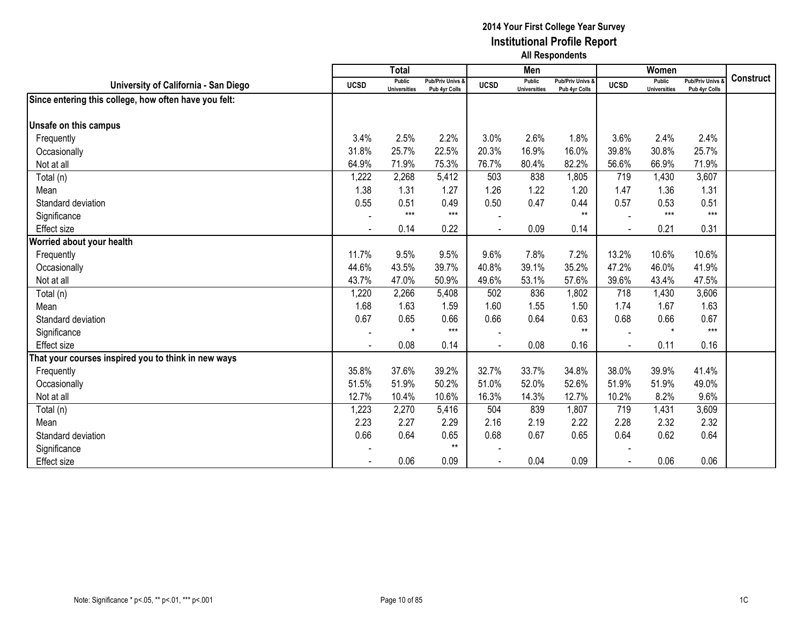|                                                       |             | <b>Total</b>                  |                                   |             | Men                           |                                   |             | Women                                |                                        |                  |
|-------------------------------------------------------|-------------|-------------------------------|-----------------------------------|-------------|-------------------------------|-----------------------------------|-------------|--------------------------------------|----------------------------------------|------------------|
| University of California - San Diego                  | <b>UCSD</b> | Public<br><b>Universities</b> | Pub/Priv Univs &<br>Pub 4yr Colls | <b>UCSD</b> | Public<br><b>Universities</b> | Pub/Priv Univs &<br>Pub 4yr Colls | <b>UCSD</b> | <b>Public</b><br><b>Universities</b> | <b>Pub/Priv Univs</b><br>Pub 4yr Colls | <b>Construct</b> |
| Since entering this college, how often have you felt: |             |                               |                                   |             |                               |                                   |             |                                      |                                        |                  |
|                                                       |             |                               |                                   |             |                               |                                   |             |                                      |                                        |                  |
| Unsafe on this campus                                 |             |                               |                                   |             |                               |                                   |             |                                      |                                        |                  |
| Frequently                                            | 3.4%        | 2.5%                          | 2.2%                              | 3.0%        | 2.6%                          | 1.8%                              | 3.6%        | 2.4%                                 | 2.4%                                   |                  |
| Occasionally                                          | 31.8%       | 25.7%                         | 22.5%                             | 20.3%       | 16.9%                         | 16.0%                             | 39.8%       | 30.8%                                | 25.7%                                  |                  |
| Not at all                                            | 64.9%       | 71.9%                         | 75.3%                             | 76.7%       | 80.4%                         | 82.2%                             | 56.6%       | 66.9%                                | 71.9%                                  |                  |
| Total (n)                                             | 1,222       | 2,268                         | 5,412                             | 503         | 838                           | 1,805                             | 719         | 1,430                                | 3,607                                  |                  |
| Mean                                                  | 1.38        | 1.31                          | 1.27                              | 1.26        | 1.22                          | 1.20                              | 1.47        | 1.36                                 | 1.31                                   |                  |
| Standard deviation                                    | 0.55        | 0.51                          | 0.49                              | 0.50        | 0.47                          | 0.44                              | 0.57        | 0.53                                 | 0.51                                   |                  |
| Significance                                          |             | $***$                         | $***$                             |             |                               | $**$                              |             | $***$                                | $***$                                  |                  |
| Effect size                                           |             | 0.14                          | 0.22                              |             | 0.09                          | 0.14                              |             | 0.21                                 | 0.31                                   |                  |
| Worried about your health                             |             |                               |                                   |             |                               |                                   |             |                                      |                                        |                  |
| Frequently                                            | 11.7%       | 9.5%                          | 9.5%                              | 9.6%        | 7.8%                          | 7.2%                              | 13.2%       | 10.6%                                | 10.6%                                  |                  |
| Occasionally                                          | 44.6%       | 43.5%                         | 39.7%                             | 40.8%       | 39.1%                         | 35.2%                             | 47.2%       | 46.0%                                | 41.9%                                  |                  |
| Not at all                                            | 43.7%       | 47.0%                         | 50.9%                             | 49.6%       | 53.1%                         | 57.6%                             | 39.6%       | 43.4%                                | 47.5%                                  |                  |
| Total (n)                                             | 1,220       | 2,266                         | 5,408                             | 502         | 836                           | 1,802                             | 718         | 1,430                                | 3,606                                  |                  |
| Mean                                                  | 1.68        | 1.63                          | 1.59                              | 1.60        | 1.55                          | 1.50                              | 1.74        | 1.67                                 | 1.63                                   |                  |
| Standard deviation                                    | 0.67        | 0.65                          | 0.66                              | 0.66        | 0.64                          | 0.63                              | 0.68        | 0.66                                 | 0.67                                   |                  |
| Significance                                          |             | $\star$                       | $***$                             |             |                               | $**$                              |             | $\star$                              | $***$                                  |                  |
| Effect size                                           |             | 0.08                          | 0.14                              |             | 0.08                          | 0.16                              |             | 0.11                                 | 0.16                                   |                  |
| That your courses inspired you to think in new ways   |             |                               |                                   |             |                               |                                   |             |                                      |                                        |                  |
| Frequently                                            | 35.8%       | 37.6%                         | 39.2%                             | 32.7%       | 33.7%                         | 34.8%                             | 38.0%       | 39.9%                                | 41.4%                                  |                  |
| Occasionally                                          | 51.5%       | 51.9%                         | 50.2%                             | 51.0%       | 52.0%                         | 52.6%                             | 51.9%       | 51.9%                                | 49.0%                                  |                  |
| Not at all                                            | 12.7%       | 10.4%                         | 10.6%                             | 16.3%       | 14.3%                         | 12.7%                             | 10.2%       | 8.2%                                 | 9.6%                                   |                  |
| Total (n)                                             | 1,223       | 2,270                         | 5,416                             | 504         | 839                           | 1,807                             | 719         | 1,431                                | 3,609                                  |                  |
| Mean                                                  | 2.23        | 2.27                          | 2.29                              | 2.16        | 2.19                          | 2.22                              | 2.28        | 2.32                                 | 2.32                                   |                  |
| Standard deviation                                    | 0.66        | 0.64                          | 0.65                              | 0.68        | 0.67                          | 0.65                              | 0.64        | 0.62                                 | 0.64                                   |                  |
| Significance                                          |             |                               | $***$                             |             |                               |                                   |             |                                      |                                        |                  |
| Effect size                                           |             | 0.06                          | 0.09                              |             | 0.04                          | 0.09                              |             | 0.06                                 | 0.06                                   |                  |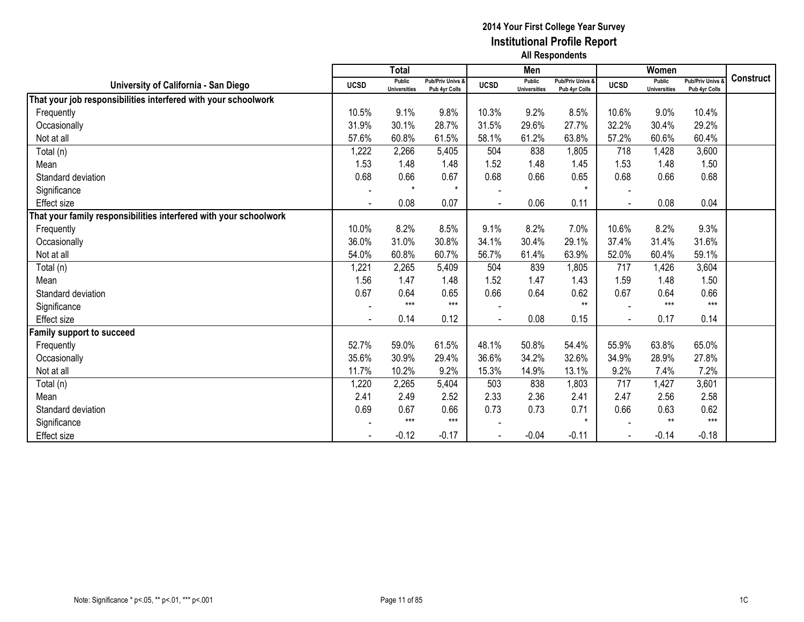|                                                                  |             | <b>Total</b>                  |                                   |                | Men                                  |                                   |                | Women                         |                                        |                  |
|------------------------------------------------------------------|-------------|-------------------------------|-----------------------------------|----------------|--------------------------------------|-----------------------------------|----------------|-------------------------------|----------------------------------------|------------------|
| University of California - San Diego                             | <b>UCSD</b> | Public<br><b>Universities</b> | Pub/Priv Univs &<br>Pub 4yr Colls | <b>UCSD</b>    | <b>Public</b><br><b>Universities</b> | Pub/Priv Univs &<br>Pub 4yr Colls | <b>UCSD</b>    | Public<br><b>Universities</b> | <b>Pub/Priv Univs</b><br>Pub 4yr Colls | <b>Construct</b> |
| That your job responsibilities interfered with your schoolwork   |             |                               |                                   |                |                                      |                                   |                |                               |                                        |                  |
| Frequently                                                       | 10.5%       | 9.1%                          | 9.8%                              | 10.3%          | 9.2%                                 | 8.5%                              | 10.6%          | 9.0%                          | 10.4%                                  |                  |
| Occasionally                                                     | 31.9%       | 30.1%                         | 28.7%                             | 31.5%          | 29.6%                                | 27.7%                             | 32.2%          | 30.4%                         | 29.2%                                  |                  |
| Not at all                                                       | 57.6%       | 60.8%                         | 61.5%                             | 58.1%          | 61.2%                                | 63.8%                             | 57.2%          | 60.6%                         | 60.4%                                  |                  |
| Total (n)                                                        | 1,222       | 2,266                         | 5,405                             | 504            | 838                                  | 1,805                             | 718            | 1,428                         | 3,600                                  |                  |
| Mean                                                             | 1.53        | 1.48                          | 1.48                              | 1.52           | 1.48                                 | 1.45                              | 1.53           | 1.48                          | 1.50                                   |                  |
| Standard deviation                                               | 0.68        | 0.66                          | 0.67                              | 0.68           | 0.66                                 | 0.65                              | 0.68           | 0.66                          | 0.68                                   |                  |
| Significance                                                     |             | $\star$                       | $\star$                           |                |                                      | $\star$                           |                |                               |                                        |                  |
| Effect size                                                      |             | 0.08                          | 0.07                              | $\blacksquare$ | 0.06                                 | 0.11                              |                | 0.08                          | 0.04                                   |                  |
| hat your family responsibilities interfered with your schoolwork |             |                               |                                   |                |                                      |                                   |                |                               |                                        |                  |
| Frequently                                                       | 10.0%       | 8.2%                          | 8.5%                              | 9.1%           | 8.2%                                 | 7.0%                              | 10.6%          | 8.2%                          | 9.3%                                   |                  |
| Occasionally                                                     | 36.0%       | 31.0%                         | 30.8%                             | 34.1%          | 30.4%                                | 29.1%                             | 37.4%          | 31.4%                         | 31.6%                                  |                  |
| Not at all                                                       | 54.0%       | 60.8%                         | 60.7%                             | 56.7%          | 61.4%                                | 63.9%                             | 52.0%          | 60.4%                         | 59.1%                                  |                  |
| Total (n)                                                        | 1,221       | 2,265                         | 5,409                             | 504            | 839                                  | 1,805                             | 717            | 1,426                         | 3,604                                  |                  |
| Mean                                                             | 1.56        | 1.47                          | 1.48                              | 1.52           | 1.47                                 | 1.43                              | 1.59           | 1.48                          | 1.50                                   |                  |
| Standard deviation                                               | 0.67        | 0.64                          | 0.65                              | 0.66           | 0.64                                 | 0.62                              | 0.67           | 0.64                          | 0.66                                   |                  |
| Significance                                                     |             | $***$                         | $***$                             |                |                                      | $**$                              |                | $***$                         | $***$                                  |                  |
| Effect size                                                      |             | 0.14                          | 0.12                              |                | 0.08                                 | 0.15                              | $\blacksquare$ | 0.17                          | 0.14                                   |                  |
| amily support to succeed                                         |             |                               |                                   |                |                                      |                                   |                |                               |                                        |                  |
| Frequently                                                       | 52.7%       | 59.0%                         | 61.5%                             | 48.1%          | 50.8%                                | 54.4%                             | 55.9%          | 63.8%                         | 65.0%                                  |                  |
| Occasionally                                                     | 35.6%       | 30.9%                         | 29.4%                             | 36.6%          | 34.2%                                | 32.6%                             | 34.9%          | 28.9%                         | 27.8%                                  |                  |
| Not at all                                                       | 11.7%       | 10.2%                         | 9.2%                              | 15.3%          | 14.9%                                | 13.1%                             | 9.2%           | 7.4%                          | 7.2%                                   |                  |
| Total (n)                                                        | 1,220       | 2,265                         | 5,404                             | 503            | 838                                  | 1,803                             | 717            | 1,427                         | 3,601                                  |                  |
| Mean                                                             | 2.41        | 2.49                          | 2.52                              | 2.33           | 2.36                                 | 2.41                              | 2.47           | 2.56                          | 2.58                                   |                  |
| Standard deviation                                               | 0.69        | 0.67                          | 0.66                              | 0.73           | 0.73                                 | 0.71                              | 0.66           | 0.63                          | 0.62                                   |                  |
| Significance                                                     |             | $***$                         | $***$                             |                |                                      | $\star$                           |                | $**$                          | $***$                                  |                  |
| <b>Effect size</b>                                               |             | $-0.12$                       | $-0.17$                           | $\blacksquare$ | $-0.04$                              | $-0.11$                           |                | $-0.14$                       | $-0.18$                                |                  |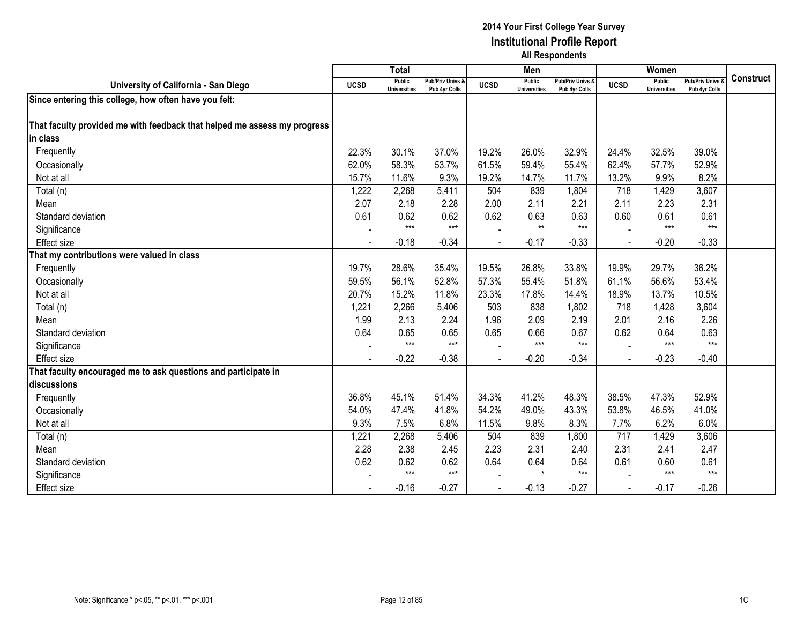|                                                                          |             | <b>Total</b>                         |                                              |             | Men                                  |                                   |             | Women                                |                                        |                  |
|--------------------------------------------------------------------------|-------------|--------------------------------------|----------------------------------------------|-------------|--------------------------------------|-----------------------------------|-------------|--------------------------------------|----------------------------------------|------------------|
| University of California - San Diego                                     | <b>UCSD</b> | <b>Public</b><br><b>Universities</b> | <b>Pub/Priv Univs &amp;</b><br>Pub 4yr Colls | <b>UCSD</b> | <b>Public</b><br><b>Universities</b> | Pub/Priv Univs &<br>Pub 4yr Colls | <b>UCSD</b> | <b>Public</b><br><b>Universities</b> | <b>Pub/Priv Univs</b><br>Pub 4yr Colls | <b>Construct</b> |
| Since entering this college, how often have you felt:                    |             |                                      |                                              |             |                                      |                                   |             |                                      |                                        |                  |
|                                                                          |             |                                      |                                              |             |                                      |                                   |             |                                      |                                        |                  |
| That faculty provided me with feedback that helped me assess my progress |             |                                      |                                              |             |                                      |                                   |             |                                      |                                        |                  |
| in class                                                                 |             |                                      |                                              |             |                                      |                                   |             |                                      |                                        |                  |
| Frequently                                                               | 22.3%       | 30.1%                                | 37.0%                                        | 19.2%       | 26.0%                                | 32.9%                             | 24.4%       | 32.5%                                | 39.0%                                  |                  |
| Occasionally                                                             | 62.0%       | 58.3%                                | 53.7%                                        | 61.5%       | 59.4%                                | 55.4%                             | 62.4%       | 57.7%                                | 52.9%                                  |                  |
| Not at all                                                               | 15.7%       | 11.6%                                | 9.3%                                         | 19.2%       | 14.7%                                | 11.7%                             | 13.2%       | 9.9%                                 | 8.2%                                   |                  |
| Total (n)                                                                | 1,222       | 2,268                                | 5,411                                        | 504         | 839                                  | 1,804                             | 718         | 1,429                                | 3,607                                  |                  |
| Mean                                                                     | 2.07        | 2.18                                 | 2.28                                         | 2.00        | 2.11                                 | 2.21                              | 2.11        | 2.23                                 | 2.31                                   |                  |
| Standard deviation                                                       | 0.61        | 0.62                                 | 0.62                                         | 0.62        | 0.63                                 | 0.63                              | 0.60        | 0.61                                 | 0.61                                   |                  |
| Significance                                                             |             | $***$                                | $***$                                        |             | $***$                                | $***$                             |             | $***$                                | $***$                                  |                  |
| <b>Effect size</b>                                                       |             | $-0.18$                              | $-0.34$                                      |             | $-0.17$                              | $-0.33$                           |             | $-0.20$                              | $-0.33$                                |                  |
| That my contributions were valued in class                               |             |                                      |                                              |             |                                      |                                   |             |                                      |                                        |                  |
| Frequently                                                               | 19.7%       | 28.6%                                | 35.4%                                        | 19.5%       | 26.8%                                | 33.8%                             | 19.9%       | 29.7%                                | 36.2%                                  |                  |
| Occasionally                                                             | 59.5%       | 56.1%                                | 52.8%                                        | 57.3%       | 55.4%                                | 51.8%                             | 61.1%       | 56.6%                                | 53.4%                                  |                  |
| Not at all                                                               | 20.7%       | 15.2%                                | 11.8%                                        | 23.3%       | 17.8%                                | 14.4%                             | 18.9%       | 13.7%                                | 10.5%                                  |                  |
| Total (n)                                                                | 1,221       | 2,266                                | 5,406                                        | 503         | 838                                  | 1,802                             | 718         | 1,428                                | 3,604                                  |                  |
| Mean                                                                     | 1.99        | 2.13                                 | 2.24                                         | 1.96        | 2.09                                 | 2.19                              | 2.01        | 2.16                                 | 2.26                                   |                  |
| Standard deviation                                                       | 0.64        | 0.65                                 | 0.65                                         | 0.65        | 0.66                                 | 0.67                              | 0.62        | 0.64                                 | 0.63                                   |                  |
| Significance                                                             |             | $***$                                | $***$                                        |             | $***$                                | $***$                             |             | $***$                                | $***$                                  |                  |
| <b>Effect size</b>                                                       |             | $-0.22$                              | $-0.38$                                      |             | $-0.20$                              | $-0.34$                           |             | $-0.23$                              | $-0.40$                                |                  |
| That faculty encouraged me to ask questions and participate in           |             |                                      |                                              |             |                                      |                                   |             |                                      |                                        |                  |
| discussions                                                              |             |                                      |                                              |             |                                      |                                   |             |                                      |                                        |                  |
| Frequently                                                               | 36.8%       | 45.1%                                | 51.4%                                        | 34.3%       | 41.2%                                | 48.3%                             | 38.5%       | 47.3%                                | 52.9%                                  |                  |
| Occasionally                                                             | 54.0%       | 47.4%                                | 41.8%                                        | 54.2%       | 49.0%                                | 43.3%                             | 53.8%       | 46.5%                                | 41.0%                                  |                  |
| Not at all                                                               | 9.3%        | 7.5%                                 | 6.8%                                         | 11.5%       | 9.8%                                 | 8.3%                              | 7.7%        | 6.2%                                 | 6.0%                                   |                  |
| Total (n)                                                                | 1,221       | 2,268                                | 5,406                                        | 504         | 839                                  | 1,800                             | 717         | 1,429                                | 3,606                                  |                  |
| Mean                                                                     | 2.28        | 2.38                                 | 2.45                                         | 2.23        | 2.31                                 | 2.40                              | 2.31        | 2.41                                 | 2.47                                   |                  |
| Standard deviation                                                       | 0.62        | 0.62                                 | 0.62                                         | 0.64        | 0.64                                 | 0.64                              | 0.61        | 0.60                                 | 0.61                                   |                  |
| Significance                                                             |             | $***$                                | $***$                                        |             | $\star$                              | $***$                             |             | $***$                                | $***$                                  |                  |
| <b>Effect size</b>                                                       |             | $-0.16$                              | $-0.27$                                      |             | $-0.13$                              | $-0.27$                           |             | $-0.17$                              | $-0.26$                                |                  |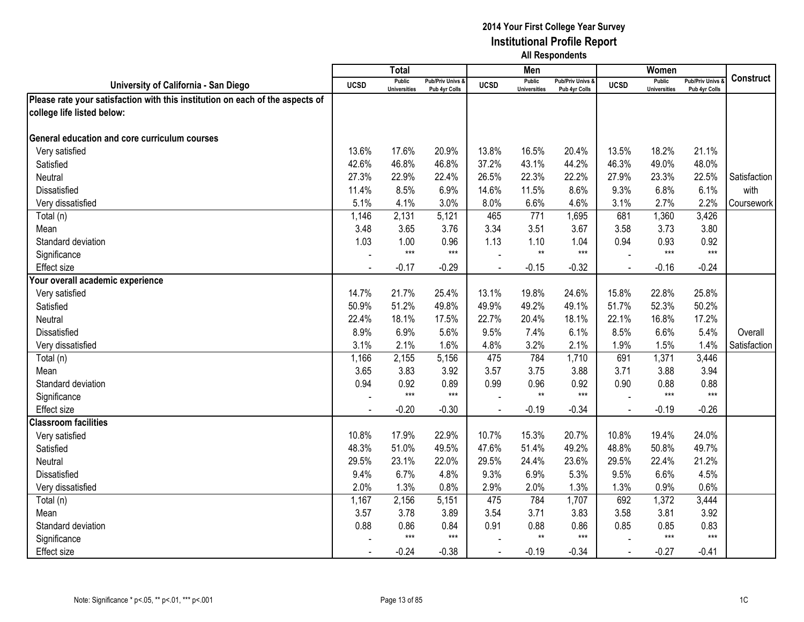|                                                                               |             | <b>Total</b>                         |                                   |                | Men                                  |                                   |                | Women                                |                                        |                  |
|-------------------------------------------------------------------------------|-------------|--------------------------------------|-----------------------------------|----------------|--------------------------------------|-----------------------------------|----------------|--------------------------------------|----------------------------------------|------------------|
| University of California - San Diego                                          | <b>UCSD</b> | <b>Public</b><br><b>Universities</b> | Pub/Priv Univs &<br>Pub 4yr Colls | <b>UCSD</b>    | <b>Public</b><br><b>Universities</b> | Pub/Priv Univs &<br>Pub 4yr Colls | <b>UCSD</b>    | <b>Public</b><br><b>Universities</b> | <b>Pub/Priv Univs</b><br>Pub 4yr Colls | <b>Construct</b> |
| Please rate your satisfaction with this institution on each of the aspects of |             |                                      |                                   |                |                                      |                                   |                |                                      |                                        |                  |
| college life listed below:                                                    |             |                                      |                                   |                |                                      |                                   |                |                                      |                                        |                  |
|                                                                               |             |                                      |                                   |                |                                      |                                   |                |                                      |                                        |                  |
| General education and core curriculum courses                                 |             |                                      |                                   |                |                                      |                                   |                |                                      |                                        |                  |
| Very satisfied                                                                | 13.6%       | 17.6%                                | 20.9%                             | 13.8%          | 16.5%                                | 20.4%                             | 13.5%          | 18.2%                                | 21.1%                                  |                  |
| Satisfied                                                                     | 42.6%       | 46.8%                                | 46.8%                             | 37.2%          | 43.1%                                | 44.2%                             | 46.3%          | 49.0%                                | 48.0%                                  |                  |
| Neutral                                                                       | 27.3%       | 22.9%                                | 22.4%                             | 26.5%          | 22.3%                                | 22.2%                             | 27.9%          | 23.3%                                | 22.5%                                  | Satisfaction     |
| <b>Dissatisfied</b>                                                           | 11.4%       | 8.5%                                 | 6.9%                              | 14.6%          | 11.5%                                | 8.6%                              | 9.3%           | 6.8%                                 | 6.1%                                   | with             |
| Very dissatisfied                                                             | 5.1%        | 4.1%                                 | 3.0%                              | 8.0%           | 6.6%                                 | 4.6%                              | 3.1%           | 2.7%                                 | 2.2%                                   | Coursework       |
| Total (n)                                                                     | 1,146       | 2,131                                | 5,121                             | 465            | 771                                  | 1,695                             | 681            | 1,360                                | 3,426                                  |                  |
| Mean                                                                          | 3.48        | 3.65                                 | 3.76                              | 3.34           | 3.51                                 | 3.67                              | 3.58           | 3.73                                 | 3.80                                   |                  |
| Standard deviation                                                            | 1.03        | 1.00                                 | 0.96                              | 1.13           | 1.10                                 | 1.04                              | 0.94           | 0.93                                 | 0.92                                   |                  |
| Significance                                                                  |             | $***$                                | $***$                             |                | $**$                                 | $***$                             |                | $***$                                | $***$                                  |                  |
| <b>Effect size</b>                                                            |             | $-0.17$                              | $-0.29$                           |                | $-0.15$                              | $-0.32$                           |                | $-0.16$                              | $-0.24$                                |                  |
| Your overall academic experience                                              |             |                                      |                                   |                |                                      |                                   |                |                                      |                                        |                  |
| Very satisfied                                                                | 14.7%       | 21.7%                                | 25.4%                             | 13.1%          | 19.8%                                | 24.6%                             | 15.8%          | 22.8%                                | 25.8%                                  |                  |
| Satisfied                                                                     | 50.9%       | 51.2%                                | 49.8%                             | 49.9%          | 49.2%                                | 49.1%                             | 51.7%          | 52.3%                                | 50.2%                                  |                  |
| <b>Neutral</b>                                                                | 22.4%       | 18.1%                                | 17.5%                             | 22.7%          | 20.4%                                | 18.1%                             | 22.1%          | 16.8%                                | 17.2%                                  |                  |
| Dissatisfied                                                                  | 8.9%        | 6.9%                                 | 5.6%                              | 9.5%           | 7.4%                                 | 6.1%                              | 8.5%           | 6.6%                                 | 5.4%                                   | Overall          |
| Very dissatisfied                                                             | 3.1%        | 2.1%                                 | 1.6%                              | 4.8%           | 3.2%                                 | 2.1%                              | 1.9%           | 1.5%                                 | 1.4%                                   | Satisfaction     |
| Total (n)                                                                     | 1,166       | 2,155                                | 5,156                             | 475            | 784                                  | 1,710                             | 691            | 1,371                                | 3,446                                  |                  |
| Mean                                                                          | 3.65        | 3.83                                 | 3.92                              | 3.57           | 3.75                                 | 3.88                              | 3.71           | 3.88                                 | 3.94                                   |                  |
| Standard deviation                                                            | 0.94        | 0.92                                 | 0.89                              | 0.99           | 0.96                                 | 0.92                              | 0.90           | 0.88                                 | 0.88                                   |                  |
| Significance                                                                  |             | $***$                                | $***$                             |                | $**$                                 | $***$                             |                | $***$                                | $***$                                  |                  |
| <b>Effect size</b>                                                            |             | $-0.20$                              | $-0.30$                           |                | $-0.19$                              | $-0.34$                           | $\blacksquare$ | $-0.19$                              | $-0.26$                                |                  |
| <b>Classroom facilities</b>                                                   |             |                                      |                                   |                |                                      |                                   |                |                                      |                                        |                  |
| Very satisfied                                                                | 10.8%       | 17.9%                                | 22.9%                             | 10.7%          | 15.3%                                | 20.7%                             | 10.8%          | 19.4%                                | 24.0%                                  |                  |
| Satisfied                                                                     | 48.3%       | 51.0%                                | 49.5%                             | 47.6%          | 51.4%                                | 49.2%                             | 48.8%          | 50.8%                                | 49.7%                                  |                  |
| Neutral                                                                       | 29.5%       | 23.1%                                | 22.0%                             | 29.5%          | 24.4%                                | 23.6%                             | 29.5%          | 22.4%                                | 21.2%                                  |                  |
| <b>Dissatisfied</b>                                                           | 9.4%        | 6.7%                                 | 4.8%                              | 9.3%           | 6.9%                                 | 5.3%                              | 9.5%           | 6.6%                                 | 4.5%                                   |                  |
| Very dissatisfied                                                             | 2.0%        | 1.3%                                 | 0.8%                              | 2.9%           | 2.0%                                 | 1.3%                              | 1.3%           | 0.9%                                 | 0.6%                                   |                  |
| Total (n)                                                                     | 1,167       | 2,156                                | 5,151                             | 475            | 784                                  | 1,707                             | 692            | 1,372                                | 3,444                                  |                  |
| Mean                                                                          | 3.57        | 3.78                                 | 3.89                              | 3.54           | 3.71                                 | 3.83                              | 3.58           | 3.81                                 | 3.92                                   |                  |
| Standard deviation                                                            | 0.88        | 0.86                                 | 0.84                              | 0.91           | 0.88                                 | 0.86                              | 0.85           | 0.85                                 | 0.83                                   |                  |
| Significance                                                                  |             | $***$                                | $***$                             |                | $**$                                 | $***$                             |                | $***$                                | $***$                                  |                  |
| <b>Effect size</b>                                                            |             | $-0.24$                              | $-0.38$                           | $\blacksquare$ | $-0.19$                              | $-0.34$                           | $\blacksquare$ | $-0.27$                              | $-0.41$                                |                  |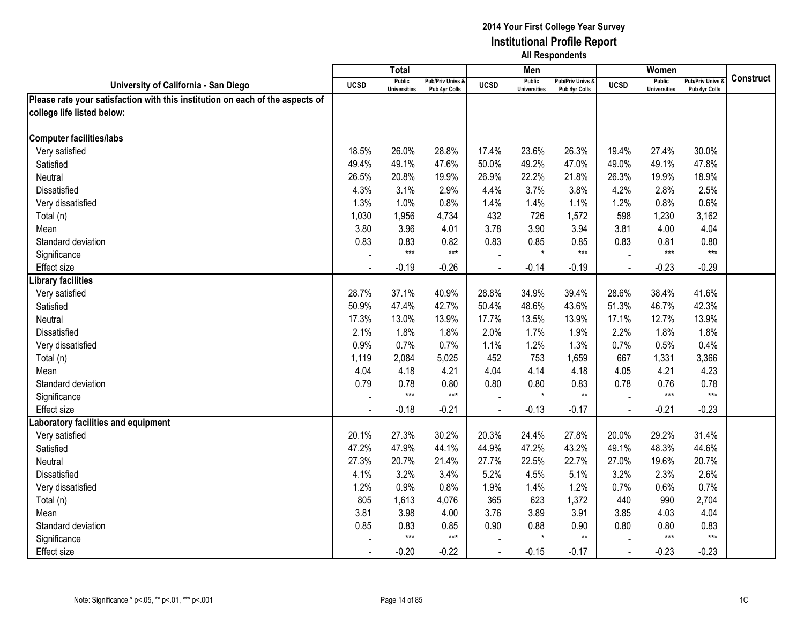|                                                                               |             | <b>Total</b>                         |                                   |                | Men                                  |                                   |                | Women                                |                                        |                  |
|-------------------------------------------------------------------------------|-------------|--------------------------------------|-----------------------------------|----------------|--------------------------------------|-----------------------------------|----------------|--------------------------------------|----------------------------------------|------------------|
| University of California - San Diego                                          | <b>UCSD</b> | <b>Public</b><br><b>Universities</b> | Pub/Priv Univs &<br>Pub 4yr Colls | <b>UCSD</b>    | <b>Public</b><br><b>Universities</b> | Pub/Priv Univs &<br>Pub 4yr Colls | <b>UCSD</b>    | <b>Public</b><br><b>Universities</b> | <b>Pub/Priv Univs</b><br>Pub 4yr Colls | <b>Construct</b> |
| Please rate your satisfaction with this institution on each of the aspects of |             |                                      |                                   |                |                                      |                                   |                |                                      |                                        |                  |
| college life listed below:                                                    |             |                                      |                                   |                |                                      |                                   |                |                                      |                                        |                  |
|                                                                               |             |                                      |                                   |                |                                      |                                   |                |                                      |                                        |                  |
| <b>Computer facilities/labs</b>                                               |             |                                      |                                   |                |                                      |                                   |                |                                      |                                        |                  |
| Very satisfied                                                                | 18.5%       | 26.0%                                | 28.8%                             | 17.4%          | 23.6%                                | 26.3%                             | 19.4%          | 27.4%                                | 30.0%                                  |                  |
| Satisfied                                                                     | 49.4%       | 49.1%                                | 47.6%                             | 50.0%          | 49.2%                                | 47.0%                             | 49.0%          | 49.1%                                | 47.8%                                  |                  |
| Neutral                                                                       | 26.5%       | 20.8%                                | 19.9%                             | 26.9%          | 22.2%                                | 21.8%                             | 26.3%          | 19.9%                                | 18.9%                                  |                  |
| Dissatisfied                                                                  | 4.3%        | 3.1%                                 | 2.9%                              | 4.4%           | 3.7%                                 | 3.8%                              | 4.2%           | 2.8%                                 | 2.5%                                   |                  |
| Very dissatisfied                                                             | 1.3%        | 1.0%                                 | 0.8%                              | 1.4%           | 1.4%                                 | 1.1%                              | 1.2%           | 0.8%                                 | 0.6%                                   |                  |
| Total (n)                                                                     | 1,030       | 1,956                                | 4,734                             | 432            | 726                                  | 1,572                             | 598            | 1,230                                | 3,162                                  |                  |
| Mean                                                                          | 3.80        | 3.96                                 | 4.01                              | 3.78           | 3.90                                 | 3.94                              | 3.81           | 4.00                                 | 4.04                                   |                  |
| Standard deviation                                                            | 0.83        | 0.83                                 | 0.82                              | 0.83           | 0.85                                 | 0.85                              | 0.83           | 0.81                                 | 0.80                                   |                  |
| Significance                                                                  |             | $***$                                | $***$                             |                | $\star$                              | $***$                             |                | $***$                                | $***$                                  |                  |
| <b>Effect size</b>                                                            |             | $-0.19$                              | $-0.26$                           |                | $-0.14$                              | $-0.19$                           |                | $-0.23$                              | $-0.29$                                |                  |
| Library facilities                                                            |             |                                      |                                   |                |                                      |                                   |                |                                      |                                        |                  |
| Very satisfied                                                                | 28.7%       | 37.1%                                | 40.9%                             | 28.8%          | 34.9%                                | 39.4%                             | 28.6%          | 38.4%                                | 41.6%                                  |                  |
| Satisfied                                                                     | 50.9%       | 47.4%                                | 42.7%                             | 50.4%          | 48.6%                                | 43.6%                             | 51.3%          | 46.7%                                | 42.3%                                  |                  |
| Neutral                                                                       | 17.3%       | 13.0%                                | 13.9%                             | 17.7%          | 13.5%                                | 13.9%                             | 17.1%          | 12.7%                                | 13.9%                                  |                  |
| <b>Dissatisfied</b>                                                           | 2.1%        | 1.8%                                 | 1.8%                              | 2.0%           | 1.7%                                 | 1.9%                              | 2.2%           | 1.8%                                 | 1.8%                                   |                  |
| Very dissatisfied                                                             | 0.9%        | 0.7%                                 | 0.7%                              | 1.1%           | 1.2%                                 | 1.3%                              | 0.7%           | 0.5%                                 | 0.4%                                   |                  |
| Total (n)                                                                     | 1,119       | 2,084                                | 5,025                             | 452            | 753                                  | 1,659                             | 667            | 1,331                                | 3,366                                  |                  |
| Mean                                                                          | 4.04        | 4.18                                 | 4.21                              | 4.04           | 4.14                                 | 4.18                              | 4.05           | 4.21                                 | 4.23                                   |                  |
| Standard deviation                                                            | 0.79        | 0.78                                 | 0.80                              | 0.80           | 0.80                                 | 0.83                              | 0.78           | 0.76                                 | 0.78                                   |                  |
| Significance                                                                  |             | $***$                                | $***$                             |                | $\star$                              | $**$                              |                | $***$                                | $***$                                  |                  |
| Effect size                                                                   |             | $-0.18$                              | $-0.21$                           |                | $-0.13$                              | $-0.17$                           | $\blacksquare$ | $-0.21$                              | $-0.23$                                |                  |
| Laboratory facilities and equipment                                           |             |                                      |                                   |                |                                      |                                   |                |                                      |                                        |                  |
| Very satisfied                                                                | 20.1%       | 27.3%                                | 30.2%                             | 20.3%          | 24.4%                                | 27.8%                             | 20.0%          | 29.2%                                | 31.4%                                  |                  |
| Satisfied                                                                     | 47.2%       | 47.9%                                | 44.1%                             | 44.9%          | 47.2%                                | 43.2%                             | 49.1%          | 48.3%                                | 44.6%                                  |                  |
| Neutral                                                                       | 27.3%       | 20.7%                                | 21.4%                             | 27.7%          | 22.5%                                | 22.7%                             | 27.0%          | 19.6%                                | 20.7%                                  |                  |
| <b>Dissatisfied</b>                                                           | 4.1%        | 3.2%                                 | 3.4%                              | 5.2%           | 4.5%                                 | 5.1%                              | 3.2%           | 2.3%                                 | 2.6%                                   |                  |
| Very dissatisfied                                                             | 1.2%        | 0.9%                                 | 0.8%                              | 1.9%           | 1.4%                                 | 1.2%                              | 0.7%           | 0.6%                                 | 0.7%                                   |                  |
| Total (n)                                                                     | 805         | 1,613                                | 4,076                             | 365            | 623                                  | 1,372                             | 440            | 990                                  | 2,704                                  |                  |
| Mean                                                                          | 3.81        | 3.98                                 | 4.00                              | 3.76           | 3.89                                 | 3.91                              | 3.85           | 4.03                                 | 4.04                                   |                  |
| Standard deviation                                                            | 0.85        | 0.83                                 | 0.85                              | 0.90           | 0.88<br>$\star$                      | 0.90                              | 0.80           | 0.80                                 | 0.83                                   |                  |
| Significance                                                                  |             | $***$                                | $***$                             |                |                                      | $\star\star$                      |                | $***$                                | $***$                                  |                  |
| <b>Effect size</b>                                                            |             | $-0.20$                              | $-0.22$                           | $\blacksquare$ | $-0.15$                              | $-0.17$                           | $\blacksquare$ | $-0.23$                              | $-0.23$                                |                  |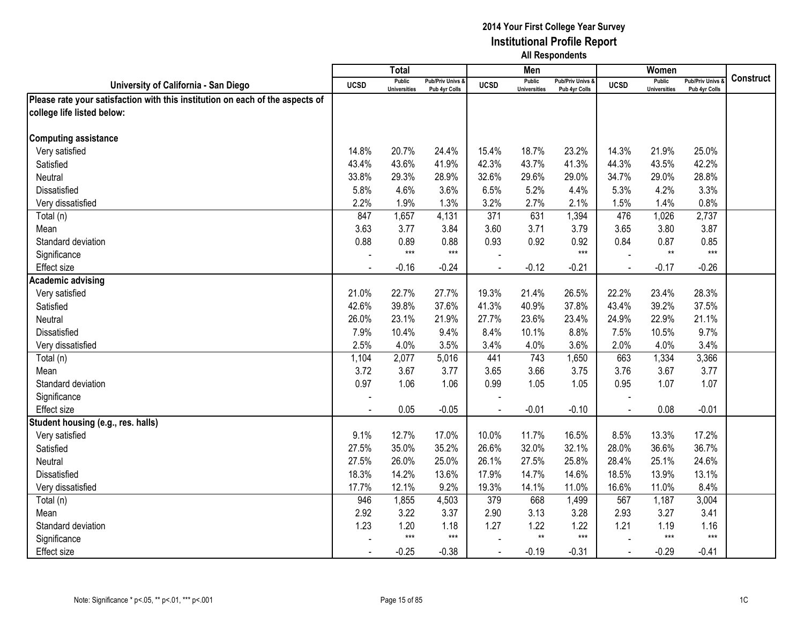|                                                                               |                | <b>Total</b>                         |                                   |                | Men                                  |                                   |                | Women                                |                                        |                  |
|-------------------------------------------------------------------------------|----------------|--------------------------------------|-----------------------------------|----------------|--------------------------------------|-----------------------------------|----------------|--------------------------------------|----------------------------------------|------------------|
| University of California - San Diego                                          | <b>UCSD</b>    | <b>Public</b><br><b>Universities</b> | Pub/Priv Univs &<br>Pub 4yr Colls | <b>UCSD</b>    | <b>Public</b><br><b>Universities</b> | Pub/Priv Univs &<br>Pub 4yr Colls | <b>UCSD</b>    | <b>Public</b><br><b>Universities</b> | <b>Pub/Priv Univs</b><br>Pub 4yr Colls | <b>Construct</b> |
| Please rate your satisfaction with this institution on each of the aspects of |                |                                      |                                   |                |                                      |                                   |                |                                      |                                        |                  |
| college life listed below:                                                    |                |                                      |                                   |                |                                      |                                   |                |                                      |                                        |                  |
|                                                                               |                |                                      |                                   |                |                                      |                                   |                |                                      |                                        |                  |
| <b>Computing assistance</b>                                                   |                |                                      |                                   |                |                                      |                                   |                |                                      |                                        |                  |
| Very satisfied                                                                | 14.8%          | 20.7%                                | 24.4%                             | 15.4%          | 18.7%                                | 23.2%                             | 14.3%          | 21.9%                                | 25.0%                                  |                  |
| Satisfied                                                                     | 43.4%          | 43.6%                                | 41.9%                             | 42.3%          | 43.7%                                | 41.3%                             | 44.3%          | 43.5%                                | 42.2%                                  |                  |
| Neutral                                                                       | 33.8%          | 29.3%                                | 28.9%                             | 32.6%          | 29.6%                                | 29.0%                             | 34.7%          | 29.0%                                | 28.8%                                  |                  |
| Dissatisfied                                                                  | 5.8%           | 4.6%                                 | 3.6%                              | 6.5%           | 5.2%                                 | 4.4%                              | 5.3%           | 4.2%                                 | 3.3%                                   |                  |
| Very dissatisfied                                                             | 2.2%           | 1.9%                                 | 1.3%                              | 3.2%           | 2.7%                                 | 2.1%                              | 1.5%           | 1.4%                                 | 0.8%                                   |                  |
| Total (n)                                                                     | 847            | 1,657                                | 4,131                             | 371            | 631                                  | 1,394                             | 476            | 1,026                                | 2,737                                  |                  |
| Mean                                                                          | 3.63           | 3.77                                 | 3.84                              | 3.60           | 3.71                                 | 3.79                              | 3.65           | 3.80                                 | 3.87                                   |                  |
| Standard deviation                                                            | 0.88           | 0.89                                 | 0.88                              | 0.93           | 0.92                                 | 0.92                              | 0.84           | 0.87                                 | 0.85                                   |                  |
| Significance                                                                  |                | $***$                                | $***$                             |                |                                      | $***$                             |                | $^{\star\star}$                      | $***$                                  |                  |
| Effect size                                                                   |                | $-0.16$                              | $-0.24$                           |                | $-0.12$                              | $-0.21$                           |                | $-0.17$                              | $-0.26$                                |                  |
| <b>Academic advising</b>                                                      |                |                                      |                                   |                |                                      |                                   |                |                                      |                                        |                  |
| Very satisfied                                                                | 21.0%          | 22.7%                                | 27.7%                             | 19.3%          | 21.4%                                | 26.5%                             | 22.2%          | 23.4%                                | 28.3%                                  |                  |
| Satisfied                                                                     | 42.6%          | 39.8%                                | 37.6%                             | 41.3%          | 40.9%                                | 37.8%                             | 43.4%          | 39.2%                                | 37.5%                                  |                  |
| Neutral                                                                       | 26.0%          | 23.1%                                | 21.9%                             | 27.7%          | 23.6%                                | 23.4%                             | 24.9%          | 22.9%                                | 21.1%                                  |                  |
| <b>Dissatisfied</b>                                                           | 7.9%           | 10.4%                                | 9.4%                              | 8.4%           | 10.1%                                | 8.8%                              | 7.5%           | 10.5%                                | 9.7%                                   |                  |
| Very dissatisfied                                                             | 2.5%           | 4.0%                                 | 3.5%                              | 3.4%           | 4.0%                                 | 3.6%                              | 2.0%           | 4.0%                                 | 3.4%                                   |                  |
| Total (n)                                                                     | 1,104          | 2,077                                | 5,016                             | 441            | 743                                  | 1,650                             | 663            | 1,334                                | 3,366                                  |                  |
| Mean                                                                          | 3.72           | 3.67                                 | 3.77                              | 3.65           | 3.66                                 | 3.75                              | 3.76           | 3.67                                 | 3.77                                   |                  |
| Standard deviation                                                            | 0.97           | 1.06                                 | 1.06                              | 0.99           | 1.05                                 | 1.05                              | 0.95           | 1.07                                 | 1.07                                   |                  |
| Significance                                                                  |                |                                      |                                   |                |                                      |                                   |                |                                      |                                        |                  |
| Effect size                                                                   |                | 0.05                                 | $-0.05$                           |                | $-0.01$                              | $-0.10$                           | $\blacksquare$ | 0.08                                 | $-0.01$                                |                  |
| Student housing (e.g., res. halls)                                            |                |                                      |                                   |                |                                      |                                   |                |                                      |                                        |                  |
| Very satisfied                                                                | 9.1%           | 12.7%                                | 17.0%                             | 10.0%          | 11.7%                                | 16.5%                             | 8.5%           | 13.3%                                | 17.2%                                  |                  |
| Satisfied                                                                     | 27.5%          | 35.0%                                | 35.2%                             | 26.6%          | 32.0%                                | 32.1%                             | 28.0%          | 36.6%                                | 36.7%                                  |                  |
| Neutral                                                                       | 27.5%          | 26.0%                                | 25.0%                             | 26.1%          | 27.5%                                | 25.8%                             | 28.4%          | 25.1%                                | 24.6%                                  |                  |
| <b>Dissatisfied</b>                                                           | 18.3%          | 14.2%                                | 13.6%                             | 17.9%          | 14.7%                                | 14.6%                             | 18.5%          | 13.9%                                | 13.1%                                  |                  |
| Very dissatisfied                                                             | 17.7%          | 12.1%                                | 9.2%                              | 19.3%          | 14.1%                                | 11.0%                             | 16.6%          | 11.0%                                | 8.4%                                   |                  |
| Total (n)                                                                     | 946            | 1,855                                | 4,503                             | 379            | 668                                  | 1,499                             | 567            | 1,187                                | 3,004                                  |                  |
| Mean                                                                          | 2.92           | 3.22                                 | 3.37                              | 2.90           | 3.13                                 | 3.28                              | 2.93           | 3.27                                 | 3.41                                   |                  |
| Standard deviation                                                            | 1.23           | 1.20                                 | 1.18                              | 1.27           | 1.22                                 | 1.22                              | 1.21           | 1.19                                 | 1.16                                   |                  |
| Significance                                                                  |                | $***$                                | $***$                             |                | $**$                                 | $***$                             |                | $***$                                | $***$                                  |                  |
| <b>Effect size</b>                                                            | $\blacksquare$ | $-0.25$                              | $-0.38$                           | $\blacksquare$ | $-0.19$                              | $-0.31$                           | $\blacksquare$ | $-0.29$                              | $-0.41$                                |                  |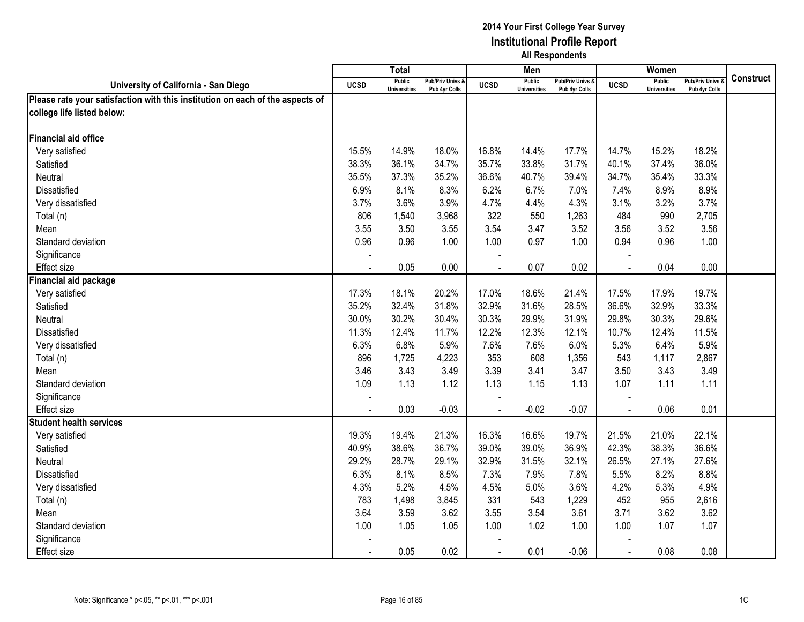|                                                                               |                | <b>Total</b>                         |                                   |             | Men                                  |                                   |                | Women                                |                                        |                  |
|-------------------------------------------------------------------------------|----------------|--------------------------------------|-----------------------------------|-------------|--------------------------------------|-----------------------------------|----------------|--------------------------------------|----------------------------------------|------------------|
| University of California - San Diego                                          | <b>UCSD</b>    | <b>Public</b><br><b>Universities</b> | Pub/Priv Univs &<br>Pub 4yr Colls | <b>UCSD</b> | <b>Public</b><br><b>Universities</b> | Pub/Priv Univs &<br>Pub 4yr Colls | <b>UCSD</b>    | <b>Public</b><br><b>Universities</b> | <b>Pub/Priv Univs</b><br>Pub 4yr Colls | <b>Construct</b> |
| Please rate your satisfaction with this institution on each of the aspects of |                |                                      |                                   |             |                                      |                                   |                |                                      |                                        |                  |
| college life listed below:                                                    |                |                                      |                                   |             |                                      |                                   |                |                                      |                                        |                  |
|                                                                               |                |                                      |                                   |             |                                      |                                   |                |                                      |                                        |                  |
| <b>Financial aid office</b>                                                   |                |                                      |                                   |             |                                      |                                   |                |                                      |                                        |                  |
| Very satisfied                                                                | 15.5%          | 14.9%                                | 18.0%                             | 16.8%       | 14.4%                                | 17.7%                             | 14.7%          | 15.2%                                | 18.2%                                  |                  |
| Satisfied                                                                     | 38.3%          | 36.1%                                | 34.7%                             | 35.7%       | 33.8%                                | 31.7%                             | 40.1%          | 37.4%                                | 36.0%                                  |                  |
| Neutral                                                                       | 35.5%          | 37.3%                                | 35.2%                             | 36.6%       | 40.7%                                | 39.4%                             | 34.7%          | 35.4%                                | 33.3%                                  |                  |
| Dissatisfied                                                                  | 6.9%           | 8.1%                                 | 8.3%                              | 6.2%        | 6.7%                                 | 7.0%                              | 7.4%           | 8.9%                                 | 8.9%                                   |                  |
| Very dissatisfied                                                             | 3.7%           | 3.6%                                 | 3.9%                              | 4.7%        | 4.4%                                 | 4.3%                              | 3.1%           | 3.2%                                 | 3.7%                                   |                  |
| Total (n)                                                                     | 806            | 1,540                                | 3,968                             | 322         | 550                                  | 1,263                             | 484            | 990                                  | 2,705                                  |                  |
| Mean                                                                          | 3.55           | 3.50                                 | 3.55                              | 3.54        | 3.47                                 | 3.52                              | 3.56           | 3.52                                 | 3.56                                   |                  |
| Standard deviation                                                            | 0.96           | 0.96                                 | 1.00                              | 1.00        | 0.97                                 | 1.00                              | 0.94           | 0.96                                 | 1.00                                   |                  |
| Significance                                                                  |                |                                      |                                   |             |                                      |                                   |                |                                      |                                        |                  |
| Effect size                                                                   |                | 0.05                                 | 0.00                              |             | 0.07                                 | 0.02                              |                | 0.04                                 | 0.00                                   |                  |
| Financial aid package                                                         |                |                                      |                                   |             |                                      |                                   |                |                                      |                                        |                  |
| Very satisfied                                                                | 17.3%          | 18.1%                                | 20.2%                             | 17.0%       | 18.6%                                | 21.4%                             | 17.5%          | 17.9%                                | 19.7%                                  |                  |
| Satisfied                                                                     | 35.2%          | 32.4%                                | 31.8%                             | 32.9%       | 31.6%                                | 28.5%                             | 36.6%          | 32.9%                                | 33.3%                                  |                  |
| Neutral                                                                       | 30.0%          | 30.2%                                | 30.4%                             | 30.3%       | 29.9%                                | 31.9%                             | 29.8%          | 30.3%                                | 29.6%                                  |                  |
| <b>Dissatisfied</b>                                                           | 11.3%          | 12.4%                                | 11.7%                             | 12.2%       | 12.3%                                | 12.1%                             | 10.7%          | 12.4%                                | 11.5%                                  |                  |
| Very dissatisfied                                                             | 6.3%           | 6.8%                                 | 5.9%                              | 7.6%        | 7.6%                                 | 6.0%                              | 5.3%           | 6.4%                                 | 5.9%                                   |                  |
| Total (n)                                                                     | 896            | 1,725                                | 4,223                             | 353         | 608                                  | 1,356                             | 543            | 1,117                                | 2,867                                  |                  |
| Mean                                                                          | 3.46           | 3.43                                 | 3.49                              | 3.39        | 3.41                                 | 3.47                              | 3.50           | 3.43                                 | 3.49                                   |                  |
| Standard deviation                                                            | 1.09           | 1.13                                 | 1.12                              | 1.13        | 1.15                                 | 1.13                              | 1.07           | 1.11                                 | 1.11                                   |                  |
| Significance                                                                  |                |                                      |                                   |             |                                      |                                   |                |                                      |                                        |                  |
| <b>Effect size</b>                                                            |                | 0.03                                 | $-0.03$                           |             | $-0.02$                              | $-0.07$                           | $\overline{a}$ | 0.06                                 | 0.01                                   |                  |
| <b>Student health services</b>                                                |                |                                      |                                   |             |                                      |                                   |                |                                      |                                        |                  |
| Very satisfied                                                                | 19.3%          | 19.4%                                | 21.3%                             | 16.3%       | 16.6%                                | 19.7%                             | 21.5%          | 21.0%                                | 22.1%                                  |                  |
| Satisfied                                                                     | 40.9%          | 38.6%                                | 36.7%                             | 39.0%       | 39.0%                                | 36.9%                             | 42.3%          | 38.3%                                | 36.6%                                  |                  |
| Neutral                                                                       | 29.2%          | 28.7%                                | 29.1%                             | 32.9%       | 31.5%                                | 32.1%                             | 26.5%          | 27.1%                                | 27.6%                                  |                  |
| Dissatisfied                                                                  | 6.3%           | 8.1%                                 | 8.5%                              | 7.3%        | 7.9%                                 | 7.8%                              | 5.5%           | 8.2%                                 | 8.8%                                   |                  |
| Very dissatisfied                                                             | 4.3%           | 5.2%                                 | 4.5%                              | 4.5%        | 5.0%                                 | 3.6%                              | 4.2%           | 5.3%                                 | 4.9%                                   |                  |
| Total (n)                                                                     | 783            | 1,498                                | 3,845                             | 331         | 543                                  | 1,229                             | 452            | 955                                  | 2,616                                  |                  |
| Mean                                                                          | 3.64           | 3.59                                 | 3.62                              | 3.55        | 3.54                                 | 3.61                              | 3.71           | 3.62                                 | 3.62                                   |                  |
| Standard deviation                                                            | 1.00           | 1.05                                 | 1.05                              | 1.00        | 1.02                                 | 1.00                              | 1.00           | 1.07                                 | 1.07                                   |                  |
| Significance                                                                  |                |                                      |                                   |             |                                      |                                   |                |                                      |                                        |                  |
| <b>Effect size</b>                                                            | $\blacksquare$ | 0.05                                 | 0.02                              | $\sim$      | 0.01                                 | $-0.06$                           | $\sim$         | 0.08                                 | 0.08                                   |                  |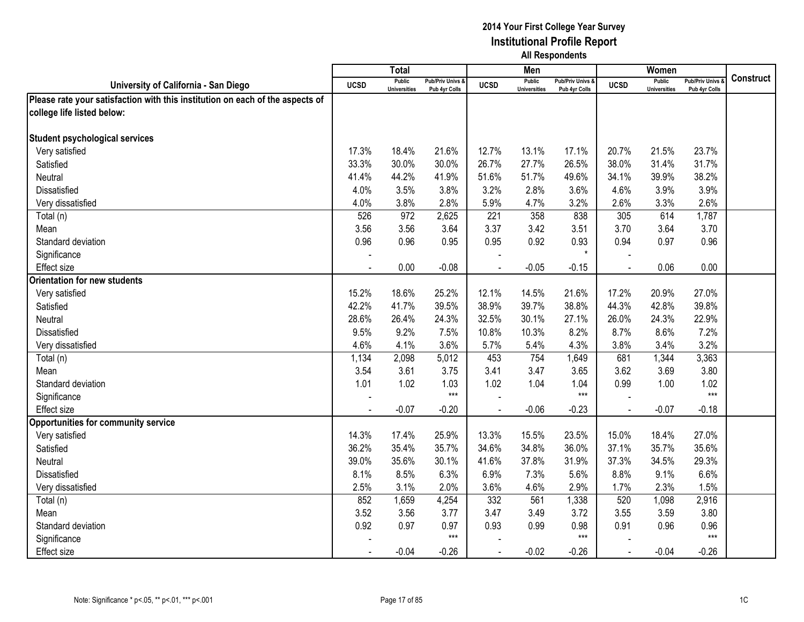|                                                                               |             | <b>Total</b>                         |                                   |             | Men                                  |                                   |                | Women                                |                                        |                  |
|-------------------------------------------------------------------------------|-------------|--------------------------------------|-----------------------------------|-------------|--------------------------------------|-----------------------------------|----------------|--------------------------------------|----------------------------------------|------------------|
| University of California - San Diego                                          | <b>UCSD</b> | <b>Public</b><br><b>Universities</b> | Pub/Priv Univs &<br>Pub 4yr Colls | <b>UCSD</b> | <b>Public</b><br><b>Universities</b> | Pub/Priv Univs &<br>Pub 4yr Colls | <b>UCSD</b>    | <b>Public</b><br><b>Universities</b> | <b>Pub/Priv Univs</b><br>Pub 4yr Colls | <b>Construct</b> |
| Please rate your satisfaction with this institution on each of the aspects of |             |                                      |                                   |             |                                      |                                   |                |                                      |                                        |                  |
| college life listed below:                                                    |             |                                      |                                   |             |                                      |                                   |                |                                      |                                        |                  |
|                                                                               |             |                                      |                                   |             |                                      |                                   |                |                                      |                                        |                  |
| <b>Student psychological services</b>                                         |             |                                      |                                   |             |                                      |                                   |                |                                      |                                        |                  |
| Very satisfied                                                                | 17.3%       | 18.4%                                | 21.6%                             | 12.7%       | 13.1%                                | 17.1%                             | 20.7%          | 21.5%                                | 23.7%                                  |                  |
| Satisfied                                                                     | 33.3%       | 30.0%                                | 30.0%                             | 26.7%       | 27.7%                                | 26.5%                             | 38.0%          | 31.4%                                | 31.7%                                  |                  |
| Neutral                                                                       | 41.4%       | 44.2%                                | 41.9%                             | 51.6%       | 51.7%                                | 49.6%                             | 34.1%          | 39.9%                                | 38.2%                                  |                  |
| Dissatisfied                                                                  | 4.0%        | 3.5%                                 | 3.8%                              | 3.2%        | 2.8%                                 | 3.6%                              | 4.6%           | 3.9%                                 | 3.9%                                   |                  |
| Very dissatisfied                                                             | 4.0%        | 3.8%                                 | 2.8%                              | 5.9%        | 4.7%                                 | 3.2%                              | 2.6%           | 3.3%                                 | 2.6%                                   |                  |
| Total (n)                                                                     | 526         | 972                                  | 2,625                             | 221         | 358                                  | 838                               | 305            | 614                                  | 1,787                                  |                  |
| Mean                                                                          | 3.56        | 3.56                                 | 3.64                              | 3.37        | 3.42                                 | 3.51                              | 3.70           | 3.64                                 | 3.70                                   |                  |
| Standard deviation                                                            | 0.96        | 0.96                                 | 0.95                              | 0.95        | 0.92                                 | 0.93                              | 0.94           | 0.97                                 | 0.96                                   |                  |
| Significance                                                                  |             |                                      |                                   |             |                                      | $\star$                           |                |                                      |                                        |                  |
| <b>Effect size</b>                                                            |             | 0.00                                 | $-0.08$                           |             | $-0.05$                              | $-0.15$                           |                | 0.06                                 | 0.00                                   |                  |
| <b>Orientation for new students</b>                                           |             |                                      |                                   |             |                                      |                                   |                |                                      |                                        |                  |
| Very satisfied                                                                | 15.2%       | 18.6%                                | 25.2%                             | 12.1%       | 14.5%                                | 21.6%                             | 17.2%          | 20.9%                                | 27.0%                                  |                  |
| Satisfied                                                                     | 42.2%       | 41.7%                                | 39.5%                             | 38.9%       | 39.7%                                | 38.8%                             | 44.3%          | 42.8%                                | 39.8%                                  |                  |
| Neutral                                                                       | 28.6%       | 26.4%                                | 24.3%                             | 32.5%       | 30.1%                                | 27.1%                             | 26.0%          | 24.3%                                | 22.9%                                  |                  |
| <b>Dissatisfied</b>                                                           | 9.5%        | 9.2%                                 | 7.5%                              | 10.8%       | 10.3%                                | 8.2%                              | 8.7%           | 8.6%                                 | 7.2%                                   |                  |
| Very dissatisfied                                                             | 4.6%        | 4.1%                                 | 3.6%                              | 5.7%        | 5.4%                                 | 4.3%                              | 3.8%           | 3.4%                                 | 3.2%                                   |                  |
| Total (n)                                                                     | 1,134       | 2,098                                | 5,012                             | 453         | 754                                  | 1,649                             | 681            | 1,344                                | 3,363                                  |                  |
| Mean                                                                          | 3.54        | 3.61                                 | 3.75                              | 3.41        | 3.47                                 | 3.65                              | 3.62           | 3.69                                 | 3.80                                   |                  |
| Standard deviation                                                            | 1.01        | 1.02                                 | 1.03                              | 1.02        | 1.04                                 | 1.04                              | 0.99           | 1.00                                 | 1.02                                   |                  |
| Significance                                                                  |             |                                      | $***$                             |             |                                      | $***$                             |                |                                      | $***$                                  |                  |
| <b>Effect size</b>                                                            |             | $-0.07$                              | $-0.20$                           |             | $-0.06$                              | $-0.23$                           | $\overline{a}$ | $-0.07$                              | $-0.18$                                |                  |
| <b>Opportunities for community service</b>                                    |             |                                      |                                   |             |                                      |                                   |                |                                      |                                        |                  |
| Very satisfied                                                                | 14.3%       | 17.4%                                | 25.9%                             | 13.3%       | 15.5%                                | 23.5%                             | 15.0%          | 18.4%                                | 27.0%                                  |                  |
| Satisfied                                                                     | 36.2%       | 35.4%                                | 35.7%                             | 34.6%       | 34.8%                                | 36.0%                             | 37.1%          | 35.7%                                | 35.6%                                  |                  |
| Neutral                                                                       | 39.0%       | 35.6%                                | 30.1%                             | 41.6%       | 37.8%                                | 31.9%                             | 37.3%          | 34.5%                                | 29.3%                                  |                  |
| Dissatisfied                                                                  | 8.1%        | 8.5%                                 | 6.3%                              | 6.9%        | 7.3%                                 | 5.6%                              | 8.8%           | 9.1%                                 | 6.6%                                   |                  |
| Very dissatisfied                                                             | 2.5%        | 3.1%                                 | 2.0%                              | 3.6%        | 4.6%                                 | 2.9%                              | 1.7%           | 2.3%                                 | 1.5%                                   |                  |
| Total (n)                                                                     | 852         | 1,659                                | 4,254                             | 332         | 561                                  | 1,338                             | 520            | 1,098                                | 2,916                                  |                  |
| Mean                                                                          | 3.52        | 3.56                                 | 3.77                              | 3.47        | 3.49                                 | 3.72                              | 3.55           | 3.59                                 | 3.80                                   |                  |
| Standard deviation                                                            | 0.92        | 0.97                                 | 0.97                              | 0.93        | 0.99                                 | 0.98                              | 0.91           | 0.96                                 | 0.96                                   |                  |
| Significance                                                                  |             |                                      | $***$                             |             |                                      | $***$                             |                |                                      | $***$                                  |                  |
| <b>Effect size</b>                                                            |             | $-0.04$                              | $-0.26$                           | $\sim$      | $-0.02$                              | $-0.26$                           | $\mathbf{r}$   | $-0.04$                              | $-0.26$                                |                  |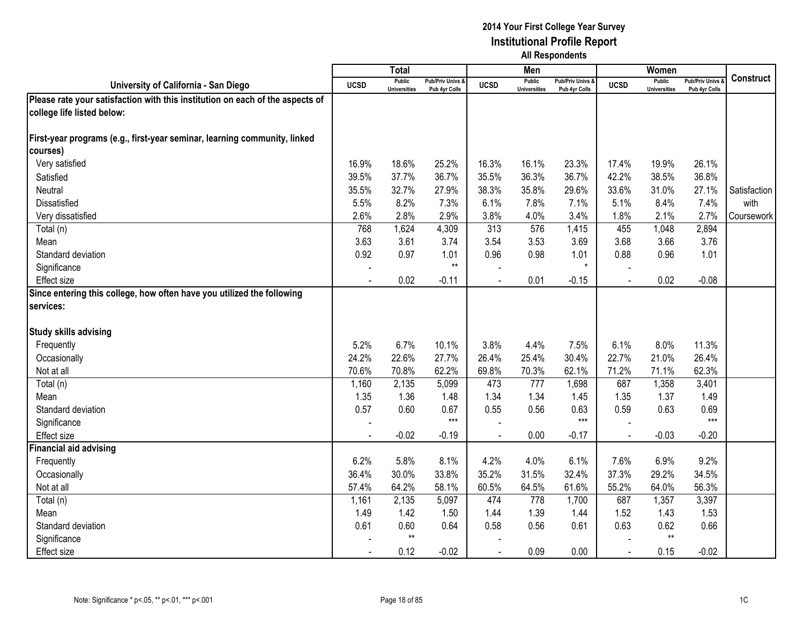|                                                                               |                | <b>Total</b>                         |                                 |                | Men                                  |                                   |             | Women                                |                                        |              |
|-------------------------------------------------------------------------------|----------------|--------------------------------------|---------------------------------|----------------|--------------------------------------|-----------------------------------|-------------|--------------------------------------|----------------------------------------|--------------|
| University of California - San Diego                                          | <b>UCSD</b>    | <b>Public</b><br><b>Universities</b> | Pub/Priv Univs<br>Pub 4yr Colls | <b>UCSD</b>    | <b>Public</b><br><b>Universities</b> | Pub/Priv Univs &<br>Pub 4yr Colls | <b>UCSD</b> | <b>Public</b><br><b>Universities</b> | <b>Pub/Priv Univs</b><br>Pub 4yr Colls | Construct    |
| Please rate your satisfaction with this institution on each of the aspects of |                |                                      |                                 |                |                                      |                                   |             |                                      |                                        |              |
| college life listed below:                                                    |                |                                      |                                 |                |                                      |                                   |             |                                      |                                        |              |
|                                                                               |                |                                      |                                 |                |                                      |                                   |             |                                      |                                        |              |
| First-year programs (e.g., first-year seminar, learning community, linked     |                |                                      |                                 |                |                                      |                                   |             |                                      |                                        |              |
| courses)                                                                      |                |                                      |                                 |                |                                      |                                   |             |                                      |                                        |              |
| Very satisfied                                                                | 16.9%          | 18.6%                                | 25.2%                           | 16.3%          | 16.1%                                | 23.3%                             | 17.4%       | 19.9%                                | 26.1%                                  |              |
| Satisfied                                                                     | 39.5%          | 37.7%                                | 36.7%                           | 35.5%          | 36.3%                                | 36.7%                             | 42.2%       | 38.5%                                | 36.8%                                  |              |
| Neutral                                                                       | 35.5%          | 32.7%                                | 27.9%                           | 38.3%          | 35.8%                                | 29.6%                             | 33.6%       | 31.0%                                | 27.1%                                  | Satisfaction |
| Dissatisfied                                                                  | 5.5%           | 8.2%                                 | 7.3%                            | 6.1%           | 7.8%                                 | 7.1%                              | 5.1%        | 8.4%                                 | 7.4%                                   | with         |
| Very dissatisfied                                                             | 2.6%           | 2.8%                                 | 2.9%                            | 3.8%           | 4.0%                                 | 3.4%                              | 1.8%        | 2.1%                                 | 2.7%                                   | Coursework   |
| Total (n)                                                                     | 768            | 1,624                                | 4,309                           | 313            | 576                                  | 1,415                             | 455         | 1,048                                | 2,894                                  |              |
| Mean                                                                          | 3.63           | 3.61                                 | 3.74                            | 3.54           | 3.53                                 | 3.69                              | 3.68        | 3.66                                 | 3.76                                   |              |
| Standard deviation                                                            | 0.92           | 0.97                                 | 1.01                            | 0.96           | 0.98                                 | 1.01                              | 0.88        | 0.96                                 | 1.01                                   |              |
| Significance                                                                  |                |                                      | $^{\star\star}$                 |                |                                      |                                   |             |                                      |                                        |              |
| <b>Effect size</b>                                                            |                | 0.02                                 | $-0.11$                         |                | 0.01                                 | $-0.15$                           |             | 0.02                                 | $-0.08$                                |              |
| Since entering this college, how often have you utilized the following        |                |                                      |                                 |                |                                      |                                   |             |                                      |                                        |              |
| services:                                                                     |                |                                      |                                 |                |                                      |                                   |             |                                      |                                        |              |
|                                                                               |                |                                      |                                 |                |                                      |                                   |             |                                      |                                        |              |
| <b>Study skills advising</b>                                                  |                |                                      |                                 |                |                                      |                                   |             |                                      |                                        |              |
| Frequently                                                                    | 5.2%           | 6.7%                                 | 10.1%                           | 3.8%           | 4.4%                                 | 7.5%                              | 6.1%        | 8.0%                                 | 11.3%                                  |              |
| Occasionally                                                                  | 24.2%          | 22.6%                                | 27.7%                           | 26.4%          | 25.4%                                | 30.4%                             | 22.7%       | 21.0%                                | 26.4%                                  |              |
| Not at all                                                                    | 70.6%          | 70.8%                                | 62.2%                           | 69.8%          | 70.3%                                | 62.1%                             | 71.2%       | 71.1%                                | 62.3%                                  |              |
| Total (n)                                                                     | 1,160          | 2,135                                | 5,099                           | 473            | 777                                  | 1,698                             | 687         | 1,358                                | 3,401                                  |              |
| Mean                                                                          | 1.35           | 1.36                                 | 1.48                            | 1.34           | 1.34                                 | 1.45                              | 1.35        | 1.37                                 | 1.49                                   |              |
| Standard deviation                                                            | 0.57           | 0.60                                 | 0.67                            | 0.55           | 0.56                                 | 0.63                              | 0.59        | 0.63                                 | 0.69                                   |              |
| Significance                                                                  |                |                                      | $***$                           |                |                                      | $***$                             |             |                                      | $***$                                  |              |
| <b>Effect size</b>                                                            | $\blacksquare$ | $-0.02$                              | $-0.19$                         | $\sim$         | 0.00                                 | $-0.17$                           | $\sim$      | $-0.03$                              | $-0.20$                                |              |
| <b>Financial aid advising</b>                                                 |                |                                      |                                 |                |                                      |                                   |             |                                      |                                        |              |
| Frequently                                                                    | 6.2%           | 5.8%                                 | 8.1%                            | 4.2%           | 4.0%                                 | 6.1%                              | 7.6%        | 6.9%                                 | 9.2%                                   |              |
| Occasionally                                                                  | 36.4%          | 30.0%                                | 33.8%                           | 35.2%          | 31.5%                                | 32.4%                             | 37.3%       | 29.2%                                | 34.5%                                  |              |
| Not at all                                                                    | 57.4%          | 64.2%                                | 58.1%                           | 60.5%          | 64.5%                                | 61.6%                             | 55.2%       | 64.0%                                | 56.3%                                  |              |
| Total (n)                                                                     | 1,161          | 2,135                                | 5,097                           | 474            | 778                                  | 1,700                             | 687         | 1,357                                | 3,397                                  |              |
| Mean                                                                          | 1.49           | 1.42                                 | 1.50                            | 1.44           | 1.39                                 | 1.44                              | 1.52        | 1.43                                 | 1.53                                   |              |
| Standard deviation                                                            | 0.61           | 0.60                                 | 0.64                            | 0.58           | 0.56                                 | 0.61                              | 0.63        | 0.62                                 | 0.66                                   |              |
| Significance                                                                  |                | $^{\star\star}$                      |                                 |                |                                      |                                   |             | $***$                                |                                        |              |
| <b>Effect size</b>                                                            |                | 0.12                                 | $-0.02$                         | $\blacksquare$ | 0.09                                 | 0.00                              | $\sim$      | 0.15                                 | $-0.02$                                |              |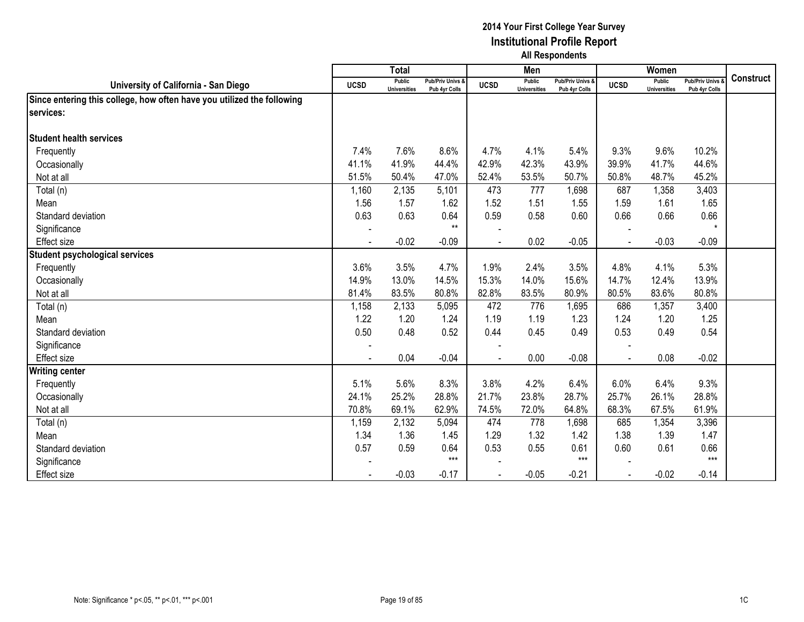|                                                                        |             | <b>Total</b>                  |                                              |                          | Men                           |                                   |             | Women                         |                                        |                  |
|------------------------------------------------------------------------|-------------|-------------------------------|----------------------------------------------|--------------------------|-------------------------------|-----------------------------------|-------------|-------------------------------|----------------------------------------|------------------|
| University of California - San Diego                                   | <b>UCSD</b> | Public<br><b>Universities</b> | <b>Pub/Priv Univs &amp;</b><br>Pub 4yr Colls | <b>UCSD</b>              | Public<br><b>Universities</b> | Pub/Priv Univs &<br>Pub 4yr Colls | <b>UCSD</b> | Public<br><b>Universities</b> | <b>Pub/Priv Univs</b><br>Pub 4yr Colls | <b>Construct</b> |
| Since entering this college, how often have you utilized the following |             |                               |                                              |                          |                               |                                   |             |                               |                                        |                  |
| services:                                                              |             |                               |                                              |                          |                               |                                   |             |                               |                                        |                  |
|                                                                        |             |                               |                                              |                          |                               |                                   |             |                               |                                        |                  |
| <b>Student health services</b>                                         |             |                               |                                              |                          |                               |                                   |             |                               |                                        |                  |
| Frequently                                                             | 7.4%        | 7.6%                          | 8.6%                                         | 4.7%                     | 4.1%                          | 5.4%                              | 9.3%        | 9.6%                          | 10.2%                                  |                  |
| Occasionally                                                           | 41.1%       | 41.9%                         | 44.4%                                        | 42.9%                    | 42.3%                         | 43.9%                             | 39.9%       | 41.7%                         | 44.6%                                  |                  |
| Not at all                                                             | 51.5%       | 50.4%                         | 47.0%                                        | 52.4%                    | 53.5%                         | 50.7%                             | 50.8%       | 48.7%                         | 45.2%                                  |                  |
| Total (n)                                                              | 1,160       | 2,135                         | 5,101                                        | 473                      | 777                           | 1,698                             | 687         | 1,358                         | 3,403                                  |                  |
| Mean                                                                   | 1.56        | 1.57                          | 1.62                                         | 1.52                     | 1.51                          | 1.55                              | 1.59        | 1.61                          | 1.65                                   |                  |
| Standard deviation                                                     | 0.63        | 0.63                          | 0.64                                         | 0.59                     | 0.58                          | 0.60                              | 0.66        | 0.66                          | 0.66                                   |                  |
| Significance                                                           |             |                               | $***$                                        |                          |                               |                                   |             |                               | $\star$                                |                  |
| <b>Effect size</b>                                                     |             | $-0.02$                       | $-0.09$                                      |                          | 0.02                          | $-0.05$                           |             | $-0.03$                       | $-0.09$                                |                  |
| <b>Student psychological services</b>                                  |             |                               |                                              |                          |                               |                                   |             |                               |                                        |                  |
| Frequently                                                             | 3.6%        | 3.5%                          | 4.7%                                         | 1.9%                     | 2.4%                          | 3.5%                              | 4.8%        | 4.1%                          | 5.3%                                   |                  |
| Occasionally                                                           | 14.9%       | 13.0%                         | 14.5%                                        | 15.3%                    | 14.0%                         | 15.6%                             | 14.7%       | 12.4%                         | 13.9%                                  |                  |
| Not at all                                                             | 81.4%       | 83.5%                         | 80.8%                                        | 82.8%                    | 83.5%                         | 80.9%                             | 80.5%       | 83.6%                         | 80.8%                                  |                  |
| Total (n)                                                              | 1,158       | 2,133                         | 5,095                                        | 472                      | 776                           | 1,695                             | 686         | 1,357                         | 3,400                                  |                  |
| Mean                                                                   | 1.22        | 1.20                          | 1.24                                         | 1.19                     | 1.19                          | 1.23                              | 1.24        | 1.20                          | 1.25                                   |                  |
| Standard deviation                                                     | 0.50        | 0.48                          | 0.52                                         | 0.44                     | 0.45                          | 0.49                              | 0.53        | 0.49                          | 0.54                                   |                  |
| Significance                                                           |             |                               |                                              | $\overline{\phantom{a}}$ |                               |                                   |             |                               |                                        |                  |
| Effect size                                                            |             | 0.04                          | $-0.04$                                      |                          | 0.00                          | $-0.08$                           |             | 0.08                          | $-0.02$                                |                  |
| <b>Writing center</b>                                                  |             |                               |                                              |                          |                               |                                   |             |                               |                                        |                  |
| Frequently                                                             | 5.1%        | 5.6%                          | 8.3%                                         | 3.8%                     | 4.2%                          | 6.4%                              | 6.0%        | 6.4%                          | 9.3%                                   |                  |
| Occasionally                                                           | 24.1%       | 25.2%                         | 28.8%                                        | 21.7%                    | 23.8%                         | 28.7%                             | 25.7%       | 26.1%                         | 28.8%                                  |                  |
| Not at all                                                             | 70.8%       | 69.1%                         | 62.9%                                        | 74.5%                    | 72.0%                         | 64.8%                             | 68.3%       | 67.5%                         | 61.9%                                  |                  |
| Total (n)                                                              | 1,159       | 2,132                         | 5,094                                        | 474                      | 778                           | 1,698                             | 685         | 1,354                         | 3,396                                  |                  |
| Mean                                                                   | 1.34        | 1.36                          | 1.45                                         | 1.29                     | 1.32                          | 1.42                              | 1.38        | 1.39                          | 1.47                                   |                  |
| Standard deviation                                                     | 0.57        | 0.59                          | 0.64                                         | 0.53                     | 0.55                          | 0.61                              | 0.60        | 0.61                          | 0.66                                   |                  |
| Significance                                                           |             |                               | $***$                                        |                          |                               | $***$                             |             |                               | $***$                                  |                  |
| <b>Effect</b> size                                                     |             | $-0.03$                       | $-0.17$                                      | $\blacksquare$           | $-0.05$                       | $-0.21$                           | $\sim$      | $-0.02$                       | $-0.14$                                |                  |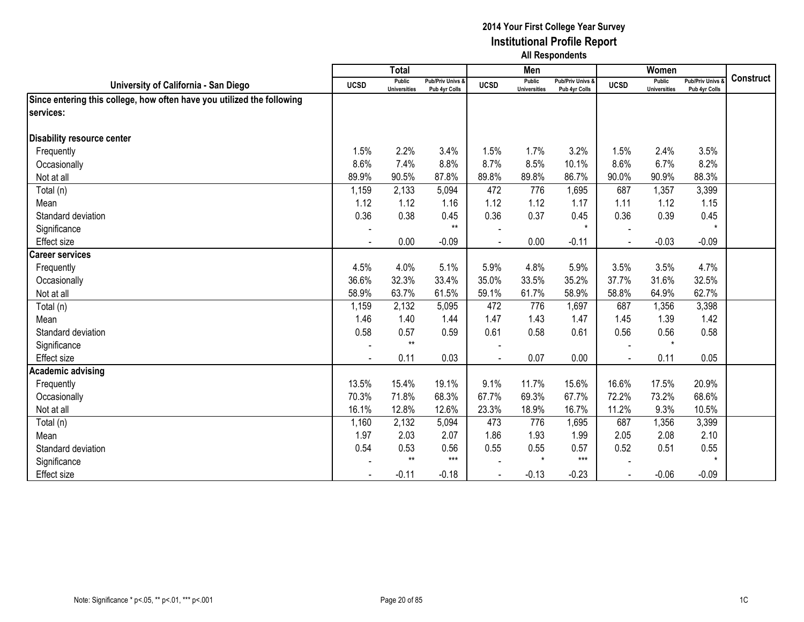|                                                                        |             | <b>Total</b>                  |                                   |                          | Men                           |                                   |              | Women                         |                                        |                  |
|------------------------------------------------------------------------|-------------|-------------------------------|-----------------------------------|--------------------------|-------------------------------|-----------------------------------|--------------|-------------------------------|----------------------------------------|------------------|
| University of California - San Diego                                   | <b>UCSD</b> | Public<br><b>Universities</b> | Pub/Priv Univs &<br>Pub 4yr Colls | <b>UCSD</b>              | Public<br><b>Universities</b> | Pub/Priv Univs &<br>Pub 4yr Colls | <b>UCSD</b>  | Public<br><b>Universities</b> | <b>Pub/Priv Univs</b><br>Pub 4yr Colls | <b>Construct</b> |
| Since entering this college, how often have you utilized the following |             |                               |                                   |                          |                               |                                   |              |                               |                                        |                  |
| services:                                                              |             |                               |                                   |                          |                               |                                   |              |                               |                                        |                  |
|                                                                        |             |                               |                                   |                          |                               |                                   |              |                               |                                        |                  |
| Disability resource center                                             |             |                               |                                   |                          |                               |                                   |              |                               |                                        |                  |
| Frequently                                                             | 1.5%        | 2.2%                          | 3.4%                              | 1.5%                     | 1.7%                          | 3.2%                              | 1.5%         | 2.4%                          | 3.5%                                   |                  |
| Occasionally                                                           | 8.6%        | 7.4%                          | 8.8%                              | 8.7%                     | 8.5%                          | 10.1%                             | 8.6%         | 6.7%                          | 8.2%                                   |                  |
| Not at all                                                             | 89.9%       | 90.5%                         | 87.8%                             | 89.8%                    | 89.8%                         | 86.7%                             | 90.0%        | 90.9%                         | 88.3%                                  |                  |
| Total (n)                                                              | 1,159       | 2,133                         | 5,094                             | 472                      | 776                           | 1,695                             | 687          | 1,357                         | 3,399                                  |                  |
| Mean                                                                   | 1.12        | 1.12                          | 1.16                              | 1.12                     | 1.12                          | 1.17                              | 1.11         | 1.12                          | 1.15                                   |                  |
| Standard deviation                                                     | 0.36        | 0.38                          | 0.45                              | 0.36                     | 0.37                          | 0.45                              | 0.36         | 0.39                          | 0.45                                   |                  |
| Significance                                                           |             |                               | $**$                              |                          |                               | $\star$                           |              |                               | $\star$                                |                  |
| <b>Effect size</b>                                                     |             | 0.00                          | $-0.09$                           |                          | 0.00                          | $-0.11$                           |              | $-0.03$                       | $-0.09$                                |                  |
| <b>Career services</b>                                                 |             |                               |                                   |                          |                               |                                   |              |                               |                                        |                  |
| Frequently                                                             | 4.5%        | 4.0%                          | 5.1%                              | 5.9%                     | 4.8%                          | 5.9%                              | 3.5%         | 3.5%                          | 4.7%                                   |                  |
| Occasionally                                                           | 36.6%       | 32.3%                         | 33.4%                             | 35.0%                    | 33.5%                         | 35.2%                             | 37.7%        | 31.6%                         | 32.5%                                  |                  |
| Not at all                                                             | 58.9%       | 63.7%                         | 61.5%                             | 59.1%                    | 61.7%                         | 58.9%                             | 58.8%        | 64.9%                         | 62.7%                                  |                  |
| Total (n)                                                              | 1,159       | 2,132                         | 5,095                             | 472                      | 776                           | 1,697                             | 687          | 1,356                         | 3,398                                  |                  |
| Mean                                                                   | 1.46        | 1.40                          | 1.44                              | 1.47                     | 1.43                          | 1.47                              | 1.45         | 1.39                          | 1.42                                   |                  |
| Standard deviation                                                     | 0.58        | 0.57                          | 0.59                              | 0.61                     | 0.58                          | 0.61                              | 0.56         | 0.56                          | 0.58                                   |                  |
| Significance                                                           |             | $**$                          |                                   | $\overline{\phantom{a}}$ |                               |                                   |              | $\star$                       |                                        |                  |
| Effect size                                                            |             | 0.11                          | 0.03                              |                          | 0.07                          | 0.00                              |              | 0.11                          | 0.05                                   |                  |
| <b>Academic advising</b>                                               |             |                               |                                   |                          |                               |                                   |              |                               |                                        |                  |
| Frequently                                                             | 13.5%       | 15.4%                         | 19.1%                             | 9.1%                     | 11.7%                         | 15.6%                             | 16.6%        | 17.5%                         | 20.9%                                  |                  |
| Occasionally                                                           | 70.3%       | 71.8%                         | 68.3%                             | 67.7%                    | 69.3%                         | 67.7%                             | 72.2%        | 73.2%                         | 68.6%                                  |                  |
| Not at all                                                             | 16.1%       | 12.8%                         | 12.6%                             | 23.3%                    | 18.9%                         | 16.7%                             | 11.2%        | 9.3%                          | 10.5%                                  |                  |
| Total (n)                                                              | 1,160       | 2,132                         | 5,094                             | 473                      | 776                           | 1,695                             | 687          | 1,356                         | 3,399                                  |                  |
| Mean                                                                   | 1.97        | 2.03                          | 2.07                              | 1.86                     | 1.93                          | 1.99                              | 2.05         | 2.08                          | 2.10                                   |                  |
| Standard deviation                                                     | 0.54        | 0.53                          | 0.56                              | 0.55                     | 0.55                          | 0.57                              | 0.52         | 0.51                          | 0.55                                   |                  |
| Significance                                                           |             | $**$                          | $***$                             |                          | $\star$                       | $***$                             |              |                               | $\star$                                |                  |
| <b>Effect size</b>                                                     |             | $-0.11$                       | $-0.18$                           | $\blacksquare$           | $-0.13$                       | $-0.23$                           | $\mathbf{r}$ | $-0.06$                       | $-0.09$                                |                  |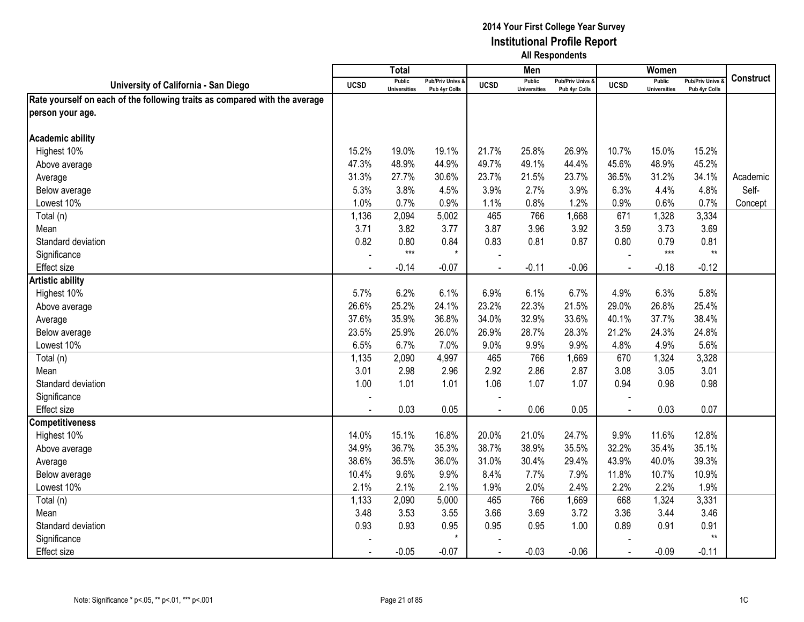|                                                                            |             | <b>Total</b>                         |                                   |                | Men                                  |                                   |                | Women                                |                                        |                  |
|----------------------------------------------------------------------------|-------------|--------------------------------------|-----------------------------------|----------------|--------------------------------------|-----------------------------------|----------------|--------------------------------------|----------------------------------------|------------------|
| University of California - San Diego                                       | <b>UCSD</b> | <b>Public</b><br><b>Universities</b> | Pub/Priv Univs &<br>Pub 4yr Colls | <b>UCSD</b>    | <b>Public</b><br><b>Universities</b> | Pub/Priv Univs &<br>Pub 4yr Colls | <b>UCSD</b>    | <b>Public</b><br><b>Universities</b> | <b>Pub/Priv Univs</b><br>Pub 4yr Colls | <b>Construct</b> |
| Rate yourself on each of the following traits as compared with the average |             |                                      |                                   |                |                                      |                                   |                |                                      |                                        |                  |
| person your age.                                                           |             |                                      |                                   |                |                                      |                                   |                |                                      |                                        |                  |
|                                                                            |             |                                      |                                   |                |                                      |                                   |                |                                      |                                        |                  |
| <b>Academic ability</b>                                                    |             |                                      |                                   |                |                                      |                                   |                |                                      |                                        |                  |
| Highest 10%                                                                | 15.2%       | 19.0%                                | 19.1%                             | 21.7%          | 25.8%                                | 26.9%                             | 10.7%          | 15.0%                                | 15.2%                                  |                  |
| Above average                                                              | 47.3%       | 48.9%                                | 44.9%                             | 49.7%          | 49.1%                                | 44.4%                             | 45.6%          | 48.9%                                | 45.2%                                  |                  |
| Average                                                                    | 31.3%       | 27.7%                                | 30.6%                             | 23.7%          | 21.5%                                | 23.7%                             | 36.5%          | 31.2%                                | 34.1%                                  | Academic         |
| Below average                                                              | 5.3%        | 3.8%                                 | 4.5%                              | 3.9%           | 2.7%                                 | 3.9%                              | 6.3%           | 4.4%                                 | 4.8%                                   | Self-            |
| Lowest 10%                                                                 | 1.0%        | 0.7%                                 | 0.9%                              | 1.1%           | 0.8%                                 | 1.2%                              | 0.9%           | 0.6%                                 | 0.7%                                   | Concept          |
| Total (n)                                                                  | 1,136       | 2,094                                | 5,002                             | 465            | 766                                  | 1,668                             | 671            | 1,328                                | 3,334                                  |                  |
| Mean                                                                       | 3.71        | 3.82                                 | 3.77                              | 3.87           | 3.96                                 | 3.92                              | 3.59           | 3.73                                 | 3.69                                   |                  |
| Standard deviation                                                         | 0.82        | 0.80                                 | 0.84                              | 0.83           | 0.81                                 | 0.87                              | 0.80           | 0.79                                 | 0.81                                   |                  |
| Significance                                                               |             | $***$                                | $\star$                           |                |                                      |                                   |                | $***$                                | $***$                                  |                  |
| <b>Effect size</b>                                                         |             | $-0.14$                              | $-0.07$                           |                | $-0.11$                              | $-0.06$                           | $\blacksquare$ | $-0.18$                              | $-0.12$                                |                  |
| <b>Artistic ability</b>                                                    |             |                                      |                                   |                |                                      |                                   |                |                                      |                                        |                  |
| Highest 10%                                                                | 5.7%        | 6.2%                                 | 6.1%                              | 6.9%           | 6.1%                                 | 6.7%                              | 4.9%           | 6.3%                                 | 5.8%                                   |                  |
| Above average                                                              | 26.6%       | 25.2%                                | 24.1%                             | 23.2%          | 22.3%                                | 21.5%                             | 29.0%          | 26.8%                                | 25.4%                                  |                  |
| Average                                                                    | 37.6%       | 35.9%                                | 36.8%                             | 34.0%          | 32.9%                                | 33.6%                             | 40.1%          | 37.7%                                | 38.4%                                  |                  |
| Below average                                                              | 23.5%       | 25.9%                                | 26.0%                             | 26.9%          | 28.7%                                | 28.3%                             | 21.2%          | 24.3%                                | 24.8%                                  |                  |
| Lowest 10%                                                                 | 6.5%        | 6.7%                                 | 7.0%                              | 9.0%           | 9.9%                                 | 9.9%                              | 4.8%           | 4.9%                                 | 5.6%                                   |                  |
| Total (n)                                                                  | 1,135       | 2,090                                | 4,997                             | 465            | 766                                  | 1,669                             | 670            | 1,324                                | 3,328                                  |                  |
| Mean                                                                       | 3.01        | 2.98                                 | 2.96                              | 2.92           | 2.86                                 | 2.87                              | 3.08           | 3.05                                 | 3.01                                   |                  |
| Standard deviation                                                         | 1.00        | 1.01                                 | 1.01                              | 1.06           | 1.07                                 | 1.07                              | 0.94           | 0.98                                 | 0.98                                   |                  |
| Significance                                                               |             |                                      |                                   |                |                                      |                                   |                |                                      |                                        |                  |
| Effect size                                                                |             | 0.03                                 | 0.05                              |                | 0.06                                 | 0.05                              | $\blacksquare$ | 0.03                                 | 0.07                                   |                  |
| <b>Competitiveness</b>                                                     |             |                                      |                                   |                |                                      |                                   |                |                                      |                                        |                  |
| Highest 10%                                                                | 14.0%       | 15.1%                                | 16.8%                             | 20.0%          | 21.0%                                | 24.7%                             | 9.9%           | 11.6%                                | 12.8%                                  |                  |
| Above average                                                              | 34.9%       | 36.7%                                | 35.3%                             | 38.7%          | 38.9%                                | 35.5%                             | 32.2%          | 35.4%                                | 35.1%                                  |                  |
| Average                                                                    | 38.6%       | 36.5%                                | 36.0%                             | 31.0%          | 30.4%                                | 29.4%                             | 43.9%          | 40.0%                                | 39.3%                                  |                  |
| Below average                                                              | 10.4%       | 9.6%                                 | 9.9%                              | 8.4%           | 7.7%                                 | 7.9%                              | 11.8%          | 10.7%                                | 10.9%                                  |                  |
| Lowest 10%                                                                 | 2.1%        | 2.1%                                 | 2.1%                              | 1.9%           | 2.0%                                 | 2.4%                              | 2.2%           | 2.2%                                 | 1.9%                                   |                  |
| Total (n)                                                                  | 1,133       | 2,090                                | 5,000                             | 465            | 766                                  | 1,669                             | 668            | 1,324                                | 3,331                                  |                  |
| Mean                                                                       | 3.48        | 3.53                                 | 3.55                              | 3.66           | 3.69                                 | 3.72                              | 3.36           | 3.44                                 | 3.46                                   |                  |
| Standard deviation                                                         | 0.93        | 0.93                                 | 0.95                              | 0.95           | 0.95                                 | 1.00                              | 0.89           | 0.91                                 | 0.91                                   |                  |
| Significance                                                               |             |                                      | $\star$                           |                |                                      |                                   |                |                                      | $**$                                   |                  |
| <b>Effect size</b>                                                         |             | $-0.05$                              | $-0.07$                           | $\blacksquare$ | $-0.03$                              | $-0.06$                           | $\blacksquare$ | $-0.09$                              | $-0.11$                                |                  |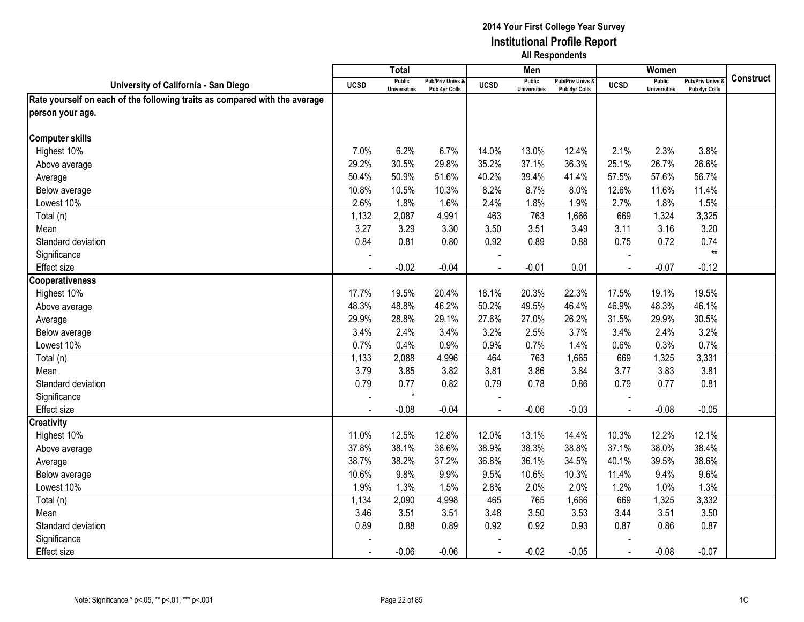|                                                                            |                | <b>Total</b>                         |                                   |             | Men                                  |                                              |                | Women                                |                                        |                  |
|----------------------------------------------------------------------------|----------------|--------------------------------------|-----------------------------------|-------------|--------------------------------------|----------------------------------------------|----------------|--------------------------------------|----------------------------------------|------------------|
| University of California - San Diego                                       | <b>UCSD</b>    | <b>Public</b><br><b>Universities</b> | Pub/Priv Univs &<br>Pub 4yr Colls | <b>UCSD</b> | <b>Public</b><br><b>Universities</b> | <b>Pub/Priv Univs &amp;</b><br>Pub 4yr Colls | <b>UCSD</b>    | <b>Public</b><br><b>Universities</b> | <b>Pub/Priv Univs</b><br>Pub 4yr Colls | <b>Construct</b> |
| Rate yourself on each of the following traits as compared with the average |                |                                      |                                   |             |                                      |                                              |                |                                      |                                        |                  |
| person your age.                                                           |                |                                      |                                   |             |                                      |                                              |                |                                      |                                        |                  |
|                                                                            |                |                                      |                                   |             |                                      |                                              |                |                                      |                                        |                  |
| <b>Computer skills</b>                                                     |                |                                      |                                   |             |                                      |                                              |                |                                      |                                        |                  |
| Highest 10%                                                                | 7.0%           | 6.2%                                 | 6.7%                              | 14.0%       | 13.0%                                | 12.4%                                        | 2.1%           | 2.3%                                 | 3.8%                                   |                  |
| Above average                                                              | 29.2%          | 30.5%                                | 29.8%                             | 35.2%       | 37.1%                                | 36.3%                                        | 25.1%          | 26.7%                                | 26.6%                                  |                  |
| Average                                                                    | 50.4%          | 50.9%                                | 51.6%                             | 40.2%       | 39.4%                                | 41.4%                                        | 57.5%          | 57.6%                                | 56.7%                                  |                  |
| Below average                                                              | 10.8%          | 10.5%                                | 10.3%                             | 8.2%        | 8.7%                                 | 8.0%                                         | 12.6%          | 11.6%                                | 11.4%                                  |                  |
| Lowest 10%                                                                 | 2.6%           | 1.8%                                 | 1.6%                              | 2.4%        | 1.8%                                 | 1.9%                                         | 2.7%           | 1.8%                                 | 1.5%                                   |                  |
| Total (n)                                                                  | 1,132          | 2,087                                | 4,991                             | 463         | 763                                  | 1,666                                        | 669            | 1,324                                | 3,325                                  |                  |
| Mean                                                                       | 3.27           | 3.29                                 | 3.30                              | 3.50        | 3.51                                 | 3.49                                         | 3.11           | 3.16                                 | 3.20                                   |                  |
| Standard deviation                                                         | 0.84           | 0.81                                 | 0.80                              | 0.92        | 0.89                                 | 0.88                                         | 0.75           | 0.72                                 | 0.74                                   |                  |
| Significance                                                               |                |                                      |                                   |             |                                      |                                              |                |                                      | $**$                                   |                  |
| Effect size                                                                |                | $-0.02$                              | $-0.04$                           |             | $-0.01$                              | 0.01                                         |                | $-0.07$                              | $-0.12$                                |                  |
| <b>Cooperativeness</b>                                                     |                |                                      |                                   |             |                                      |                                              |                |                                      |                                        |                  |
| Highest 10%                                                                | 17.7%          | 19.5%                                | 20.4%                             | 18.1%       | 20.3%                                | 22.3%                                        | 17.5%          | 19.1%                                | 19.5%                                  |                  |
| Above average                                                              | 48.3%          | 48.8%                                | 46.2%                             | 50.2%       | 49.5%                                | 46.4%                                        | 46.9%          | 48.3%                                | 46.1%                                  |                  |
| Average                                                                    | 29.9%          | 28.8%                                | 29.1%                             | 27.6%       | 27.0%                                | 26.2%                                        | 31.5%          | 29.9%                                | 30.5%                                  |                  |
| Below average                                                              | 3.4%           | 2.4%                                 | 3.4%                              | 3.2%        | 2.5%                                 | 3.7%                                         | 3.4%           | 2.4%                                 | 3.2%                                   |                  |
| Lowest 10%                                                                 | 0.7%           | 0.4%                                 | 0.9%                              | 0.9%        | 0.7%                                 | 1.4%                                         | 0.6%           | 0.3%                                 | 0.7%                                   |                  |
| Total (n)                                                                  | 1,133          | 2,088                                | 4,996                             | 464         | 763                                  | 1,665                                        | 669            | 1,325                                | 3,331                                  |                  |
| Mean                                                                       | 3.79           | 3.85                                 | 3.82                              | 3.81        | 3.86                                 | 3.84                                         | 3.77           | 3.83                                 | 3.81                                   |                  |
| Standard deviation                                                         | 0.79           | 0.77                                 | 0.82                              | 0.79        | 0.78                                 | 0.86                                         | 0.79           | 0.77                                 | 0.81                                   |                  |
| Significance                                                               |                | $\star$                              |                                   |             |                                      |                                              |                |                                      |                                        |                  |
| Effect size                                                                |                | $-0.08$                              | $-0.04$                           |             | $-0.06$                              | $-0.03$                                      | $\overline{a}$ | $-0.08$                              | $-0.05$                                |                  |
| <b>Creativity</b>                                                          |                |                                      |                                   |             |                                      |                                              |                |                                      |                                        |                  |
| Highest 10%                                                                | 11.0%          | 12.5%                                | 12.8%                             | 12.0%       | 13.1%                                | 14.4%                                        | 10.3%          | 12.2%                                | 12.1%                                  |                  |
| Above average                                                              | 37.8%          | 38.1%                                | 38.6%                             | 38.9%       | 38.3%                                | 38.8%                                        | 37.1%          | 38.0%                                | 38.4%                                  |                  |
| Average                                                                    | 38.7%          | 38.2%                                | 37.2%                             | 36.8%       | 36.1%                                | 34.5%                                        | 40.1%          | 39.5%                                | 38.6%                                  |                  |
| Below average                                                              | 10.6%          | 9.8%                                 | 9.9%                              | 9.5%        | 10.6%                                | 10.3%                                        | 11.4%          | 9.4%                                 | 9.6%                                   |                  |
| Lowest 10%                                                                 | 1.9%           | 1.3%                                 | 1.5%                              | 2.8%        | 2.0%                                 | 2.0%                                         | 1.2%           | 1.0%                                 | 1.3%                                   |                  |
| Total (n)                                                                  | 1,134          | 2,090                                | 4,998                             | 465         | 765                                  | 1,666                                        | 669            | 1,325                                | 3,332                                  |                  |
| Mean                                                                       | 3.46           | 3.51                                 | 3.51                              | 3.48        | 3.50                                 | 3.53                                         | 3.44           | 3.51                                 | 3.50                                   |                  |
| Standard deviation                                                         | 0.89           | 0.88                                 | 0.89                              | 0.92        | 0.92                                 | 0.93                                         | 0.87           | 0.86                                 | 0.87                                   |                  |
| Significance                                                               |                |                                      |                                   |             |                                      |                                              |                |                                      |                                        |                  |
| <b>Effect size</b>                                                         | $\blacksquare$ | $-0.06$                              | $-0.06$                           | $\sim$      | $-0.02$                              | $-0.05$                                      | $\blacksquare$ | $-0.08$                              | $-0.07$                                |                  |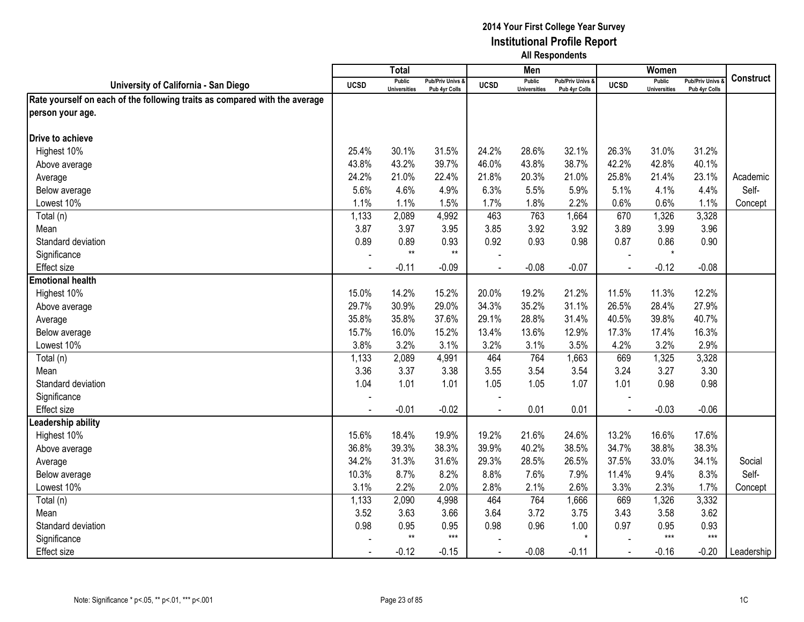|                                                                            |                | Total                                |                                   |                | Men                                  |                                   |                | Women                                |                                        |                  |
|----------------------------------------------------------------------------|----------------|--------------------------------------|-----------------------------------|----------------|--------------------------------------|-----------------------------------|----------------|--------------------------------------|----------------------------------------|------------------|
| University of California - San Diego                                       | <b>UCSD</b>    | <b>Public</b><br><b>Universities</b> | Pub/Priv Univs &<br>Pub 4yr Colls | <b>UCSD</b>    | <b>Public</b><br><b>Universities</b> | Pub/Priv Univs &<br>Pub 4yr Colls | <b>UCSD</b>    | <b>Public</b><br><b>Universities</b> | <b>Pub/Priv Univs</b><br>Pub 4yr Colls | <b>Construct</b> |
| Rate yourself on each of the following traits as compared with the average |                |                                      |                                   |                |                                      |                                   |                |                                      |                                        |                  |
| person your age.                                                           |                |                                      |                                   |                |                                      |                                   |                |                                      |                                        |                  |
|                                                                            |                |                                      |                                   |                |                                      |                                   |                |                                      |                                        |                  |
| Drive to achieve                                                           |                |                                      |                                   |                |                                      |                                   |                |                                      |                                        |                  |
| Highest 10%                                                                | 25.4%          | 30.1%                                | 31.5%                             | 24.2%          | 28.6%                                | 32.1%                             | 26.3%          | 31.0%                                | 31.2%                                  |                  |
| Above average                                                              | 43.8%          | 43.2%                                | 39.7%                             | 46.0%          | 43.8%                                | 38.7%                             | 42.2%          | 42.8%                                | 40.1%                                  |                  |
| Average                                                                    | 24.2%          | 21.0%                                | 22.4%                             | 21.8%          | 20.3%                                | 21.0%                             | 25.8%          | 21.4%                                | 23.1%                                  | Academic         |
| Below average                                                              | 5.6%           | 4.6%                                 | 4.9%                              | 6.3%           | 5.5%                                 | 5.9%                              | 5.1%           | 4.1%                                 | 4.4%                                   | Self-            |
| Lowest 10%                                                                 | 1.1%           | 1.1%                                 | 1.5%                              | 1.7%           | 1.8%                                 | 2.2%                              | 0.6%           | 0.6%                                 | 1.1%                                   | Concept          |
| Total (n)                                                                  | 1,133          | 2,089                                | 4,992                             | 463            | 763                                  | 1,664                             | 670            | 1,326                                | 3,328                                  |                  |
| Mean                                                                       | 3.87           | 3.97                                 | 3.95                              | 3.85           | 3.92                                 | 3.92                              | 3.89           | 3.99                                 | 3.96                                   |                  |
| Standard deviation                                                         | 0.89           | 0.89                                 | 0.93                              | 0.92           | 0.93                                 | 0.98                              | 0.87           | 0.86                                 | 0.90                                   |                  |
| Significance                                                               |                | $**$                                 | $***$                             |                |                                      |                                   |                | $\star$                              |                                        |                  |
| <b>Effect size</b>                                                         |                | $-0.11$                              | $-0.09$                           |                | $-0.08$                              | $-0.07$                           |                | $-0.12$                              | $-0.08$                                |                  |
| <b>Emotional health</b>                                                    |                |                                      |                                   |                |                                      |                                   |                |                                      |                                        |                  |
| Highest 10%                                                                | 15.0%          | 14.2%                                | 15.2%                             | 20.0%          | 19.2%                                | 21.2%                             | 11.5%          | 11.3%                                | 12.2%                                  |                  |
| Above average                                                              | 29.7%          | 30.9%                                | 29.0%                             | 34.3%          | 35.2%                                | 31.1%                             | 26.5%          | 28.4%                                | 27.9%                                  |                  |
| Average                                                                    | 35.8%          | 35.8%                                | 37.6%                             | 29.1%          | 28.8%                                | 31.4%                             | 40.5%          | 39.8%                                | 40.7%                                  |                  |
| Below average                                                              | 15.7%          | 16.0%                                | 15.2%                             | 13.4%          | 13.6%                                | 12.9%                             | 17.3%          | 17.4%                                | 16.3%                                  |                  |
| Lowest 10%                                                                 | 3.8%           | 3.2%                                 | 3.1%                              | 3.2%           | 3.1%                                 | 3.5%                              | 4.2%           | 3.2%                                 | 2.9%                                   |                  |
| Total (n)                                                                  | 1,133          | 2,089                                | 4,991                             | 464            | 764                                  | 1,663                             | 669            | 1,325                                | 3,328                                  |                  |
| Mean                                                                       | 3.36           | 3.37                                 | 3.38                              | 3.55           | 3.54                                 | 3.54                              | 3.24           | 3.27                                 | 3.30                                   |                  |
| Standard deviation                                                         | 1.04           | 1.01                                 | 1.01                              | 1.05           | 1.05                                 | 1.07                              | 1.01           | 0.98                                 | 0.98                                   |                  |
| Significance                                                               |                |                                      |                                   |                |                                      |                                   |                |                                      |                                        |                  |
| <b>Effect size</b>                                                         | $\blacksquare$ | $-0.01$                              | $-0.02$                           |                | 0.01                                 | 0.01                              | $\blacksquare$ | $-0.03$                              | $-0.06$                                |                  |
| Leadership ability                                                         |                |                                      |                                   |                |                                      |                                   |                |                                      |                                        |                  |
| Highest 10%                                                                | 15.6%          | 18.4%                                | 19.9%                             | 19.2%          | 21.6%                                | 24.6%                             | 13.2%          | 16.6%                                | 17.6%                                  |                  |
| Above average                                                              | 36.8%          | 39.3%                                | 38.3%                             | 39.9%          | 40.2%                                | 38.5%                             | 34.7%          | 38.8%                                | 38.3%                                  |                  |
| Average                                                                    | 34.2%          | 31.3%                                | 31.6%                             | 29.3%          | 28.5%                                | 26.5%                             | 37.5%          | 33.0%                                | 34.1%                                  | Social           |
| Below average                                                              | 10.3%          | 8.7%                                 | 8.2%                              | 8.8%           | 7.6%                                 | 7.9%                              | 11.4%          | 9.4%                                 | 8.3%                                   | Self-            |
| Lowest 10%                                                                 | 3.1%           | 2.2%                                 | 2.0%                              | 2.8%           | 2.1%                                 | 2.6%                              | 3.3%           | 2.3%                                 | 1.7%                                   | Concept          |
| Total (n)                                                                  | 1,133          | 2,090                                | 4,998                             | 464            | 764                                  | 1,666                             | 669            | 1,326                                | 3,332                                  |                  |
| Mean                                                                       | 3.52           | 3.63                                 | 3.66                              | 3.64           | 3.72                                 | 3.75                              | 3.43           | 3.58                                 | 3.62                                   |                  |
| Standard deviation                                                         | 0.98           | 0.95                                 | 0.95                              | 0.98           | 0.96                                 | 1.00                              | 0.97           | 0.95                                 | 0.93                                   |                  |
| Significance                                                               |                | $**$                                 | $***$                             |                |                                      | $\star$                           |                | $***$                                | $***$                                  |                  |
| <b>Effect size</b>                                                         | $\blacksquare$ | $-0.12$                              | $-0.15$                           | $\blacksquare$ | $-0.08$                              | $-0.11$                           | $\blacksquare$ | $-0.16$                              | $-0.20$                                | Leadership       |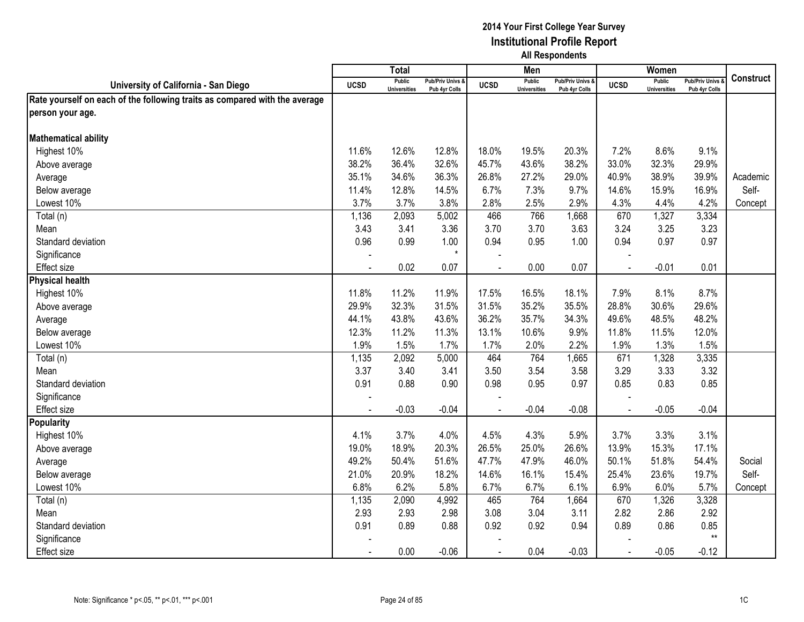|                                                                            |                | <b>Total</b>                         |                                   |             | Men                                  |                                   |                | Women                                |                                        |                  |
|----------------------------------------------------------------------------|----------------|--------------------------------------|-----------------------------------|-------------|--------------------------------------|-----------------------------------|----------------|--------------------------------------|----------------------------------------|------------------|
| University of California - San Diego                                       | <b>UCSD</b>    | <b>Public</b><br><b>Universities</b> | Pub/Priv Univs &<br>Pub 4yr Colls | <b>UCSD</b> | <b>Public</b><br><b>Universities</b> | Pub/Priv Univs &<br>Pub 4yr Colls | <b>UCSD</b>    | <b>Public</b><br><b>Universities</b> | <b>Pub/Priv Univs</b><br>Pub 4yr Colls | <b>Construct</b> |
| Rate yourself on each of the following traits as compared with the average |                |                                      |                                   |             |                                      |                                   |                |                                      |                                        |                  |
| person your age.                                                           |                |                                      |                                   |             |                                      |                                   |                |                                      |                                        |                  |
|                                                                            |                |                                      |                                   |             |                                      |                                   |                |                                      |                                        |                  |
| <b>Mathematical ability</b>                                                |                |                                      |                                   |             |                                      |                                   |                |                                      |                                        |                  |
| Highest 10%                                                                | 11.6%          | 12.6%                                | 12.8%                             | 18.0%       | 19.5%                                | 20.3%                             | 7.2%           | 8.6%                                 | 9.1%                                   |                  |
| Above average                                                              | 38.2%          | 36.4%                                | 32.6%                             | 45.7%       | 43.6%                                | 38.2%                             | 33.0%          | 32.3%                                | 29.9%                                  |                  |
| Average                                                                    | 35.1%          | 34.6%                                | 36.3%                             | 26.8%       | 27.2%                                | 29.0%                             | 40.9%          | 38.9%                                | 39.9%                                  | Academic         |
| Below average                                                              | 11.4%          | 12.8%                                | 14.5%                             | 6.7%        | 7.3%                                 | 9.7%                              | 14.6%          | 15.9%                                | 16.9%                                  | Self-            |
| Lowest 10%                                                                 | 3.7%           | 3.7%                                 | 3.8%                              | 2.8%        | 2.5%                                 | 2.9%                              | 4.3%           | 4.4%                                 | 4.2%                                   | Concept          |
| Total (n)                                                                  | 1,136          | 2,093                                | 5,002                             | 466         | 766                                  | 1,668                             | 670            | 1,327                                | 3,334                                  |                  |
| Mean                                                                       | 3.43           | 3.41                                 | 3.36                              | 3.70        | 3.70                                 | 3.63                              | 3.24           | 3.25                                 | 3.23                                   |                  |
| Standard deviation                                                         | 0.96           | 0.99                                 | 1.00                              | 0.94        | 0.95                                 | 1.00                              | 0.94           | 0.97                                 | 0.97                                   |                  |
| Significance                                                               |                |                                      | $\star$                           |             |                                      |                                   |                |                                      |                                        |                  |
| <b>Effect size</b>                                                         |                | 0.02                                 | 0.07                              |             | 0.00                                 | 0.07                              |                | $-0.01$                              | 0.01                                   |                  |
| <b>Physical health</b>                                                     |                |                                      |                                   |             |                                      |                                   |                |                                      |                                        |                  |
| Highest 10%                                                                | 11.8%          | 11.2%                                | 11.9%                             | 17.5%       | 16.5%                                | 18.1%                             | 7.9%           | 8.1%                                 | 8.7%                                   |                  |
| Above average                                                              | 29.9%          | 32.3%                                | 31.5%                             | 31.5%       | 35.2%                                | 35.5%                             | 28.8%          | 30.6%                                | 29.6%                                  |                  |
| Average                                                                    | 44.1%          | 43.8%                                | 43.6%                             | 36.2%       | 35.7%                                | 34.3%                             | 49.6%          | 48.5%                                | 48.2%                                  |                  |
| Below average                                                              | 12.3%          | 11.2%                                | 11.3%                             | 13.1%       | 10.6%                                | 9.9%                              | 11.8%          | 11.5%                                | 12.0%                                  |                  |
| Lowest 10%                                                                 | 1.9%           | 1.5%                                 | 1.7%                              | 1.7%        | 2.0%                                 | 2.2%                              | 1.9%           | 1.3%                                 | 1.5%                                   |                  |
| Total (n)                                                                  | 1,135          | 2,092                                | 5,000                             | 464         | 764                                  | 1,665                             | 671            | 1,328                                | 3,335                                  |                  |
| Mean                                                                       | 3.37           | 3.40                                 | 3.41                              | 3.50        | 3.54                                 | 3.58                              | 3.29           | 3.33                                 | 3.32                                   |                  |
| Standard deviation                                                         | 0.91           | 0.88                                 | 0.90                              | 0.98        | 0.95                                 | 0.97                              | 0.85           | 0.83                                 | 0.85                                   |                  |
| Significance                                                               |                |                                      |                                   |             |                                      |                                   |                |                                      |                                        |                  |
| <b>Effect size</b>                                                         | $\sim$         | $-0.03$                              | $-0.04$                           |             | $-0.04$                              | $-0.08$                           | $\blacksquare$ | $-0.05$                              | $-0.04$                                |                  |
| <b>Popularity</b>                                                          |                |                                      |                                   |             |                                      |                                   |                |                                      |                                        |                  |
| Highest 10%                                                                | 4.1%           | 3.7%                                 | 4.0%                              | 4.5%        | 4.3%                                 | 5.9%                              | 3.7%           | 3.3%                                 | 3.1%                                   |                  |
| Above average                                                              | 19.0%          | 18.9%                                | 20.3%                             | 26.5%       | 25.0%                                | 26.6%                             | 13.9%          | 15.3%                                | 17.1%                                  |                  |
| Average                                                                    | 49.2%          | 50.4%                                | 51.6%                             | 47.7%       | 47.9%                                | 46.0%                             | 50.1%          | 51.8%                                | 54.4%                                  | Social           |
| Below average                                                              | 21.0%          | 20.9%                                | 18.2%                             | 14.6%       | 16.1%                                | 15.4%                             | 25.4%          | 23.6%                                | 19.7%                                  | Self-            |
| Lowest 10%                                                                 | 6.8%           | 6.2%                                 | 5.8%                              | 6.7%        | 6.7%                                 | 6.1%                              | 6.9%           | 6.0%                                 | 5.7%                                   | Concept          |
| Total (n)                                                                  | 1,135          | 2,090                                | 4,992                             | 465         | 764                                  | 1,664                             | 670            | 1,326                                | 3,328                                  |                  |
| Mean                                                                       | 2.93           | 2.93                                 | 2.98                              | 3.08        | 3.04                                 | 3.11                              | 2.82           | 2.86                                 | 2.92                                   |                  |
| Standard deviation                                                         | 0.91           | 0.89                                 | 0.88                              | 0.92        | 0.92                                 | 0.94                              | 0.89           | 0.86                                 | 0.85                                   |                  |
| Significance                                                               |                |                                      |                                   |             |                                      |                                   |                |                                      | $**$                                   |                  |
| Effect size                                                                | $\blacksquare$ | 0.00                                 | $-0.06$                           | $\sim$      | 0.04                                 | $-0.03$                           | $\blacksquare$ | $-0.05$                              | $-0.12$                                |                  |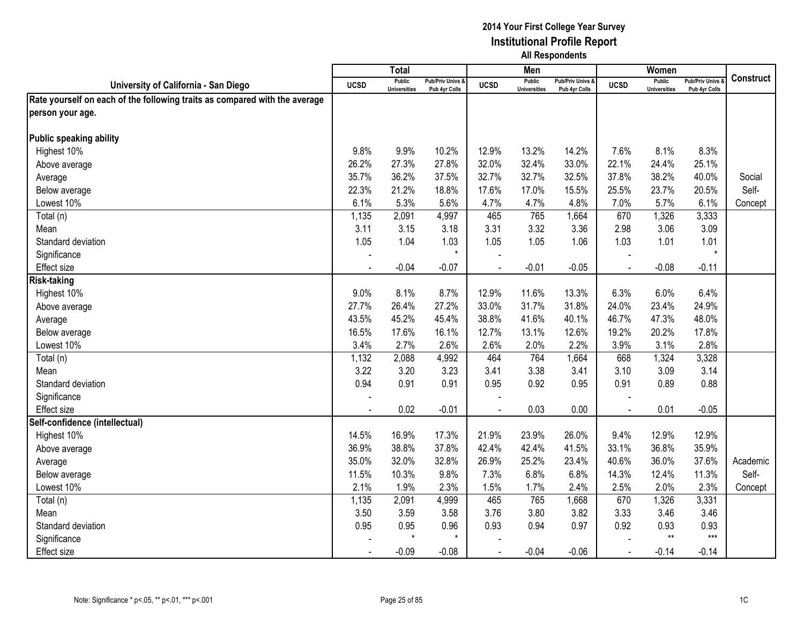|                                                                            |                | Total                                |                                   |                | Men                                  |                                   |                | Women                                |                                        |                  |
|----------------------------------------------------------------------------|----------------|--------------------------------------|-----------------------------------|----------------|--------------------------------------|-----------------------------------|----------------|--------------------------------------|----------------------------------------|------------------|
| University of California - San Diego                                       | <b>UCSD</b>    | <b>Public</b><br><b>Universities</b> | Pub/Priv Univs &<br>Pub 4yr Colls | <b>UCSD</b>    | <b>Public</b><br><b>Universities</b> | Pub/Priv Univs &<br>Pub 4yr Colls | <b>UCSD</b>    | <b>Public</b><br><b>Universities</b> | <b>Pub/Priv Univs</b><br>Pub 4yr Colls | <b>Construct</b> |
| Rate yourself on each of the following traits as compared with the average |                |                                      |                                   |                |                                      |                                   |                |                                      |                                        |                  |
| person your age.                                                           |                |                                      |                                   |                |                                      |                                   |                |                                      |                                        |                  |
|                                                                            |                |                                      |                                   |                |                                      |                                   |                |                                      |                                        |                  |
| Public speaking ability                                                    |                |                                      |                                   |                |                                      |                                   |                |                                      |                                        |                  |
| Highest 10%                                                                | 9.8%           | 9.9%                                 | 10.2%                             | 12.9%          | 13.2%                                | 14.2%                             | 7.6%           | 8.1%                                 | 8.3%                                   |                  |
| Above average                                                              | 26.2%          | 27.3%                                | 27.8%                             | 32.0%          | 32.4%                                | 33.0%                             | 22.1%          | 24.4%                                | 25.1%                                  |                  |
| Average                                                                    | 35.7%          | 36.2%                                | 37.5%                             | 32.7%          | 32.7%                                | 32.5%                             | 37.8%          | 38.2%                                | 40.0%                                  | Social           |
| Below average                                                              | 22.3%          | 21.2%                                | 18.8%                             | 17.6%          | 17.0%                                | 15.5%                             | 25.5%          | 23.7%                                | 20.5%                                  | Self-            |
| Lowest 10%                                                                 | 6.1%           | 5.3%                                 | 5.6%                              | 4.7%           | 4.7%                                 | 4.8%                              | 7.0%           | 5.7%                                 | 6.1%                                   | Concept          |
| Total (n)                                                                  | 1,135          | 2,091                                | 4,997                             | 465            | 765                                  | 1,664                             | 670            | 1,326                                | 3,333                                  |                  |
| Mean                                                                       | 3.11           | 3.15                                 | 3.18                              | 3.31           | 3.32                                 | 3.36                              | 2.98           | 3.06                                 | 3.09                                   |                  |
| Standard deviation                                                         | 1.05           | 1.04                                 | 1.03                              | 1.05           | 1.05                                 | 1.06                              | 1.03           | 1.01                                 | 1.01                                   |                  |
| Significance                                                               |                |                                      | $\star$                           |                |                                      |                                   |                |                                      | $\star$                                |                  |
| <b>Effect size</b>                                                         |                | $-0.04$                              | $-0.07$                           |                | $-0.01$                              | $-0.05$                           |                | $-0.08$                              | $-0.11$                                |                  |
| <b>Risk-taking</b>                                                         |                |                                      |                                   |                |                                      |                                   |                |                                      |                                        |                  |
| Highest 10%                                                                | 9.0%           | 8.1%                                 | 8.7%                              | 12.9%          | 11.6%                                | 13.3%                             | 6.3%           | 6.0%                                 | 6.4%                                   |                  |
| Above average                                                              | 27.7%          | 26.4%                                | 27.2%                             | 33.0%          | 31.7%                                | 31.8%                             | 24.0%          | 23.4%                                | 24.9%                                  |                  |
| Average                                                                    | 43.5%          | 45.2%                                | 45.4%                             | 38.8%          | 41.6%                                | 40.1%                             | 46.7%          | 47.3%                                | 48.0%                                  |                  |
| Below average                                                              | 16.5%          | 17.6%                                | 16.1%                             | 12.7%          | 13.1%                                | 12.6%                             | 19.2%          | 20.2%                                | 17.8%                                  |                  |
| Lowest 10%                                                                 | 3.4%           | 2.7%                                 | 2.6%                              | 2.6%           | 2.0%                                 | 2.2%                              | 3.9%           | 3.1%                                 | 2.8%                                   |                  |
| Total (n)                                                                  | 1,132          | 2,088                                | 4,992                             | 464            | 764                                  | 1,664                             | 668            | 1,324                                | 3,328                                  |                  |
| Mean                                                                       | 3.22           | 3.20                                 | 3.23                              | 3.41           | 3.38                                 | 3.41                              | 3.10           | 3.09                                 | 3.14                                   |                  |
| Standard deviation                                                         | 0.94           | 0.91                                 | 0.91                              | 0.95           | 0.92                                 | 0.95                              | 0.91           | 0.89                                 | 0.88                                   |                  |
| Significance                                                               |                |                                      |                                   |                |                                      |                                   |                |                                      |                                        |                  |
| <b>Effect size</b>                                                         | $\blacksquare$ | 0.02                                 | $-0.01$                           |                | 0.03                                 | 0.00                              | $\blacksquare$ | 0.01                                 | $-0.05$                                |                  |
| Self-confidence (intellectual)                                             |                |                                      |                                   |                |                                      |                                   |                |                                      |                                        |                  |
| Highest 10%                                                                | 14.5%          | 16.9%                                | 17.3%                             | 21.9%          | 23.9%                                | 26.0%                             | 9.4%           | 12.9%                                | 12.9%                                  |                  |
| Above average                                                              | 36.9%          | 38.8%                                | 37.8%                             | 42.4%          | 42.4%                                | 41.5%                             | 33.1%          | 36.8%                                | 35.9%                                  |                  |
| Average                                                                    | 35.0%          | 32.0%                                | 32.8%                             | 26.9%          | 25.2%                                | 23.4%                             | 40.6%          | 36.0%                                | 37.6%                                  | Academic         |
| Below average                                                              | 11.5%          | 10.3%                                | 9.8%                              | 7.3%           | 6.8%                                 | 6.8%                              | 14.3%          | 12.4%                                | 11.3%                                  | Self-            |
| Lowest 10%                                                                 | 2.1%           | 1.9%                                 | 2.3%                              | 1.5%           | 1.7%                                 | 2.4%                              | 2.5%           | 2.0%                                 | 2.3%                                   | Concept          |
| Total (n)                                                                  | 1,135          | 2,091                                | 4,999                             | 465            | 765                                  | 1,668                             | 670            | 1,326                                | 3,331                                  |                  |
| Mean                                                                       | 3.50           | 3.59                                 | 3.58                              | 3.76           | 3.80                                 | 3.82                              | 3.33           | 3.46                                 | 3.46                                   |                  |
| Standard deviation                                                         | 0.95           | 0.95<br>$\star$                      | 0.96<br>$\star$                   | 0.93           | 0.94                                 | 0.97                              | 0.92           | 0.93<br>$**$                         | 0.93<br>$***$                          |                  |
| Significance                                                               |                |                                      |                                   |                |                                      |                                   |                |                                      |                                        |                  |
| <b>Effect size</b>                                                         | $\blacksquare$ | $-0.09$                              | $-0.08$                           | $\blacksquare$ | $-0.04$                              | $-0.06$                           | $\blacksquare$ | $-0.14$                              | $-0.14$                                |                  |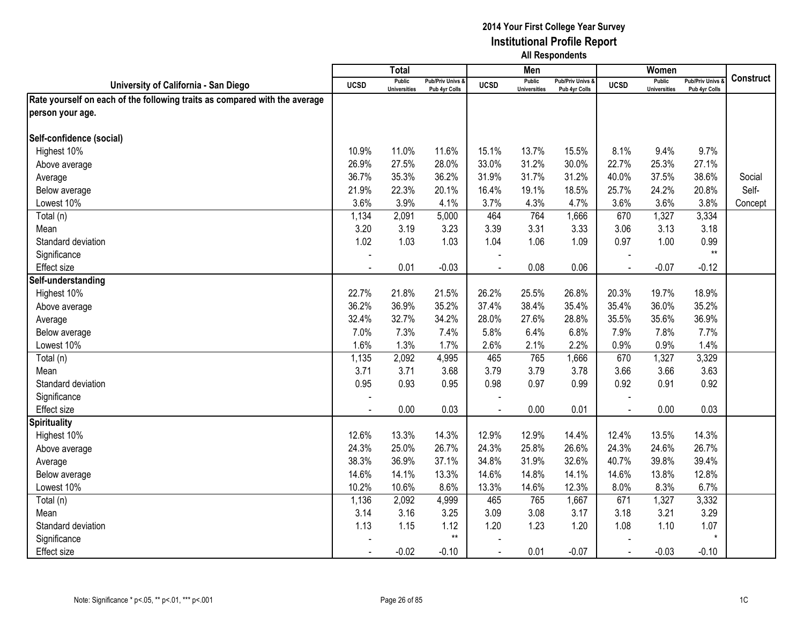|                                                                            |                | Total                                |                                   |                | Men                                  |                                   |             | Women                                |                                        |                  |
|----------------------------------------------------------------------------|----------------|--------------------------------------|-----------------------------------|----------------|--------------------------------------|-----------------------------------|-------------|--------------------------------------|----------------------------------------|------------------|
| University of California - San Diego                                       | <b>UCSD</b>    | <b>Public</b><br><b>Universities</b> | Pub/Priv Univs &<br>Pub 4yr Colls | <b>UCSD</b>    | <b>Public</b><br><b>Universities</b> | Pub/Priv Univs &<br>Pub 4yr Colls | <b>UCSD</b> | <b>Public</b><br><b>Universities</b> | <b>Pub/Priv Univs</b><br>Pub 4yr Colls | <b>Construct</b> |
| Rate yourself on each of the following traits as compared with the average |                |                                      |                                   |                |                                      |                                   |             |                                      |                                        |                  |
| person your age.                                                           |                |                                      |                                   |                |                                      |                                   |             |                                      |                                        |                  |
|                                                                            |                |                                      |                                   |                |                                      |                                   |             |                                      |                                        |                  |
| Self-confidence (social)                                                   |                |                                      |                                   |                |                                      |                                   |             |                                      |                                        |                  |
| Highest 10%                                                                | 10.9%          | 11.0%                                | 11.6%                             | 15.1%          | 13.7%                                | 15.5%                             | 8.1%        | 9.4%                                 | 9.7%                                   |                  |
| Above average                                                              | 26.9%          | 27.5%                                | 28.0%                             | 33.0%          | 31.2%                                | 30.0%                             | 22.7%       | 25.3%                                | 27.1%                                  |                  |
| Average                                                                    | 36.7%          | 35.3%                                | 36.2%                             | 31.9%          | 31.7%                                | 31.2%                             | 40.0%       | 37.5%                                | 38.6%                                  | Social           |
| Below average                                                              | 21.9%          | 22.3%                                | 20.1%                             | 16.4%          | 19.1%                                | 18.5%                             | 25.7%       | 24.2%                                | 20.8%                                  | Self-            |
| Lowest 10%                                                                 | 3.6%           | 3.9%                                 | 4.1%                              | 3.7%           | 4.3%                                 | 4.7%                              | 3.6%        | 3.6%                                 | 3.8%                                   | Concept          |
| Total (n)                                                                  | 1,134          | 2,091                                | 5,000                             | 464            | 764                                  | 1,666                             | 670         | 1,327                                | 3,334                                  |                  |
| Mean                                                                       | 3.20           | 3.19                                 | 3.23                              | 3.39           | 3.31                                 | 3.33                              | 3.06        | 3.13                                 | 3.18                                   |                  |
| Standard deviation                                                         | 1.02           | 1.03                                 | 1.03                              | 1.04           | 1.06                                 | 1.09                              | 0.97        | 1.00                                 | 0.99                                   |                  |
| Significance                                                               |                |                                      |                                   |                |                                      |                                   |             |                                      | $**$                                   |                  |
| Effect size                                                                |                | 0.01                                 | $-0.03$                           |                | 0.08                                 | 0.06                              |             | $-0.07$                              | $-0.12$                                |                  |
| Self-understanding                                                         |                |                                      |                                   |                |                                      |                                   |             |                                      |                                        |                  |
| Highest 10%                                                                | 22.7%          | 21.8%                                | 21.5%                             | 26.2%          | 25.5%                                | 26.8%                             | 20.3%       | 19.7%                                | 18.9%                                  |                  |
| Above average                                                              | 36.2%          | 36.9%                                | 35.2%                             | 37.4%          | 38.4%                                | 35.4%                             | 35.4%       | 36.0%                                | 35.2%                                  |                  |
| Average                                                                    | 32.4%          | 32.7%                                | 34.2%                             | 28.0%          | 27.6%                                | 28.8%                             | 35.5%       | 35.6%                                | 36.9%                                  |                  |
| Below average                                                              | 7.0%           | 7.3%                                 | 7.4%                              | 5.8%           | 6.4%                                 | 6.8%                              | 7.9%        | 7.8%                                 | 7.7%                                   |                  |
| Lowest 10%                                                                 | 1.6%           | 1.3%                                 | 1.7%                              | 2.6%           | 2.1%                                 | 2.2%                              | 0.9%        | 0.9%                                 | 1.4%                                   |                  |
| Total (n)                                                                  | 1,135          | 2,092                                | 4,995                             | 465            | 765                                  | 1,666                             | 670         | 1,327                                | 3,329                                  |                  |
| Mean                                                                       | 3.71           | 3.71                                 | 3.68                              | 3.79           | 3.79                                 | 3.78                              | 3.66        | 3.66                                 | 3.63                                   |                  |
| Standard deviation                                                         | 0.95           | 0.93                                 | 0.95                              | 0.98           | 0.97                                 | 0.99                              | 0.92        | 0.91                                 | 0.92                                   |                  |
| Significance                                                               |                |                                      |                                   |                |                                      |                                   |             |                                      |                                        |                  |
| Effect size                                                                |                | 0.00                                 | 0.03                              | $\overline{a}$ | 0.00                                 | 0.01                              | $\sim$      | 0.00                                 | 0.03                                   |                  |
| <b>Spirituality</b>                                                        |                |                                      |                                   |                |                                      |                                   |             |                                      |                                        |                  |
| Highest 10%                                                                | 12.6%          | 13.3%                                | 14.3%                             | 12.9%          | 12.9%                                | 14.4%                             | 12.4%       | 13.5%                                | 14.3%                                  |                  |
| Above average                                                              | 24.3%          | 25.0%                                | 26.7%                             | 24.3%          | 25.8%                                | 26.6%                             | 24.3%       | 24.6%                                | 26.7%                                  |                  |
| Average                                                                    | 38.3%          | 36.9%                                | 37.1%                             | 34.8%          | 31.9%                                | 32.6%                             | 40.7%       | 39.8%                                | 39.4%                                  |                  |
| Below average                                                              | 14.6%          | 14.1%                                | 13.3%                             | 14.6%          | 14.8%                                | 14.1%                             | 14.6%       | 13.8%                                | 12.8%                                  |                  |
| Lowest 10%                                                                 | 10.2%          | 10.6%                                | 8.6%                              | 13.3%          | 14.6%                                | 12.3%                             | 8.0%        | 8.3%                                 | 6.7%                                   |                  |
| Total (n)                                                                  | 1,136          | 2,092                                | 4,999                             | 465            | 765                                  | 1,667                             | 671         | 1,327                                | 3,332                                  |                  |
| Mean                                                                       | 3.14           | 3.16                                 | 3.25                              | 3.09           | 3.08                                 | 3.17                              | 3.18        | 3.21                                 | 3.29                                   |                  |
| Standard deviation                                                         | 1.13           | 1.15                                 | 1.12<br>$^{\star\star}$           | 1.20           | 1.23                                 | 1.20                              | 1.08        | 1.10                                 | 1.07<br>$\star$                        |                  |
| Significance                                                               |                |                                      |                                   |                |                                      |                                   |             |                                      |                                        |                  |
| <b>Effect size</b>                                                         | $\blacksquare$ | $-0.02$                              | $-0.10$                           | $\blacksquare$ | 0.01                                 | $-0.07$                           | $\sim$      | $-0.03$                              | $-0.10$                                |                  |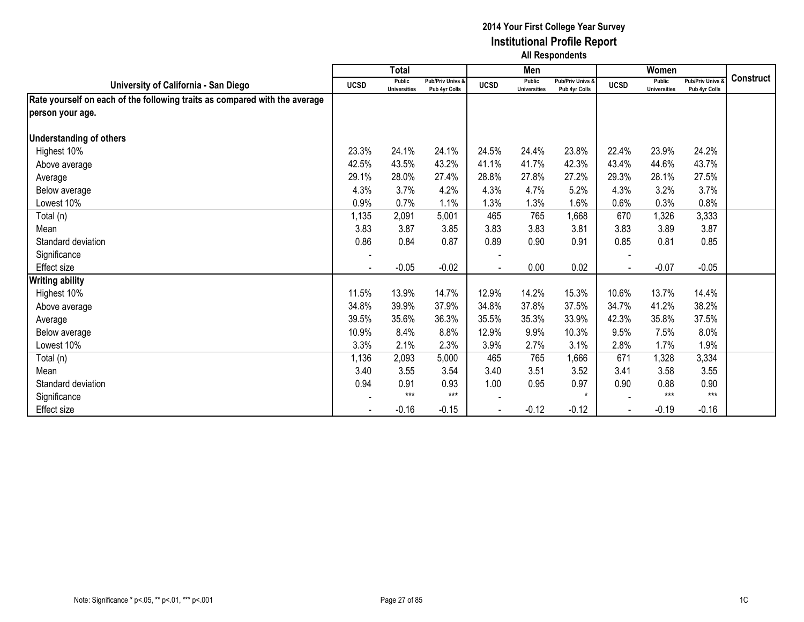|                                                                            |                          | <b>Total</b>                  |                                   |             | Men                                  |                                   |             | Women                                |                                        |                  |
|----------------------------------------------------------------------------|--------------------------|-------------------------------|-----------------------------------|-------------|--------------------------------------|-----------------------------------|-------------|--------------------------------------|----------------------------------------|------------------|
| University of California - San Diego                                       | <b>UCSD</b>              | Public<br><b>Universities</b> | Pub/Priv Univs &<br>Pub 4yr Colls | <b>UCSD</b> | <b>Public</b><br><b>Universities</b> | Pub/Priv Univs &<br>Pub 4yr Colls | <b>UCSD</b> | <b>Public</b><br><b>Universities</b> | <b>Pub/Priv Univs</b><br>Pub 4yr Colls | <b>Construct</b> |
| Rate yourself on each of the following traits as compared with the average |                          |                               |                                   |             |                                      |                                   |             |                                      |                                        |                  |
| person your age.                                                           |                          |                               |                                   |             |                                      |                                   |             |                                      |                                        |                  |
| <b>Understanding of others</b>                                             |                          |                               |                                   |             |                                      |                                   |             |                                      |                                        |                  |
| Highest 10%                                                                | 23.3%                    | 24.1%                         | 24.1%                             | 24.5%       | 24.4%                                | 23.8%                             | 22.4%       | 23.9%                                | 24.2%                                  |                  |
| Above average                                                              | 42.5%                    | 43.5%                         | 43.2%                             | 41.1%       | 41.7%                                | 42.3%                             | 43.4%       | 44.6%                                | 43.7%                                  |                  |
| Average                                                                    | 29.1%                    | 28.0%                         | 27.4%                             | 28.8%       | 27.8%                                | 27.2%                             | 29.3%       | 28.1%                                | 27.5%                                  |                  |
| Below average                                                              | 4.3%                     | 3.7%                          | 4.2%                              | 4.3%        | 4.7%                                 | 5.2%                              | 4.3%        | 3.2%                                 | 3.7%                                   |                  |
| Lowest 10%                                                                 | 0.9%                     | 0.7%                          | 1.1%                              | 1.3%        | 1.3%                                 | 1.6%                              | 0.6%        | 0.3%                                 | 0.8%                                   |                  |
| Total (n)                                                                  | 1,135                    | 2,091                         | 5,001                             | 465         | 765                                  | 1,668                             | 670         | 1,326                                | 3,333                                  |                  |
| Mean                                                                       | 3.83                     | 3.87                          | 3.85                              | 3.83        | 3.83                                 | 3.81                              | 3.83        | 3.89                                 | 3.87                                   |                  |
| Standard deviation                                                         | 0.86                     | 0.84                          | 0.87                              | 0.89        | 0.90                                 | 0.91                              | 0.85        | 0.81                                 | 0.85                                   |                  |
| Significance                                                               |                          |                               |                                   |             |                                      |                                   |             |                                      |                                        |                  |
| Effect size                                                                | $\overline{\phantom{a}}$ | $-0.05$                       | $-0.02$                           |             | 0.00                                 | 0.02                              |             | $-0.07$                              | $-0.05$                                |                  |
| <b>Writing ability</b>                                                     |                          |                               |                                   |             |                                      |                                   |             |                                      |                                        |                  |
| Highest 10%                                                                | 11.5%                    | 13.9%                         | 14.7%                             | 12.9%       | 14.2%                                | 15.3%                             | 10.6%       | 13.7%                                | 14.4%                                  |                  |
| Above average                                                              | 34.8%                    | 39.9%                         | 37.9%                             | 34.8%       | 37.8%                                | 37.5%                             | 34.7%       | 41.2%                                | 38.2%                                  |                  |
| Average                                                                    | 39.5%                    | 35.6%                         | 36.3%                             | 35.5%       | 35.3%                                | 33.9%                             | 42.3%       | 35.8%                                | 37.5%                                  |                  |
| Below average                                                              | 10.9%                    | 8.4%                          | 8.8%                              | 12.9%       | 9.9%                                 | 10.3%                             | 9.5%        | 7.5%                                 | 8.0%                                   |                  |
| Lowest 10%                                                                 | 3.3%                     | 2.1%                          | 2.3%                              | 3.9%        | 2.7%                                 | 3.1%                              | 2.8%        | 1.7%                                 | 1.9%                                   |                  |
| Total (n)                                                                  | 1,136                    | 2,093                         | 5,000                             | 465         | 765                                  | 1,666                             | 671         | 1,328                                | 3,334                                  |                  |
| Mean                                                                       | 3.40                     | 3.55                          | 3.54                              | 3.40        | 3.51                                 | 3.52                              | 3.41        | 3.58                                 | 3.55                                   |                  |
| Standard deviation                                                         | 0.94                     | 0.91                          | 0.93                              | 1.00        | 0.95                                 | 0.97                              | 0.90        | 0.88                                 | 0.90                                   |                  |
| Significance                                                               |                          | $***$                         | $***$                             |             |                                      | $\star$                           |             | $***$                                | $***$                                  |                  |
| <b>Effect size</b>                                                         |                          | $-0.16$                       | $-0.15$                           |             | $-0.12$                              | $-0.12$                           |             | $-0.19$                              | $-0.16$                                |                  |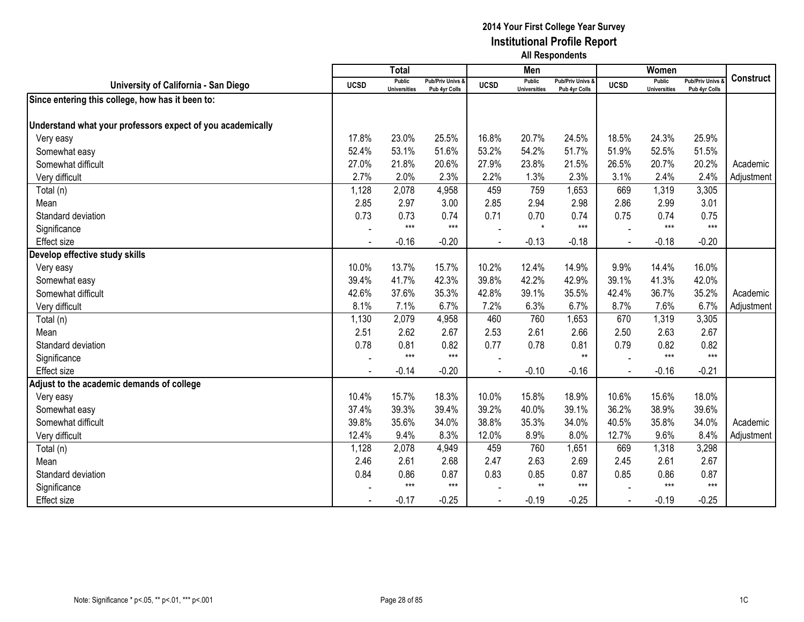|                                                            |             | <b>Total</b>                         |                                   |             | Men                                  |                                   |             | Women                                |                                        |                  |
|------------------------------------------------------------|-------------|--------------------------------------|-----------------------------------|-------------|--------------------------------------|-----------------------------------|-------------|--------------------------------------|----------------------------------------|------------------|
| University of California - San Diego                       | <b>UCSD</b> | <b>Public</b><br><b>Universities</b> | Pub/Priv Univs &<br>Pub 4yr Colls | <b>UCSD</b> | <b>Public</b><br><b>Universities</b> | Pub/Priv Univs &<br>Pub 4yr Colls | <b>UCSD</b> | <b>Public</b><br><b>Universities</b> | <b>Pub/Priv Univs</b><br>Pub 4yr Colls | <b>Construct</b> |
| Since entering this college, how has it been to:           |             |                                      |                                   |             |                                      |                                   |             |                                      |                                        |                  |
|                                                            |             |                                      |                                   |             |                                      |                                   |             |                                      |                                        |                  |
| Understand what your professors expect of you academically |             |                                      |                                   |             |                                      |                                   |             |                                      |                                        |                  |
| Very easy                                                  | 17.8%       | 23.0%                                | 25.5%                             | 16.8%       | 20.7%                                | 24.5%                             | 18.5%       | 24.3%                                | 25.9%                                  |                  |
| Somewhat easy                                              | 52.4%       | 53.1%                                | 51.6%                             | 53.2%       | 54.2%                                | 51.7%                             | 51.9%       | 52.5%                                | 51.5%                                  |                  |
| Somewhat difficult                                         | 27.0%       | 21.8%                                | 20.6%                             | 27.9%       | 23.8%                                | 21.5%                             | 26.5%       | 20.7%                                | 20.2%                                  | Academic         |
| Very difficult                                             | 2.7%        | 2.0%                                 | 2.3%                              | 2.2%        | 1.3%                                 | 2.3%                              | 3.1%        | 2.4%                                 | 2.4%                                   | Adjustment       |
| Total (n)                                                  | 1,128       | 2,078                                | 4,958                             | 459         | 759                                  | 1,653                             | 669         | 1,319                                | 3,305                                  |                  |
| Mean                                                       | 2.85        | 2.97                                 | 3.00                              | 2.85        | 2.94                                 | 2.98                              | 2.86        | 2.99                                 | 3.01                                   |                  |
| Standard deviation                                         | 0.73        | 0.73                                 | 0.74                              | 0.71        | 0.70                                 | 0.74                              | 0.75        | 0.74                                 | 0.75                                   |                  |
| Significance                                               |             | $***$                                | $***$                             |             | $\star$                              | $***$                             |             | $***$                                | $***$                                  |                  |
| <b>Effect size</b>                                         |             | $-0.16$                              | $-0.20$                           |             | $-0.13$                              | $-0.18$                           |             | $-0.18$                              | $-0.20$                                |                  |
| Develop effective study skills                             |             |                                      |                                   |             |                                      |                                   |             |                                      |                                        |                  |
| Very easy                                                  | 10.0%       | 13.7%                                | 15.7%                             | 10.2%       | 12.4%                                | 14.9%                             | 9.9%        | 14.4%                                | 16.0%                                  |                  |
| Somewhat easy                                              | 39.4%       | 41.7%                                | 42.3%                             | 39.8%       | 42.2%                                | 42.9%                             | 39.1%       | 41.3%                                | 42.0%                                  |                  |
| Somewhat difficult                                         | 42.6%       | 37.6%                                | 35.3%                             | 42.8%       | 39.1%                                | 35.5%                             | 42.4%       | 36.7%                                | 35.2%                                  | Academic         |
| Very difficult                                             | 8.1%        | 7.1%                                 | 6.7%                              | 7.2%        | 6.3%                                 | 6.7%                              | 8.7%        | 7.6%                                 | 6.7%                                   | Adjustment       |
| Total (n)                                                  | 1,130       | 2,079                                | 4,958                             | 460         | 760                                  | 1,653                             | 670         | 1,319                                | 3,305                                  |                  |
| Mean                                                       | 2.51        | 2.62                                 | 2.67                              | 2.53        | 2.61                                 | 2.66                              | 2.50        | 2.63                                 | 2.67                                   |                  |
| Standard deviation                                         | 0.78        | 0.81                                 | 0.82                              | 0.77        | 0.78                                 | 0.81                              | 0.79        | 0.82                                 | 0.82                                   |                  |
| Significance                                               |             | $***$                                | $***$                             |             |                                      | $**$                              |             | $***$                                | $***$                                  |                  |
| <b>Effect size</b>                                         |             | $-0.14$                              | $-0.20$                           |             | $-0.10$                              | $-0.16$                           |             | $-0.16$                              | $-0.21$                                |                  |
| Adjust to the academic demands of college                  |             |                                      |                                   |             |                                      |                                   |             |                                      |                                        |                  |
| Very easy                                                  | 10.4%       | 15.7%                                | 18.3%                             | 10.0%       | 15.8%                                | 18.9%                             | 10.6%       | 15.6%                                | 18.0%                                  |                  |
| Somewhat easy                                              | 37.4%       | 39.3%                                | 39.4%                             | 39.2%       | 40.0%                                | 39.1%                             | 36.2%       | 38.9%                                | 39.6%                                  |                  |
| Somewhat difficult                                         | 39.8%       | 35.6%                                | 34.0%                             | 38.8%       | 35.3%                                | 34.0%                             | 40.5%       | 35.8%                                | 34.0%                                  | Academic         |
| Very difficult                                             | 12.4%       | 9.4%                                 | 8.3%                              | 12.0%       | 8.9%                                 | 8.0%                              | 12.7%       | 9.6%                                 | 8.4%                                   | Adjustment       |
| Total (n)                                                  | 1,128       | 2,078                                | 4,949                             | 459         | 760                                  | 1,651                             | 669         | 1,318                                | 3,298                                  |                  |
| Mean                                                       | 2.46        | 2.61                                 | 2.68                              | 2.47        | 2.63                                 | 2.69                              | 2.45        | 2.61                                 | 2.67                                   |                  |
| Standard deviation                                         | 0.84        | 0.86                                 | 0.87                              | 0.83        | 0.85                                 | 0.87                              | 0.85        | 0.86                                 | 0.87                                   |                  |
| Significance                                               |             | $***$                                | $***$                             |             | $**$                                 | $***$                             |             | $***$                                | $***$                                  |                  |
| <b>Effect</b> size                                         |             | $-0.17$                              | $-0.25$                           |             | $-0.19$                              | $-0.25$                           |             | $-0.19$                              | $-0.25$                                |                  |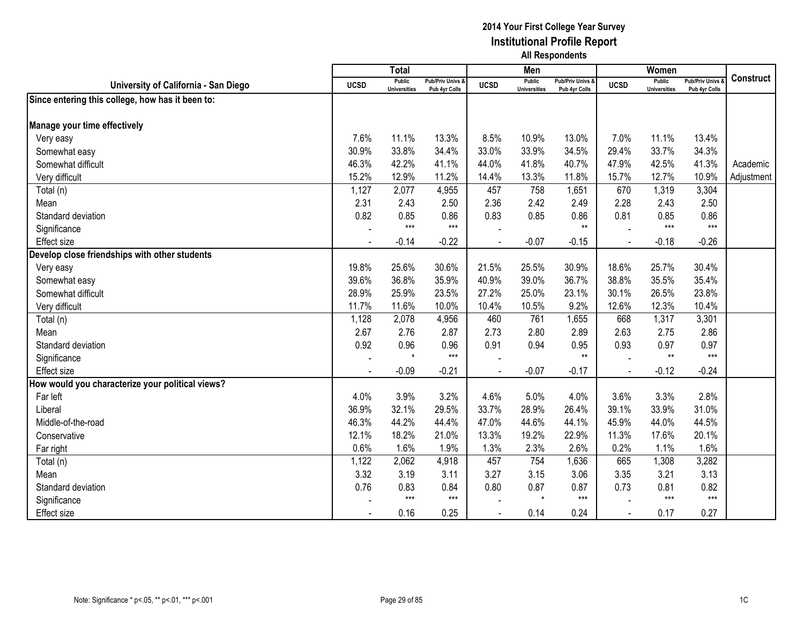|                                                  |             | <b>Total</b>                         |                                   |             | Men                                  |                                              |                | Women                                |                                        |                  |
|--------------------------------------------------|-------------|--------------------------------------|-----------------------------------|-------------|--------------------------------------|----------------------------------------------|----------------|--------------------------------------|----------------------------------------|------------------|
| University of California - San Diego             | <b>UCSD</b> | <b>Public</b><br><b>Universities</b> | Pub/Priv Univs &<br>Pub 4yr Colls | <b>UCSD</b> | <b>Public</b><br><b>Universities</b> | <b>Pub/Priv Univs &amp;</b><br>Pub 4yr Colls | <b>UCSD</b>    | <b>Public</b><br><b>Universities</b> | <b>Pub/Priv Univs</b><br>Pub 4yr Colls | <b>Construct</b> |
| Since entering this college, how has it been to: |             |                                      |                                   |             |                                      |                                              |                |                                      |                                        |                  |
|                                                  |             |                                      |                                   |             |                                      |                                              |                |                                      |                                        |                  |
| Manage your time effectively                     |             |                                      |                                   |             |                                      |                                              |                |                                      |                                        |                  |
| Very easy                                        | 7.6%        | 11.1%                                | 13.3%                             | 8.5%        | 10.9%                                | 13.0%                                        | 7.0%           | 11.1%                                | 13.4%                                  |                  |
| Somewhat easy                                    | 30.9%       | 33.8%                                | 34.4%                             | 33.0%       | 33.9%                                | 34.5%                                        | 29.4%          | 33.7%                                | 34.3%                                  |                  |
| Somewhat difficult                               | 46.3%       | 42.2%                                | 41.1%                             | 44.0%       | 41.8%                                | 40.7%                                        | 47.9%          | 42.5%                                | 41.3%                                  | Academic         |
| Very difficult                                   | 15.2%       | 12.9%                                | 11.2%                             | 14.4%       | 13.3%                                | 11.8%                                        | 15.7%          | 12.7%                                | 10.9%                                  | Adjustment       |
| Total (n)                                        | 1,127       | 2,077                                | 4,955                             | 457         | 758                                  | 1,651                                        | 670            | 1,319                                | 3,304                                  |                  |
| Mean                                             | 2.31        | 2.43                                 | 2.50                              | 2.36        | 2.42                                 | 2.49                                         | 2.28           | 2.43                                 | 2.50                                   |                  |
| Standard deviation                               | 0.82        | 0.85                                 | 0.86                              | 0.83        | 0.85                                 | 0.86                                         | 0.81           | 0.85                                 | 0.86                                   |                  |
| Significance                                     |             | $***$                                | $***$                             |             |                                      | $**$                                         |                | $***$                                | $***$                                  |                  |
| <b>Effect size</b>                               |             | $-0.14$                              | $-0.22$                           |             | $-0.07$                              | $-0.15$                                      |                | $-0.18$                              | $-0.26$                                |                  |
| Develop close friendships with other students    |             |                                      |                                   |             |                                      |                                              |                |                                      |                                        |                  |
| Very easy                                        | 19.8%       | 25.6%                                | 30.6%                             | 21.5%       | 25.5%                                | 30.9%                                        | 18.6%          | 25.7%                                | 30.4%                                  |                  |
| Somewhat easy                                    | 39.6%       | 36.8%                                | 35.9%                             | 40.9%       | 39.0%                                | 36.7%                                        | 38.8%          | 35.5%                                | 35.4%                                  |                  |
| Somewhat difficult                               | 28.9%       | 25.9%                                | 23.5%                             | 27.2%       | 25.0%                                | 23.1%                                        | 30.1%          | 26.5%                                | 23.8%                                  |                  |
| Very difficult                                   | 11.7%       | 11.6%                                | 10.0%                             | 10.4%       | 10.5%                                | 9.2%                                         | 12.6%          | 12.3%                                | 10.4%                                  |                  |
| Total (n)                                        | 1,128       | 2,078                                | 4,956                             | 460         | 761                                  | 1,655                                        | 668            | 1,317                                | 3,301                                  |                  |
| Mean                                             | 2.67        | 2.76                                 | 2.87                              | 2.73        | 2.80                                 | 2.89                                         | 2.63           | 2.75                                 | 2.86                                   |                  |
| Standard deviation                               | 0.92        | 0.96                                 | 0.96                              | 0.91        | 0.94                                 | 0.95                                         | 0.93           | 0.97                                 | 0.97                                   |                  |
| Significance                                     |             | $\star$                              | $***$                             |             |                                      | $**$                                         |                | $**$                                 | $***$                                  |                  |
| <b>Effect</b> size                               |             | $-0.09$                              | $-0.21$                           |             | $-0.07$                              | $-0.17$                                      | $\blacksquare$ | $-0.12$                              | $-0.24$                                |                  |
| How would you characterize your political views? |             |                                      |                                   |             |                                      |                                              |                |                                      |                                        |                  |
| Far left                                         | 4.0%        | 3.9%                                 | 3.2%                              | 4.6%        | 5.0%                                 | 4.0%                                         | 3.6%           | 3.3%                                 | 2.8%                                   |                  |
| Liberal                                          | 36.9%       | 32.1%                                | 29.5%                             | 33.7%       | 28.9%                                | 26.4%                                        | 39.1%          | 33.9%                                | 31.0%                                  |                  |
| Middle-of-the-road                               | 46.3%       | 44.2%                                | 44.4%                             | 47.0%       | 44.6%                                | 44.1%                                        | 45.9%          | 44.0%                                | 44.5%                                  |                  |
| Conservative                                     | 12.1%       | 18.2%                                | 21.0%                             | 13.3%       | 19.2%                                | 22.9%                                        | 11.3%          | 17.6%                                | 20.1%                                  |                  |
| Far right                                        | 0.6%        | 1.6%                                 | 1.9%                              | 1.3%        | 2.3%                                 | 2.6%                                         | 0.2%           | 1.1%                                 | 1.6%                                   |                  |
| Total (n)                                        | 1,122       | 2,062                                | 4,918                             | 457         | 754                                  | 1,636                                        | 665            | 1,308                                | 3,282                                  |                  |
| Mean                                             | 3.32        | 3.19                                 | 3.11                              | 3.27        | 3.15                                 | 3.06                                         | 3.35           | 3.21                                 | 3.13                                   |                  |
| Standard deviation                               | 0.76        | 0.83                                 | 0.84                              | 0.80        | 0.87                                 | 0.87                                         | 0.73           | 0.81                                 | 0.82                                   |                  |
| Significance                                     |             | $***$                                | $***$                             |             | $\star$                              | $***$                                        |                | $***$                                | $***$                                  |                  |
| <b>Effect</b> size                               |             | 0.16                                 | 0.25                              |             | 0.14                                 | 0.24                                         |                | 0.17                                 | 0.27                                   |                  |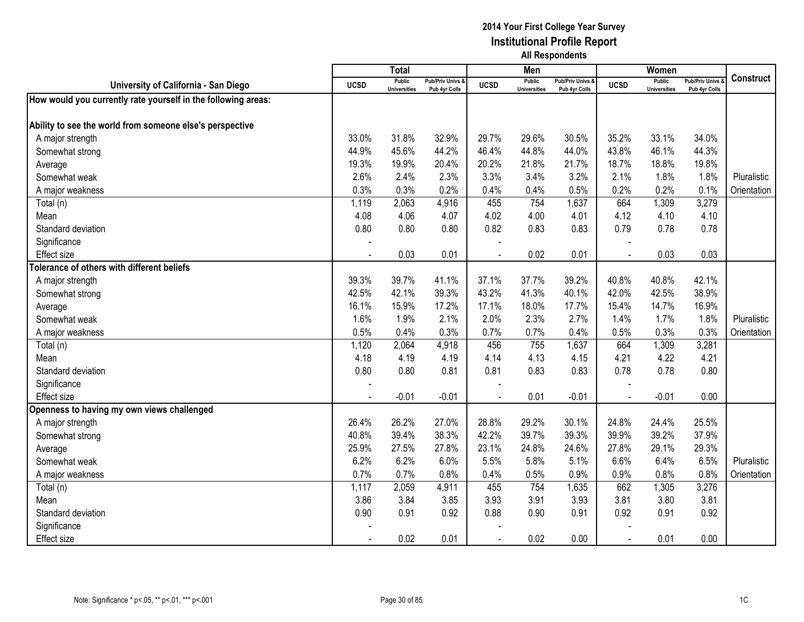|                                                               |                | <b>Total</b>                  |                                   |             | Men                                  |                                   |             | Women                                |                                        |             |
|---------------------------------------------------------------|----------------|-------------------------------|-----------------------------------|-------------|--------------------------------------|-----------------------------------|-------------|--------------------------------------|----------------------------------------|-------------|
| University of California - San Diego                          | <b>UCSD</b>    | Public<br><b>Universities</b> | Pub/Priv Univs &<br>Pub 4yr Colls | <b>UCSD</b> | <b>Public</b><br><b>Universities</b> | Pub/Priv Univs &<br>Pub 4yr Colls | <b>UCSD</b> | <b>Public</b><br><b>Universities</b> | <b>Pub/Priv Univs</b><br>Pub 4yr Colls | Construct   |
| How would you currently rate yourself in the following areas: |                |                               |                                   |             |                                      |                                   |             |                                      |                                        |             |
|                                                               |                |                               |                                   |             |                                      |                                   |             |                                      |                                        |             |
| Ability to see the world from someone else's perspective      |                |                               |                                   |             |                                      |                                   |             |                                      |                                        |             |
| A major strength                                              | 33.0%          | 31.8%                         | 32.9%                             | 29.7%       | 29.6%                                | 30.5%                             | 35.2%       | 33.1%                                | 34.0%                                  |             |
| Somewhat strong                                               | 44.9%          | 45.6%                         | 44.2%                             | 46.4%       | 44.8%                                | 44.0%                             | 43.8%       | 46.1%                                | 44.3%                                  |             |
| Average                                                       | 19.3%          | 19.9%                         | 20.4%                             | 20.2%       | 21.8%                                | 21.7%                             | 18.7%       | 18.8%                                | 19.8%                                  |             |
| Somewhat weak                                                 | 2.6%           | 2.4%                          | 2.3%                              | 3.3%        | 3.4%                                 | 3.2%                              | 2.1%        | 1.8%                                 | 1.8%                                   | Pluralistic |
| A major weakness                                              | 0.3%           | 0.3%                          | 0.2%                              | 0.4%        | 0.4%                                 | 0.5%                              | 0.2%        | 0.2%                                 | 0.1%                                   | Orientation |
| Total (n)                                                     | 1,119          | 2,063                         | 4,916                             | 455         | 754                                  | 1,637                             | 664         | 1,309                                | 3,279                                  |             |
| Mean                                                          | 4.08           | 4.06                          | 4.07                              | 4.02        | 4.00                                 | 4.01                              | 4.12        | 4.10                                 | 4.10                                   |             |
| Standard deviation                                            | 0.80           | 0.80                          | 0.80                              | 0.82        | 0.83                                 | 0.83                              | 0.79        | 0.78                                 | 0.78                                   |             |
| Significance                                                  |                |                               |                                   |             |                                      |                                   |             |                                      |                                        |             |
| <b>Effect size</b>                                            |                | 0.03                          | 0.01                              |             | 0.02                                 | 0.01                              | $\sim$      | 0.03                                 | 0.03                                   |             |
| Tolerance of others with different beliefs                    |                |                               |                                   |             |                                      |                                   |             |                                      |                                        |             |
| A major strength                                              | 39.3%          | 39.7%                         | 41.1%                             | 37.1%       | 37.7%                                | 39.2%                             | 40.8%       | 40.8%                                | 42.1%                                  |             |
| Somewhat strong                                               | 42.5%          | 42.1%                         | 39.3%                             | 43.2%       | 41.3%                                | 40.1%                             | 42.0%       | 42.5%                                | 38.9%                                  |             |
| Average                                                       | 16.1%          | 15.9%                         | 17.2%                             | 17.1%       | 18.0%                                | 17.7%                             | 15.4%       | 14.7%                                | 16.9%                                  |             |
| Somewhat weak                                                 | 1.6%           | 1.9%                          | 2.1%                              | 2.0%        | 2.3%                                 | 2.7%                              | 1.4%        | 1.7%                                 | 1.8%                                   | Pluralistic |
| A major weakness                                              | 0.5%           | 0.4%                          | 0.3%                              | 0.7%        | 0.7%                                 | 0.4%                              | 0.5%        | 0.3%                                 | 0.3%                                   | Orientation |
| Total (n)                                                     | 1,120          | 2,064                         | 4,918                             | 456         | 755                                  | 1,637                             | 664         | 1,309                                | 3,281                                  |             |
| Mean                                                          | 4.18           | 4.19                          | 4.19                              | 4.14        | 4.13                                 | 4.15                              | 4.21        | 4.22                                 | 4.21                                   |             |
| Standard deviation                                            | 0.80           | 0.80                          | 0.81                              | 0.81        | 0.83                                 | 0.83                              | 0.78        | 0.78                                 | 0.80                                   |             |
| Significance                                                  |                |                               |                                   |             |                                      |                                   |             |                                      |                                        |             |
| <b>Effect size</b>                                            | $\blacksquare$ | $-0.01$                       | $-0.01$                           |             | 0.01                                 | $-0.01$                           | $\sim$      | $-0.01$                              | 0.00                                   |             |
| Openness to having my own views challenged                    |                |                               |                                   |             |                                      |                                   |             |                                      |                                        |             |
| A major strength                                              | 26.4%          | 26.2%                         | 27.0%                             | 28.8%       | 29.2%                                | 30.1%                             | 24.8%       | 24.4%                                | 25.5%                                  |             |
| Somewhat strong                                               | 40.8%          | 39.4%                         | 38.3%                             | 42.2%       | 39.7%                                | 39.3%                             | 39.9%       | 39.2%                                | 37.9%                                  |             |
| Average                                                       | 25.9%          | 27.5%                         | 27.8%                             | 23.1%       | 24.8%                                | 24.6%                             | 27.8%       | 29.1%                                | 29.3%                                  |             |
| Somewhat weak                                                 | 6.2%           | 6.2%                          | 6.0%                              | 5.5%        | 5.8%                                 | 5.1%                              | 6.6%        | 6.4%                                 | 6.5%                                   | Pluralistic |
| A major weakness                                              | 0.7%           | 0.7%                          | 0.8%                              | 0.4%        | 0.5%                                 | 0.9%                              | 0.9%        | 0.8%                                 | 0.8%                                   | Orientation |
| Total (n)                                                     | 1,117          | 2,059                         | 4,911                             | 455         | 754                                  | 1,635                             | 662         | 1,305                                | 3,276                                  |             |
| Mean                                                          | 3.86           | 3.84                          | 3.85                              | 3.93        | 3.91                                 | 3.93                              | 3.81        | 3.80                                 | 3.81                                   |             |
| Standard deviation                                            | 0.90           | 0.91                          | 0.92                              | 0.88        | 0.90                                 | 0.91                              | 0.92        | 0.91                                 | 0.92                                   |             |
| Significance                                                  |                |                               |                                   |             |                                      |                                   |             |                                      |                                        |             |
| <b>Effect size</b>                                            |                | 0.02                          | 0.01                              |             | 0.02                                 | 0.00                              | $\sim$      | 0.01                                 | 0.00                                   |             |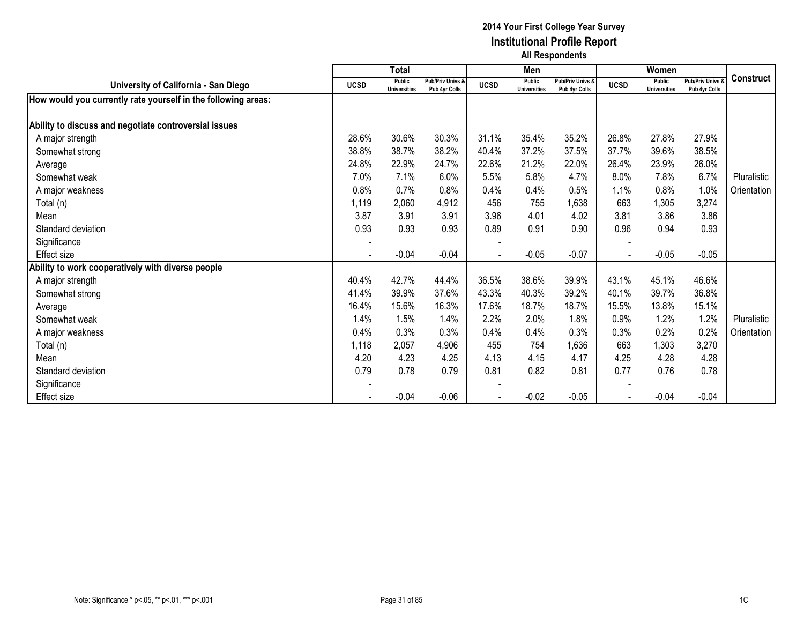|                                                               |             | <b>Total</b>                         |                                   |             | Men                           |                                              |             | Women                                |                                 |                  |
|---------------------------------------------------------------|-------------|--------------------------------------|-----------------------------------|-------------|-------------------------------|----------------------------------------------|-------------|--------------------------------------|---------------------------------|------------------|
| University of California - San Diego                          | <b>UCSD</b> | <b>Public</b><br><b>Universities</b> | Pub/Priv Univs &<br>Pub 4yr Colls | <b>UCSD</b> | Public<br><b>Universities</b> | <b>Pub/Priv Univs &amp;</b><br>Pub 4yr Colls | <b>UCSD</b> | <b>Public</b><br><b>Universities</b> | Pub/Priv Univs<br>Pub 4yr Colls | <b>Construct</b> |
| How would you currently rate yourself in the following areas: |             |                                      |                                   |             |                               |                                              |             |                                      |                                 |                  |
|                                                               |             |                                      |                                   |             |                               |                                              |             |                                      |                                 |                  |
| Ability to discuss and negotiate controversial issues         |             |                                      |                                   |             |                               |                                              |             |                                      |                                 |                  |
| A major strength                                              | 28.6%       | 30.6%                                | 30.3%                             | 31.1%       | 35.4%                         | 35.2%                                        | 26.8%       | 27.8%                                | 27.9%                           |                  |
| Somewhat strong                                               | 38.8%       | 38.7%                                | 38.2%                             | 40.4%       | 37.2%                         | 37.5%                                        | 37.7%       | 39.6%                                | 38.5%                           |                  |
| Average                                                       | 24.8%       | 22.9%                                | 24.7%                             | 22.6%       | 21.2%                         | 22.0%                                        | 26.4%       | 23.9%                                | 26.0%                           |                  |
| Somewhat weak                                                 | 7.0%        | 7.1%                                 | 6.0%                              | 5.5%        | 5.8%                          | 4.7%                                         | 8.0%        | 7.8%                                 | 6.7%                            | Pluralistic      |
| A major weakness                                              | 0.8%        | 0.7%                                 | 0.8%                              | 0.4%        | 0.4%                          | 0.5%                                         | 1.1%        | 0.8%                                 | 1.0%                            | Orientation      |
| Total (n)                                                     | 1,119       | 2,060                                | 4,912                             | 456         | 755                           | 1,638                                        | 663         | 1,305                                | 3,274                           |                  |
| Mean                                                          | 3.87        | 3.91                                 | 3.91                              | 3.96        | 4.01                          | 4.02                                         | 3.81        | 3.86                                 | 3.86                            |                  |
| Standard deviation                                            | 0.93        | 0.93                                 | 0.93                              | 0.89        | 0.91                          | 0.90                                         | 0.96        | 0.94                                 | 0.93                            |                  |
| Significance                                                  |             |                                      |                                   |             |                               |                                              |             |                                      |                                 |                  |
| <b>Effect size</b>                                            |             | $-0.04$                              | $-0.04$                           |             | $-0.05$                       | $-0.07$                                      |             | $-0.05$                              | $-0.05$                         |                  |
| Ability to work cooperatively with diverse people             |             |                                      |                                   |             |                               |                                              |             |                                      |                                 |                  |
| A major strength                                              | 40.4%       | 42.7%                                | 44.4%                             | 36.5%       | 38.6%                         | 39.9%                                        | 43.1%       | 45.1%                                | 46.6%                           |                  |
| Somewhat strong                                               | 41.4%       | 39.9%                                | 37.6%                             | 43.3%       | 40.3%                         | 39.2%                                        | 40.1%       | 39.7%                                | 36.8%                           |                  |
| Average                                                       | 16.4%       | 15.6%                                | 16.3%                             | 17.6%       | 18.7%                         | 18.7%                                        | 15.5%       | 13.8%                                | 15.1%                           |                  |
| Somewhat weak                                                 | 1.4%        | 1.5%                                 | 1.4%                              | 2.2%        | 2.0%                          | 1.8%                                         | 0.9%        | 1.2%                                 | 1.2%                            | Pluralistic      |
| A major weakness                                              | 0.4%        | 0.3%                                 | 0.3%                              | 0.4%        | 0.4%                          | 0.3%                                         | 0.3%        | 0.2%                                 | 0.2%                            | Orientation      |
| Total (n)                                                     | 1,118       | 2,057                                | 4,906                             | 455         | 754                           | 1,636                                        | 663         | 1,303                                | 3,270                           |                  |
| Mean                                                          | 4.20        | 4.23                                 | 4.25                              | 4.13        | 4.15                          | 4.17                                         | 4.25        | 4.28                                 | 4.28                            |                  |
| Standard deviation                                            | 0.79        | 0.78                                 | 0.79                              | 0.81        | 0.82                          | 0.81                                         | 0.77        | 0.76                                 | 0.78                            |                  |
| Significance                                                  |             |                                      |                                   |             |                               |                                              |             |                                      |                                 |                  |
| Effect size                                                   |             | $-0.04$                              | $-0.06$                           |             | $-0.02$                       | $-0.05$                                      |             | $-0.04$                              | $-0.04$                         |                  |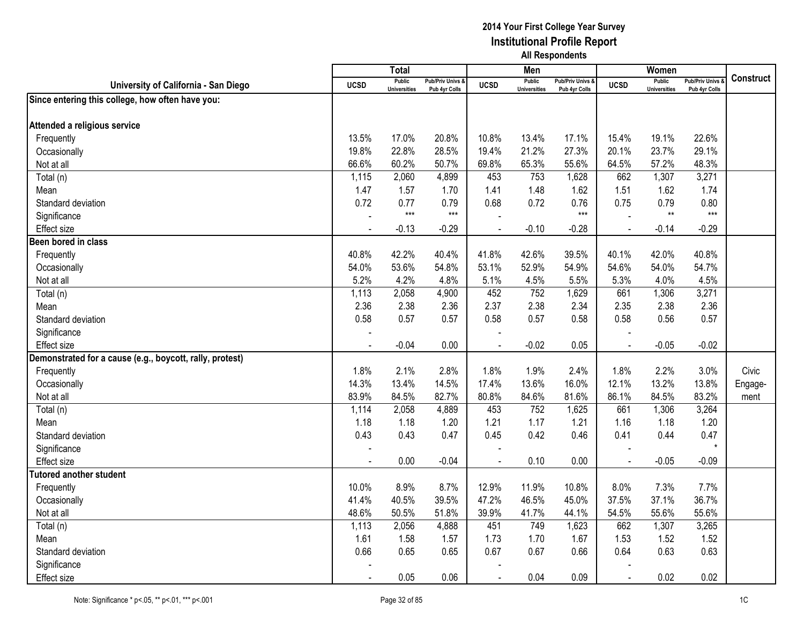|                                                          |             | <b>Total</b>                         |                                   |                | Men                                  |                                   |                | Women                                |                                        |           |
|----------------------------------------------------------|-------------|--------------------------------------|-----------------------------------|----------------|--------------------------------------|-----------------------------------|----------------|--------------------------------------|----------------------------------------|-----------|
| University of California - San Diego                     | <b>UCSD</b> | <b>Public</b><br><b>Universities</b> | Pub/Priv Univs &<br>Pub 4yr Colls | <b>UCSD</b>    | <b>Public</b><br><b>Universities</b> | Pub/Priv Univs &<br>Pub 4yr Colls | <b>UCSD</b>    | <b>Public</b><br><b>Universities</b> | <b>Pub/Priv Univs</b><br>Pub 4yr Colls | Construct |
| Since entering this college, how often have you:         |             |                                      |                                   |                |                                      |                                   |                |                                      |                                        |           |
|                                                          |             |                                      |                                   |                |                                      |                                   |                |                                      |                                        |           |
| Attended a religious service                             |             |                                      |                                   |                |                                      |                                   |                |                                      |                                        |           |
| Frequently                                               | 13.5%       | 17.0%                                | 20.8%                             | 10.8%          | 13.4%                                | 17.1%                             | 15.4%          | 19.1%                                | 22.6%                                  |           |
| Occasionally                                             | 19.8%       | 22.8%                                | 28.5%                             | 19.4%          | 21.2%                                | 27.3%                             | 20.1%          | 23.7%                                | 29.1%                                  |           |
| Not at all                                               | 66.6%       | 60.2%                                | 50.7%                             | 69.8%          | 65.3%                                | 55.6%                             | 64.5%          | 57.2%                                | 48.3%                                  |           |
| Total (n)                                                | 1,115       | 2,060                                | 4,899                             | 453            | 753                                  | 1,628                             | 662            | 1,307                                | 3,271                                  |           |
| Mean                                                     | 1.47        | 1.57                                 | 1.70                              | 1.41           | 1.48                                 | 1.62                              | 1.51           | 1.62                                 | 1.74                                   |           |
| Standard deviation                                       | 0.72        | 0.77                                 | 0.79                              | 0.68           | 0.72                                 | 0.76                              | 0.75           | 0.79                                 | 0.80                                   |           |
| Significance                                             |             | $***$                                | $***$                             |                |                                      | $***$                             |                | $\star\star$                         | $***$                                  |           |
| <b>Effect size</b>                                       |             | $-0.13$                              | $-0.29$                           | $\blacksquare$ | $-0.10$                              | $-0.28$                           | $\sim$         | $-0.14$                              | $-0.29$                                |           |
| Been bored in class                                      |             |                                      |                                   |                |                                      |                                   |                |                                      |                                        |           |
| Frequently                                               | 40.8%       | 42.2%                                | 40.4%                             | 41.8%          | 42.6%                                | 39.5%                             | 40.1%          | 42.0%                                | 40.8%                                  |           |
| Occasionally                                             | 54.0%       | 53.6%                                | 54.8%                             | 53.1%          | 52.9%                                | 54.9%                             | 54.6%          | 54.0%                                | 54.7%                                  |           |
| Not at all                                               | 5.2%        | 4.2%                                 | 4.8%                              | 5.1%           | 4.5%                                 | 5.5%                              | 5.3%           | 4.0%                                 | 4.5%                                   |           |
| Total (n)                                                | 1,113       | 2,058                                | 4,900                             | 452            | 752                                  | 1,629                             | 661            | 1,306                                | 3,271                                  |           |
| Mean                                                     | 2.36        | 2.38                                 | 2.36                              | 2.37           | 2.38                                 | 2.34                              | 2.35           | 2.38                                 | 2.36                                   |           |
| Standard deviation                                       | 0.58        | 0.57                                 | 0.57                              | 0.58           | 0.57                                 | 0.58                              | 0.58           | 0.56                                 | 0.57                                   |           |
| Significance                                             |             |                                      |                                   |                |                                      |                                   |                |                                      |                                        |           |
| <b>Effect size</b>                                       |             | $-0.04$                              | 0.00                              | $\blacksquare$ | $-0.02$                              | 0.05                              | $\blacksquare$ | $-0.05$                              | $-0.02$                                |           |
| Demonstrated for a cause (e.g., boycott, rally, protest) |             |                                      |                                   |                |                                      |                                   |                |                                      |                                        |           |
| Frequently                                               | 1.8%        | 2.1%                                 | 2.8%                              | 1.8%           | 1.9%                                 | 2.4%                              | 1.8%           | 2.2%                                 | 3.0%                                   | Civic     |
| Occasionally                                             | 14.3%       | 13.4%                                | 14.5%                             | 17.4%          | 13.6%                                | 16.0%                             | 12.1%          | 13.2%                                | 13.8%                                  | Engage-   |
| Not at all                                               | 83.9%       | 84.5%                                | 82.7%                             | 80.8%          | 84.6%                                | 81.6%                             | 86.1%          | 84.5%                                | 83.2%                                  | ment      |
| Total (n)                                                | 1,114       | 2,058                                | 4,889                             | 453            | 752                                  | 1,625                             | 661            | 1,306                                | 3,264                                  |           |
| Mean                                                     | 1.18        | 1.18                                 | 1.20                              | 1.21           | 1.17                                 | 1.21                              | 1.16           | 1.18                                 | 1.20                                   |           |
| Standard deviation                                       | 0.43        | 0.43                                 | 0.47                              | 0.45           | 0.42                                 | 0.46                              | 0.41           | 0.44                                 | 0.47                                   |           |
| Significance                                             |             |                                      |                                   |                |                                      |                                   |                |                                      | $\star$                                |           |
| <b>Effect size</b>                                       |             | 0.00                                 | $-0.04$                           |                | 0.10                                 | 0.00                              |                | $-0.05$                              | $-0.09$                                |           |
| <b>Tutored another student</b>                           |             |                                      |                                   |                |                                      |                                   |                |                                      |                                        |           |
| Frequently                                               | 10.0%       | 8.9%                                 | 8.7%                              | 12.9%          | 11.9%                                | 10.8%                             | 8.0%           | 7.3%                                 | 7.7%                                   |           |
| Occasionally                                             | 41.4%       | 40.5%                                | 39.5%                             | 47.2%          | 46.5%                                | 45.0%                             | 37.5%          | 37.1%                                | 36.7%                                  |           |
| Not at all                                               | 48.6%       | 50.5%                                | 51.8%                             | 39.9%          | 41.7%                                | 44.1%                             | 54.5%          | 55.6%                                | 55.6%                                  |           |
| Total (n)                                                | 1,113       | 2,056                                | 4,888                             | 451            | 749                                  | 1,623                             | 662            | 1,307                                | 3,265                                  |           |
| Mean                                                     | 1.61        | 1.58                                 | 1.57                              | 1.73           | 1.70                                 | 1.67                              | 1.53           | 1.52                                 | 1.52                                   |           |
| Standard deviation                                       | 0.66        | 0.65                                 | 0.65                              | 0.67           | 0.67                                 | 0.66                              | 0.64           | 0.63                                 | 0.63                                   |           |
| Significance                                             |             |                                      |                                   |                |                                      |                                   |                |                                      |                                        |           |
| <b>Effect size</b>                                       |             | 0.05                                 | 0.06                              |                | 0.04                                 | 0.09                              |                | 0.02                                 | 0.02                                   |           |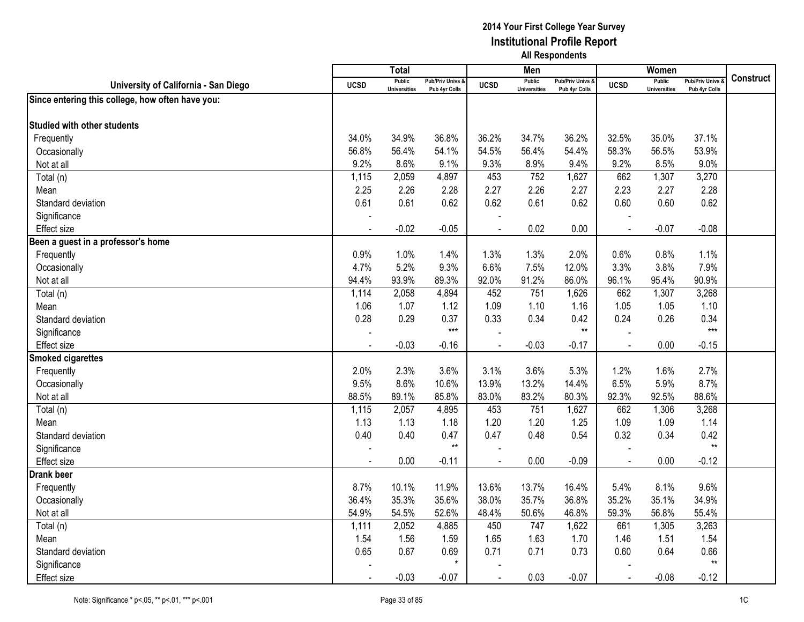|                                                  |             | <b>Total</b>                         |                                              |                          | Men                           |                                   |                | Women                                |                                        |           |
|--------------------------------------------------|-------------|--------------------------------------|----------------------------------------------|--------------------------|-------------------------------|-----------------------------------|----------------|--------------------------------------|----------------------------------------|-----------|
| University of California - San Diego             | <b>UCSD</b> | <b>Public</b><br><b>Universities</b> | <b>Pub/Priv Univs &amp;</b><br>Pub 4yr Colls | <b>UCSD</b>              | Public<br><b>Universities</b> | Pub/Priv Univs &<br>Pub 4yr Colls | <b>UCSD</b>    | <b>Public</b><br><b>Universities</b> | <b>Pub/Priv Univs</b><br>Pub 4yr Colls | Construct |
| Since entering this college, how often have you: |             |                                      |                                              |                          |                               |                                   |                |                                      |                                        |           |
|                                                  |             |                                      |                                              |                          |                               |                                   |                |                                      |                                        |           |
| <b>Studied with other students</b>               |             |                                      |                                              |                          |                               |                                   |                |                                      |                                        |           |
| Frequently                                       | 34.0%       | 34.9%                                | 36.8%                                        | 36.2%                    | 34.7%                         | 36.2%                             | 32.5%          | 35.0%                                | 37.1%                                  |           |
| Occasionally                                     | 56.8%       | 56.4%                                | 54.1%                                        | 54.5%                    | 56.4%                         | 54.4%                             | 58.3%          | 56.5%                                | 53.9%                                  |           |
| Not at all                                       | 9.2%        | 8.6%                                 | 9.1%                                         | 9.3%                     | 8.9%                          | 9.4%                              | 9.2%           | 8.5%                                 | 9.0%                                   |           |
| Total (n)                                        | 1,115       | 2,059                                | 4,897                                        | 453                      | 752                           | 1,627                             | 662            | 1,307                                | 3,270                                  |           |
| Mean                                             | 2.25        | 2.26                                 | 2.28                                         | 2.27                     | 2.26                          | 2.27                              | 2.23           | 2.27                                 | 2.28                                   |           |
| Standard deviation                               | 0.61        | 0.61                                 | 0.62                                         | 0.62                     | 0.61                          | 0.62                              | 0.60           | 0.60                                 | 0.62                                   |           |
| Significance                                     |             |                                      |                                              |                          |                               |                                   |                |                                      |                                        |           |
| <b>Effect size</b>                               | $\sim$      | $-0.02$                              | $-0.05$                                      | $\blacksquare$           | 0.02                          | 0.00                              | $\blacksquare$ | $-0.07$                              | $-0.08$                                |           |
| Been a guest in a professor's home               |             |                                      |                                              |                          |                               |                                   |                |                                      |                                        |           |
| Frequently                                       | 0.9%        | 1.0%                                 | 1.4%                                         | 1.3%                     | 1.3%                          | 2.0%                              | 0.6%           | 0.8%                                 | 1.1%                                   |           |
| Occasionally                                     | 4.7%        | 5.2%                                 | 9.3%                                         | 6.6%                     | 7.5%                          | 12.0%                             | 3.3%           | 3.8%                                 | 7.9%                                   |           |
| Not at all                                       | 94.4%       | 93.9%                                | 89.3%                                        | 92.0%                    | 91.2%                         | 86.0%                             | 96.1%          | 95.4%                                | 90.9%                                  |           |
| Total (n)                                        | 1,114       | 2,058                                | 4,894                                        | 452                      | 751                           | 1,626                             | 662            | 1,307                                | 3,268                                  |           |
| Mean                                             | 1.06        | 1.07                                 | 1.12                                         | 1.09                     | 1.10                          | 1.16                              | 1.05           | 1.05                                 | 1.10                                   |           |
| Standard deviation                               | 0.28        | 0.29                                 | 0.37                                         | 0.33                     | 0.34                          | 0.42                              | 0.24           | 0.26                                 | 0.34                                   |           |
| Significance                                     |             |                                      | $***$                                        |                          |                               | $**$                              |                |                                      | $***$                                  |           |
| <b>Effect size</b>                               | $\sim$      | $-0.03$                              | $-0.16$                                      | $\overline{\phantom{a}}$ | $-0.03$                       | $-0.17$                           | $\sim$         | 0.00                                 | $-0.15$                                |           |
| <b>Smoked cigarettes</b>                         |             |                                      |                                              |                          |                               |                                   |                |                                      |                                        |           |
| Frequently                                       | 2.0%        | 2.3%                                 | 3.6%                                         | 3.1%                     | 3.6%                          | 5.3%                              | 1.2%           | 1.6%                                 | 2.7%                                   |           |
| Occasionally                                     | 9.5%        | 8.6%                                 | 10.6%                                        | 13.9%                    | 13.2%                         | 14.4%                             | 6.5%           | 5.9%                                 | 8.7%                                   |           |
| Not at all                                       | 88.5%       | 89.1%                                | 85.8%                                        | 83.0%                    | 83.2%                         | 80.3%                             | 92.3%          | 92.5%                                | 88.6%                                  |           |
| Total (n)                                        | 1,115       | 2,057                                | 4,895                                        | 453                      | 751                           | 1,627                             | 662            | 1,306                                | 3,268                                  |           |
| Mean                                             | 1.13        | 1.13                                 | 1.18                                         | 1.20                     | 1.20                          | 1.25                              | 1.09           | 1.09                                 | 1.14                                   |           |
| Standard deviation                               | 0.40        | 0.40                                 | 0.47                                         | 0.47                     | 0.48                          | 0.54                              | 0.32           | 0.34                                 | 0.42                                   |           |
| Significance                                     |             |                                      | $**$                                         |                          |                               |                                   |                |                                      | $**$                                   |           |
| <b>Effect</b> size                               |             | 0.00                                 | $-0.11$                                      |                          | 0.00                          | $-0.09$                           |                | 0.00                                 | $-0.12$                                |           |
| <b>Drank beer</b>                                |             |                                      |                                              |                          |                               |                                   |                |                                      |                                        |           |
| Frequently                                       | 8.7%        | 10.1%                                | 11.9%                                        | 13.6%                    | 13.7%                         | 16.4%                             | 5.4%           | 8.1%                                 | 9.6%                                   |           |
| Occasionally                                     | 36.4%       | 35.3%                                | 35.6%                                        | 38.0%                    | 35.7%                         | 36.8%                             | 35.2%          | 35.1%                                | 34.9%                                  |           |
| Not at all                                       | 54.9%       | 54.5%                                | 52.6%                                        | 48.4%                    | 50.6%                         | 46.8%                             | 59.3%          | 56.8%                                | 55.4%                                  |           |
| Total (n)                                        | 1,111       | 2,052                                | 4,885                                        | 450                      | 747                           | 1,622                             | 661            | 1,305                                | 3,263                                  |           |
| Mean                                             | 1.54        | 1.56                                 | 1.59                                         | 1.65                     | 1.63                          | 1.70                              | 1.46           | 1.51                                 | 1.54                                   |           |
| Standard deviation                               | 0.65        | 0.67                                 | 0.69                                         | 0.71                     | 0.71                          | 0.73                              | 0.60           | 0.64                                 | 0.66                                   |           |
| Significance                                     |             |                                      | $\star$                                      |                          |                               |                                   |                |                                      | $**$                                   |           |
| Effect size                                      |             | $-0.03$                              | $-0.07$                                      |                          | 0.03                          | $-0.07$                           |                | $-0.08$                              | $-0.12$                                |           |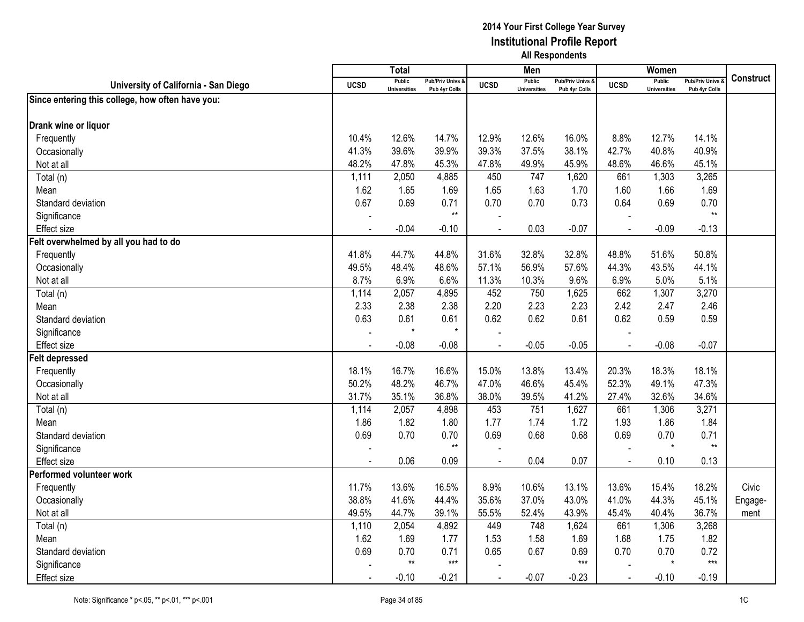|                                                  |             | <b>Total</b>                         |                                   |                | Men                                  |                                   |                | Women                                |                                        |                  |
|--------------------------------------------------|-------------|--------------------------------------|-----------------------------------|----------------|--------------------------------------|-----------------------------------|----------------|--------------------------------------|----------------------------------------|------------------|
| University of California - San Diego             | <b>UCSD</b> | <b>Public</b><br><b>Universities</b> | Pub/Priv Univs &<br>Pub 4yr Colls | <b>UCSD</b>    | <b>Public</b><br><b>Universities</b> | Pub/Priv Univs &<br>Pub 4yr Colls | <b>UCSD</b>    | <b>Public</b><br><b>Universities</b> | <b>Pub/Priv Univs</b><br>Pub 4yr Colls | <b>Construct</b> |
| Since entering this college, how often have you: |             |                                      |                                   |                |                                      |                                   |                |                                      |                                        |                  |
|                                                  |             |                                      |                                   |                |                                      |                                   |                |                                      |                                        |                  |
| Drank wine or liquor                             |             |                                      |                                   |                |                                      |                                   |                |                                      |                                        |                  |
| Frequently                                       | 10.4%       | 12.6%                                | 14.7%                             | 12.9%          | 12.6%                                | 16.0%                             | 8.8%           | 12.7%                                | 14.1%                                  |                  |
| Occasionally                                     | 41.3%       | 39.6%                                | 39.9%                             | 39.3%          | 37.5%                                | 38.1%                             | 42.7%          | 40.8%                                | 40.9%                                  |                  |
| Not at all                                       | 48.2%       | 47.8%                                | 45.3%                             | 47.8%          | 49.9%                                | 45.9%                             | 48.6%          | 46.6%                                | 45.1%                                  |                  |
| Total (n)                                        | 1,111       | $\overline{2,050}$                   | 4,885                             | 450            | 747                                  | 1,620                             | 661            | 1,303                                | 3,265                                  |                  |
| Mean                                             | 1.62        | 1.65                                 | 1.69                              | 1.65           | 1.63                                 | 1.70                              | 1.60           | 1.66                                 | 1.69                                   |                  |
| Standard deviation                               | 0.67        | 0.69                                 | 0.71                              | 0.70           | 0.70                                 | 0.73                              | 0.64           | 0.69                                 | 0.70                                   |                  |
| Significance                                     |             |                                      | $***$                             |                |                                      |                                   |                |                                      | $***$                                  |                  |
| Effect size                                      |             | $-0.04$                              | $-0.10$                           |                | 0.03                                 | $-0.07$                           | $\blacksquare$ | $-0.09$                              | $-0.13$                                |                  |
| Felt overwhelmed by all you had to do            |             |                                      |                                   |                |                                      |                                   |                |                                      |                                        |                  |
| Frequently                                       | 41.8%       | 44.7%                                | 44.8%                             | 31.6%          | 32.8%                                | 32.8%                             | 48.8%          | 51.6%                                | 50.8%                                  |                  |
| Occasionally                                     | 49.5%       | 48.4%                                | 48.6%                             | 57.1%          | 56.9%                                | 57.6%                             | 44.3%          | 43.5%                                | 44.1%                                  |                  |
| Not at all                                       | 8.7%        | 6.9%                                 | 6.6%                              | 11.3%          | 10.3%                                | 9.6%                              | 6.9%           | 5.0%                                 | 5.1%                                   |                  |
| Total (n)                                        | 1,114       | 2,057                                | 4,895                             | 452            | 750                                  | 1,625                             | 662            | 1,307                                | 3,270                                  |                  |
| Mean                                             | 2.33        | 2.38                                 | 2.38                              | 2.20           | 2.23                                 | 2.23                              | 2.42           | 2.47                                 | 2.46                                   |                  |
| Standard deviation                               | 0.63        | 0.61                                 | 0.61                              | 0.62           | 0.62                                 | 0.61                              | 0.62           | 0.59                                 | 0.59                                   |                  |
| Significance                                     |             | $\star$                              | $\star$                           |                |                                      |                                   |                |                                      |                                        |                  |
| <b>Effect size</b>                               |             | $-0.08$                              | $-0.08$                           | $\overline{a}$ | $-0.05$                              | $-0.05$                           | $\overline{a}$ | $-0.08$                              | $-0.07$                                |                  |
| <b>Felt depressed</b>                            |             |                                      |                                   |                |                                      |                                   |                |                                      |                                        |                  |
| Frequently                                       | 18.1%       | 16.7%                                | 16.6%                             | 15.0%          | 13.8%                                | 13.4%                             | 20.3%          | 18.3%                                | 18.1%                                  |                  |
| Occasionally                                     | 50.2%       | 48.2%                                | 46.7%                             | 47.0%          | 46.6%                                | 45.4%                             | 52.3%          | 49.1%                                | 47.3%                                  |                  |
| Not at all                                       | 31.7%       | 35.1%                                | 36.8%                             | 38.0%          | 39.5%                                | 41.2%                             | 27.4%          | 32.6%                                | 34.6%                                  |                  |
| Total (n)                                        | 1,114       | 2,057                                | 4,898                             | 453            | 751                                  | 1,627                             | 661            | 1,306                                | 3,271                                  |                  |
| Mean                                             | 1.86        | 1.82                                 | 1.80                              | 1.77           | 1.74                                 | 1.72                              | 1.93           | 1.86                                 | 1.84                                   |                  |
| Standard deviation                               | 0.69        | 0.70                                 | 0.70                              | 0.69           | 0.68                                 | 0.68                              | 0.69           | 0.70                                 | 0.71                                   |                  |
| Significance                                     |             |                                      | $***$                             |                |                                      |                                   |                | $\star$                              | $**$                                   |                  |
| Effect size                                      |             | 0.06                                 | 0.09                              |                | 0.04                                 | 0.07                              |                | 0.10                                 | 0.13                                   |                  |
| Performed volunteer work                         |             |                                      |                                   |                |                                      |                                   |                |                                      |                                        |                  |
| Frequently                                       | 11.7%       | 13.6%                                | 16.5%                             | 8.9%           | 10.6%                                | 13.1%                             | 13.6%          | 15.4%                                | 18.2%                                  | Civic            |
| Occasionally                                     | 38.8%       | 41.6%                                | 44.4%                             | 35.6%          | 37.0%                                | 43.0%                             | 41.0%          | 44.3%                                | 45.1%                                  | Engage-          |
| Not at all                                       | 49.5%       | 44.7%                                | 39.1%                             | 55.5%          | 52.4%                                | 43.9%                             | 45.4%          | 40.4%                                | 36.7%                                  | ment             |
| Total (n)                                        | 1,110       | 2,054                                | 4,892                             | 449            | 748                                  | 1,624                             | 661            | 1,306                                | 3,268                                  |                  |
| Mean                                             | 1.62        | 1.69                                 | 1.77                              | 1.53           | 1.58                                 | 1.69                              | 1.68           | 1.75                                 | 1.82                                   |                  |
| Standard deviation                               | 0.69        | 0.70                                 | 0.71                              | 0.65           | 0.67                                 | 0.69                              | 0.70           | 0.70                                 | 0.72                                   |                  |
| Significance                                     |             | $^{\star\star}$                      | $***$                             |                |                                      | $***$                             |                | $\star$                              | $***$                                  |                  |
| <b>Effect size</b>                               |             | $-0.10$                              | $-0.21$                           |                | $-0.07$                              | $-0.23$                           |                | $-0.10$                              | $-0.19$                                |                  |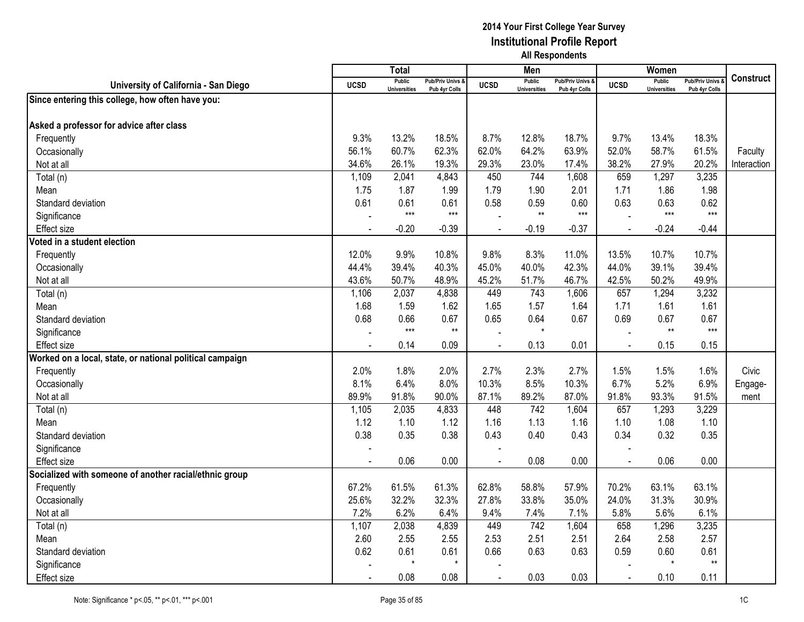|                                                          |                | <b>Total</b>                         |                                              |                          | Men                                  |                                   |                | Women                                |                                        |             |
|----------------------------------------------------------|----------------|--------------------------------------|----------------------------------------------|--------------------------|--------------------------------------|-----------------------------------|----------------|--------------------------------------|----------------------------------------|-------------|
| University of California - San Diego                     | <b>UCSD</b>    | <b>Public</b><br><b>Universities</b> | <b>Pub/Priv Univs &amp;</b><br>Pub 4yr Colls | <b>UCSD</b>              | <b>Public</b><br><b>Universities</b> | Pub/Priv Univs &<br>Pub 4yr Colls | <b>UCSD</b>    | <b>Public</b><br><b>Universities</b> | <b>Pub/Priv Univs</b><br>Pub 4yr Colls | Construct   |
| Since entering this college, how often have you:         |                |                                      |                                              |                          |                                      |                                   |                |                                      |                                        |             |
|                                                          |                |                                      |                                              |                          |                                      |                                   |                |                                      |                                        |             |
| Asked a professor for advice after class                 |                |                                      |                                              |                          |                                      |                                   |                |                                      |                                        |             |
| Frequently                                               | 9.3%           | 13.2%                                | 18.5%                                        | 8.7%                     | 12.8%                                | 18.7%                             | 9.7%           | 13.4%                                | 18.3%                                  |             |
| Occasionally                                             | 56.1%          | 60.7%                                | 62.3%                                        | 62.0%                    | 64.2%                                | 63.9%                             | 52.0%          | 58.7%                                | 61.5%                                  | Faculty     |
| Not at all                                               | 34.6%          | 26.1%                                | 19.3%                                        | 29.3%                    | 23.0%                                | 17.4%                             | 38.2%          | 27.9%                                | 20.2%                                  | Interaction |
| Total (n)                                                | 1,109          | 2,041                                | 4,843                                        | 450                      | 744                                  | 1,608                             | 659            | 1,297                                | 3,235                                  |             |
| Mean                                                     | 1.75           | 1.87                                 | 1.99                                         | 1.79                     | 1.90                                 | 2.01                              | 1.71           | 1.86                                 | 1.98                                   |             |
| Standard deviation                                       | 0.61           | 0.61                                 | 0.61                                         | 0.58                     | 0.59                                 | 0.60                              | 0.63           | 0.63                                 | 0.62                                   |             |
| Significance                                             |                | $***$                                | $***$                                        |                          | $**$                                 | $***$                             |                | $***$                                | $***$                                  |             |
| <b>Effect size</b>                                       |                | $-0.20$                              | $-0.39$                                      |                          | $-0.19$                              | $-0.37$                           | $\blacksquare$ | $-0.24$                              | $-0.44$                                |             |
| Voted in a student election                              |                |                                      |                                              |                          |                                      |                                   |                |                                      |                                        |             |
| Frequently                                               | 12.0%          | 9.9%                                 | 10.8%                                        | 9.8%                     | 8.3%                                 | 11.0%                             | 13.5%          | 10.7%                                | 10.7%                                  |             |
| Occasionally                                             | 44.4%          | 39.4%                                | 40.3%                                        | 45.0%                    | 40.0%                                | 42.3%                             | 44.0%          | 39.1%                                | 39.4%                                  |             |
| Not at all                                               | 43.6%          | 50.7%                                | 48.9%                                        | 45.2%                    | 51.7%                                | 46.7%                             | 42.5%          | 50.2%                                | 49.9%                                  |             |
| Total (n)                                                | 1,106          | 2,037                                | 4,838                                        | 449                      | 743                                  | 1,606                             | 657            | 1,294                                | 3,232                                  |             |
| Mean                                                     | 1.68           | 1.59                                 | 1.62                                         | 1.65                     | 1.57                                 | 1.64                              | 1.71           | 1.61                                 | 1.61                                   |             |
| Standard deviation                                       | 0.68           | 0.66                                 | 0.67                                         | 0.65                     | 0.64                                 | 0.67                              | 0.69           | 0.67                                 | 0.67                                   |             |
| Significance                                             |                | $***$                                | $^{\star\star}$                              |                          | $\star$                              |                                   |                | $**$                                 | $***$                                  |             |
| Effect size                                              | $\blacksquare$ | 0.14                                 | 0.09                                         | $\overline{\phantom{a}}$ | 0.13                                 | 0.01                              | $\sim$         | 0.15                                 | 0.15                                   |             |
| Worked on a local, state, or national political campaign |                |                                      |                                              |                          |                                      |                                   |                |                                      |                                        |             |
| Frequently                                               | 2.0%           | 1.8%                                 | 2.0%                                         | 2.7%                     | 2.3%                                 | 2.7%                              | 1.5%           | 1.5%                                 | 1.6%                                   | Civic       |
| Occasionally                                             | 8.1%           | 6.4%                                 | 8.0%                                         | 10.3%                    | 8.5%                                 | 10.3%                             | 6.7%           | 5.2%                                 | 6.9%                                   | Engage-     |
| Not at all                                               | 89.9%          | 91.8%                                | 90.0%                                        | 87.1%                    | 89.2%                                | 87.0%                             | 91.8%          | 93.3%                                | 91.5%                                  | ment        |
| Total (n)                                                | 1,105          | 2,035                                | 4,833                                        | 448                      | 742                                  | 1,604                             | 657            | 1,293                                | 3,229                                  |             |
| Mean                                                     | 1.12           | 1.10                                 | 1.12                                         | 1.16                     | 1.13                                 | 1.16                              | 1.10           | 1.08                                 | 1.10                                   |             |
| Standard deviation                                       | 0.38           | 0.35                                 | 0.38                                         | 0.43                     | 0.40                                 | 0.43                              | 0.34           | 0.32                                 | 0.35                                   |             |
| Significance                                             |                |                                      |                                              |                          |                                      |                                   |                |                                      |                                        |             |
| <b>Effect size</b>                                       |                | 0.06                                 | 0.00                                         |                          | 0.08                                 | 0.00                              |                | 0.06                                 | 0.00                                   |             |
| Socialized with someone of another racial/ethnic group   |                |                                      |                                              |                          |                                      |                                   |                |                                      |                                        |             |
| Frequently                                               | 67.2%          | 61.5%                                | 61.3%                                        | 62.8%                    | 58.8%                                | 57.9%                             | 70.2%          | 63.1%                                | 63.1%                                  |             |
| Occasionally                                             | 25.6%          | 32.2%                                | 32.3%                                        | 27.8%                    | 33.8%                                | 35.0%                             | 24.0%          | 31.3%                                | 30.9%                                  |             |
| Not at all                                               | 7.2%           | 6.2%                                 | 6.4%                                         | 9.4%                     | 7.4%                                 | 7.1%                              | 5.8%           | 5.6%                                 | 6.1%                                   |             |
| Total (n)                                                | 1,107          | 2,038                                | 4,839                                        | 449                      | 742                                  | 1,604                             | 658            | 1,296                                | 3,235                                  |             |
| Mean                                                     | 2.60           | 2.55                                 | 2.55                                         | 2.53                     | 2.51                                 | 2.51                              | 2.64           | 2.58                                 | 2.57                                   |             |
| Standard deviation                                       | 0.62           | 0.61                                 | 0.61                                         | 0.66                     | 0.63                                 | 0.63                              | 0.59           | 0.60                                 | 0.61                                   |             |
| Significance                                             |                | $\star$                              | $\star$                                      |                          |                                      |                                   |                | $\star$                              | $**$                                   |             |
| Effect size                                              |                | 0.08                                 | 0.08                                         |                          | 0.03                                 | 0.03                              |                | 0.10                                 | 0.11                                   |             |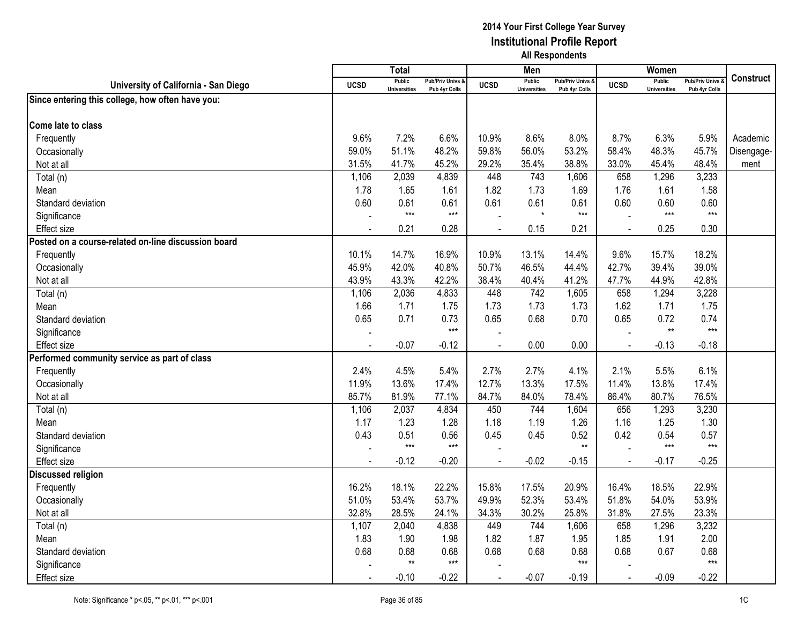|                                                     |                | <b>Total</b>                  |                                              |                | Men                           |                                   |                | Women                                |                                        |                  |
|-----------------------------------------------------|----------------|-------------------------------|----------------------------------------------|----------------|-------------------------------|-----------------------------------|----------------|--------------------------------------|----------------------------------------|------------------|
| University of California - San Diego                | <b>UCSD</b>    | Public<br><b>Universities</b> | <b>Pub/Priv Univs &amp;</b><br>Pub 4yr Colls | <b>UCSD</b>    | Public<br><b>Universities</b> | Pub/Priv Univs &<br>Pub 4yr Colls | <b>UCSD</b>    | <b>Public</b><br><b>Universities</b> | <b>Pub/Priv Univs</b><br>Pub 4yr Colls | <b>Construct</b> |
| Since entering this college, how often have you:    |                |                               |                                              |                |                               |                                   |                |                                      |                                        |                  |
|                                                     |                |                               |                                              |                |                               |                                   |                |                                      |                                        |                  |
| Come late to class                                  |                |                               |                                              |                |                               |                                   |                |                                      |                                        |                  |
| Frequently                                          | 9.6%           | 7.2%                          | 6.6%                                         | 10.9%          | 8.6%                          | 8.0%                              | 8.7%           | 6.3%                                 | 5.9%                                   | Academic         |
| Occasionally                                        | 59.0%          | 51.1%                         | 48.2%                                        | 59.8%          | 56.0%                         | 53.2%                             | 58.4%          | 48.3%                                | 45.7%                                  | Disengage-       |
| Not at all                                          | 31.5%          | 41.7%                         | 45.2%                                        | 29.2%          | 35.4%                         | 38.8%                             | 33.0%          | 45.4%                                | 48.4%                                  | ment             |
| Total (n)                                           | 1,106          | 2,039                         | 4,839                                        | 448            | 743                           | 1,606                             | 658            | 1,296                                | 3,233                                  |                  |
| Mean                                                | 1.78           | 1.65                          | 1.61                                         | 1.82           | 1.73                          | 1.69                              | 1.76           | 1.61                                 | 1.58                                   |                  |
| Standard deviation                                  | 0.60           | 0.61                          | 0.61                                         | 0.61           | 0.61                          | 0.61                              | 0.60           | 0.60                                 | 0.60                                   |                  |
| Significance                                        |                | $***$                         | $***$                                        |                | $\star$                       | $***$                             |                | $***$                                | $***$                                  |                  |
| <b>Effect size</b>                                  | $\blacksquare$ | 0.21                          | 0.28                                         |                | 0.15                          | 0.21                              | $\overline{a}$ | 0.25                                 | 0.30                                   |                  |
| Posted on a course-related on-line discussion board |                |                               |                                              |                |                               |                                   |                |                                      |                                        |                  |
| Frequently                                          | 10.1%          | 14.7%                         | 16.9%                                        | 10.9%          | 13.1%                         | 14.4%                             | 9.6%           | 15.7%                                | 18.2%                                  |                  |
| Occasionally                                        | 45.9%          | 42.0%                         | 40.8%                                        | 50.7%          | 46.5%                         | 44.4%                             | 42.7%          | 39.4%                                | 39.0%                                  |                  |
| Not at all                                          | 43.9%          | 43.3%                         | 42.2%                                        | 38.4%          | 40.4%                         | 41.2%                             | 47.7%          | 44.9%                                | 42.8%                                  |                  |
| Total (n)                                           | 1,106          | 2,036                         | 4,833                                        | 448            | 742                           | 1,605                             | 658            | 1,294                                | 3,228                                  |                  |
| Mean                                                | 1.66           | 1.71                          | 1.75                                         | 1.73           | 1.73                          | 1.73                              | 1.62           | 1.71                                 | 1.75                                   |                  |
| Standard deviation                                  | 0.65           | 0.71                          | 0.73                                         | 0.65           | 0.68                          | 0.70                              | 0.65           | 0.72                                 | 0.74                                   |                  |
| Significance                                        |                |                               | $***$                                        |                |                               |                                   |                | $^{\star\star}$                      | $***$                                  |                  |
| <b>Effect</b> size                                  | $\blacksquare$ | $-0.07$                       | $-0.12$                                      | $\overline{a}$ | 0.00                          | 0.00                              | $\blacksquare$ | $-0.13$                              | $-0.18$                                |                  |
| Performed community service as part of class        |                |                               |                                              |                |                               |                                   |                |                                      |                                        |                  |
| Frequently                                          | 2.4%           | 4.5%                          | 5.4%                                         | 2.7%           | 2.7%                          | 4.1%                              | 2.1%           | 5.5%                                 | 6.1%                                   |                  |
| Occasionally                                        | 11.9%          | 13.6%                         | 17.4%                                        | 12.7%          | 13.3%                         | 17.5%                             | 11.4%          | 13.8%                                | 17.4%                                  |                  |
| Not at all                                          | 85.7%          | 81.9%                         | 77.1%                                        | 84.7%          | 84.0%                         | 78.4%                             | 86.4%          | 80.7%                                | 76.5%                                  |                  |
| Total (n)                                           | 1,106          | 2,037                         | 4,834                                        | 450            | 744                           | 1,604                             | 656            | 1,293                                | 3,230                                  |                  |
| Mean                                                | 1.17           | 1.23                          | 1.28                                         | 1.18           | 1.19                          | 1.26                              | 1.16           | 1.25                                 | 1.30                                   |                  |
| Standard deviation                                  | 0.43           | 0.51                          | 0.56                                         | 0.45           | 0.45                          | 0.52                              | 0.42           | 0.54                                 | 0.57                                   |                  |
| Significance                                        |                | $***$                         | $***$                                        |                |                               | $**$                              |                | $***$                                | $***$                                  |                  |
| <b>Effect size</b>                                  |                | $-0.12$                       | $-0.20$                                      |                | $-0.02$                       | $-0.15$                           |                | $-0.17$                              | $-0.25$                                |                  |
| <b>Discussed religion</b>                           |                |                               |                                              |                |                               |                                   |                |                                      |                                        |                  |
| Frequently                                          | 16.2%          | 18.1%                         | 22.2%                                        | 15.8%          | 17.5%                         | 20.9%                             | 16.4%          | 18.5%                                | 22.9%                                  |                  |
| Occasionally                                        | 51.0%          | 53.4%                         | 53.7%                                        | 49.9%          | 52.3%                         | 53.4%                             | 51.8%          | 54.0%                                | 53.9%                                  |                  |
| Not at all                                          | 32.8%          | 28.5%                         | 24.1%                                        | 34.3%          | 30.2%                         | 25.8%                             | 31.8%          | 27.5%                                | 23.3%                                  |                  |
| Total (n)                                           | 1,107          | 2,040                         | 4,838                                        | 449            | 744                           | 1,606                             | 658            | 1,296                                | 3,232                                  |                  |
| Mean                                                | 1.83           | 1.90                          | 1.98                                         | 1.82           | 1.87                          | 1.95                              | 1.85           | 1.91                                 | 2.00                                   |                  |
| Standard deviation                                  | 0.68           | 0.68                          | 0.68                                         | 0.68           | 0.68                          | 0.68                              | 0.68           | 0.67                                 | 0.68                                   |                  |
| Significance                                        |                | $**$                          | $***$                                        |                |                               | $***$                             |                |                                      | $***$                                  |                  |
| Effect size                                         |                | $-0.10$                       | $-0.22$                                      |                | $-0.07$                       | $-0.19$                           |                | $-0.09$                              | $-0.22$                                |                  |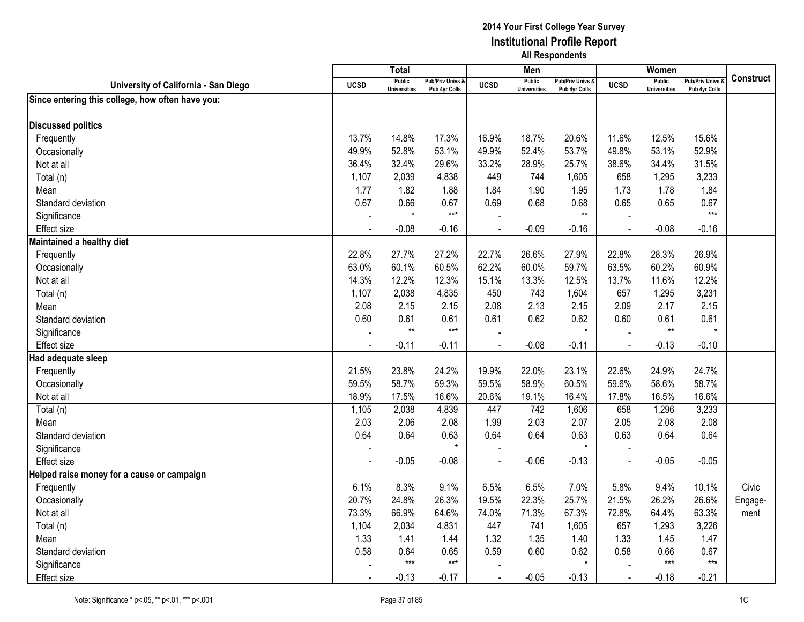|                                                  |             | <b>Total</b>                         |                                   |                | Men                                  |                                   |                | Women                                |                                        |                  |
|--------------------------------------------------|-------------|--------------------------------------|-----------------------------------|----------------|--------------------------------------|-----------------------------------|----------------|--------------------------------------|----------------------------------------|------------------|
| University of California - San Diego             | <b>UCSD</b> | <b>Public</b><br><b>Universities</b> | Pub/Priv Univs &<br>Pub 4yr Colls | <b>UCSD</b>    | <b>Public</b><br><b>Universities</b> | Pub/Priv Univs &<br>Pub 4yr Colls | <b>UCSD</b>    | <b>Public</b><br><b>Universities</b> | <b>Pub/Priv Univs</b><br>Pub 4yr Colls | <b>Construct</b> |
| Since entering this college, how often have you: |             |                                      |                                   |                |                                      |                                   |                |                                      |                                        |                  |
|                                                  |             |                                      |                                   |                |                                      |                                   |                |                                      |                                        |                  |
| <b>Discussed politics</b>                        |             |                                      |                                   |                |                                      |                                   |                |                                      |                                        |                  |
| Frequently                                       | 13.7%       | 14.8%                                | 17.3%                             | 16.9%          | 18.7%                                | 20.6%                             | 11.6%          | 12.5%                                | 15.6%                                  |                  |
| Occasionally                                     | 49.9%       | 52.8%                                | 53.1%                             | 49.9%          | 52.4%                                | 53.7%                             | 49.8%          | 53.1%                                | 52.9%                                  |                  |
| Not at all                                       | 36.4%       | 32.4%                                | 29.6%                             | 33.2%          | 28.9%                                | 25.7%                             | 38.6%          | 34.4%                                | 31.5%                                  |                  |
| Total (n)                                        | 1,107       | 2,039                                | 4,838                             | 449            | 744                                  | 1,605                             | 658            | 1,295                                | 3,233                                  |                  |
| Mean                                             | 1.77        | 1.82                                 | 1.88                              | 1.84           | 1.90                                 | 1.95                              | 1.73           | 1.78                                 | 1.84                                   |                  |
| Standard deviation                               | 0.67        | 0.66                                 | 0.67                              | 0.69           | 0.68                                 | 0.68                              | 0.65           | 0.65                                 | 0.67                                   |                  |
| Significance                                     |             | $\star$                              | $***$                             |                |                                      | $**$                              |                |                                      | $***$                                  |                  |
| Effect size                                      |             | $-0.08$                              | $-0.16$                           |                | $-0.09$                              | $-0.16$                           | $\blacksquare$ | $-0.08$                              | $-0.16$                                |                  |
| Maintained a healthy diet                        |             |                                      |                                   |                |                                      |                                   |                |                                      |                                        |                  |
| Frequently                                       | 22.8%       | 27.7%                                | 27.2%                             | 22.7%          | 26.6%                                | 27.9%                             | 22.8%          | 28.3%                                | 26.9%                                  |                  |
| Occasionally                                     | 63.0%       | 60.1%                                | 60.5%                             | 62.2%          | 60.0%                                | 59.7%                             | 63.5%          | 60.2%                                | 60.9%                                  |                  |
| Not at all                                       | 14.3%       | 12.2%                                | 12.3%                             | 15.1%          | 13.3%                                | 12.5%                             | 13.7%          | 11.6%                                | 12.2%                                  |                  |
| Total (n)                                        | 1,107       | 2,038                                | 4,835                             | 450            | 743                                  | 1,604                             | 657            | 1,295                                | 3,231                                  |                  |
| Mean                                             | 2.08        | 2.15                                 | 2.15                              | 2.08           | 2.13                                 | 2.15                              | 2.09           | 2.17                                 | 2.15                                   |                  |
| Standard deviation                               | 0.60        | 0.61                                 | 0.61                              | 0.61           | 0.62                                 | 0.62                              | 0.60           | 0.61                                 | 0.61                                   |                  |
| Significance                                     |             | $^{\star\star}$                      | $***$                             |                |                                      |                                   |                | $\star\star$                         | $\star$                                |                  |
| Effect size                                      |             | $-0.11$                              | $-0.11$                           | $\overline{a}$ | $-0.08$                              | $-0.11$                           | $\overline{a}$ | $-0.13$                              | $-0.10$                                |                  |
| Had adequate sleep                               |             |                                      |                                   |                |                                      |                                   |                |                                      |                                        |                  |
| Frequently                                       | 21.5%       | 23.8%                                | 24.2%                             | 19.9%          | 22.0%                                | 23.1%                             | 22.6%          | 24.9%                                | 24.7%                                  |                  |
| Occasionally                                     | 59.5%       | 58.7%                                | 59.3%                             | 59.5%          | 58.9%                                | 60.5%                             | 59.6%          | 58.6%                                | 58.7%                                  |                  |
| Not at all                                       | 18.9%       | 17.5%                                | 16.6%                             | 20.6%          | 19.1%                                | 16.4%                             | 17.8%          | 16.5%                                | 16.6%                                  |                  |
| Total (n)                                        | 1,105       | 2,038                                | 4,839                             | 447            | 742                                  | 1,606                             | 658            | 1,296                                | 3,233                                  |                  |
| Mean                                             | 2.03        | 2.06                                 | 2.08                              | 1.99           | 2.03                                 | 2.07                              | 2.05           | 2.08                                 | 2.08                                   |                  |
| Standard deviation                               | 0.64        | 0.64                                 | 0.63                              | 0.64           | 0.64                                 | 0.63                              | 0.63           | 0.64                                 | 0.64                                   |                  |
| Significance                                     |             |                                      | $\star$                           |                |                                      |                                   |                |                                      |                                        |                  |
| <b>Effect size</b>                               |             | $-0.05$                              | $-0.08$                           |                | $-0.06$                              | $-0.13$                           |                | $-0.05$                              | $-0.05$                                |                  |
| Helped raise money for a cause or campaign       |             |                                      |                                   |                |                                      |                                   |                |                                      |                                        |                  |
| Frequently                                       | 6.1%        | 8.3%                                 | 9.1%                              | 6.5%           | 6.5%                                 | 7.0%                              | 5.8%           | 9.4%                                 | 10.1%                                  | Civic            |
| Occasionally                                     | 20.7%       | 24.8%                                | 26.3%                             | 19.5%          | 22.3%                                | 25.7%                             | 21.5%          | 26.2%                                | 26.6%                                  | Engage-          |
| Not at all                                       | 73.3%       | 66.9%                                | 64.6%                             | 74.0%          | 71.3%                                | 67.3%                             | 72.8%          | 64.4%                                | 63.3%                                  | ment             |
| Total (n)                                        | 1,104       | 2,034                                | 4,831                             | 447            | 741                                  | 1,605                             | 657            | 1,293                                | 3,226                                  |                  |
| Mean                                             | 1.33        | 1.41                                 | 1.44                              | 1.32           | 1.35                                 | 1.40                              | 1.33           | 1.45                                 | 1.47                                   |                  |
| Standard deviation                               | 0.58        | 0.64                                 | 0.65                              | 0.59           | 0.60                                 | 0.62                              | 0.58           | 0.66                                 | 0.67                                   |                  |
| Significance                                     |             | $***$                                | $***$                             |                |                                      |                                   |                | $***$                                | $***$                                  |                  |
| <b>Effect size</b>                               |             | $-0.13$                              | $-0.17$                           |                | $-0.05$                              | $-0.13$                           |                | $-0.18$                              | $-0.21$                                |                  |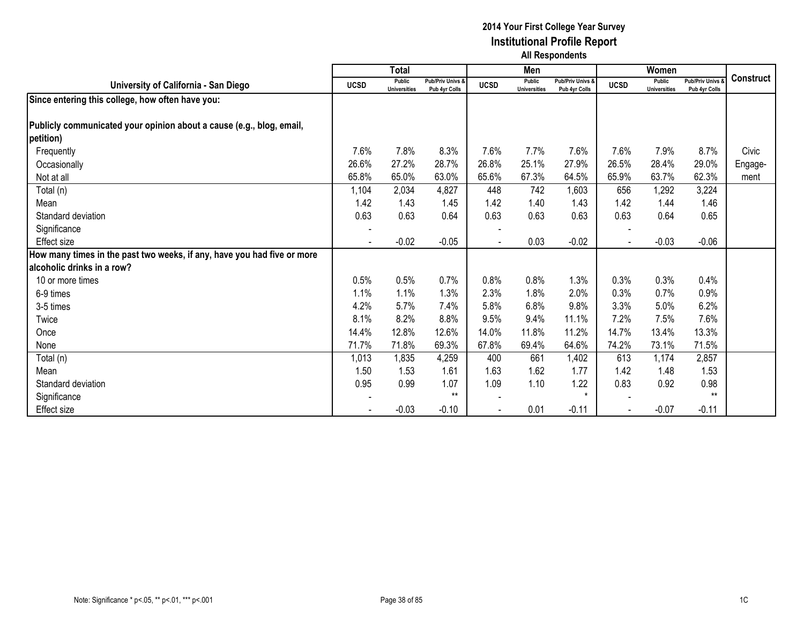|                                                                         |             | <b>Total</b>                         |                                              |             | Men                                  |                                   |                | Women                                |                                        |                  |
|-------------------------------------------------------------------------|-------------|--------------------------------------|----------------------------------------------|-------------|--------------------------------------|-----------------------------------|----------------|--------------------------------------|----------------------------------------|------------------|
| University of California - San Diego                                    | <b>UCSD</b> | <b>Public</b><br><b>Universities</b> | <b>Pub/Priv Univs &amp;</b><br>Pub 4yr Colls | <b>UCSD</b> | <b>Public</b><br><b>Universities</b> | Pub/Priv Univs &<br>Pub 4yr Colls | <b>UCSD</b>    | <b>Public</b><br><b>Universities</b> | <b>Pub/Priv Univs</b><br>Pub 4yr Colls | <b>Construct</b> |
| Since entering this college, how often have you:                        |             |                                      |                                              |             |                                      |                                   |                |                                      |                                        |                  |
|                                                                         |             |                                      |                                              |             |                                      |                                   |                |                                      |                                        |                  |
| Publicly communicated your opinion about a cause (e.g., blog, email,    |             |                                      |                                              |             |                                      |                                   |                |                                      |                                        |                  |
| petition)                                                               |             |                                      |                                              |             |                                      |                                   |                |                                      |                                        |                  |
| Frequently                                                              | 7.6%        | 7.8%                                 | 8.3%                                         | 7.6%        | 7.7%                                 | 7.6%                              | 7.6%           | 7.9%                                 | 8.7%                                   | Civic            |
| Occasionally                                                            | 26.6%       | 27.2%                                | 28.7%                                        | 26.8%       | 25.1%                                | 27.9%                             | 26.5%          | 28.4%                                | 29.0%                                  | Engage-          |
| Not at all                                                              | 65.8%       | 65.0%                                | 63.0%                                        | 65.6%       | 67.3%                                | 64.5%                             | 65.9%          | 63.7%                                | 62.3%                                  | ment             |
| Total (n)                                                               | 1,104       | 2,034                                | 4,827                                        | 448         | 742                                  | 1,603                             | 656            | 1,292                                | 3,224                                  |                  |
| Mean                                                                    | 1.42        | 1.43                                 | 1.45                                         | 1.42        | 1.40                                 | 1.43                              | 1.42           | 1.44                                 | 1.46                                   |                  |
| Standard deviation                                                      | 0.63        | 0.63                                 | 0.64                                         | 0.63        | 0.63                                 | 0.63                              | 0.63           | 0.64                                 | 0.65                                   |                  |
| Significance                                                            |             |                                      |                                              |             |                                      |                                   |                |                                      |                                        |                  |
| Effect size                                                             |             | $-0.02$                              | $-0.05$                                      |             | 0.03                                 | $-0.02$                           | $\blacksquare$ | $-0.03$                              | $-0.06$                                |                  |
| How many times in the past two weeks, if any, have you had five or more |             |                                      |                                              |             |                                      |                                   |                |                                      |                                        |                  |
| alcoholic drinks in a row?                                              |             |                                      |                                              |             |                                      |                                   |                |                                      |                                        |                  |
| 10 or more times                                                        | 0.5%        | 0.5%                                 | 0.7%                                         | 0.8%        | 0.8%                                 | 1.3%                              | 0.3%           | 0.3%                                 | 0.4%                                   |                  |
| 6-9 times                                                               | 1.1%        | 1.1%                                 | 1.3%                                         | 2.3%        | 1.8%                                 | 2.0%                              | 0.3%           | 0.7%                                 | 0.9%                                   |                  |
| 3-5 times                                                               | 4.2%        | 5.7%                                 | 7.4%                                         | 5.8%        | 6.8%                                 | 9.8%                              | 3.3%           | 5.0%                                 | 6.2%                                   |                  |
| Twice                                                                   | 8.1%        | 8.2%                                 | 8.8%                                         | 9.5%        | 9.4%                                 | 11.1%                             | 7.2%           | 7.5%                                 | 7.6%                                   |                  |
| Once                                                                    | 14.4%       | 12.8%                                | 12.6%                                        | 14.0%       | 11.8%                                | 11.2%                             | 14.7%          | 13.4%                                | 13.3%                                  |                  |
| None                                                                    | 71.7%       | 71.8%                                | 69.3%                                        | 67.8%       | 69.4%                                | 64.6%                             | 74.2%          | 73.1%                                | 71.5%                                  |                  |
| Total (n)                                                               | 1,013       | 1,835                                | 4,259                                        | 400         | 661                                  | 1,402                             | 613            | 1,174                                | 2,857                                  |                  |
| Mean                                                                    | 1.50        | 1.53                                 | 1.61                                         | 1.63        | 1.62                                 | 1.77                              | 1.42           | 1.48                                 | 1.53                                   |                  |
| Standard deviation                                                      | 0.95        | 0.99                                 | 1.07                                         | 1.09        | 1.10                                 | 1.22                              | 0.83           | 0.92                                 | 0.98                                   |                  |
| Significance                                                            |             |                                      | $**$                                         |             |                                      | $\star$                           |                |                                      | $**$                                   |                  |
| Effect size                                                             |             | $-0.03$                              | $-0.10$                                      |             | 0.01                                 | $-0.11$                           | $\blacksquare$ | $-0.07$                              | $-0.11$                                |                  |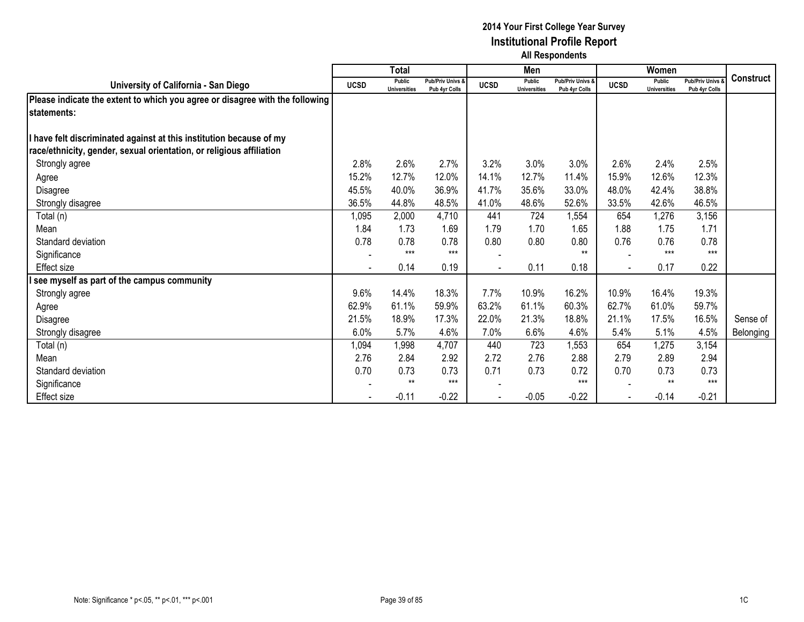|                                                                              |             | Total                                |                                   |             | Men                                  |                                              |             | Women                         |                                        |                  |
|------------------------------------------------------------------------------|-------------|--------------------------------------|-----------------------------------|-------------|--------------------------------------|----------------------------------------------|-------------|-------------------------------|----------------------------------------|------------------|
| University of California - San Diego                                         | <b>UCSD</b> | <b>Public</b><br><b>Universities</b> | Pub/Priv Univs &<br>Pub 4yr Colls | <b>UCSD</b> | <b>Public</b><br><b>Universities</b> | <b>Pub/Priv Univs &amp;</b><br>Pub 4yr Colls | <b>UCSD</b> | Public<br><b>Universities</b> | <b>Pub/Priv Univs</b><br>Pub 4yr Colls | <b>Construct</b> |
| Please indicate the extent to which you agree or disagree with the following |             |                                      |                                   |             |                                      |                                              |             |                               |                                        |                  |
| statements:                                                                  |             |                                      |                                   |             |                                      |                                              |             |                               |                                        |                  |
|                                                                              |             |                                      |                                   |             |                                      |                                              |             |                               |                                        |                  |
| have felt discriminated against at this institution because of my            |             |                                      |                                   |             |                                      |                                              |             |                               |                                        |                  |
| race/ethnicity, gender, sexual orientation, or religious affiliation         |             |                                      |                                   |             |                                      |                                              |             |                               |                                        |                  |
| Strongly agree                                                               | 2.8%        | 2.6%                                 | 2.7%                              | 3.2%        | 3.0%                                 | 3.0%                                         | 2.6%        | 2.4%                          | 2.5%                                   |                  |
| Agree                                                                        | 15.2%       | 12.7%                                | 12.0%                             | 14.1%       | 12.7%                                | 11.4%                                        | 15.9%       | 12.6%                         | 12.3%                                  |                  |
| Disagree                                                                     | 45.5%       | 40.0%                                | 36.9%                             | 41.7%       | 35.6%                                | 33.0%                                        | 48.0%       | 42.4%                         | 38.8%                                  |                  |
| Strongly disagree                                                            | 36.5%       | 44.8%                                | 48.5%                             | 41.0%       | 48.6%                                | 52.6%                                        | 33.5%       | 42.6%                         | 46.5%                                  |                  |
| Total (n)                                                                    | 1,095       | 2,000                                | 4,710                             | 441         | 724                                  | 1,554                                        | 654         | 1,276                         | 3,156                                  |                  |
| Mean                                                                         | 1.84        | 1.73                                 | 1.69                              | 1.79        | 1.70                                 | 1.65                                         | 1.88        | 1.75                          | 1.71                                   |                  |
| Standard deviation                                                           | 0.78        | 0.78                                 | 0.78                              | 0.80        | 0.80                                 | 0.80                                         | 0.76        | 0.76                          | 0.78                                   |                  |
| Significance                                                                 |             | $***$                                | $***$                             |             |                                      | $**$                                         |             | $***$                         | $***$                                  |                  |
| <b>Effect size</b>                                                           |             | 0.14                                 | 0.19                              |             | 0.11                                 | 0.18                                         |             | 0.17                          | 0.22                                   |                  |
| see myself as part of the campus community                                   |             |                                      |                                   |             |                                      |                                              |             |                               |                                        |                  |
| Strongly agree                                                               | 9.6%        | 14.4%                                | 18.3%                             | 7.7%        | 10.9%                                | 16.2%                                        | 10.9%       | 16.4%                         | 19.3%                                  |                  |
| Agree                                                                        | 62.9%       | 61.1%                                | 59.9%                             | 63.2%       | 61.1%                                | 60.3%                                        | 62.7%       | 61.0%                         | 59.7%                                  |                  |
| Disagree                                                                     | 21.5%       | 18.9%                                | 17.3%                             | 22.0%       | 21.3%                                | 18.8%                                        | 21.1%       | 17.5%                         | 16.5%                                  | Sense of         |
| Strongly disagree                                                            | 6.0%        | 5.7%                                 | 4.6%                              | 7.0%        | 6.6%                                 | 4.6%                                         | 5.4%        | 5.1%                          | 4.5%                                   | Belonging        |
| Total (n)                                                                    | 1,094       | 1,998                                | 4,707                             | 440         | 723                                  | 1,553                                        | 654         | 1,275                         | 3,154                                  |                  |
| Mean                                                                         | 2.76        | 2.84                                 | 2.92                              | 2.72        | 2.76                                 | 2.88                                         | 2.79        | 2.89                          | 2.94                                   |                  |
| Standard deviation                                                           | 0.70        | 0.73                                 | 0.73                              | 0.71        | 0.73                                 | 0.72                                         | 0.70        | 0.73                          | 0.73                                   |                  |
| Significance                                                                 |             | $***$                                | $***$                             |             |                                      | $***$                                        |             | $**$                          | $***$                                  |                  |
| Effect size                                                                  |             | $-0.11$                              | $-0.22$                           |             | $-0.05$                              | $-0.22$                                      |             | $-0.14$                       | $-0.21$                                |                  |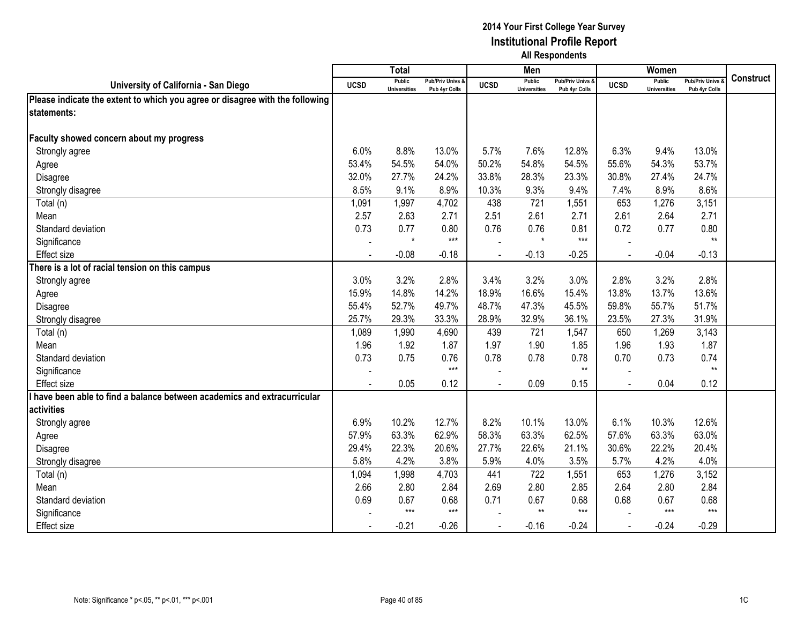|                                                                              |             | <b>Total</b>                         |                                              |                | Men                                  |                                              |                | Women                                |                                        |                  |
|------------------------------------------------------------------------------|-------------|--------------------------------------|----------------------------------------------|----------------|--------------------------------------|----------------------------------------------|----------------|--------------------------------------|----------------------------------------|------------------|
| University of California - San Diego                                         | <b>UCSD</b> | <b>Public</b><br><b>Universities</b> | <b>Pub/Priv Univs &amp;</b><br>Pub 4yr Colls | <b>UCSD</b>    | <b>Public</b><br><b>Universities</b> | <b>Pub/Priv Univs &amp;</b><br>Pub 4yr Colls | <b>UCSD</b>    | <b>Public</b><br><b>Universities</b> | <b>Pub/Priv Univs</b><br>Pub 4yr Colls | <b>Construct</b> |
| Please indicate the extent to which you agree or disagree with the following |             |                                      |                                              |                |                                      |                                              |                |                                      |                                        |                  |
| statements:                                                                  |             |                                      |                                              |                |                                      |                                              |                |                                      |                                        |                  |
|                                                                              |             |                                      |                                              |                |                                      |                                              |                |                                      |                                        |                  |
| Faculty showed concern about my progress                                     |             |                                      |                                              |                |                                      |                                              |                |                                      |                                        |                  |
| Strongly agree                                                               | 6.0%        | 8.8%                                 | 13.0%                                        | 5.7%           | 7.6%                                 | 12.8%                                        | 6.3%           | 9.4%                                 | 13.0%                                  |                  |
| Agree                                                                        | 53.4%       | 54.5%                                | 54.0%                                        | 50.2%          | 54.8%                                | 54.5%                                        | 55.6%          | 54.3%                                | 53.7%                                  |                  |
| Disagree                                                                     | 32.0%       | 27.7%                                | 24.2%                                        | 33.8%          | 28.3%                                | 23.3%                                        | 30.8%          | 27.4%                                | 24.7%                                  |                  |
| Strongly disagree                                                            | 8.5%        | 9.1%                                 | 8.9%                                         | 10.3%          | 9.3%                                 | 9.4%                                         | 7.4%           | 8.9%                                 | 8.6%                                   |                  |
| Total (n)                                                                    | 1,091       | 1,997                                | 4,702                                        | 438            | 721                                  | 1,551                                        | 653            | 1,276                                | 3,151                                  |                  |
| Mean                                                                         | 2.57        | 2.63                                 | 2.71                                         | 2.51           | 2.61                                 | 2.71                                         | 2.61           | 2.64                                 | 2.71                                   |                  |
| Standard deviation                                                           | 0.73        | 0.77                                 | 0.80                                         | 0.76           | 0.76                                 | 0.81                                         | 0.72           | 0.77                                 | 0.80                                   |                  |
| Significance                                                                 |             | $\star$                              | $***$                                        |                | $\star$                              | $***$                                        |                |                                      | $^{\star\star}$                        |                  |
| <b>Effect</b> size                                                           |             | $-0.08$                              | $-0.18$                                      | $\overline{a}$ | $-0.13$                              | $-0.25$                                      | $\blacksquare$ | $-0.04$                              | $-0.13$                                |                  |
| There is a lot of racial tension on this campus                              |             |                                      |                                              |                |                                      |                                              |                |                                      |                                        |                  |
| Strongly agree                                                               | 3.0%        | 3.2%                                 | 2.8%                                         | 3.4%           | 3.2%                                 | 3.0%                                         | 2.8%           | 3.2%                                 | 2.8%                                   |                  |
| Agree                                                                        | 15.9%       | 14.8%                                | 14.2%                                        | 18.9%          | 16.6%                                | 15.4%                                        | 13.8%          | 13.7%                                | 13.6%                                  |                  |
| Disagree                                                                     | 55.4%       | 52.7%                                | 49.7%                                        | 48.7%          | 47.3%                                | 45.5%                                        | 59.8%          | 55.7%                                | 51.7%                                  |                  |
| Strongly disagree                                                            | 25.7%       | 29.3%                                | 33.3%                                        | 28.9%          | 32.9%                                | 36.1%                                        | 23.5%          | 27.3%                                | 31.9%                                  |                  |
| Total (n)                                                                    | 1,089       | 1,990                                | 4,690                                        | 439            | 721                                  | 1,547                                        | 650            | 1,269                                | 3,143                                  |                  |
| Mean                                                                         | 1.96        | 1.92                                 | 1.87                                         | 1.97           | 1.90                                 | 1.85                                         | 1.96           | 1.93                                 | 1.87                                   |                  |
| Standard deviation                                                           | 0.73        | 0.75                                 | 0.76                                         | 0.78           | 0.78                                 | 0.78                                         | 0.70           | 0.73                                 | 0.74                                   |                  |
| Significance                                                                 |             |                                      | $***$                                        |                |                                      | $**$                                         |                |                                      | $***$                                  |                  |
| Effect size                                                                  |             | 0.05                                 | 0.12                                         |                | 0.09                                 | 0.15                                         | $\overline{a}$ | 0.04                                 | 0.12                                   |                  |
| have been able to find a balance between academics and extracurricular       |             |                                      |                                              |                |                                      |                                              |                |                                      |                                        |                  |
| activities                                                                   |             |                                      |                                              |                |                                      |                                              |                |                                      |                                        |                  |
| Strongly agree                                                               | 6.9%        | 10.2%                                | 12.7%                                        | 8.2%           | 10.1%                                | 13.0%                                        | 6.1%           | 10.3%                                | 12.6%                                  |                  |
| Agree                                                                        | 57.9%       | 63.3%                                | 62.9%                                        | 58.3%          | 63.3%                                | 62.5%                                        | 57.6%          | 63.3%                                | 63.0%                                  |                  |
| Disagree                                                                     | 29.4%       | 22.3%                                | 20.6%                                        | 27.7%          | 22.6%                                | 21.1%                                        | 30.6%          | 22.2%                                | 20.4%                                  |                  |
| Strongly disagree                                                            | 5.8%        | 4.2%                                 | 3.8%                                         | 5.9%           | 4.0%                                 | 3.5%                                         | 5.7%           | 4.2%                                 | 4.0%                                   |                  |
| Total (n)                                                                    | 1,094       | 1,998                                | 4,703                                        | 441            | 722                                  | 1,551                                        | 653            | 1,276                                | 3,152                                  |                  |
| Mean                                                                         | 2.66        | 2.80                                 | 2.84                                         | 2.69           | 2.80                                 | 2.85                                         | 2.64           | 2.80                                 | 2.84                                   |                  |
| Standard deviation                                                           | 0.69        | 0.67                                 | 0.68                                         | 0.71           | 0.67                                 | 0.68                                         | 0.68           | 0.67                                 | 0.68                                   |                  |
| Significance                                                                 |             | $***$                                | $***$                                        |                | $***$                                | $***$                                        |                | $***$                                | $***$                                  |                  |
| <b>Effect size</b>                                                           |             | $-0.21$                              | $-0.26$                                      | $\overline{a}$ | $-0.16$                              | $-0.24$                                      | $\blacksquare$ | $-0.24$                              | $-0.29$                                |                  |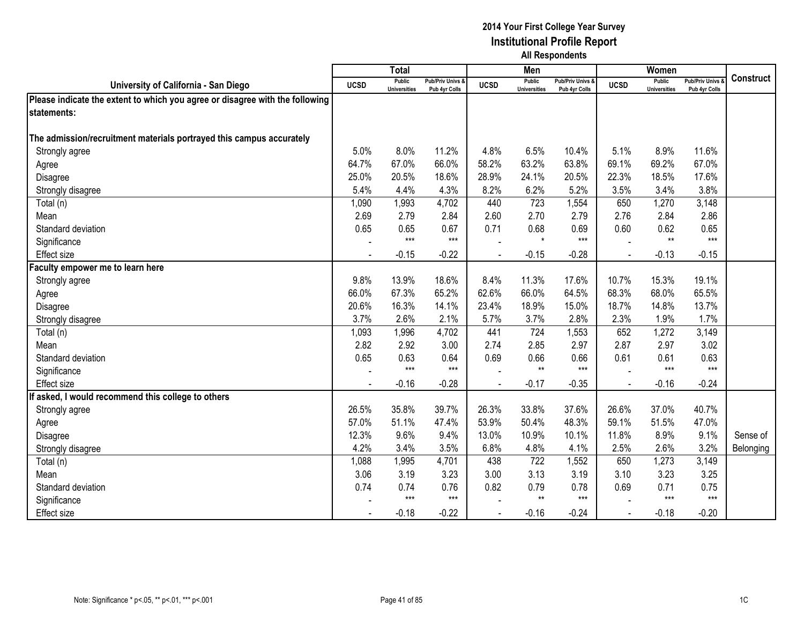|                                                                              |             | <b>Total</b>                         |                                              |             | Men                                  |                                              |             | Women                                |                                        |                  |
|------------------------------------------------------------------------------|-------------|--------------------------------------|----------------------------------------------|-------------|--------------------------------------|----------------------------------------------|-------------|--------------------------------------|----------------------------------------|------------------|
| University of California - San Diego                                         | <b>UCSD</b> | <b>Public</b><br><b>Universities</b> | <b>Pub/Priv Univs &amp;</b><br>Pub 4yr Colls | <b>UCSD</b> | <b>Public</b><br><b>Universities</b> | <b>Pub/Priv Univs &amp;</b><br>Pub 4yr Colls | <b>UCSD</b> | <b>Public</b><br><b>Universities</b> | <b>Pub/Priv Univs</b><br>Pub 4yr Colls | <b>Construct</b> |
| Please indicate the extent to which you agree or disagree with the following |             |                                      |                                              |             |                                      |                                              |             |                                      |                                        |                  |
| <b>Istatements:</b>                                                          |             |                                      |                                              |             |                                      |                                              |             |                                      |                                        |                  |
|                                                                              |             |                                      |                                              |             |                                      |                                              |             |                                      |                                        |                  |
| The admission/recruitment materials portrayed this campus accurately         |             |                                      |                                              |             |                                      |                                              |             |                                      |                                        |                  |
| Strongly agree                                                               | 5.0%        | 8.0%                                 | 11.2%                                        | 4.8%        | 6.5%                                 | 10.4%                                        | 5.1%        | 8.9%                                 | 11.6%                                  |                  |
| Agree                                                                        | 64.7%       | 67.0%                                | 66.0%                                        | 58.2%       | 63.2%                                | 63.8%                                        | 69.1%       | 69.2%                                | 67.0%                                  |                  |
| Disagree                                                                     | 25.0%       | 20.5%                                | 18.6%                                        | 28.9%       | 24.1%                                | 20.5%                                        | 22.3%       | 18.5%                                | 17.6%                                  |                  |
| Strongly disagree                                                            | 5.4%        | 4.4%                                 | 4.3%                                         | 8.2%        | 6.2%                                 | 5.2%                                         | 3.5%        | 3.4%                                 | 3.8%                                   |                  |
| Total (n)                                                                    | 1,090       | 1,993                                | 4,702                                        | 440         | 723                                  | 1,554                                        | 650         | 1,270                                | 3,148                                  |                  |
| Mean                                                                         | 2.69        | 2.79                                 | 2.84                                         | 2.60        | 2.70                                 | 2.79                                         | 2.76        | 2.84                                 | 2.86                                   |                  |
| Standard deviation                                                           | 0.65        | 0.65                                 | 0.67                                         | 0.71        | 0.68                                 | 0.69                                         | 0.60        | 0.62                                 | 0.65                                   |                  |
| Significance                                                                 |             | $***$                                | $***$                                        |             | $\star$                              | $***$                                        |             | $**$                                 | $***$                                  |                  |
| Effect size                                                                  |             | $-0.15$                              | $-0.22$                                      |             | $-0.15$                              | $-0.28$                                      |             | $-0.13$                              | $-0.15$                                |                  |
| Faculty empower me to learn here                                             |             |                                      |                                              |             |                                      |                                              |             |                                      |                                        |                  |
| Strongly agree                                                               | 9.8%        | 13.9%                                | 18.6%                                        | 8.4%        | 11.3%                                | 17.6%                                        | 10.7%       | 15.3%                                | 19.1%                                  |                  |
| Agree                                                                        | 66.0%       | 67.3%                                | 65.2%                                        | 62.6%       | 66.0%                                | 64.5%                                        | 68.3%       | 68.0%                                | 65.5%                                  |                  |
| Disagree                                                                     | 20.6%       | 16.3%                                | 14.1%                                        | 23.4%       | 18.9%                                | 15.0%                                        | 18.7%       | 14.8%                                | 13.7%                                  |                  |
| Strongly disagree                                                            | 3.7%        | 2.6%                                 | 2.1%                                         | 5.7%        | 3.7%                                 | 2.8%                                         | 2.3%        | 1.9%                                 | 1.7%                                   |                  |
| Total (n)                                                                    | 1,093       | 1,996                                | 4,702                                        | 441         | 724                                  | 1,553                                        | 652         | 1,272                                | 3,149                                  |                  |
| Mean                                                                         | 2.82        | 2.92                                 | 3.00                                         | 2.74        | 2.85                                 | 2.97                                         | 2.87        | 2.97                                 | 3.02                                   |                  |
| Standard deviation                                                           | 0.65        | 0.63                                 | 0.64                                         | 0.69        | 0.66                                 | 0.66                                         | 0.61        | 0.61                                 | 0.63                                   |                  |
| Significance                                                                 |             | $***$                                | $***$                                        |             | $***$                                | $***$                                        |             | $***$                                | $***$                                  |                  |
| Effect size                                                                  |             | $-0.16$                              | $-0.28$                                      |             | $-0.17$                              | $-0.35$                                      |             | $-0.16$                              | $-0.24$                                |                  |
| If asked, I would recommend this college to others                           |             |                                      |                                              |             |                                      |                                              |             |                                      |                                        |                  |
| Strongly agree                                                               | 26.5%       | 35.8%                                | 39.7%                                        | 26.3%       | 33.8%                                | 37.6%                                        | 26.6%       | 37.0%                                | 40.7%                                  |                  |
| Agree                                                                        | 57.0%       | 51.1%                                | 47.4%                                        | 53.9%       | 50.4%                                | 48.3%                                        | 59.1%       | 51.5%                                | 47.0%                                  |                  |
| Disagree                                                                     | 12.3%       | 9.6%                                 | 9.4%                                         | 13.0%       | 10.9%                                | 10.1%                                        | 11.8%       | 8.9%                                 | 9.1%                                   | Sense of         |
| Strongly disagree                                                            | 4.2%        | 3.4%                                 | 3.5%                                         | 6.8%        | 4.8%                                 | 4.1%                                         | 2.5%        | 2.6%                                 | 3.2%                                   | Belonging        |
| Total (n)                                                                    | 1,088       | 1,995                                | 4,701                                        | 438         | 722                                  | 1,552                                        | 650         | 1,273                                | 3,149                                  |                  |
| Mean                                                                         | 3.06        | 3.19                                 | 3.23                                         | 3.00        | 3.13                                 | 3.19                                         | 3.10        | 3.23                                 | 3.25                                   |                  |
| Standard deviation                                                           | 0.74        | 0.74                                 | 0.76                                         | 0.82        | 0.79                                 | 0.78                                         | 0.69        | 0.71                                 | 0.75                                   |                  |
| Significance                                                                 |             | $***$                                | $***$                                        |             | $**$                                 | $***$                                        |             | $***$                                | $***$                                  |                  |
| Effect size                                                                  |             | $-0.18$                              | $-0.22$                                      |             | $-0.16$                              | $-0.24$                                      |             | $-0.18$                              | $-0.20$                                |                  |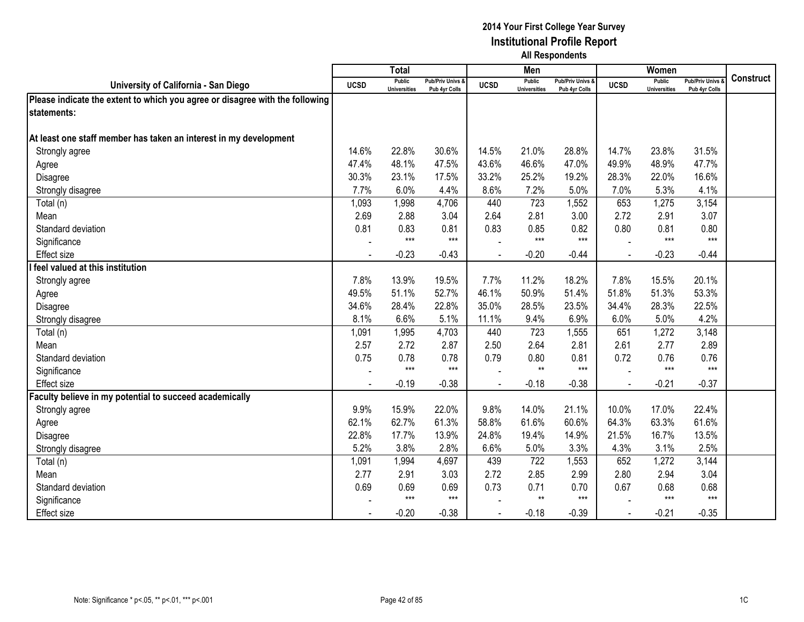|                                                                              |                | <b>Total</b>                         |                                   |             | Men                                  |                                   |                | Women                                |                                        |           |
|------------------------------------------------------------------------------|----------------|--------------------------------------|-----------------------------------|-------------|--------------------------------------|-----------------------------------|----------------|--------------------------------------|----------------------------------------|-----------|
| University of California - San Diego                                         | <b>UCSD</b>    | <b>Public</b><br><b>Universities</b> | Pub/Priv Univs &<br>Pub 4yr Colls | <b>UCSD</b> | <b>Public</b><br><b>Universities</b> | Pub/Priv Univs &<br>Pub 4yr Colls | <b>UCSD</b>    | <b>Public</b><br><b>Universities</b> | <b>Pub/Priv Univs</b><br>Pub 4yr Colls | Construct |
| Please indicate the extent to which you agree or disagree with the following |                |                                      |                                   |             |                                      |                                   |                |                                      |                                        |           |
| statements:                                                                  |                |                                      |                                   |             |                                      |                                   |                |                                      |                                        |           |
|                                                                              |                |                                      |                                   |             |                                      |                                   |                |                                      |                                        |           |
| At least one staff member has taken an interest in my development            |                |                                      |                                   |             |                                      |                                   |                |                                      |                                        |           |
| Strongly agree                                                               | 14.6%          | 22.8%                                | 30.6%                             | 14.5%       | 21.0%                                | 28.8%                             | 14.7%          | 23.8%                                | 31.5%                                  |           |
| Agree                                                                        | 47.4%          | 48.1%                                | 47.5%                             | 43.6%       | 46.6%                                | 47.0%                             | 49.9%          | 48.9%                                | 47.7%                                  |           |
| Disagree                                                                     | 30.3%          | 23.1%                                | 17.5%                             | 33.2%       | 25.2%                                | 19.2%                             | 28.3%          | 22.0%                                | 16.6%                                  |           |
| Strongly disagree                                                            | 7.7%           | 6.0%                                 | 4.4%                              | 8.6%        | 7.2%                                 | 5.0%                              | 7.0%           | 5.3%                                 | 4.1%                                   |           |
| Total (n)                                                                    | 1,093          | 1,998                                | 4,706                             | 440         | 723                                  | 1,552                             | 653            | 1,275                                | 3,154                                  |           |
| Mean                                                                         | 2.69           | 2.88                                 | 3.04                              | 2.64        | 2.81                                 | 3.00                              | 2.72           | 2.91                                 | 3.07                                   |           |
| Standard deviation                                                           | 0.81           | 0.83                                 | 0.81                              | 0.83        | 0.85                                 | 0.82                              | 0.80           | 0.81                                 | 0.80                                   |           |
| Significance                                                                 |                | $***$                                | $***$                             |             | $***$                                | $***$                             |                | $***$                                | $***$                                  |           |
| <b>Effect size</b>                                                           |                | $-0.23$                              | $-0.43$                           |             | $-0.20$                              | $-0.44$                           |                | $-0.23$                              | $-0.44$                                |           |
| feel valued at this institution                                              |                |                                      |                                   |             |                                      |                                   |                |                                      |                                        |           |
| Strongly agree                                                               | 7.8%           | 13.9%                                | 19.5%                             | 7.7%        | 11.2%                                | 18.2%                             | 7.8%           | 15.5%                                | 20.1%                                  |           |
| Agree                                                                        | 49.5%          | 51.1%                                | 52.7%                             | 46.1%       | 50.9%                                | 51.4%                             | 51.8%          | 51.3%                                | 53.3%                                  |           |
| Disagree                                                                     | 34.6%          | 28.4%                                | 22.8%                             | 35.0%       | 28.5%                                | 23.5%                             | 34.4%          | 28.3%                                | 22.5%                                  |           |
| Strongly disagree                                                            | 8.1%           | 6.6%                                 | 5.1%                              | 11.1%       | 9.4%                                 | 6.9%                              | 6.0%           | 5.0%                                 | 4.2%                                   |           |
| Total (n)                                                                    | 1,091          | 1,995                                | 4,703                             | 440         | 723                                  | 1,555                             | 651            | 1,272                                | 3,148                                  |           |
| Mean                                                                         | 2.57           | 2.72                                 | 2.87                              | 2.50        | 2.64                                 | 2.81                              | 2.61           | 2.77                                 | 2.89                                   |           |
| Standard deviation                                                           | 0.75           | 0.78                                 | 0.78                              | 0.79        | 0.80                                 | 0.81                              | 0.72           | 0.76                                 | 0.76                                   |           |
| Significance                                                                 |                | $***$                                | $***$                             |             | $**$                                 | $***$                             |                | $***$                                | $***$                                  |           |
| <b>Effect size</b>                                                           | $\blacksquare$ | $-0.19$                              | $-0.38$                           |             | $-0.18$                              | $-0.38$                           | $\blacksquare$ | $-0.21$                              | $-0.37$                                |           |
| Faculty believe in my potential to succeed academically                      |                |                                      |                                   |             |                                      |                                   |                |                                      |                                        |           |
| Strongly agree                                                               | 9.9%           | 15.9%                                | 22.0%                             | 9.8%        | 14.0%                                | 21.1%                             | 10.0%          | 17.0%                                | 22.4%                                  |           |
| Agree                                                                        | 62.1%          | 62.7%                                | 61.3%                             | 58.8%       | 61.6%                                | 60.6%                             | 64.3%          | 63.3%                                | 61.6%                                  |           |
| Disagree                                                                     | 22.8%          | 17.7%                                | 13.9%                             | 24.8%       | 19.4%                                | 14.9%                             | 21.5%          | 16.7%                                | 13.5%                                  |           |
| Strongly disagree                                                            | 5.2%           | 3.8%                                 | 2.8%                              | 6.6%        | 5.0%                                 | 3.3%                              | 4.3%           | 3.1%                                 | 2.5%                                   |           |
| Total (n)                                                                    | 1,091          | 1,994                                | 4,697                             | 439         | 722                                  | 1,553                             | 652            | 1,272                                | 3,144                                  |           |
| Mean                                                                         | 2.77           | 2.91                                 | 3.03                              | 2.72        | 2.85                                 | 2.99                              | 2.80           | 2.94                                 | 3.04                                   |           |
| Standard deviation                                                           | 0.69           | 0.69                                 | 0.69                              | 0.73        | 0.71                                 | 0.70                              | 0.67           | 0.68                                 | 0.68                                   |           |
| Significance                                                                 |                | $***$                                | $***$                             |             | $**$                                 | $***$                             |                | $***$                                | $***$                                  |           |
| <b>Effect size</b>                                                           |                | $-0.20$                              | $-0.38$                           |             | $-0.18$                              | $-0.39$                           |                | $-0.21$                              | $-0.35$                                |           |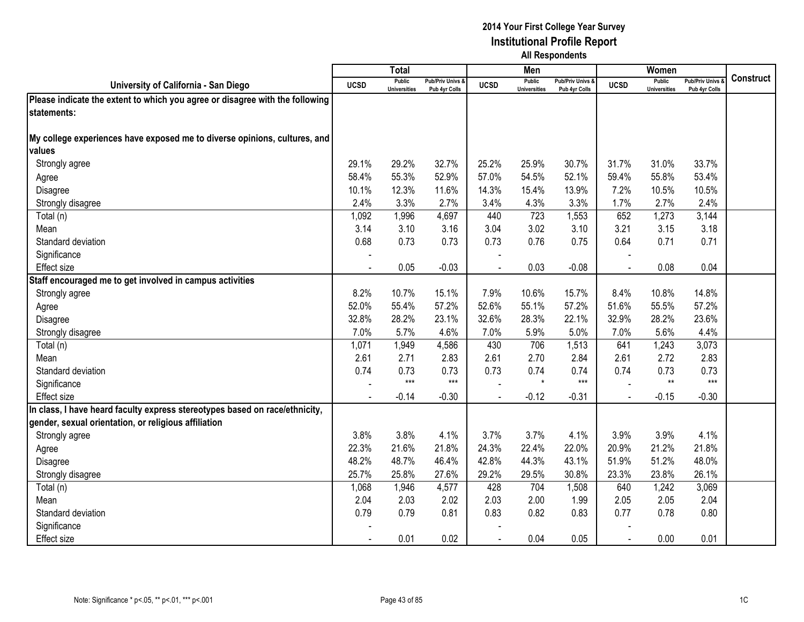|                                                                              |             | Total                                |                                   |             | Men                                  |                                   |             | Women                                |                                        |                  |
|------------------------------------------------------------------------------|-------------|--------------------------------------|-----------------------------------|-------------|--------------------------------------|-----------------------------------|-------------|--------------------------------------|----------------------------------------|------------------|
| University of California - San Diego                                         | <b>UCSD</b> | <b>Public</b><br><b>Universities</b> | Pub/Priv Univs &<br>Pub 4yr Colls | <b>UCSD</b> | <b>Public</b><br><b>Universities</b> | Pub/Priv Univs &<br>Pub 4yr Colls | <b>UCSD</b> | <b>Public</b><br><b>Universities</b> | <b>Pub/Priv Univs</b><br>Pub 4yr Colls | <b>Construct</b> |
| Please indicate the extent to which you agree or disagree with the following |             |                                      |                                   |             |                                      |                                   |             |                                      |                                        |                  |
| statements:                                                                  |             |                                      |                                   |             |                                      |                                   |             |                                      |                                        |                  |
|                                                                              |             |                                      |                                   |             |                                      |                                   |             |                                      |                                        |                  |
| My college experiences have exposed me to diverse opinions, cultures, and    |             |                                      |                                   |             |                                      |                                   |             |                                      |                                        |                  |
| lvalues                                                                      |             |                                      |                                   |             |                                      |                                   |             |                                      |                                        |                  |
| Strongly agree                                                               | 29.1%       | 29.2%                                | 32.7%                             | 25.2%       | 25.9%                                | 30.7%                             | 31.7%       | 31.0%                                | 33.7%                                  |                  |
| Agree                                                                        | 58.4%       | 55.3%                                | 52.9%                             | 57.0%       | 54.5%                                | 52.1%                             | 59.4%       | 55.8%                                | 53.4%                                  |                  |
| Disagree                                                                     | 10.1%       | 12.3%                                | 11.6%                             | 14.3%       | 15.4%                                | 13.9%                             | 7.2%        | 10.5%                                | 10.5%                                  |                  |
| Strongly disagree                                                            | 2.4%        | 3.3%                                 | 2.7%                              | 3.4%        | 4.3%                                 | 3.3%                              | 1.7%        | 2.7%                                 | 2.4%                                   |                  |
| Total (n)                                                                    | 1,092       | 1,996                                | 4,697                             | 440         | 723                                  | 1,553                             | 652         | 1,273                                | 3,144                                  |                  |
| Mean                                                                         | 3.14        | 3.10                                 | 3.16                              | 3.04        | 3.02                                 | 3.10                              | 3.21        | 3.15                                 | 3.18                                   |                  |
| Standard deviation                                                           | 0.68        | 0.73                                 | 0.73                              | 0.73        | 0.76                                 | 0.75                              | 0.64        | 0.71                                 | 0.71                                   |                  |
| Significance                                                                 |             |                                      |                                   |             |                                      |                                   |             |                                      |                                        |                  |
| Effect size                                                                  |             | 0.05                                 | $-0.03$                           |             | 0.03                                 | $-0.08$                           | $\sim$      | 0.08                                 | 0.04                                   |                  |
| Staff encouraged me to get involved in campus activities                     |             |                                      |                                   |             |                                      |                                   |             |                                      |                                        |                  |
| Strongly agree                                                               | 8.2%        | 10.7%                                | 15.1%                             | 7.9%        | 10.6%                                | 15.7%                             | 8.4%        | 10.8%                                | 14.8%                                  |                  |
| Agree                                                                        | 52.0%       | 55.4%                                | 57.2%                             | 52.6%       | 55.1%                                | 57.2%                             | 51.6%       | 55.5%                                | 57.2%                                  |                  |
| Disagree                                                                     | 32.8%       | 28.2%                                | 23.1%                             | 32.6%       | 28.3%                                | 22.1%                             | 32.9%       | 28.2%                                | 23.6%                                  |                  |
| Strongly disagree                                                            | 7.0%        | 5.7%                                 | 4.6%                              | 7.0%        | 5.9%                                 | 5.0%                              | 7.0%        | 5.6%                                 | 4.4%                                   |                  |
| Total (n)                                                                    | 1,071       | 1,949                                | 4,586                             | 430         | 706                                  | 1,513                             | 641         | 1,243                                | 3,073                                  |                  |
| Mean                                                                         | 2.61        | 2.71                                 | 2.83                              | 2.61        | 2.70                                 | 2.84                              | 2.61        | 2.72                                 | 2.83                                   |                  |
| Standard deviation                                                           | 0.74        | 0.73                                 | 0.73                              | 0.73        | 0.74                                 | 0.74                              | 0.74        | 0.73                                 | 0.73                                   |                  |
| Significance                                                                 |             | $***$                                | $***$                             |             | $\star$                              | $***$                             |             | $**$                                 | $***$                                  |                  |
| Effect size                                                                  |             | $-0.14$                              | $-0.30$                           |             | $-0.12$                              | $-0.31$                           |             | $-0.15$                              | $-0.30$                                |                  |
| In class, I have heard faculty express stereotypes based on race/ethnicity,  |             |                                      |                                   |             |                                      |                                   |             |                                      |                                        |                  |
| gender, sexual orientation, or religious affiliation                         |             |                                      |                                   |             |                                      |                                   |             |                                      |                                        |                  |
| Strongly agree                                                               | 3.8%        | 3.8%                                 | 4.1%                              | 3.7%        | 3.7%                                 | 4.1%                              | 3.9%        | 3.9%                                 | 4.1%                                   |                  |
| Agree                                                                        | 22.3%       | 21.6%                                | 21.8%                             | 24.3%       | 22.4%                                | 22.0%                             | 20.9%       | 21.2%                                | 21.8%                                  |                  |
| Disagree                                                                     | 48.2%       | 48.7%                                | 46.4%                             | 42.8%       | 44.3%                                | 43.1%                             | 51.9%       | 51.2%                                | 48.0%                                  |                  |
| Strongly disagree                                                            | 25.7%       | 25.8%                                | 27.6%                             | 29.2%       | 29.5%                                | 30.8%                             | 23.3%       | 23.8%                                | 26.1%                                  |                  |
| Total (n)                                                                    | 1,068       | 1,946                                | 4,577                             | 428         | 704                                  | 1,508                             | 640         | 1,242                                | 3,069                                  |                  |
| Mean                                                                         | 2.04        | 2.03                                 | 2.02                              | 2.03        | 2.00                                 | 1.99                              | 2.05        | 2.05                                 | 2.04                                   |                  |
| Standard deviation                                                           | 0.79        | 0.79                                 | 0.81                              | 0.83        | 0.82                                 | 0.83                              | 0.77        | 0.78                                 | 0.80                                   |                  |
| Significance                                                                 |             |                                      |                                   |             |                                      |                                   |             |                                      |                                        |                  |
| Effect size                                                                  |             | 0.01                                 | 0.02                              |             | 0.04                                 | 0.05                              |             | 0.00                                 | 0.01                                   |                  |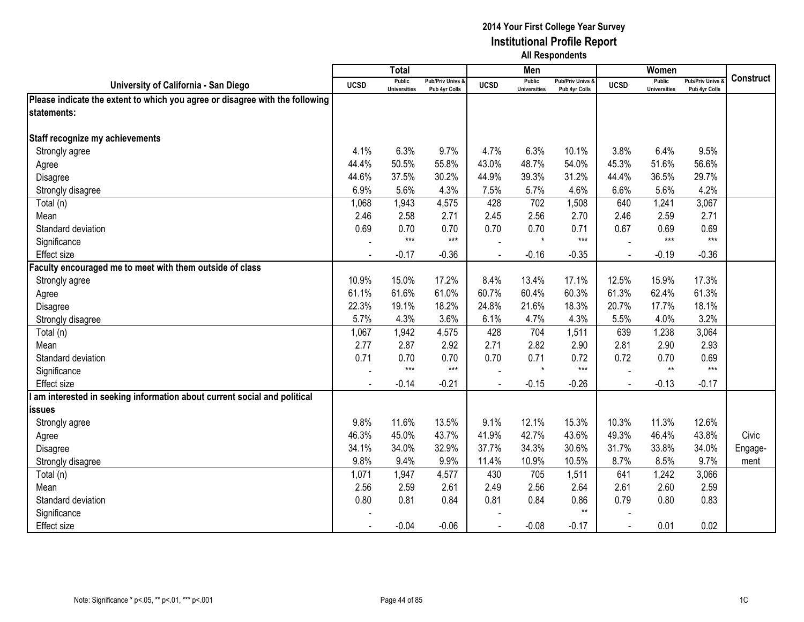|                                                                              |                          | <b>Total</b>                         |                                   |                | Men                                  |                                   |             | <b>Women</b>                         |                                        |                  |
|------------------------------------------------------------------------------|--------------------------|--------------------------------------|-----------------------------------|----------------|--------------------------------------|-----------------------------------|-------------|--------------------------------------|----------------------------------------|------------------|
| University of California - San Diego                                         | <b>UCSD</b>              | <b>Public</b><br><b>Universities</b> | Pub/Priv Univs &<br>Pub 4yr Colls | <b>UCSD</b>    | <b>Public</b><br><b>Universities</b> | Pub/Priv Univs &<br>Pub 4yr Colls | <b>UCSD</b> | <b>Public</b><br><b>Universities</b> | <b>Pub/Priv Univs</b><br>Pub 4yr Colls | <b>Construct</b> |
| Please indicate the extent to which you agree or disagree with the following |                          |                                      |                                   |                |                                      |                                   |             |                                      |                                        |                  |
| statements:                                                                  |                          |                                      |                                   |                |                                      |                                   |             |                                      |                                        |                  |
|                                                                              |                          |                                      |                                   |                |                                      |                                   |             |                                      |                                        |                  |
| Staff recognize my achievements                                              |                          |                                      |                                   |                |                                      |                                   |             |                                      |                                        |                  |
| Strongly agree                                                               | 4.1%                     | 6.3%                                 | 9.7%                              | 4.7%           | 6.3%                                 | 10.1%                             | 3.8%        | 6.4%                                 | 9.5%                                   |                  |
| Agree                                                                        | 44.4%                    | 50.5%                                | 55.8%                             | 43.0%          | 48.7%                                | 54.0%                             | 45.3%       | 51.6%                                | 56.6%                                  |                  |
| Disagree                                                                     | 44.6%                    | 37.5%                                | 30.2%                             | 44.9%          | 39.3%                                | 31.2%                             | 44.4%       | 36.5%                                | 29.7%                                  |                  |
| Strongly disagree                                                            | 6.9%                     | 5.6%                                 | 4.3%                              | 7.5%           | 5.7%                                 | 4.6%                              | 6.6%        | 5.6%                                 | 4.2%                                   |                  |
| Total (n)                                                                    | 1,068                    | 1,943                                | 4,575                             | 428            | 702                                  | 1,508                             | 640         | 1,241                                | 3,067                                  |                  |
| Mean                                                                         | 2.46                     | 2.58                                 | 2.71                              | 2.45           | 2.56                                 | 2.70                              | 2.46        | 2.59                                 | 2.71                                   |                  |
| Standard deviation                                                           | 0.69                     | 0.70                                 | 0.70                              | 0.70           | 0.70                                 | 0.71                              | 0.67        | 0.69                                 | 0.69                                   |                  |
| Significance                                                                 |                          | $***$                                | $***$                             |                | $\star$                              | $***$                             |             | $***$                                | $***$                                  |                  |
| Effect size                                                                  |                          | $-0.17$                              | $-0.36$                           | $\overline{a}$ | $-0.16$                              | $-0.35$                           |             | $-0.19$                              | $-0.36$                                |                  |
| aculty encouraged me to meet with them outside of class                      |                          |                                      |                                   |                |                                      |                                   |             |                                      |                                        |                  |
| Strongly agree                                                               | 10.9%                    | 15.0%                                | 17.2%                             | 8.4%           | 13.4%                                | 17.1%                             | 12.5%       | 15.9%                                | 17.3%                                  |                  |
| Agree                                                                        | 61.1%                    | 61.6%                                | 61.0%                             | 60.7%          | 60.4%                                | 60.3%                             | 61.3%       | 62.4%                                | 61.3%                                  |                  |
| Disagree                                                                     | 22.3%                    | 19.1%                                | 18.2%                             | 24.8%          | 21.6%                                | 18.3%                             | 20.7%       | 17.7%                                | 18.1%                                  |                  |
| Strongly disagree                                                            | 5.7%                     | 4.3%                                 | 3.6%                              | 6.1%           | 4.7%                                 | 4.3%                              | 5.5%        | 4.0%                                 | 3.2%                                   |                  |
| Total (n)                                                                    | 1,067                    | 1,942                                | 4,575                             | 428            | 704                                  | 1,511                             | 639         | 1,238                                | 3,064                                  |                  |
| Mean                                                                         | 2.77                     | 2.87                                 | 2.92                              | 2.71           | 2.82                                 | 2.90                              | 2.81        | 2.90                                 | 2.93                                   |                  |
| Standard deviation                                                           | 0.71                     | 0.70                                 | 0.70                              | 0.70           | 0.71                                 | 0.72                              | 0.72        | 0.70                                 | 0.69                                   |                  |
| Significance                                                                 | $\overline{\phantom{a}}$ | $***$                                | $***$                             |                | $\star$                              | $***$                             |             | $^{\star\star}$                      | $***$                                  |                  |
| <b>Effect size</b>                                                           |                          | $-0.14$                              | $-0.21$                           | $\overline{a}$ | $-0.15$                              | $-0.26$                           |             | $-0.13$                              | $-0.17$                                |                  |
| am interested in seeking information about current social and political      |                          |                                      |                                   |                |                                      |                                   |             |                                      |                                        |                  |
| <b>issues</b>                                                                |                          |                                      |                                   |                |                                      |                                   |             |                                      |                                        |                  |
| Strongly agree                                                               | 9.8%                     | 11.6%                                | 13.5%                             | 9.1%           | 12.1%                                | 15.3%                             | 10.3%       | 11.3%                                | 12.6%                                  |                  |
| Agree                                                                        | 46.3%                    | 45.0%                                | 43.7%                             | 41.9%          | 42.7%                                | 43.6%                             | 49.3%       | 46.4%                                | 43.8%                                  | Civic            |
| Disagree                                                                     | 34.1%                    | 34.0%                                | 32.9%                             | 37.7%          | 34.3%                                | 30.6%                             | 31.7%       | 33.8%                                | 34.0%                                  | Engage-          |
| Strongly disagree                                                            | 9.8%                     | 9.4%                                 | 9.9%                              | 11.4%          | 10.9%                                | 10.5%                             | 8.7%        | 8.5%                                 | 9.7%                                   | ment             |
| Total (n)                                                                    | 1,071                    | 1,947                                | 4,577                             | 430            | 705                                  | 1,511                             | 641         | 1,242                                | 3,066                                  |                  |
| Mean                                                                         | 2.56                     | 2.59                                 | 2.61                              | 2.49           | 2.56                                 | 2.64                              | 2.61        | 2.60                                 | 2.59                                   |                  |
| Standard deviation                                                           | 0.80                     | 0.81                                 | 0.84                              | 0.81           | 0.84                                 | 0.86                              | 0.79        | 0.80                                 | 0.83                                   |                  |
| Significance                                                                 |                          |                                      |                                   |                |                                      | $**$                              |             |                                      |                                        |                  |
| Effect size                                                                  |                          | $-0.04$                              | $-0.06$                           | $\blacksquare$ | $-0.08$                              | $-0.17$                           | $\sim$      | 0.01                                 | 0.02                                   |                  |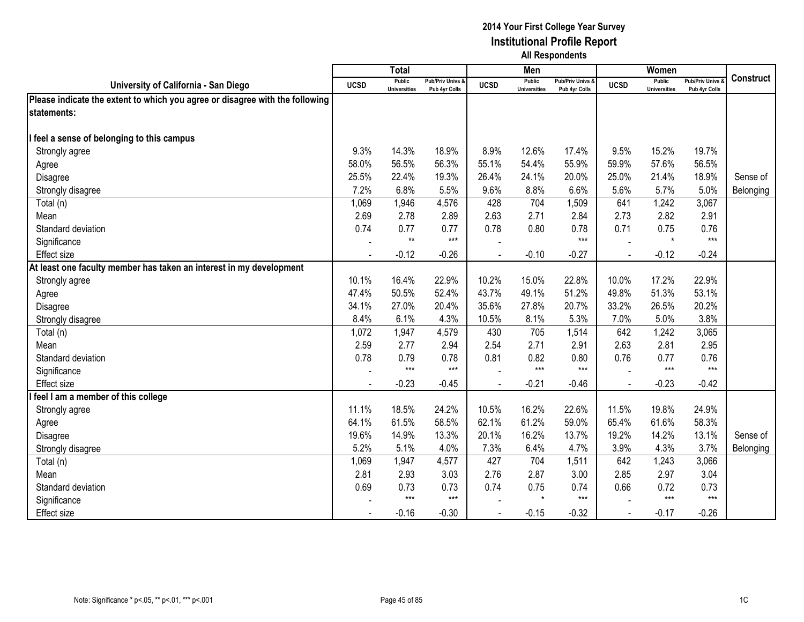|                                                                              |                | <b>Total</b>                         |                                              |                | Men                                  |                                              |                | Women                                |                                        |                  |
|------------------------------------------------------------------------------|----------------|--------------------------------------|----------------------------------------------|----------------|--------------------------------------|----------------------------------------------|----------------|--------------------------------------|----------------------------------------|------------------|
| University of California - San Diego                                         | <b>UCSD</b>    | <b>Public</b><br><b>Universities</b> | <b>Pub/Priv Univs &amp;</b><br>Pub 4yr Colls | <b>UCSD</b>    | <b>Public</b><br><b>Universities</b> | <b>Pub/Priv Univs &amp;</b><br>Pub 4yr Colls | <b>UCSD</b>    | <b>Public</b><br><b>Universities</b> | <b>Pub/Priv Univs</b><br>Pub 4yr Colls | <b>Construct</b> |
| Please indicate the extent to which you agree or disagree with the following |                |                                      |                                              |                |                                      |                                              |                |                                      |                                        |                  |
| <b>Istatements:</b>                                                          |                |                                      |                                              |                |                                      |                                              |                |                                      |                                        |                  |
|                                                                              |                |                                      |                                              |                |                                      |                                              |                |                                      |                                        |                  |
| feel a sense of belonging to this campus                                     |                |                                      |                                              |                |                                      |                                              |                |                                      |                                        |                  |
| Strongly agree                                                               | 9.3%           | 14.3%                                | 18.9%                                        | 8.9%           | 12.6%                                | 17.4%                                        | 9.5%           | 15.2%                                | 19.7%                                  |                  |
| Agree                                                                        | 58.0%          | 56.5%                                | 56.3%                                        | 55.1%          | 54.4%                                | 55.9%                                        | 59.9%          | 57.6%                                | 56.5%                                  |                  |
| Disagree                                                                     | 25.5%          | 22.4%                                | 19.3%                                        | 26.4%          | 24.1%                                | 20.0%                                        | 25.0%          | 21.4%                                | 18.9%                                  | Sense of         |
| Strongly disagree                                                            | 7.2%           | 6.8%                                 | 5.5%                                         | 9.6%           | 8.8%                                 | 6.6%                                         | 5.6%           | 5.7%                                 | 5.0%                                   | Belonging        |
| Total (n)                                                                    | 1,069          | 1,946                                | 4,576                                        | 428            | 704                                  | 1,509                                        | 641            | 1,242                                | 3,067                                  |                  |
| Mean                                                                         | 2.69           | 2.78                                 | 2.89                                         | 2.63           | 2.71                                 | 2.84                                         | 2.73           | 2.82                                 | 2.91                                   |                  |
| Standard deviation                                                           | 0.74           | 0.77                                 | 0.77                                         | 0.78           | 0.80                                 | 0.78                                         | 0.71           | 0.75                                 | 0.76                                   |                  |
| Significance                                                                 |                | $**$                                 | $***$                                        |                |                                      | $***$                                        |                | $\star$                              | $***$                                  |                  |
| Effect size                                                                  | $\blacksquare$ | $-0.12$                              | $-0.26$                                      | $\blacksquare$ | $-0.10$                              | $-0.27$                                      |                | $-0.12$                              | $-0.24$                                |                  |
| At least one faculty member has taken an interest in my development          |                |                                      |                                              |                |                                      |                                              |                |                                      |                                        |                  |
| Strongly agree                                                               | 10.1%          | 16.4%                                | 22.9%                                        | 10.2%          | 15.0%                                | 22.8%                                        | 10.0%          | 17.2%                                | 22.9%                                  |                  |
| Agree                                                                        | 47.4%          | 50.5%                                | 52.4%                                        | 43.7%          | 49.1%                                | 51.2%                                        | 49.8%          | 51.3%                                | 53.1%                                  |                  |
| Disagree                                                                     | 34.1%          | 27.0%                                | 20.4%                                        | 35.6%          | 27.8%                                | 20.7%                                        | 33.2%          | 26.5%                                | 20.2%                                  |                  |
| Strongly disagree                                                            | 8.4%           | 6.1%                                 | 4.3%                                         | 10.5%          | 8.1%                                 | 5.3%                                         | 7.0%           | 5.0%                                 | 3.8%                                   |                  |
| Total (n)                                                                    | 1,072          | 1,947                                | 4,579                                        | 430            | 705                                  | 1,514                                        | 642            | 1,242                                | 3,065                                  |                  |
| Mean                                                                         | 2.59           | 2.77                                 | 2.94                                         | 2.54           | 2.71                                 | 2.91                                         | 2.63           | 2.81                                 | 2.95                                   |                  |
| Standard deviation                                                           | 0.78           | 0.79                                 | 0.78                                         | 0.81           | 0.82                                 | 0.80                                         | 0.76           | 0.77                                 | 0.76                                   |                  |
| Significance                                                                 |                | $***$                                | $***$                                        |                | $***$                                | $***$                                        |                | $***$                                | $***$                                  |                  |
| Effect size                                                                  | $\blacksquare$ | $-0.23$                              | $-0.45$                                      |                | $-0.21$                              | $-0.46$                                      | $\blacksquare$ | $-0.23$                              | $-0.42$                                |                  |
| feel I am a member of this college                                           |                |                                      |                                              |                |                                      |                                              |                |                                      |                                        |                  |
| Strongly agree                                                               | 11.1%          | 18.5%                                | 24.2%                                        | 10.5%          | 16.2%                                | 22.6%                                        | 11.5%          | 19.8%                                | 24.9%                                  |                  |
| Agree                                                                        | 64.1%          | 61.5%                                | 58.5%                                        | 62.1%          | 61.2%                                | 59.0%                                        | 65.4%          | 61.6%                                | 58.3%                                  |                  |
| Disagree                                                                     | 19.6%          | 14.9%                                | 13.3%                                        | 20.1%          | 16.2%                                | 13.7%                                        | 19.2%          | 14.2%                                | 13.1%                                  | Sense of         |
| Strongly disagree                                                            | 5.2%           | 5.1%                                 | 4.0%                                         | 7.3%           | 6.4%                                 | 4.7%                                         | 3.9%           | 4.3%                                 | 3.7%                                   | Belonging        |
| Total (n)                                                                    | 1,069          | 1,947                                | 4,577                                        | 427            | 704                                  | 1,511                                        | 642            | 1,243                                | 3,066                                  |                  |
| Mean                                                                         | 2.81           | 2.93                                 | 3.03                                         | 2.76           | 2.87                                 | 3.00                                         | 2.85           | 2.97                                 | 3.04                                   |                  |
| Standard deviation                                                           | 0.69           | 0.73                                 | 0.73                                         | 0.74           | 0.75                                 | 0.74                                         | 0.66           | 0.72                                 | 0.73                                   |                  |
| Significance                                                                 |                | $***$                                | $***$                                        |                | $\star$                              | $***$                                        |                | $***$                                | $***$                                  |                  |
| Effect size                                                                  |                | $-0.16$                              | $-0.30$                                      |                | $-0.15$                              | $-0.32$                                      |                | $-0.17$                              | $-0.26$                                |                  |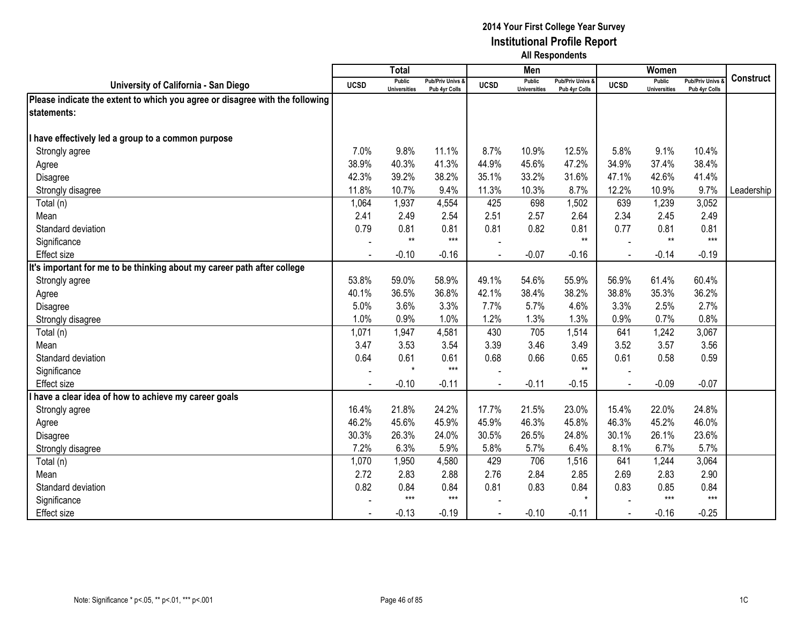|                                                                              |                | <b>Total</b>                         |                                   |             | Men                                  |                                   |             | Women                                |                                        |                  |
|------------------------------------------------------------------------------|----------------|--------------------------------------|-----------------------------------|-------------|--------------------------------------|-----------------------------------|-------------|--------------------------------------|----------------------------------------|------------------|
| University of California - San Diego                                         | <b>UCSD</b>    | <b>Public</b><br><b>Universities</b> | Pub/Priv Univs &<br>Pub 4yr Colls | <b>UCSD</b> | <b>Public</b><br><b>Universities</b> | Pub/Priv Univs &<br>Pub 4yr Colls | <b>UCSD</b> | <b>Public</b><br><b>Universities</b> | <b>Pub/Priv Univs</b><br>Pub 4yr Colls | <b>Construct</b> |
| Please indicate the extent to which you agree or disagree with the following |                |                                      |                                   |             |                                      |                                   |             |                                      |                                        |                  |
| statements:                                                                  |                |                                      |                                   |             |                                      |                                   |             |                                      |                                        |                  |
|                                                                              |                |                                      |                                   |             |                                      |                                   |             |                                      |                                        |                  |
| have effectively led a group to a common purpose                             |                |                                      |                                   |             |                                      |                                   |             |                                      |                                        |                  |
| Strongly agree                                                               | 7.0%           | 9.8%                                 | 11.1%                             | 8.7%        | 10.9%                                | 12.5%                             | 5.8%        | 9.1%                                 | 10.4%                                  |                  |
| Agree                                                                        | 38.9%          | 40.3%                                | 41.3%                             | 44.9%       | 45.6%                                | 47.2%                             | 34.9%       | 37.4%                                | 38.4%                                  |                  |
| Disagree                                                                     | 42.3%          | 39.2%                                | 38.2%                             | 35.1%       | 33.2%                                | 31.6%                             | 47.1%       | 42.6%                                | 41.4%                                  |                  |
| Strongly disagree                                                            | 11.8%          | 10.7%                                | 9.4%                              | 11.3%       | 10.3%                                | 8.7%                              | 12.2%       | 10.9%                                | 9.7%                                   | Leadership       |
| Total (n)                                                                    | 1,064          | 1,937                                | 4,554                             | 425         | 698                                  | 1,502                             | 639         | 1,239                                | 3,052                                  |                  |
| Mean                                                                         | 2.41           | 2.49                                 | 2.54                              | 2.51        | 2.57                                 | 2.64                              | 2.34        | 2.45                                 | 2.49                                   |                  |
| Standard deviation                                                           | 0.79           | 0.81                                 | 0.81                              | 0.81        | 0.82                                 | 0.81                              | 0.77        | 0.81                                 | 0.81                                   |                  |
| Significance                                                                 |                | $**$                                 | $***$                             |             |                                      | $**$                              |             | $**$                                 | $***$                                  |                  |
| <b>Effect size</b>                                                           | $\blacksquare$ | $-0.10$                              | $-0.16$                           |             | $-0.07$                              | $-0.16$                           |             | $-0.14$                              | $-0.19$                                |                  |
| It's important for me to be thinking about my career path after college      |                |                                      |                                   |             |                                      |                                   |             |                                      |                                        |                  |
| Strongly agree                                                               | 53.8%          | 59.0%                                | 58.9%                             | 49.1%       | 54.6%                                | 55.9%                             | 56.9%       | 61.4%                                | 60.4%                                  |                  |
| Agree                                                                        | 40.1%          | 36.5%                                | 36.8%                             | 42.1%       | 38.4%                                | 38.2%                             | 38.8%       | 35.3%                                | 36.2%                                  |                  |
| Disagree                                                                     | 5.0%           | 3.6%                                 | 3.3%                              | 7.7%        | 5.7%                                 | 4.6%                              | 3.3%        | 2.5%                                 | 2.7%                                   |                  |
| Strongly disagree                                                            | 1.0%           | 0.9%                                 | 1.0%                              | 1.2%        | 1.3%                                 | 1.3%                              | 0.9%        | 0.7%                                 | 0.8%                                   |                  |
| Total (n)                                                                    | 1,071          | 1,947                                | 4,581                             | 430         | 705                                  | 1,514                             | 641         | 1,242                                | 3,067                                  |                  |
| Mean                                                                         | 3.47           | 3.53                                 | 3.54                              | 3.39        | 3.46                                 | 3.49                              | 3.52        | 3.57                                 | 3.56                                   |                  |
| Standard deviation                                                           | 0.64           | 0.61                                 | 0.61                              | 0.68        | 0.66                                 | 0.65                              | 0.61        | 0.58                                 | 0.59                                   |                  |
| Significance                                                                 |                | $\star$                              | $***$                             |             |                                      | $**$                              |             |                                      |                                        |                  |
| Effect size                                                                  |                | $-0.10$                              | $-0.11$                           |             | $-0.11$                              | $-0.15$                           |             | $-0.09$                              | $-0.07$                                |                  |
| have a clear idea of how to achieve my career goals                          |                |                                      |                                   |             |                                      |                                   |             |                                      |                                        |                  |
| Strongly agree                                                               | 16.4%          | 21.8%                                | 24.2%                             | 17.7%       | 21.5%                                | 23.0%                             | 15.4%       | 22.0%                                | 24.8%                                  |                  |
| Agree                                                                        | 46.2%          | 45.6%                                | 45.9%                             | 45.9%       | 46.3%                                | 45.8%                             | 46.3%       | 45.2%                                | 46.0%                                  |                  |
| Disagree                                                                     | 30.3%          | 26.3%                                | 24.0%                             | 30.5%       | 26.5%                                | 24.8%                             | 30.1%       | 26.1%                                | 23.6%                                  |                  |
| Strongly disagree                                                            | 7.2%           | 6.3%                                 | 5.9%                              | 5.8%        | 5.7%                                 | 6.4%                              | 8.1%        | 6.7%                                 | 5.7%                                   |                  |
| Total (n)                                                                    | 1,070          | 1,950                                | 4,580                             | 429         | 706                                  | 1,516                             | 641         | 1,244                                | 3,064                                  |                  |
| Mean                                                                         | 2.72           | 2.83                                 | 2.88                              | 2.76        | 2.84                                 | 2.85                              | 2.69        | 2.83                                 | 2.90                                   |                  |
| Standard deviation                                                           | 0.82           | 0.84                                 | 0.84                              | 0.81        | 0.83                                 | 0.84                              | 0.83        | 0.85                                 | 0.84                                   |                  |
| Significance                                                                 |                | $***$                                | $***$                             |             |                                      | $\star$                           |             | $***$                                | $***$                                  |                  |
| Effect size                                                                  |                | $-0.13$                              | $-0.19$                           |             | $-0.10$                              | $-0.11$                           |             | $-0.16$                              | $-0.25$                                |                  |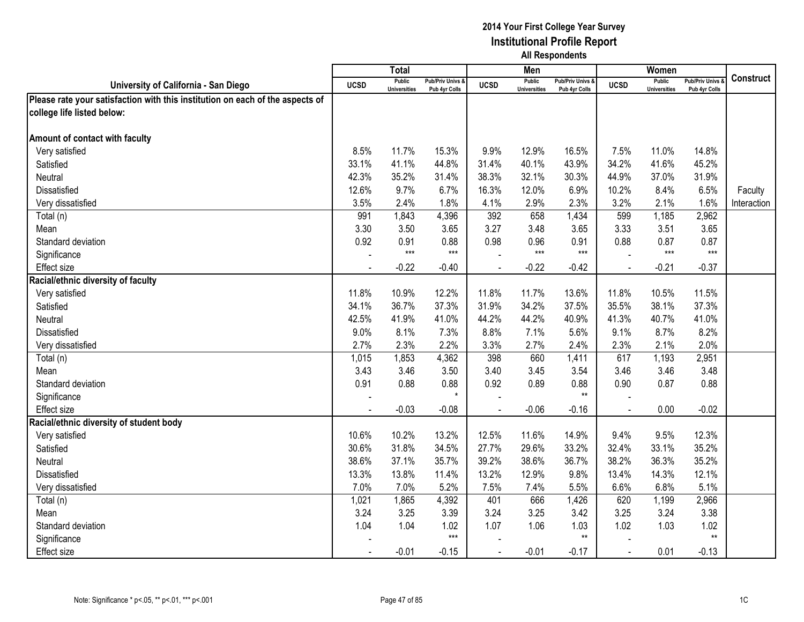|                                                                               |             | <b>Total</b>                         |                                   |                | Men                                  |                                   |                | Women                                |                                        |                  |
|-------------------------------------------------------------------------------|-------------|--------------------------------------|-----------------------------------|----------------|--------------------------------------|-----------------------------------|----------------|--------------------------------------|----------------------------------------|------------------|
| University of California - San Diego                                          | <b>UCSD</b> | <b>Public</b><br><b>Universities</b> | Pub/Priv Univs &<br>Pub 4yr Colls | <b>UCSD</b>    | <b>Public</b><br><b>Universities</b> | Pub/Priv Univs &<br>Pub 4yr Colls | <b>UCSD</b>    | <b>Public</b><br><b>Universities</b> | <b>Pub/Priv Univs</b><br>Pub 4yr Colls | <b>Construct</b> |
| Please rate your satisfaction with this institution on each of the aspects of |             |                                      |                                   |                |                                      |                                   |                |                                      |                                        |                  |
| college life listed below:                                                    |             |                                      |                                   |                |                                      |                                   |                |                                      |                                        |                  |
|                                                                               |             |                                      |                                   |                |                                      |                                   |                |                                      |                                        |                  |
| Amount of contact with faculty                                                |             |                                      |                                   |                |                                      |                                   |                |                                      |                                        |                  |
| Very satisfied                                                                | 8.5%        | 11.7%                                | 15.3%                             | 9.9%           | 12.9%                                | 16.5%                             | 7.5%           | 11.0%                                | 14.8%                                  |                  |
| Satisfied                                                                     | 33.1%       | 41.1%                                | 44.8%                             | 31.4%          | 40.1%                                | 43.9%                             | 34.2%          | 41.6%                                | 45.2%                                  |                  |
| Neutral                                                                       | 42.3%       | 35.2%                                | 31.4%                             | 38.3%          | 32.1%                                | 30.3%                             | 44.9%          | 37.0%                                | 31.9%                                  |                  |
| Dissatisfied                                                                  | 12.6%       | 9.7%                                 | 6.7%                              | 16.3%          | 12.0%                                | 6.9%                              | 10.2%          | 8.4%                                 | 6.5%                                   | Faculty          |
| Very dissatisfied                                                             | 3.5%        | 2.4%                                 | 1.8%                              | 4.1%           | 2.9%                                 | 2.3%                              | 3.2%           | 2.1%                                 | 1.6%                                   | Interaction      |
| Total (n)                                                                     | 991         | 1,843                                | 4,396                             | 392            | 658                                  | 1,434                             | 599            | 1,185                                | 2,962                                  |                  |
| Mean                                                                          | 3.30        | 3.50                                 | 3.65                              | 3.27           | 3.48                                 | 3.65                              | 3.33           | 3.51                                 | 3.65                                   |                  |
| Standard deviation                                                            | 0.92        | 0.91                                 | 0.88                              | 0.98           | 0.96                                 | 0.91                              | 0.88           | 0.87                                 | 0.87                                   |                  |
| Significance                                                                  |             | $***$                                | $***$                             |                | $***$                                | $***$                             |                | $***$                                | $***$                                  |                  |
| <b>Effect size</b>                                                            |             | $-0.22$                              | $-0.40$                           |                | $-0.22$                              | $-0.42$                           |                | $-0.21$                              | $-0.37$                                |                  |
| Racial/ethnic diversity of faculty                                            |             |                                      |                                   |                |                                      |                                   |                |                                      |                                        |                  |
| Very satisfied                                                                | 11.8%       | 10.9%                                | 12.2%                             | 11.8%          | 11.7%                                | 13.6%                             | 11.8%          | 10.5%                                | 11.5%                                  |                  |
| Satisfied                                                                     | 34.1%       | 36.7%                                | 37.3%                             | 31.9%          | 34.2%                                | 37.5%                             | 35.5%          | 38.1%                                | 37.3%                                  |                  |
| <b>Neutral</b>                                                                | 42.5%       | 41.9%                                | 41.0%                             | 44.2%          | 44.2%                                | 40.9%                             | 41.3%          | 40.7%                                | 41.0%                                  |                  |
| <b>Dissatisfied</b>                                                           | 9.0%        | 8.1%                                 | 7.3%                              | 8.8%           | 7.1%                                 | 5.6%                              | 9.1%           | 8.7%                                 | 8.2%                                   |                  |
| Very dissatisfied                                                             | 2.7%        | 2.3%                                 | 2.2%                              | 3.3%           | 2.7%                                 | 2.4%                              | 2.3%           | 2.1%                                 | 2.0%                                   |                  |
| Total (n)                                                                     | 1,015       | 1,853                                | 4,362                             | 398            | 660                                  | 1,411                             | 617            | 1,193                                | 2,951                                  |                  |
| Mean                                                                          | 3.43        | 3.46                                 | 3.50                              | 3.40           | 3.45                                 | 3.54                              | 3.46           | 3.46                                 | 3.48                                   |                  |
| Standard deviation                                                            | 0.91        | 0.88                                 | 0.88                              | 0.92           | 0.89                                 | 0.88                              | 0.90           | 0.87                                 | 0.88                                   |                  |
| Significance                                                                  |             |                                      | $\star$                           |                |                                      | $**$                              |                |                                      |                                        |                  |
| <b>Effect size</b>                                                            |             | $-0.03$                              | $-0.08$                           |                | $-0.06$                              | $-0.16$                           |                | 0.00                                 | $-0.02$                                |                  |
| Racial/ethnic diversity of student body                                       |             |                                      |                                   |                |                                      |                                   |                |                                      |                                        |                  |
| Very satisfied                                                                | 10.6%       | 10.2%                                | 13.2%                             | 12.5%          | 11.6%                                | 14.9%                             | 9.4%           | 9.5%                                 | 12.3%                                  |                  |
| Satisfied                                                                     | 30.6%       | 31.8%                                | 34.5%                             | 27.7%          | 29.6%                                | 33.2%                             | 32.4%          | 33.1%                                | 35.2%                                  |                  |
| Neutral                                                                       | 38.6%       | 37.1%                                | 35.7%                             | 39.2%          | 38.6%                                | 36.7%                             | 38.2%          | 36.3%                                | 35.2%                                  |                  |
| <b>Dissatisfied</b>                                                           | 13.3%       | 13.8%                                | 11.4%                             | 13.2%          | 12.9%                                | 9.8%                              | 13.4%          | 14.3%                                | 12.1%                                  |                  |
| Very dissatisfied                                                             | 7.0%        | 7.0%                                 | 5.2%                              | 7.5%           | 7.4%                                 | 5.5%                              | 6.6%           | 6.8%                                 | 5.1%                                   |                  |
| Total (n)                                                                     | 1,021       | 1,865                                | 4,392                             | 401            | 666                                  | 1,426                             | 620            | 1,199                                | 2,966                                  |                  |
| Mean                                                                          | 3.24        | 3.25                                 | 3.39                              | 3.24           | 3.25                                 | 3.42                              | 3.25           | 3.24                                 | 3.38                                   |                  |
| Standard deviation                                                            | 1.04        | 1.04                                 | 1.02                              | 1.07           | 1.06                                 | 1.03                              | 1.02           | 1.03                                 | 1.02                                   |                  |
| Significance                                                                  |             |                                      | $***$                             |                |                                      | $**$                              |                |                                      | $^{\star\star}$                        |                  |
| <b>Effect size</b>                                                            |             | $-0.01$                              | $-0.15$                           | $\blacksquare$ | $-0.01$                              | $-0.17$                           | $\blacksquare$ | 0.01                                 | $-0.13$                                |                  |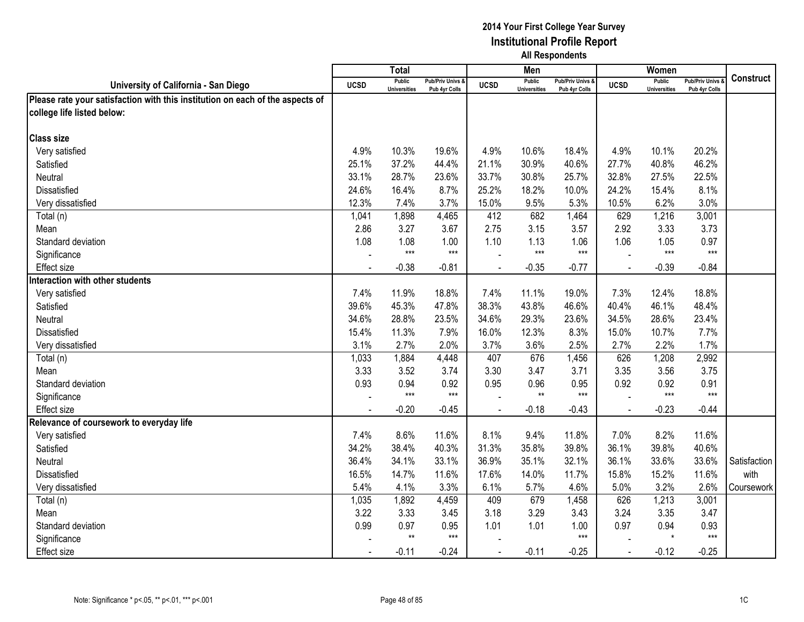|                                                                               |             | <b>Total</b>                         |                                   |             | Men                                  |                                              |             | Women                                |                                        |              |
|-------------------------------------------------------------------------------|-------------|--------------------------------------|-----------------------------------|-------------|--------------------------------------|----------------------------------------------|-------------|--------------------------------------|----------------------------------------|--------------|
| University of California - San Diego                                          | <b>UCSD</b> | <b>Public</b><br><b>Universities</b> | Pub/Priv Univs &<br>Pub 4yr Colls | <b>UCSD</b> | <b>Public</b><br><b>Universities</b> | <b>Pub/Priv Univs &amp;</b><br>Pub 4yr Colls | <b>UCSD</b> | <b>Public</b><br><b>Universities</b> | <b>Pub/Priv Univs</b><br>Pub 4yr Colls | Construct    |
| Please rate your satisfaction with this institution on each of the aspects of |             |                                      |                                   |             |                                      |                                              |             |                                      |                                        |              |
| college life listed below:                                                    |             |                                      |                                   |             |                                      |                                              |             |                                      |                                        |              |
|                                                                               |             |                                      |                                   |             |                                      |                                              |             |                                      |                                        |              |
| <b>Class size</b>                                                             |             |                                      |                                   |             |                                      |                                              |             |                                      |                                        |              |
| Very satisfied                                                                | 4.9%        | 10.3%                                | 19.6%                             | 4.9%        | 10.6%                                | 18.4%                                        | 4.9%        | 10.1%                                | 20.2%                                  |              |
| Satisfied                                                                     | 25.1%       | 37.2%                                | 44.4%                             | 21.1%       | 30.9%                                | 40.6%                                        | 27.7%       | 40.8%                                | 46.2%                                  |              |
| <b>Neutral</b>                                                                | 33.1%       | 28.7%                                | 23.6%                             | 33.7%       | 30.8%                                | 25.7%                                        | 32.8%       | 27.5%                                | 22.5%                                  |              |
| Dissatisfied                                                                  | 24.6%       | 16.4%                                | 8.7%                              | 25.2%       | 18.2%                                | 10.0%                                        | 24.2%       | 15.4%                                | 8.1%                                   |              |
| Very dissatisfied                                                             | 12.3%       | 7.4%                                 | 3.7%                              | 15.0%       | 9.5%                                 | 5.3%                                         | 10.5%       | 6.2%                                 | 3.0%                                   |              |
| Total (n)                                                                     | 1,041       | 1,898                                | 4,465                             | 412         | 682                                  | 1,464                                        | 629         | 1,216                                | 3,001                                  |              |
| Mean                                                                          | 2.86        | 3.27                                 | 3.67                              | 2.75        | 3.15                                 | 3.57                                         | 2.92        | 3.33                                 | 3.73                                   |              |
| Standard deviation                                                            | 1.08        | 1.08                                 | 1.00                              | 1.10        | 1.13                                 | 1.06                                         | 1.06        | 1.05                                 | 0.97                                   |              |
| Significance                                                                  |             | $***$                                | $***$                             |             | $***$                                | $***$                                        |             | $***$                                | $***$                                  |              |
| <b>Effect size</b>                                                            |             | $-0.38$                              | $-0.81$                           |             | $-0.35$                              | $-0.77$                                      |             | $-0.39$                              | $-0.84$                                |              |
| Interaction with other students                                               |             |                                      |                                   |             |                                      |                                              |             |                                      |                                        |              |
| Very satisfied                                                                | 7.4%        | 11.9%                                | 18.8%                             | 7.4%        | 11.1%                                | 19.0%                                        | 7.3%        | 12.4%                                | 18.8%                                  |              |
| Satisfied                                                                     | 39.6%       | 45.3%                                | 47.8%                             | 38.3%       | 43.8%                                | 46.6%                                        | 40.4%       | 46.1%                                | 48.4%                                  |              |
| Neutral                                                                       | 34.6%       | 28.8%                                | 23.5%                             | 34.6%       | 29.3%                                | 23.6%                                        | 34.5%       | 28.6%                                | 23.4%                                  |              |
| <b>Dissatisfied</b>                                                           | 15.4%       | 11.3%                                | 7.9%                              | 16.0%       | 12.3%                                | 8.3%                                         | 15.0%       | 10.7%                                | 7.7%                                   |              |
| Very dissatisfied                                                             | 3.1%        | 2.7%                                 | 2.0%                              | 3.7%        | 3.6%                                 | 2.5%                                         | 2.7%        | 2.2%                                 | 1.7%                                   |              |
| Total (n)                                                                     | 1,033       | 1,884                                | 4,448                             | 407         | 676                                  | 1,456                                        | 626         | 1,208                                | 2,992                                  |              |
| Mean                                                                          | 3.33        | 3.52                                 | 3.74                              | 3.30        | 3.47                                 | 3.71                                         | 3.35        | 3.56                                 | 3.75                                   |              |
| Standard deviation                                                            | 0.93        | 0.94                                 | 0.92                              | 0.95        | 0.96                                 | 0.95                                         | 0.92        | 0.92                                 | 0.91                                   |              |
| Significance                                                                  |             | $***$                                | $***$                             |             | $**$                                 | $***$                                        |             | $***$                                | $***$                                  |              |
| <b>Effect size</b>                                                            |             | $-0.20$                              | $-0.45$                           |             | $-0.18$                              | $-0.43$                                      |             | $-0.23$                              | $-0.44$                                |              |
| Relevance of coursework to everyday life                                      |             |                                      |                                   |             |                                      |                                              |             |                                      |                                        |              |
| Very satisfied                                                                | 7.4%        | 8.6%                                 | 11.6%                             | 8.1%        | 9.4%                                 | 11.8%                                        | 7.0%        | 8.2%                                 | 11.6%                                  |              |
| Satisfied                                                                     | 34.2%       | 38.4%                                | 40.3%                             | 31.3%       | 35.8%                                | 39.8%                                        | 36.1%       | 39.8%                                | 40.6%                                  |              |
| Neutral                                                                       | 36.4%       | 34.1%                                | 33.1%                             | 36.9%       | 35.1%                                | 32.1%                                        | 36.1%       | 33.6%                                | 33.6%                                  | Satisfaction |
| Dissatisfied                                                                  | 16.5%       | 14.7%                                | 11.6%                             | 17.6%       | 14.0%                                | 11.7%                                        | 15.8%       | 15.2%                                | 11.6%                                  | with         |
| Very dissatisfied                                                             | 5.4%        | 4.1%                                 | 3.3%                              | 6.1%        | 5.7%                                 | 4.6%                                         | 5.0%        | 3.2%                                 | 2.6%                                   | Coursework   |
| Total (n)                                                                     | 1,035       | 1,892                                | 4,459                             | 409         | 679                                  | 1,458                                        | 626         | 1,213                                | 3,001                                  |              |
| Mean                                                                          | 3.22        | 3.33                                 | 3.45                              | 3.18        | 3.29                                 | 3.43                                         | 3.24        | 3.35                                 | 3.47                                   |              |
| Standard deviation                                                            | 0.99        | 0.97                                 | 0.95                              | 1.01        | 1.01                                 | 1.00                                         | 0.97        | 0.94                                 | 0.93                                   |              |
| Significance                                                                  |             | $**$                                 | $***$                             |             |                                      | $***$                                        |             | $\star$                              | $***$                                  |              |
| <b>Effect size</b>                                                            |             | $-0.11$                              | $-0.24$                           | $\sim$      | $-0.11$                              | $-0.25$                                      | $\sim$      | $-0.12$                              | $-0.25$                                |              |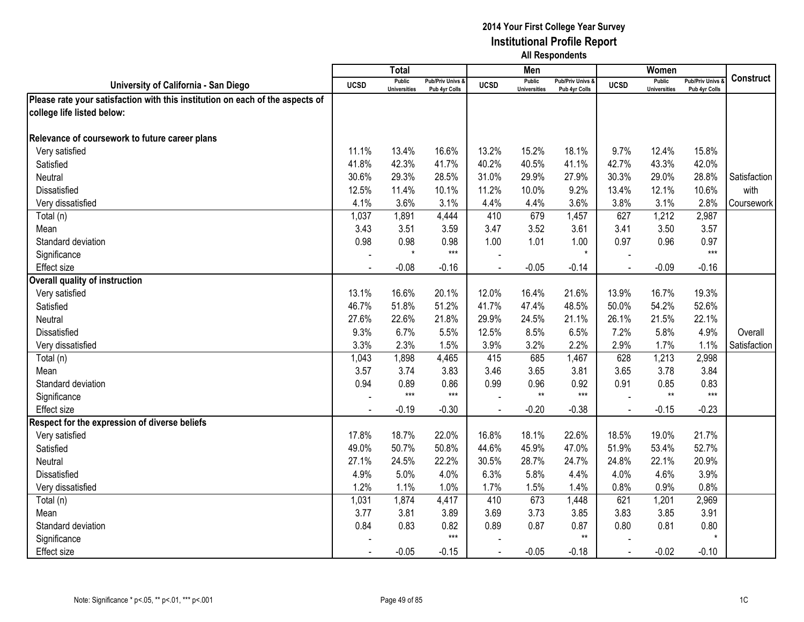|                                                                               |             | <b>Total</b>                         |                                   |                | Men                                  |                                   |                | Women                                |                                        |                  |
|-------------------------------------------------------------------------------|-------------|--------------------------------------|-----------------------------------|----------------|--------------------------------------|-----------------------------------|----------------|--------------------------------------|----------------------------------------|------------------|
| University of California - San Diego                                          | <b>UCSD</b> | <b>Public</b><br><b>Universities</b> | Pub/Priv Univs &<br>Pub 4yr Colls | <b>UCSD</b>    | <b>Public</b><br><b>Universities</b> | Pub/Priv Univs &<br>Pub 4yr Colls | <b>UCSD</b>    | <b>Public</b><br><b>Universities</b> | <b>Pub/Priv Univs</b><br>Pub 4yr Colls | <b>Construct</b> |
| Please rate your satisfaction with this institution on each of the aspects of |             |                                      |                                   |                |                                      |                                   |                |                                      |                                        |                  |
| college life listed below:                                                    |             |                                      |                                   |                |                                      |                                   |                |                                      |                                        |                  |
|                                                                               |             |                                      |                                   |                |                                      |                                   |                |                                      |                                        |                  |
| Relevance of coursework to future career plans                                |             |                                      |                                   |                |                                      |                                   |                |                                      |                                        |                  |
| Very satisfied                                                                | 11.1%       | 13.4%                                | 16.6%                             | 13.2%          | 15.2%                                | 18.1%                             | 9.7%           | 12.4%                                | 15.8%                                  |                  |
| Satisfied                                                                     | 41.8%       | 42.3%                                | 41.7%                             | 40.2%          | 40.5%                                | 41.1%                             | 42.7%          | 43.3%                                | 42.0%                                  |                  |
| Neutral                                                                       | 30.6%       | 29.3%                                | 28.5%                             | 31.0%          | 29.9%                                | 27.9%                             | 30.3%          | 29.0%                                | 28.8%                                  | Satisfaction     |
| <b>Dissatisfied</b>                                                           | 12.5%       | 11.4%                                | 10.1%                             | 11.2%          | 10.0%                                | 9.2%                              | 13.4%          | 12.1%                                | 10.6%                                  | with             |
| Very dissatisfied                                                             | 4.1%        | 3.6%                                 | 3.1%                              | 4.4%           | 4.4%                                 | 3.6%                              | 3.8%           | 3.1%                                 | 2.8%                                   | Coursework       |
| Total (n)                                                                     | 1,037       | 1,891                                | 4,444                             | 410            | 679                                  | 1,457                             | 627            | 1,212                                | 2,987                                  |                  |
| Mean                                                                          | 3.43        | 3.51                                 | 3.59                              | 3.47           | 3.52                                 | 3.61                              | 3.41           | 3.50                                 | 3.57                                   |                  |
| Standard deviation                                                            | 0.98        | 0.98                                 | 0.98                              | 1.00           | 1.01                                 | 1.00                              | 0.97           | 0.96                                 | 0.97                                   |                  |
| Significance                                                                  |             |                                      | $***$                             |                |                                      | $\star$                           |                |                                      | $***$                                  |                  |
| <b>Effect size</b>                                                            |             | $-0.08$                              | $-0.16$                           |                | $-0.05$                              | $-0.14$                           |                | $-0.09$                              | $-0.16$                                |                  |
| <b>Overall quality of instruction</b>                                         |             |                                      |                                   |                |                                      |                                   |                |                                      |                                        |                  |
| Very satisfied                                                                | 13.1%       | 16.6%                                | 20.1%                             | 12.0%          | 16.4%                                | 21.6%                             | 13.9%          | 16.7%                                | 19.3%                                  |                  |
| Satisfied                                                                     | 46.7%       | 51.8%                                | 51.2%                             | 41.7%          | 47.4%                                | 48.5%                             | 50.0%          | 54.2%                                | 52.6%                                  |                  |
| Neutral                                                                       | 27.6%       | 22.6%                                | 21.8%                             | 29.9%          | 24.5%                                | 21.1%                             | 26.1%          | 21.5%                                | 22.1%                                  |                  |
| Dissatisfied                                                                  | 9.3%        | 6.7%                                 | 5.5%                              | 12.5%          | 8.5%                                 | 6.5%                              | 7.2%           | 5.8%                                 | 4.9%                                   | Overall          |
| Very dissatisfied                                                             | 3.3%        | 2.3%                                 | 1.5%                              | 3.9%           | 3.2%                                 | 2.2%                              | 2.9%           | 1.7%                                 | 1.1%                                   | Satisfaction     |
| Total (n)                                                                     | 1,043       | 1,898                                | 4,465                             | 415            | 685                                  | 1,467                             | 628            | 1,213                                | 2,998                                  |                  |
| Mean                                                                          | 3.57        | 3.74                                 | 3.83                              | 3.46           | 3.65                                 | 3.81                              | 3.65           | 3.78                                 | 3.84                                   |                  |
| Standard deviation                                                            | 0.94        | 0.89                                 | 0.86                              | 0.99           | 0.96                                 | 0.92                              | 0.91           | 0.85                                 | 0.83                                   |                  |
| Significance                                                                  |             | $***$                                | $***$                             |                | $**$                                 | $***$                             |                | $**$                                 | $***$                                  |                  |
| <b>Effect size</b>                                                            |             | $-0.19$                              | $-0.30$                           |                | $-0.20$                              | $-0.38$                           |                | $-0.15$                              | $-0.23$                                |                  |
| Respect for the expression of diverse beliefs                                 |             |                                      |                                   |                |                                      |                                   |                |                                      |                                        |                  |
| Very satisfied                                                                | 17.8%       | 18.7%                                | 22.0%                             | 16.8%          | 18.1%                                | 22.6%                             | 18.5%          | 19.0%                                | 21.7%                                  |                  |
| Satisfied                                                                     | 49.0%       | 50.7%                                | 50.8%                             | 44.6%          | 45.9%                                | 47.0%                             | 51.9%          | 53.4%                                | 52.7%                                  |                  |
| Neutral                                                                       | 27.1%       | 24.5%                                | 22.2%                             | 30.5%          | 28.7%                                | 24.7%                             | 24.8%          | 22.1%                                | 20.9%                                  |                  |
| <b>Dissatisfied</b>                                                           | 4.9%        | 5.0%                                 | 4.0%                              | 6.3%           | 5.8%                                 | 4.4%                              | 4.0%           | 4.6%                                 | 3.9%                                   |                  |
| Very dissatisfied                                                             | 1.2%        | 1.1%                                 | 1.0%                              | 1.7%           | 1.5%                                 | 1.4%                              | 0.8%           | 0.9%                                 | 0.8%                                   |                  |
| Total (n)                                                                     | 1,031       | 1,874                                | 4,417                             | 410            | 673                                  | 1,448                             | 621            | 1,201                                | 2,969                                  |                  |
| Mean                                                                          | 3.77        | 3.81                                 | 3.89                              | 3.69           | 3.73                                 | 3.85                              | 3.83           | 3.85                                 | 3.91                                   |                  |
| Standard deviation                                                            | 0.84        | 0.83                                 | 0.82                              | 0.89           | 0.87                                 | 0.87                              | 0.80           | 0.81                                 | 0.80                                   |                  |
| Significance                                                                  |             |                                      | $***$                             |                |                                      | $**$                              |                |                                      | $\star$                                |                  |
| <b>Effect size</b>                                                            |             | $-0.05$                              | $-0.15$                           | $\blacksquare$ | $-0.05$                              | $-0.18$                           | $\blacksquare$ | $-0.02$                              | $-0.10$                                |                  |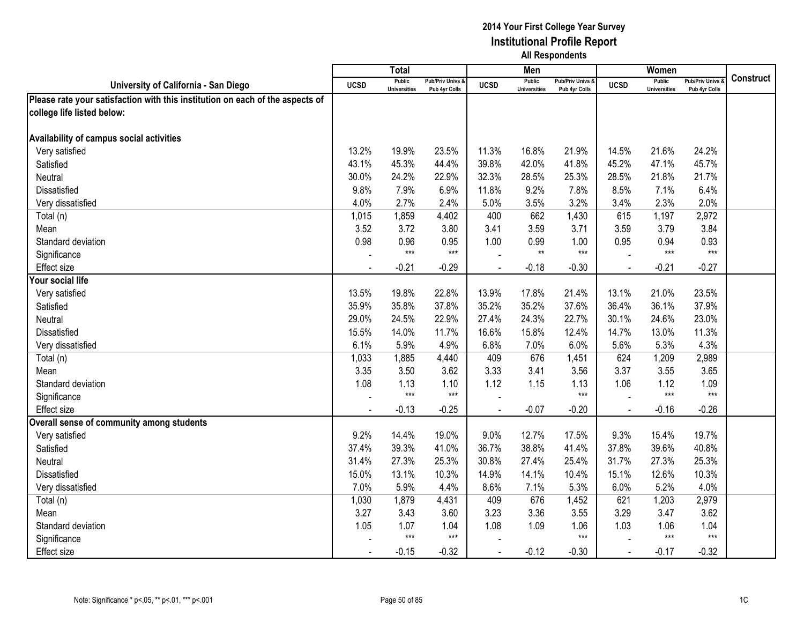|                                                                               |             | <b>Total</b>                         |                                   |             | Men                                  |                                   |                | Women                                |                                        |                  |
|-------------------------------------------------------------------------------|-------------|--------------------------------------|-----------------------------------|-------------|--------------------------------------|-----------------------------------|----------------|--------------------------------------|----------------------------------------|------------------|
| University of California - San Diego                                          | <b>UCSD</b> | <b>Public</b><br><b>Universities</b> | Pub/Priv Univs &<br>Pub 4yr Colls | <b>UCSD</b> | <b>Public</b><br><b>Universities</b> | Pub/Priv Univs &<br>Pub 4yr Colls | <b>UCSD</b>    | <b>Public</b><br><b>Universities</b> | <b>Pub/Priv Univs</b><br>Pub 4yr Colls | <b>Construct</b> |
| Please rate your satisfaction with this institution on each of the aspects of |             |                                      |                                   |             |                                      |                                   |                |                                      |                                        |                  |
| college life listed below:                                                    |             |                                      |                                   |             |                                      |                                   |                |                                      |                                        |                  |
|                                                                               |             |                                      |                                   |             |                                      |                                   |                |                                      |                                        |                  |
| Availability of campus social activities                                      |             |                                      |                                   |             |                                      |                                   |                |                                      |                                        |                  |
| Very satisfied                                                                | 13.2%       | 19.9%                                | 23.5%                             | 11.3%       | 16.8%                                | 21.9%                             | 14.5%          | 21.6%                                | 24.2%                                  |                  |
| Satisfied                                                                     | 43.1%       | 45.3%                                | 44.4%                             | 39.8%       | 42.0%                                | 41.8%                             | 45.2%          | 47.1%                                | 45.7%                                  |                  |
| Neutral                                                                       | 30.0%       | 24.2%                                | 22.9%                             | 32.3%       | 28.5%                                | 25.3%                             | 28.5%          | 21.8%                                | 21.7%                                  |                  |
| Dissatisfied                                                                  | 9.8%        | 7.9%                                 | 6.9%                              | 11.8%       | 9.2%                                 | 7.8%                              | 8.5%           | 7.1%                                 | 6.4%                                   |                  |
| Very dissatisfied                                                             | 4.0%        | 2.7%                                 | 2.4%                              | 5.0%        | 3.5%                                 | 3.2%                              | 3.4%           | 2.3%                                 | 2.0%                                   |                  |
| Total (n)                                                                     | 1,015       | 1,859                                | 4,402                             | 400         | 662                                  | 1,430                             | 615            | 1,197                                | 2,972                                  |                  |
| Mean                                                                          | 3.52        | 3.72                                 | 3.80                              | 3.41        | 3.59                                 | 3.71                              | 3.59           | 3.79                                 | 3.84                                   |                  |
| Standard deviation                                                            | 0.98        | 0.96                                 | 0.95                              | 1.00        | 0.99                                 | 1.00                              | 0.95           | 0.94                                 | 0.93                                   |                  |
| Significance                                                                  |             | $***$                                | $***$                             |             | $^{\star\star}$                      | $***$                             |                | $***$                                | $***$                                  |                  |
| <b>Effect size</b>                                                            |             | $-0.21$                              | $-0.29$                           |             | $-0.18$                              | $-0.30$                           |                | $-0.21$                              | $-0.27$                                |                  |
| Your social life                                                              |             |                                      |                                   |             |                                      |                                   |                |                                      |                                        |                  |
| Very satisfied                                                                | 13.5%       | 19.8%                                | 22.8%                             | 13.9%       | 17.8%                                | 21.4%                             | 13.1%          | 21.0%                                | 23.5%                                  |                  |
| Satisfied                                                                     | 35.9%       | 35.8%                                | 37.8%                             | 35.2%       | 35.2%                                | 37.6%                             | 36.4%          | 36.1%                                | 37.9%                                  |                  |
| Neutral                                                                       | 29.0%       | 24.5%                                | 22.9%                             | 27.4%       | 24.3%                                | 22.7%                             | 30.1%          | 24.6%                                | 23.0%                                  |                  |
| <b>Dissatisfied</b>                                                           | 15.5%       | 14.0%                                | 11.7%                             | 16.6%       | 15.8%                                | 12.4%                             | 14.7%          | 13.0%                                | 11.3%                                  |                  |
| Very dissatisfied                                                             | 6.1%        | 5.9%                                 | 4.9%                              | 6.8%        | 7.0%                                 | 6.0%                              | 5.6%           | 5.3%                                 | 4.3%                                   |                  |
| Total (n)                                                                     | 1,033       | 1,885                                | 4,440                             | 409         | 676                                  | 1,451                             | 624            | 1,209                                | 2,989                                  |                  |
| Mean                                                                          | 3.35        | 3.50                                 | 3.62                              | 3.33        | 3.41                                 | 3.56                              | 3.37           | 3.55                                 | 3.65                                   |                  |
| Standard deviation                                                            | 1.08        | 1.13                                 | 1.10                              | 1.12        | 1.15                                 | 1.13                              | 1.06           | 1.12                                 | 1.09                                   |                  |
| Significance                                                                  |             | $***$                                | $***$                             |             |                                      | $***$                             |                | $***$                                | $***$                                  |                  |
| <b>Effect size</b>                                                            |             | $-0.13$                              | $-0.25$                           |             | $-0.07$                              | $-0.20$                           |                | $-0.16$                              | $-0.26$                                |                  |
| Overall sense of community among students                                     |             |                                      |                                   |             |                                      |                                   |                |                                      |                                        |                  |
| Very satisfied                                                                | 9.2%        | 14.4%                                | 19.0%                             | 9.0%        | 12.7%                                | 17.5%                             | 9.3%           | 15.4%                                | 19.7%                                  |                  |
| Satisfied                                                                     | 37.4%       | 39.3%                                | 41.0%                             | 36.7%       | 38.8%                                | 41.4%                             | 37.8%          | 39.6%                                | 40.8%                                  |                  |
| Neutral                                                                       | 31.4%       | 27.3%                                | 25.3%                             | 30.8%       | 27.4%                                | 25.4%                             | 31.7%          | 27.3%                                | 25.3%                                  |                  |
| Dissatisfied                                                                  | 15.0%       | 13.1%                                | 10.3%                             | 14.9%       | 14.1%                                | 10.4%                             | 15.1%          | 12.6%                                | 10.3%                                  |                  |
| Very dissatisfied                                                             | 7.0%        | 5.9%                                 | 4.4%                              | 8.6%        | 7.1%                                 | 5.3%                              | 6.0%           | 5.2%                                 | 4.0%                                   |                  |
| Total (n)                                                                     | 1,030       | 1,879                                | 4,431                             | 409         | 676                                  | 1,452                             | 621            | 1,203                                | 2,979                                  |                  |
| Mean                                                                          | 3.27        | 3.43                                 | 3.60                              | 3.23        | 3.36                                 | 3.55                              | 3.29           | 3.47                                 | 3.62                                   |                  |
| Standard deviation                                                            | 1.05        | 1.07                                 | 1.04                              | 1.08        | 1.09                                 | 1.06                              | 1.03           | 1.06                                 | 1.04                                   |                  |
| Significance                                                                  |             | $***$                                | $***$                             |             |                                      | $***$                             |                | $***$                                | $***$                                  |                  |
| <b>Effect size</b>                                                            |             | $-0.15$                              | $-0.32$                           | $\sim$      | $-0.12$                              | $-0.30$                           | $\blacksquare$ | $-0.17$                              | $-0.32$                                |                  |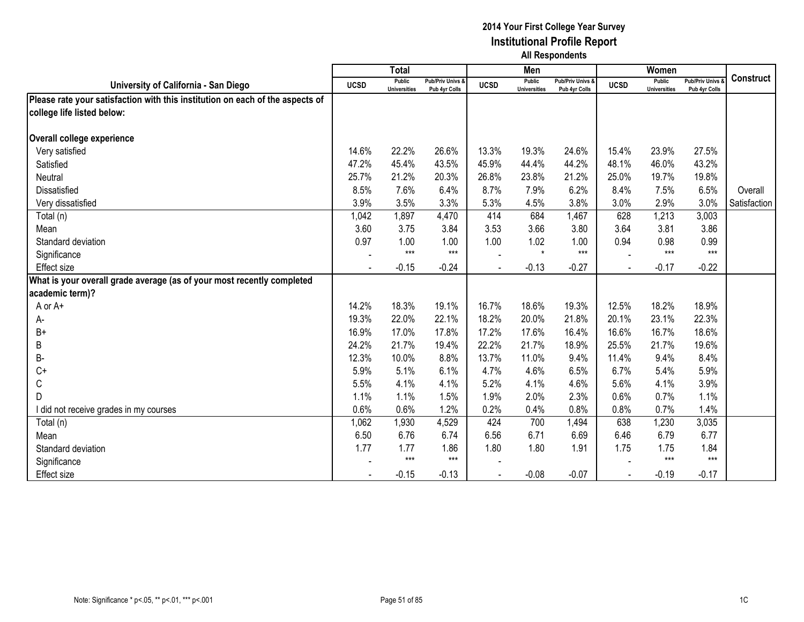|                                                                               |             | <b>Total</b>                         |                                              |             | Men                                  |                                   |             | Women                                |                                        |                  |
|-------------------------------------------------------------------------------|-------------|--------------------------------------|----------------------------------------------|-------------|--------------------------------------|-----------------------------------|-------------|--------------------------------------|----------------------------------------|------------------|
| University of California - San Diego                                          | <b>UCSD</b> | <b>Public</b><br><b>Universities</b> | <b>Pub/Priv Univs &amp;</b><br>Pub 4yr Colls | <b>UCSD</b> | <b>Public</b><br><b>Universities</b> | Pub/Priv Univs &<br>Pub 4yr Colls | <b>UCSD</b> | <b>Public</b><br><b>Universities</b> | <b>Pub/Priv Univs</b><br>Pub 4yr Colls | <b>Construct</b> |
| Please rate your satisfaction with this institution on each of the aspects of |             |                                      |                                              |             |                                      |                                   |             |                                      |                                        |                  |
| college life listed below:                                                    |             |                                      |                                              |             |                                      |                                   |             |                                      |                                        |                  |
| Overall college experience                                                    |             |                                      |                                              |             |                                      |                                   |             |                                      |                                        |                  |
| Very satisfied                                                                | 14.6%       | 22.2%                                | 26.6%                                        | 13.3%       | 19.3%                                | 24.6%                             | 15.4%       | 23.9%                                | 27.5%                                  |                  |
| Satisfied                                                                     | 47.2%       | 45.4%                                | 43.5%                                        | 45.9%       | 44.4%                                | 44.2%                             | 48.1%       | 46.0%                                | 43.2%                                  |                  |
| Neutral                                                                       | 25.7%       | 21.2%                                | 20.3%                                        | 26.8%       | 23.8%                                | 21.2%                             | 25.0%       | 19.7%                                | 19.8%                                  |                  |
|                                                                               |             | 7.6%                                 | 6.4%                                         | 8.7%        | 7.9%                                 |                                   | 8.4%        | 7.5%                                 | 6.5%                                   |                  |
| Dissatisfied                                                                  | 8.5%        |                                      |                                              |             |                                      | 6.2%                              |             |                                      |                                        | Overall          |
| Very dissatisfied                                                             | 3.9%        | 3.5%                                 | 3.3%                                         | 5.3%        | 4.5%                                 | 3.8%                              | 3.0%        | 2.9%                                 | 3.0%                                   | Satisfaction     |
| Total (n)                                                                     | 1,042       | 1,897                                | 4,470                                        | 414         | 684                                  | 1,467                             | 628         | 1,213                                | 3,003                                  |                  |
| Mean                                                                          | 3.60        | 3.75                                 | 3.84                                         | 3.53        | 3.66                                 | 3.80                              | 3.64        | 3.81                                 | 3.86                                   |                  |
| Standard deviation                                                            | 0.97        | 1.00<br>$***$                        | 1.00<br>$***$                                | 1.00        | 1.02<br>$\star$                      | 1.00<br>$***$                     | 0.94        | 0.98<br>$***$                        | 0.99<br>$***$                          |                  |
| Significance                                                                  |             |                                      |                                              |             |                                      |                                   |             |                                      |                                        |                  |
| Effect size                                                                   |             | $-0.15$                              | $-0.24$                                      |             | $-0.13$                              | $-0.27$                           |             | $-0.17$                              | $-0.22$                                |                  |
| What is your overall grade average (as of your most recently completed        |             |                                      |                                              |             |                                      |                                   |             |                                      |                                        |                  |
| academic term)?                                                               |             |                                      |                                              |             |                                      |                                   |             |                                      |                                        |                  |
| A or A+                                                                       | 14.2%       | 18.3%                                | 19.1%                                        | 16.7%       | 18.6%                                | 19.3%                             | 12.5%       | 18.2%                                | 18.9%                                  |                  |
| А-                                                                            | 19.3%       | 22.0%                                | 22.1%                                        | 18.2%       | 20.0%                                | 21.8%                             | 20.1%       | 23.1%                                | 22.3%                                  |                  |
| $B+$                                                                          | 16.9%       | 17.0%                                | 17.8%                                        | 17.2%       | 17.6%                                | 16.4%                             | 16.6%       | 16.7%                                | 18.6%                                  |                  |
| В                                                                             | 24.2%       | 21.7%                                | 19.4%                                        | 22.2%       | 21.7%                                | 18.9%                             | 25.5%       | 21.7%                                | 19.6%                                  |                  |
| B-                                                                            | 12.3%       | 10.0%                                | 8.8%                                         | 13.7%       | 11.0%                                | 9.4%                              | 11.4%       | 9.4%                                 | 8.4%                                   |                  |
| $C+$                                                                          | 5.9%        | 5.1%                                 | 6.1%                                         | 4.7%        | 4.6%                                 | 6.5%                              | 6.7%        | 5.4%                                 | 5.9%                                   |                  |
| C                                                                             | 5.5%        | 4.1%                                 | 4.1%                                         | 5.2%        | 4.1%                                 | 4.6%                              | 5.6%        | 4.1%                                 | 3.9%                                   |                  |
| D                                                                             | 1.1%        | 1.1%                                 | 1.5%                                         | 1.9%        | 2.0%                                 | 2.3%                              | 0.6%        | 0.7%                                 | 1.1%                                   |                  |
| I did not receive grades in my courses                                        | 0.6%        | 0.6%                                 | 1.2%                                         | 0.2%        | 0.4%                                 | 0.8%                              | 0.8%        | 0.7%                                 | 1.4%                                   |                  |
| Total (n)                                                                     | 1,062       | 1,930                                | 4,529                                        | 424         | 700                                  | 1,494                             | 638         | 1,230                                | 3,035                                  |                  |
| Mean                                                                          | 6.50        | 6.76                                 | 6.74                                         | 6.56        | 6.71                                 | 6.69                              | 6.46        | 6.79                                 | 6.77                                   |                  |
| Standard deviation                                                            | 1.77        | 1.77                                 | 1.86                                         | 1.80        | 1.80                                 | 1.91                              | 1.75        | 1.75                                 | 1.84                                   |                  |
| Significance                                                                  |             | $***$                                | $***$                                        |             |                                      |                                   |             | $***$                                | $***$                                  |                  |
| <b>Effect size</b>                                                            |             | $-0.15$                              | $-0.13$                                      |             | $-0.08$                              | $-0.07$                           |             | $-0.19$                              | $-0.17$                                |                  |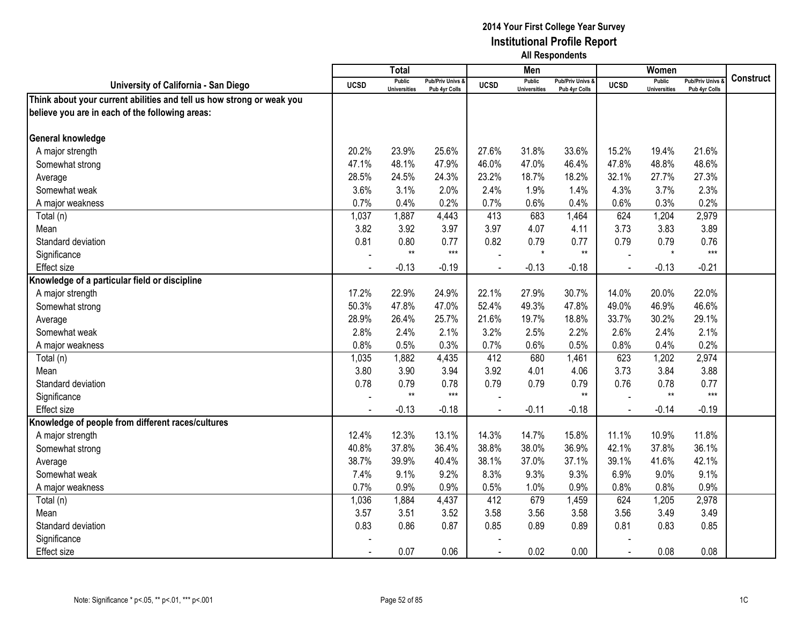|                                                                       |             | <b>Total</b>                         |                                   |                | Men                                  |                                   |                | Women                                |                                        |                  |
|-----------------------------------------------------------------------|-------------|--------------------------------------|-----------------------------------|----------------|--------------------------------------|-----------------------------------|----------------|--------------------------------------|----------------------------------------|------------------|
| University of California - San Diego                                  | <b>UCSD</b> | <b>Public</b><br><b>Universities</b> | Pub/Priv Univs &<br>Pub 4yr Colls | <b>UCSD</b>    | <b>Public</b><br><b>Universities</b> | Pub/Priv Univs &<br>Pub 4yr Colls | <b>UCSD</b>    | <b>Public</b><br><b>Universities</b> | <b>Pub/Priv Univs</b><br>Pub 4yr Colls | <b>Construct</b> |
| Think about your current abilities and tell us how strong or weak you |             |                                      |                                   |                |                                      |                                   |                |                                      |                                        |                  |
| believe you are in each of the following areas:                       |             |                                      |                                   |                |                                      |                                   |                |                                      |                                        |                  |
|                                                                       |             |                                      |                                   |                |                                      |                                   |                |                                      |                                        |                  |
| General knowledge                                                     |             |                                      |                                   |                |                                      |                                   |                |                                      |                                        |                  |
| A major strength                                                      | 20.2%       | 23.9%                                | 25.6%                             | 27.6%          | 31.8%                                | 33.6%                             | 15.2%          | 19.4%                                | 21.6%                                  |                  |
| Somewhat strong                                                       | 47.1%       | 48.1%                                | 47.9%                             | 46.0%          | 47.0%                                | 46.4%                             | 47.8%          | 48.8%                                | 48.6%                                  |                  |
| Average                                                               | 28.5%       | 24.5%                                | 24.3%                             | 23.2%          | 18.7%                                | 18.2%                             | 32.1%          | 27.7%                                | 27.3%                                  |                  |
| Somewhat weak                                                         | 3.6%        | 3.1%                                 | 2.0%                              | 2.4%           | 1.9%                                 | 1.4%                              | 4.3%           | 3.7%                                 | 2.3%                                   |                  |
| A major weakness                                                      | 0.7%        | 0.4%                                 | 0.2%                              | 0.7%           | 0.6%                                 | 0.4%                              | 0.6%           | 0.3%                                 | 0.2%                                   |                  |
| Total (n)                                                             | 1,037       | 1,887                                | 4,443                             | 413            | 683                                  | 1,464                             | 624            | 1,204                                | 2,979                                  |                  |
| Mean                                                                  | 3.82        | 3.92                                 | 3.97                              | 3.97           | 4.07                                 | 4.11                              | 3.73           | 3.83                                 | 3.89                                   |                  |
| Standard deviation                                                    | 0.81        | 0.80                                 | 0.77                              | 0.82           | 0.79                                 | 0.77                              | 0.79           | 0.79                                 | 0.76                                   |                  |
| Significance                                                          |             | $**$                                 | $***$                             |                | $\star$                              | $**$                              |                | $\star$                              | $***$                                  |                  |
| <b>Effect size</b>                                                    |             | $-0.13$                              | $-0.19$                           |                | $-0.13$                              | $-0.18$                           |                | $-0.13$                              | $-0.21$                                |                  |
| Knowledge of a particular field or discipline                         |             |                                      |                                   |                |                                      |                                   |                |                                      |                                        |                  |
| A major strength                                                      | 17.2%       | 22.9%                                | 24.9%                             | 22.1%          | 27.9%                                | 30.7%                             | 14.0%          | 20.0%                                | 22.0%                                  |                  |
| Somewhat strong                                                       | 50.3%       | 47.8%                                | 47.0%                             | 52.4%          | 49.3%                                | 47.8%                             | 49.0%          | 46.9%                                | 46.6%                                  |                  |
| Average                                                               | 28.9%       | 26.4%                                | 25.7%                             | 21.6%          | 19.7%                                | 18.8%                             | 33.7%          | 30.2%                                | 29.1%                                  |                  |
| Somewhat weak                                                         | 2.8%        | 2.4%                                 | 2.1%                              | 3.2%           | 2.5%                                 | 2.2%                              | 2.6%           | 2.4%                                 | 2.1%                                   |                  |
| A major weakness                                                      | 0.8%        | 0.5%                                 | 0.3%                              | 0.7%           | 0.6%                                 | 0.5%                              | 0.8%           | 0.4%                                 | 0.2%                                   |                  |
| Total (n)                                                             | 1,035       | 1,882                                | 4,435                             | 412            | 680                                  | 1,461                             | 623            | 1,202                                | 2,974                                  |                  |
| Mean                                                                  | 3.80        | 3.90                                 | 3.94                              | 3.92           | 4.01                                 | 4.06                              | 3.73           | 3.84                                 | 3.88                                   |                  |
| Standard deviation                                                    | 0.78        | 0.79                                 | 0.78                              | 0.79           | 0.79                                 | 0.79                              | 0.76           | 0.78                                 | 0.77                                   |                  |
| Significance                                                          |             | $**$                                 | $***$                             |                |                                      | $**$                              |                | $**$                                 | $***$                                  |                  |
| <b>Effect size</b>                                                    |             | $-0.13$                              | $-0.18$                           |                | $-0.11$                              | $-0.18$                           | $\overline{a}$ | $-0.14$                              | $-0.19$                                |                  |
| Knowledge of people from different races/cultures                     |             |                                      |                                   |                |                                      |                                   |                |                                      |                                        |                  |
| A major strength                                                      | 12.4%       | 12.3%                                | 13.1%                             | 14.3%          | 14.7%                                | 15.8%                             | 11.1%          | 10.9%                                | 11.8%                                  |                  |
| Somewhat strong                                                       | 40.8%       | 37.8%                                | 36.4%                             | 38.8%          | 38.0%                                | 36.9%                             | 42.1%          | 37.8%                                | 36.1%                                  |                  |
| Average                                                               | 38.7%       | 39.9%                                | 40.4%                             | 38.1%          | 37.0%                                | 37.1%                             | 39.1%          | 41.6%                                | 42.1%                                  |                  |
| Somewhat weak                                                         | 7.4%        | 9.1%                                 | 9.2%                              | 8.3%           | 9.3%                                 | 9.3%                              | 6.9%           | 9.0%                                 | 9.1%                                   |                  |
| A major weakness                                                      | 0.7%        | 0.9%                                 | 0.9%                              | 0.5%           | 1.0%                                 | 0.9%                              | 0.8%           | 0.8%                                 | 0.9%                                   |                  |
| Total (n)                                                             | 1,036       | 1,884                                | 4,437                             | 412            | 679                                  | 1,459                             | 624            | 1,205                                | 2,978                                  |                  |
| Mean                                                                  | 3.57        | 3.51                                 | 3.52                              | 3.58           | 3.56                                 | 3.58                              | 3.56           | 3.49                                 | 3.49                                   |                  |
| Standard deviation                                                    | 0.83        | 0.86                                 | 0.87                              | 0.85           | 0.89                                 | 0.89                              | 0.81           | 0.83                                 | 0.85                                   |                  |
| Significance                                                          |             |                                      |                                   |                |                                      |                                   |                |                                      |                                        |                  |
| <b>Effect size</b>                                                    |             | 0.07                                 | 0.06                              | $\blacksquare$ | 0.02                                 | 0.00                              | $\blacksquare$ | 0.08                                 | 0.08                                   |                  |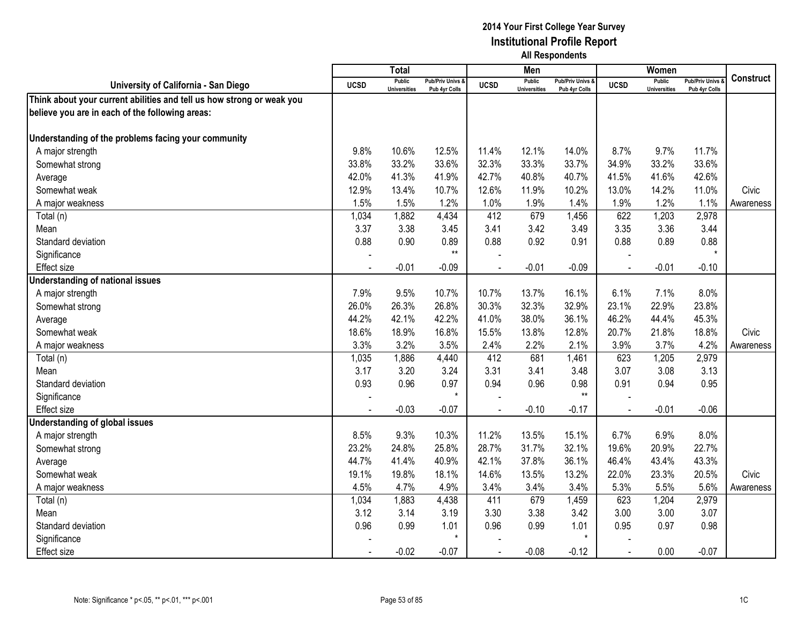|                                                                       |                | <b>Total</b>                         |                                   |                | Men                                  |                                              |                | Women                                |                                        |                  |
|-----------------------------------------------------------------------|----------------|--------------------------------------|-----------------------------------|----------------|--------------------------------------|----------------------------------------------|----------------|--------------------------------------|----------------------------------------|------------------|
| University of California - San Diego                                  | <b>UCSD</b>    | <b>Public</b><br><b>Universities</b> | Pub/Priv Univs &<br>Pub 4yr Colls | <b>UCSD</b>    | <b>Public</b><br><b>Universities</b> | <b>Pub/Priv Univs &amp;</b><br>Pub 4yr Colls | <b>UCSD</b>    | <b>Public</b><br><b>Universities</b> | <b>Pub/Priv Univs</b><br>Pub 4yr Colls | <b>Construct</b> |
| Think about your current abilities and tell us how strong or weak you |                |                                      |                                   |                |                                      |                                              |                |                                      |                                        |                  |
| believe you are in each of the following areas:                       |                |                                      |                                   |                |                                      |                                              |                |                                      |                                        |                  |
|                                                                       |                |                                      |                                   |                |                                      |                                              |                |                                      |                                        |                  |
| Understanding of the problems facing your community                   |                |                                      |                                   |                |                                      |                                              |                |                                      |                                        |                  |
| A major strength                                                      | 9.8%           | 10.6%                                | 12.5%                             | 11.4%          | 12.1%                                | 14.0%                                        | 8.7%           | 9.7%                                 | 11.7%                                  |                  |
| Somewhat strong                                                       | 33.8%          | 33.2%                                | 33.6%                             | 32.3%          | 33.3%                                | 33.7%                                        | 34.9%          | 33.2%                                | 33.6%                                  |                  |
| Average                                                               | 42.0%          | 41.3%                                | 41.9%                             | 42.7%          | 40.8%                                | 40.7%                                        | 41.5%          | 41.6%                                | 42.6%                                  |                  |
| Somewhat weak                                                         | 12.9%          | 13.4%                                | 10.7%                             | 12.6%          | 11.9%                                | 10.2%                                        | 13.0%          | 14.2%                                | 11.0%                                  | <b>Civic</b>     |
| A major weakness                                                      | 1.5%           | 1.5%                                 | 1.2%                              | 1.0%           | 1.9%                                 | 1.4%                                         | 1.9%           | 1.2%                                 | 1.1%                                   | Awareness        |
| Total (n)                                                             | 1,034          | 1,882                                | 4,434                             | 412            | 679                                  | 1,456                                        | 622            | 1,203                                | 2,978                                  |                  |
| Mean                                                                  | 3.37           | 3.38                                 | 3.45                              | 3.41           | 3.42                                 | 3.49                                         | 3.35           | 3.36                                 | 3.44                                   |                  |
| Standard deviation                                                    | 0.88           | 0.90                                 | 0.89                              | 0.88           | 0.92                                 | 0.91                                         | 0.88           | 0.89                                 | 0.88                                   |                  |
| Significance                                                          |                |                                      | $**$                              |                |                                      |                                              |                |                                      |                                        |                  |
| <b>Effect size</b>                                                    |                | $-0.01$                              | $-0.09$                           |                | $-0.01$                              | $-0.09$                                      |                | $-0.01$                              | $-0.10$                                |                  |
| <b>Understanding of national issues</b>                               |                |                                      |                                   |                |                                      |                                              |                |                                      |                                        |                  |
| A major strength                                                      | 7.9%           | 9.5%                                 | 10.7%                             | 10.7%          | 13.7%                                | 16.1%                                        | 6.1%           | 7.1%                                 | 8.0%                                   |                  |
| Somewhat strong                                                       | 26.0%          | 26.3%                                | 26.8%                             | 30.3%          | 32.3%                                | 32.9%                                        | 23.1%          | 22.9%                                | 23.8%                                  |                  |
| Average                                                               | 44.2%          | 42.1%                                | 42.2%                             | 41.0%          | 38.0%                                | 36.1%                                        | 46.2%          | 44.4%                                | 45.3%                                  |                  |
| Somewhat weak                                                         | 18.6%          | 18.9%                                | 16.8%                             | 15.5%          | 13.8%                                | 12.8%                                        | 20.7%          | 21.8%                                | 18.8%                                  | Civic            |
| A major weakness                                                      | 3.3%           | 3.2%                                 | 3.5%                              | 2.4%           | 2.2%                                 | 2.1%                                         | 3.9%           | 3.7%                                 | 4.2%                                   | Awareness        |
| Total (n)                                                             | 1,035          | 1,886                                | 4,440                             | 412            | 681                                  | 1,461                                        | 623            | 1,205                                | 2,979                                  |                  |
| Mean                                                                  | 3.17           | 3.20                                 | 3.24                              | 3.31           | 3.41                                 | 3.48                                         | 3.07           | 3.08                                 | 3.13                                   |                  |
| Standard deviation                                                    | 0.93           | 0.96                                 | 0.97                              | 0.94           | 0.96                                 | 0.98                                         | 0.91           | 0.94                                 | 0.95                                   |                  |
| Significance                                                          |                |                                      | $\star$                           |                |                                      | $**$                                         |                |                                      |                                        |                  |
| <b>Effect size</b>                                                    |                | $-0.03$                              | $-0.07$                           |                | $-0.10$                              | $-0.17$                                      | $\overline{a}$ | $-0.01$                              | $-0.06$                                |                  |
| <b>Understanding of global issues</b>                                 |                |                                      |                                   |                |                                      |                                              |                |                                      |                                        |                  |
| A major strength                                                      | 8.5%           | 9.3%                                 | 10.3%                             | 11.2%          | 13.5%                                | 15.1%                                        | 6.7%           | 6.9%                                 | 8.0%                                   |                  |
| Somewhat strong                                                       | 23.2%          | 24.8%                                | 25.8%                             | 28.7%          | 31.7%                                | 32.1%                                        | 19.6%          | 20.9%                                | 22.7%                                  |                  |
| Average                                                               | 44.7%          | 41.4%                                | 40.9%                             | 42.1%          | 37.8%                                | 36.1%                                        | 46.4%          | 43.4%                                | 43.3%                                  |                  |
| Somewhat weak                                                         | 19.1%          | 19.8%                                | 18.1%                             | 14.6%          | 13.5%                                | 13.2%                                        | 22.0%          | 23.3%                                | 20.5%                                  | Civic            |
| A major weakness                                                      | 4.5%           | 4.7%                                 | 4.9%                              | 3.4%           | 3.4%                                 | 3.4%                                         | 5.3%           | 5.5%                                 | 5.6%                                   | Awareness        |
| Total (n)                                                             | 1,034          | 1,883                                | 4,438                             | 411            | 679                                  | 1,459                                        | 623            | 1,204                                | 2,979                                  |                  |
| Mean                                                                  | 3.12           | 3.14                                 | 3.19                              | 3.30           | 3.38                                 | 3.42                                         | 3.00           | 3.00                                 | 3.07                                   |                  |
| Standard deviation                                                    | 0.96           | 0.99                                 | 1.01                              | 0.96           | 0.99                                 | 1.01                                         | 0.95           | 0.97                                 | 0.98                                   |                  |
| Significance                                                          |                |                                      | $\star$                           |                |                                      | $\star$                                      |                |                                      |                                        |                  |
| <b>Effect size</b>                                                    | $\blacksquare$ | $-0.02$                              | $-0.07$                           | $\blacksquare$ | $-0.08$                              | $-0.12$                                      | $\sim$         | 0.00                                 | $-0.07$                                |                  |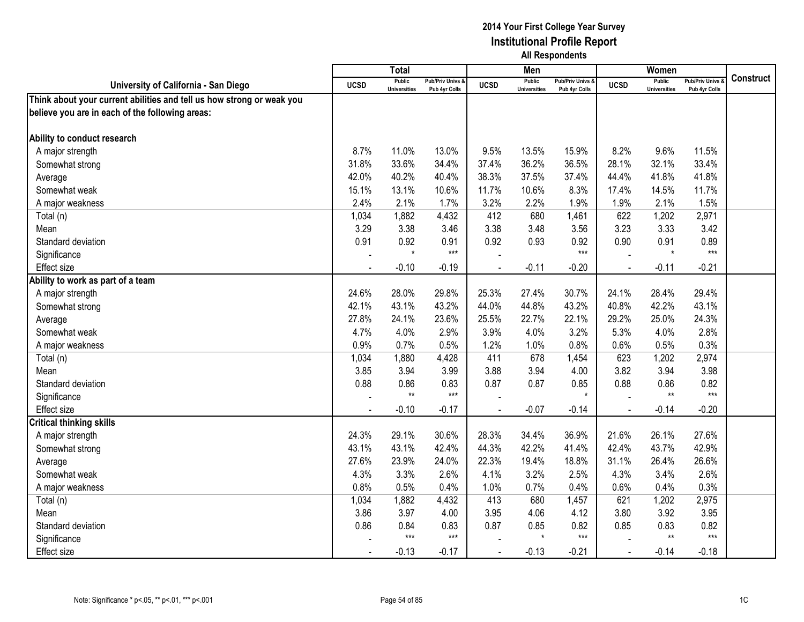|                                                                       |             | <b>Total</b>                         |                                   |             | Men                                  |                                   |                | Women                                |                                        |                  |
|-----------------------------------------------------------------------|-------------|--------------------------------------|-----------------------------------|-------------|--------------------------------------|-----------------------------------|----------------|--------------------------------------|----------------------------------------|------------------|
| University of California - San Diego                                  | <b>UCSD</b> | <b>Public</b><br><b>Universities</b> | Pub/Priv Univs &<br>Pub 4yr Colls | <b>UCSD</b> | <b>Public</b><br><b>Universities</b> | Pub/Priv Univs &<br>Pub 4yr Colls | <b>UCSD</b>    | <b>Public</b><br><b>Universities</b> | <b>Pub/Priv Univs</b><br>Pub 4yr Colls | <b>Construct</b> |
| Think about your current abilities and tell us how strong or weak you |             |                                      |                                   |             |                                      |                                   |                |                                      |                                        |                  |
| believe you are in each of the following areas:                       |             |                                      |                                   |             |                                      |                                   |                |                                      |                                        |                  |
|                                                                       |             |                                      |                                   |             |                                      |                                   |                |                                      |                                        |                  |
| Ability to conduct research                                           |             |                                      |                                   |             |                                      |                                   |                |                                      |                                        |                  |
| A major strength                                                      | 8.7%        | 11.0%                                | 13.0%                             | 9.5%        | 13.5%                                | 15.9%                             | 8.2%           | 9.6%                                 | 11.5%                                  |                  |
| Somewhat strong                                                       | 31.8%       | 33.6%                                | 34.4%                             | 37.4%       | 36.2%                                | 36.5%                             | 28.1%          | 32.1%                                | 33.4%                                  |                  |
| Average                                                               | 42.0%       | 40.2%                                | 40.4%                             | 38.3%       | 37.5%                                | 37.4%                             | 44.4%          | 41.8%                                | 41.8%                                  |                  |
| Somewhat weak                                                         | 15.1%       | 13.1%                                | 10.6%                             | 11.7%       | 10.6%                                | 8.3%                              | 17.4%          | 14.5%                                | 11.7%                                  |                  |
| A major weakness                                                      | 2.4%        | 2.1%                                 | 1.7%                              | 3.2%        | 2.2%                                 | 1.9%                              | 1.9%           | 2.1%                                 | 1.5%                                   |                  |
| Total (n)                                                             | 1,034       | 1,882                                | 4,432                             | 412         | 680                                  | 1,461                             | 622            | 1,202                                | 2,971                                  |                  |
| Mean                                                                  | 3.29        | 3.38                                 | 3.46                              | 3.38        | 3.48                                 | 3.56                              | 3.23           | 3.33                                 | 3.42                                   |                  |
| Standard deviation                                                    | 0.91        | 0.92                                 | 0.91                              | 0.92        | 0.93                                 | 0.92                              | 0.90           | 0.91                                 | 0.89                                   |                  |
| Significance                                                          |             | $\star$                              | $***$                             |             |                                      | $***$                             |                | $\star$                              | $***$                                  |                  |
| <b>Effect size</b>                                                    |             | $-0.10$                              | $-0.19$                           |             | $-0.11$                              | $-0.20$                           |                | $-0.11$                              | $-0.21$                                |                  |
| Ability to work as part of a team                                     |             |                                      |                                   |             |                                      |                                   |                |                                      |                                        |                  |
| A major strength                                                      | 24.6%       | 28.0%                                | 29.8%                             | 25.3%       | 27.4%                                | 30.7%                             | 24.1%          | 28.4%                                | 29.4%                                  |                  |
| Somewhat strong                                                       | 42.1%       | 43.1%                                | 43.2%                             | 44.0%       | 44.8%                                | 43.2%                             | 40.8%          | 42.2%                                | 43.1%                                  |                  |
| Average                                                               | 27.8%       | 24.1%                                | 23.6%                             | 25.5%       | 22.7%                                | 22.1%                             | 29.2%          | 25.0%                                | 24.3%                                  |                  |
| Somewhat weak                                                         | 4.7%        | 4.0%                                 | 2.9%                              | 3.9%        | 4.0%                                 | 3.2%                              | 5.3%           | 4.0%                                 | 2.8%                                   |                  |
| A major weakness                                                      | 0.9%        | 0.7%                                 | 0.5%                              | 1.2%        | 1.0%                                 | 0.8%                              | 0.6%           | 0.5%                                 | 0.3%                                   |                  |
| Total (n)                                                             | 1,034       | 1,880                                | 4,428                             | 411         | 678                                  | 1,454                             | 623            | 1,202                                | 2,974                                  |                  |
| Mean                                                                  | 3.85        | 3.94                                 | 3.99                              | 3.88        | 3.94                                 | 4.00                              | 3.82           | 3.94                                 | 3.98                                   |                  |
| Standard deviation                                                    | 0.88        | 0.86                                 | 0.83                              | 0.87        | 0.87                                 | 0.85                              | 0.88           | 0.86                                 | 0.82                                   |                  |
| Significance                                                          |             | $**$                                 | $***$                             |             |                                      | $\star$                           |                | $**$                                 | $***$                                  |                  |
| <b>Effect size</b>                                                    |             | $-0.10$                              | $-0.17$                           |             | $-0.07$                              | $-0.14$                           | L.             | $-0.14$                              | $-0.20$                                |                  |
| <b>Critical thinking skills</b>                                       |             |                                      |                                   |             |                                      |                                   |                |                                      |                                        |                  |
| A major strength                                                      | 24.3%       | 29.1%                                | 30.6%                             | 28.3%       | 34.4%                                | 36.9%                             | 21.6%          | 26.1%                                | 27.6%                                  |                  |
| Somewhat strong                                                       | 43.1%       | 43.1%                                | 42.4%                             | 44.3%       | 42.2%                                | 41.4%                             | 42.4%          | 43.7%                                | 42.9%                                  |                  |
| Average                                                               | 27.6%       | 23.9%                                | 24.0%                             | 22.3%       | 19.4%                                | 18.8%                             | 31.1%          | 26.4%                                | 26.6%                                  |                  |
| Somewhat weak                                                         | 4.3%        | 3.3%                                 | 2.6%                              | 4.1%        | 3.2%                                 | 2.5%                              | 4.3%           | 3.4%                                 | 2.6%                                   |                  |
| A major weakness                                                      | 0.8%        | 0.5%                                 | 0.4%                              | 1.0%        | 0.7%                                 | 0.4%                              | 0.6%           | 0.4%                                 | 0.3%                                   |                  |
| Total (n)                                                             | 1,034       | 1,882                                | 4,432                             | 413         | 680                                  | 1,457                             | 621            | 1,202                                | 2,975                                  |                  |
| Mean                                                                  | 3.86        | 3.97                                 | 4.00                              | 3.95        | 4.06                                 | 4.12                              | 3.80           | 3.92                                 | 3.95                                   |                  |
| Standard deviation                                                    | 0.86        | 0.84                                 | 0.83                              | 0.87        | 0.85                                 | 0.82                              | 0.85           | 0.83                                 | 0.82                                   |                  |
| Significance                                                          |             | $***$                                | $***$                             |             | $\star$                              | $***$                             |                | $**$                                 | $***$                                  |                  |
| <b>Effect size</b>                                                    |             | $-0.13$                              | $-0.17$                           | $\sim$      | $-0.13$                              | $-0.21$                           | $\blacksquare$ | $-0.14$                              | $-0.18$                                |                  |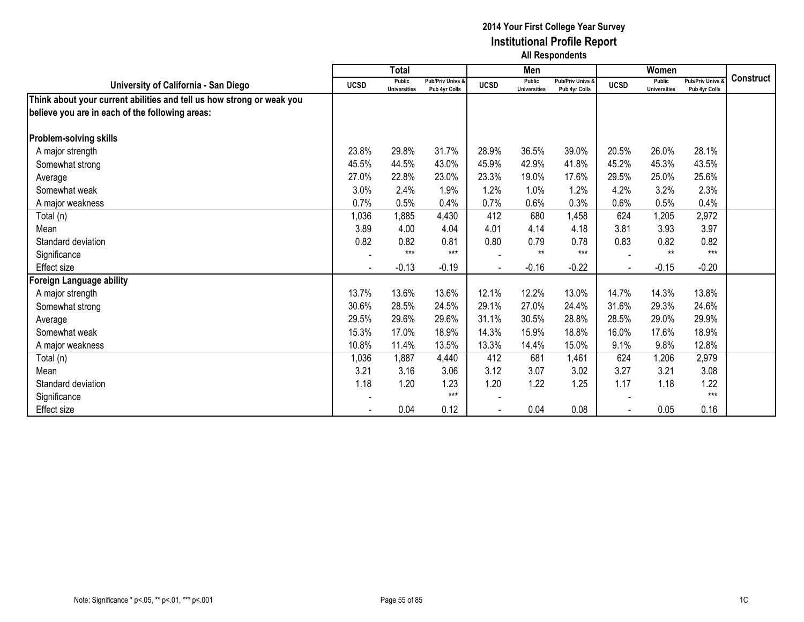|                                                                       |                | <b>Total</b>                  |                                   |                | Men                                  |                                   |             | Women                                |                                        |                  |
|-----------------------------------------------------------------------|----------------|-------------------------------|-----------------------------------|----------------|--------------------------------------|-----------------------------------|-------------|--------------------------------------|----------------------------------------|------------------|
| University of California - San Diego                                  | <b>UCSD</b>    | Public<br><b>Universities</b> | Pub/Priv Univs &<br>Pub 4yr Colls | <b>UCSD</b>    | <b>Public</b><br><b>Universities</b> | Pub/Priv Univs &<br>Pub 4yr Colls | <b>UCSD</b> | <b>Public</b><br><b>Universities</b> | <b>Pub/Priv Univs</b><br>Pub 4yr Colls | <b>Construct</b> |
| Think about your current abilities and tell us how strong or weak you |                |                               |                                   |                |                                      |                                   |             |                                      |                                        |                  |
| believe you are in each of the following areas:                       |                |                               |                                   |                |                                      |                                   |             |                                      |                                        |                  |
| <b>Problem-solving skills</b>                                         |                |                               |                                   |                |                                      |                                   |             |                                      |                                        |                  |
| A major strength                                                      | 23.8%          | 29.8%                         | 31.7%                             | 28.9%          | 36.5%                                | 39.0%                             | 20.5%       | 26.0%                                | 28.1%                                  |                  |
| Somewhat strong                                                       | 45.5%          | 44.5%                         | 43.0%                             | 45.9%          | 42.9%                                | 41.8%                             | 45.2%       | 45.3%                                | 43.5%                                  |                  |
| Average                                                               | 27.0%          | 22.8%                         | 23.0%                             | 23.3%          | 19.0%                                | 17.6%                             | 29.5%       | 25.0%                                | 25.6%                                  |                  |
| Somewhat weak                                                         | 3.0%           | 2.4%                          | 1.9%                              | 1.2%           | 1.0%                                 | 1.2%                              | 4.2%        | 3.2%                                 | 2.3%                                   |                  |
| A major weakness                                                      | 0.7%           | 0.5%                          | 0.4%                              | 0.7%           | 0.6%                                 | 0.3%                              | 0.6%        | 0.5%                                 | 0.4%                                   |                  |
| Total (n)                                                             | 1,036          | 1,885                         | 4,430                             | 412            | 680                                  | 1,458                             | 624         | 1,205                                | 2,972                                  |                  |
| Mean                                                                  | 3.89           | 4.00                          | 4.04                              | 4.01           | 4.14                                 | 4.18                              | 3.81        | 3.93                                 | 3.97                                   |                  |
| Standard deviation                                                    | 0.82           | 0.82                          | 0.81                              | 0.80           | 0.79                                 | 0.78                              | 0.83        | 0.82                                 | 0.82                                   |                  |
| Significance                                                          |                | $***$                         | $***$                             |                | $**$                                 | $***$                             |             | $**$                                 | $***$                                  |                  |
| Effect size                                                           | $\blacksquare$ | $-0.13$                       | $-0.19$                           | $\blacksquare$ | $-0.16$                              | $-0.22$                           | $\sim$      | $-0.15$                              | $-0.20$                                |                  |
| Foreign Language ability                                              |                |                               |                                   |                |                                      |                                   |             |                                      |                                        |                  |
| A major strength                                                      | 13.7%          | 13.6%                         | 13.6%                             | 12.1%          | 12.2%                                | 13.0%                             | 14.7%       | 14.3%                                | 13.8%                                  |                  |
| Somewhat strong                                                       | 30.6%          | 28.5%                         | 24.5%                             | 29.1%          | 27.0%                                | 24.4%                             | 31.6%       | 29.3%                                | 24.6%                                  |                  |
| Average                                                               | 29.5%          | 29.6%                         | 29.6%                             | 31.1%          | 30.5%                                | 28.8%                             | 28.5%       | 29.0%                                | 29.9%                                  |                  |
| Somewhat weak                                                         | 15.3%          | 17.0%                         | 18.9%                             | 14.3%          | 15.9%                                | 18.8%                             | 16.0%       | 17.6%                                | 18.9%                                  |                  |
| A major weakness                                                      | 10.8%          | 11.4%                         | 13.5%                             | 13.3%          | 14.4%                                | 15.0%                             | 9.1%        | 9.8%                                 | 12.8%                                  |                  |
| Total (n)                                                             | 1,036          | 1,887                         | 4,440                             | 412            | 681                                  | 1,461                             | 624         | 1,206                                | 2,979                                  |                  |
| Mean                                                                  | 3.21           | 3.16                          | 3.06                              | 3.12           | 3.07                                 | 3.02                              | 3.27        | 3.21                                 | 3.08                                   |                  |
| Standard deviation                                                    | 1.18           | 1.20                          | 1.23                              | 1.20           | 1.22                                 | 1.25                              | 1.17        | 1.18                                 | 1.22                                   |                  |
| Significance                                                          |                |                               | $***$                             |                |                                      |                                   |             |                                      | $***$                                  |                  |
| Effect size                                                           |                | 0.04                          | 0.12                              |                | 0.04                                 | 0.08                              |             | 0.05                                 | 0.16                                   |                  |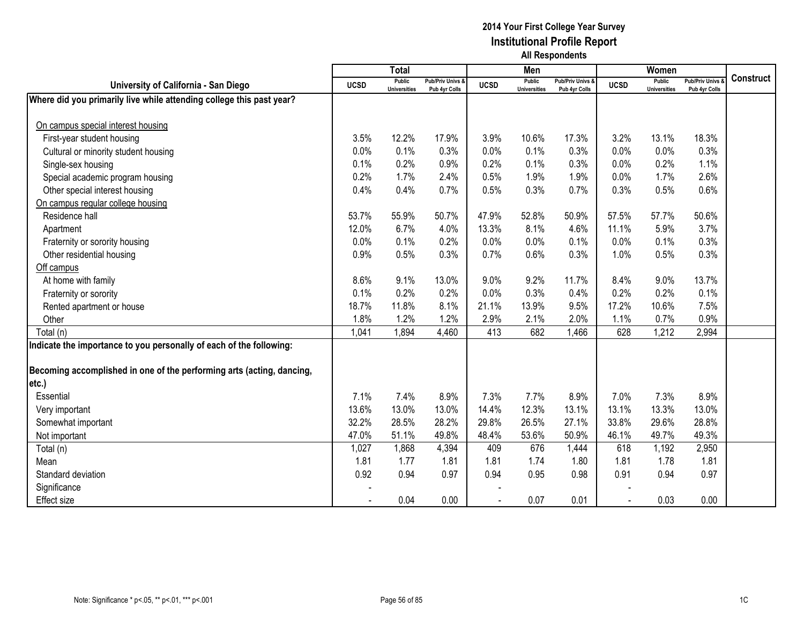|                                                                       |             | <b>Total</b>                         |                                   |             | Men                           |                                   |             | Women                                |                                        |                  |
|-----------------------------------------------------------------------|-------------|--------------------------------------|-----------------------------------|-------------|-------------------------------|-----------------------------------|-------------|--------------------------------------|----------------------------------------|------------------|
| University of California - San Diego                                  | <b>UCSD</b> | <b>Public</b><br><b>Universities</b> | Pub/Priv Univs &<br>Pub 4yr Colls | <b>UCSD</b> | Public<br><b>Universities</b> | Pub/Priv Univs &<br>Pub 4yr Colls | <b>UCSD</b> | <b>Public</b><br><b>Universities</b> | <b>Pub/Priv Univs</b><br>Pub 4yr Colls | <b>Construct</b> |
| Where did you primarily live while attending college this past year?  |             |                                      |                                   |             |                               |                                   |             |                                      |                                        |                  |
|                                                                       |             |                                      |                                   |             |                               |                                   |             |                                      |                                        |                  |
| On campus special interest housing                                    |             |                                      |                                   |             |                               |                                   |             |                                      |                                        |                  |
| First-year student housing                                            | 3.5%        | 12.2%                                | 17.9%                             | 3.9%        | 10.6%                         | 17.3%                             | 3.2%        | 13.1%                                | 18.3%                                  |                  |
| Cultural or minority student housing                                  | 0.0%        | 0.1%                                 | 0.3%                              | 0.0%        | 0.1%                          | 0.3%                              | 0.0%        | 0.0%                                 | 0.3%                                   |                  |
| Single-sex housing                                                    | 0.1%        | 0.2%                                 | 0.9%                              | 0.2%        | 0.1%                          | 0.3%                              | 0.0%        | 0.2%                                 | 1.1%                                   |                  |
| Special academic program housing                                      | 0.2%        | 1.7%                                 | 2.4%                              | 0.5%        | 1.9%                          | 1.9%                              | 0.0%        | 1.7%                                 | 2.6%                                   |                  |
| Other special interest housing                                        | 0.4%        | 0.4%                                 | 0.7%                              | 0.5%        | 0.3%                          | 0.7%                              | 0.3%        | 0.5%                                 | 0.6%                                   |                  |
| On campus regular college housing                                     |             |                                      |                                   |             |                               |                                   |             |                                      |                                        |                  |
| Residence hall                                                        | 53.7%       | 55.9%                                | 50.7%                             | 47.9%       | 52.8%                         | 50.9%                             | 57.5%       | 57.7%                                | 50.6%                                  |                  |
| Apartment                                                             | 12.0%       | 6.7%                                 | 4.0%                              | 13.3%       | 8.1%                          | 4.6%                              | 11.1%       | 5.9%                                 | 3.7%                                   |                  |
| Fraternity or sorority housing                                        | 0.0%        | 0.1%                                 | 0.2%                              | 0.0%        | 0.0%                          | 0.1%                              | 0.0%        | 0.1%                                 | 0.3%                                   |                  |
| Other residential housing                                             | 0.9%        | 0.5%                                 | 0.3%                              | 0.7%        | 0.6%                          | 0.3%                              | 1.0%        | 0.5%                                 | 0.3%                                   |                  |
| Off campus                                                            |             |                                      |                                   |             |                               |                                   |             |                                      |                                        |                  |
| At home with family                                                   | 8.6%        | 9.1%                                 | 13.0%                             | 9.0%        | 9.2%                          | 11.7%                             | 8.4%        | 9.0%                                 | 13.7%                                  |                  |
| Fraternity or sorority                                                | 0.1%        | 0.2%                                 | 0.2%                              | 0.0%        | 0.3%                          | 0.4%                              | 0.2%        | 0.2%                                 | 0.1%                                   |                  |
| Rented apartment or house                                             | 18.7%       | 11.8%                                | 8.1%                              | 21.1%       | 13.9%                         | 9.5%                              | 17.2%       | 10.6%                                | 7.5%                                   |                  |
| Other                                                                 | 1.8%        | 1.2%                                 | 1.2%                              | 2.9%        | 2.1%                          | 2.0%                              | 1.1%        | 0.7%                                 | 0.9%                                   |                  |
| Total (n)                                                             | 1,041       | 1,894                                | 4,460                             | 413         | 682                           | 1,466                             | 628         | 1,212                                | 2,994                                  |                  |
| Indicate the importance to you personally of each of the following:   |             |                                      |                                   |             |                               |                                   |             |                                      |                                        |                  |
|                                                                       |             |                                      |                                   |             |                               |                                   |             |                                      |                                        |                  |
| Becoming accomplished in one of the performing arts (acting, dancing, |             |                                      |                                   |             |                               |                                   |             |                                      |                                        |                  |
| etc.)                                                                 |             |                                      |                                   |             |                               |                                   |             |                                      |                                        |                  |
| Essential                                                             | 7.1%        | 7.4%                                 | 8.9%                              | 7.3%        | 7.7%                          | 8.9%                              | 7.0%        | 7.3%                                 | 8.9%                                   |                  |
| Very important                                                        | 13.6%       | 13.0%                                | 13.0%                             | 14.4%       | 12.3%                         | 13.1%                             | 13.1%       | 13.3%                                | 13.0%                                  |                  |
| Somewhat important                                                    | 32.2%       | 28.5%                                | 28.2%                             | 29.8%       | 26.5%                         | 27.1%                             | 33.8%       | 29.6%                                | 28.8%                                  |                  |
| Not important                                                         | 47.0%       | 51.1%                                | 49.8%                             | 48.4%       | 53.6%                         | 50.9%                             | 46.1%       | 49.7%                                | 49.3%                                  |                  |
| Total (n)                                                             | 1,027       | 1,868                                | 4,394                             | 409         | 676                           | 1,444                             | 618         | 1,192                                | 2,950                                  |                  |
| Mean                                                                  | 1.81        | 1.77                                 | 1.81                              | 1.81        | 1.74                          | 1.80                              | 1.81        | 1.78                                 | 1.81                                   |                  |
| Standard deviation                                                    | 0.92        | 0.94                                 | 0.97                              | 0.94        | 0.95                          | 0.98                              | 0.91        | 0.94                                 | 0.97                                   |                  |
| Significance                                                          |             |                                      |                                   |             |                               |                                   |             |                                      |                                        |                  |
| <b>Effect size</b>                                                    |             | 0.04                                 | 0.00                              |             | 0.07                          | 0.01                              |             | 0.03                                 | 0.00                                   |                  |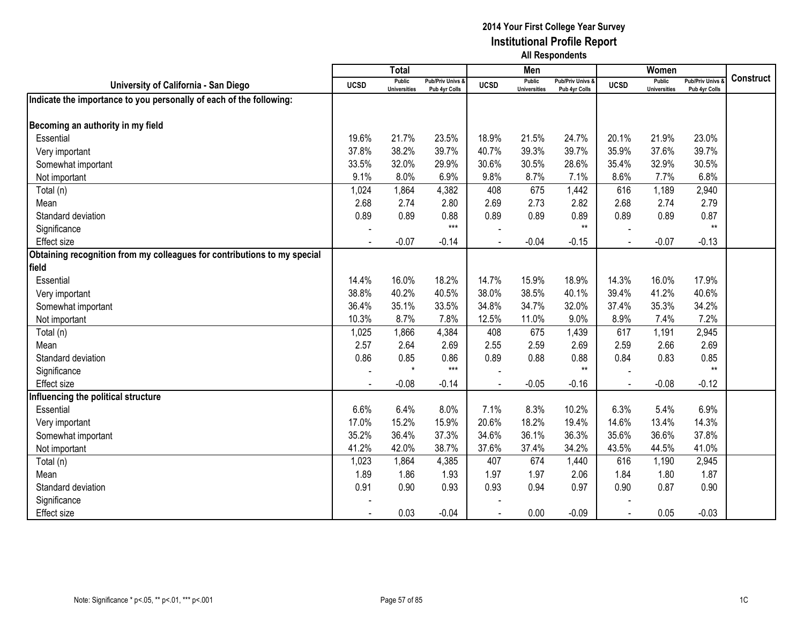|                                                                          |             | <b>Total</b>                         |                                              |             | Men                                  |                                              |             | Women                                |                                        |                  |
|--------------------------------------------------------------------------|-------------|--------------------------------------|----------------------------------------------|-------------|--------------------------------------|----------------------------------------------|-------------|--------------------------------------|----------------------------------------|------------------|
| University of California - San Diego                                     | <b>UCSD</b> | <b>Public</b><br><b>Universities</b> | <b>Pub/Priv Univs &amp;</b><br>Pub 4yr Colls | <b>UCSD</b> | <b>Public</b><br><b>Universities</b> | <b>Pub/Priv Univs &amp;</b><br>Pub 4yr Colls | <b>UCSD</b> | <b>Public</b><br><b>Universities</b> | <b>Pub/Priv Univs</b><br>Pub 4yr Colls | <b>Construct</b> |
| Indicate the importance to you personally of each of the following:      |             |                                      |                                              |             |                                      |                                              |             |                                      |                                        |                  |
|                                                                          |             |                                      |                                              |             |                                      |                                              |             |                                      |                                        |                  |
| Becoming an authority in my field                                        |             |                                      |                                              |             |                                      |                                              |             |                                      |                                        |                  |
| Essential                                                                | 19.6%       | 21.7%                                | 23.5%                                        | 18.9%       | 21.5%                                | 24.7%                                        | 20.1%       | 21.9%                                | 23.0%                                  |                  |
| Very important                                                           | 37.8%       | 38.2%                                | 39.7%                                        | 40.7%       | 39.3%                                | 39.7%                                        | 35.9%       | 37.6%                                | 39.7%                                  |                  |
| Somewhat important                                                       | 33.5%       | 32.0%                                | 29.9%                                        | 30.6%       | 30.5%                                | 28.6%                                        | 35.4%       | 32.9%                                | 30.5%                                  |                  |
| Not important                                                            | 9.1%        | 8.0%                                 | 6.9%                                         | 9.8%        | 8.7%                                 | 7.1%                                         | 8.6%        | 7.7%                                 | 6.8%                                   |                  |
| Total (n)                                                                | 1,024       | 1,864                                | 4,382                                        | 408         | 675                                  | 1,442                                        | 616         | 1,189                                | 2,940                                  |                  |
| Mean                                                                     | 2.68        | 2.74                                 | 2.80                                         | 2.69        | 2.73                                 | 2.82                                         | 2.68        | 2.74                                 | 2.79                                   |                  |
| Standard deviation                                                       | 0.89        | 0.89                                 | 0.88                                         | 0.89        | 0.89                                 | 0.89                                         | 0.89        | 0.89                                 | 0.87                                   |                  |
| Significance                                                             |             |                                      | $***$                                        |             |                                      | $**$                                         |             |                                      | $**$                                   |                  |
| <b>Effect size</b>                                                       |             | $-0.07$                              | $-0.14$                                      |             | $-0.04$                              | $-0.15$                                      |             | $-0.07$                              | $-0.13$                                |                  |
| Obtaining recognition from my colleagues for contributions to my special |             |                                      |                                              |             |                                      |                                              |             |                                      |                                        |                  |
| field                                                                    |             |                                      |                                              |             |                                      |                                              |             |                                      |                                        |                  |
| Essential                                                                | 14.4%       | 16.0%                                | 18.2%                                        | 14.7%       | 15.9%                                | 18.9%                                        | 14.3%       | 16.0%                                | 17.9%                                  |                  |
| Very important                                                           | 38.8%       | 40.2%                                | 40.5%                                        | 38.0%       | 38.5%                                | 40.1%                                        | 39.4%       | 41.2%                                | 40.6%                                  |                  |
| Somewhat important                                                       | 36.4%       | 35.1%                                | 33.5%                                        | 34.8%       | 34.7%                                | 32.0%                                        | 37.4%       | 35.3%                                | 34.2%                                  |                  |
| Not important                                                            | 10.3%       | 8.7%                                 | 7.8%                                         | 12.5%       | 11.0%                                | 9.0%                                         | 8.9%        | 7.4%                                 | 7.2%                                   |                  |
| Total (n)                                                                | 1,025       | 1,866                                | 4,384                                        | 408         | 675                                  | 1,439                                        | 617         | 1,191                                | 2,945                                  |                  |
| Mean                                                                     | 2.57        | 2.64                                 | 2.69                                         | 2.55        | 2.59                                 | 2.69                                         | 2.59        | 2.66                                 | 2.69                                   |                  |
| Standard deviation                                                       | 0.86        | 0.85                                 | 0.86                                         | 0.89        | 0.88                                 | 0.88                                         | 0.84        | 0.83                                 | 0.85                                   |                  |
| Significance                                                             |             | $\star$                              | $***$                                        |             |                                      | $\star\star$                                 |             |                                      | $**$                                   |                  |
| <b>Effect size</b>                                                       |             | $-0.08$                              | $-0.14$                                      |             | $-0.05$                              | $-0.16$                                      |             | $-0.08$                              | $-0.12$                                |                  |
| Influencing the political structure                                      |             |                                      |                                              |             |                                      |                                              |             |                                      |                                        |                  |
| Essential                                                                | 6.6%        | 6.4%                                 | 8.0%                                         | 7.1%        | 8.3%                                 | 10.2%                                        | 6.3%        | 5.4%                                 | 6.9%                                   |                  |
| Very important                                                           | 17.0%       | 15.2%                                | 15.9%                                        | 20.6%       | 18.2%                                | 19.4%                                        | 14.6%       | 13.4%                                | 14.3%                                  |                  |
| Somewhat important                                                       | 35.2%       | 36.4%                                | 37.3%                                        | 34.6%       | 36.1%                                | 36.3%                                        | 35.6%       | 36.6%                                | 37.8%                                  |                  |
| Not important                                                            | 41.2%       | 42.0%                                | 38.7%                                        | 37.6%       | 37.4%                                | 34.2%                                        | 43.5%       | 44.5%                                | 41.0%                                  |                  |
| Total (n)                                                                | 1,023       | 1,864                                | 4,385                                        | 407         | 674                                  | 1,440                                        | 616         | 1,190                                | 2,945                                  |                  |
| Mean                                                                     | 1.89        | 1.86                                 | 1.93                                         | 1.97        | 1.97                                 | 2.06                                         | 1.84        | 1.80                                 | 1.87                                   |                  |
| Standard deviation                                                       | 0.91        | 0.90                                 | 0.93                                         | 0.93        | 0.94                                 | 0.97                                         | 0.90        | 0.87                                 | 0.90                                   |                  |
| Significance                                                             |             |                                      |                                              |             |                                      |                                              |             |                                      |                                        |                  |
| <b>Effect size</b>                                                       |             | 0.03                                 | $-0.04$                                      |             | 0.00                                 | $-0.09$                                      |             | 0.05                                 | $-0.03$                                |                  |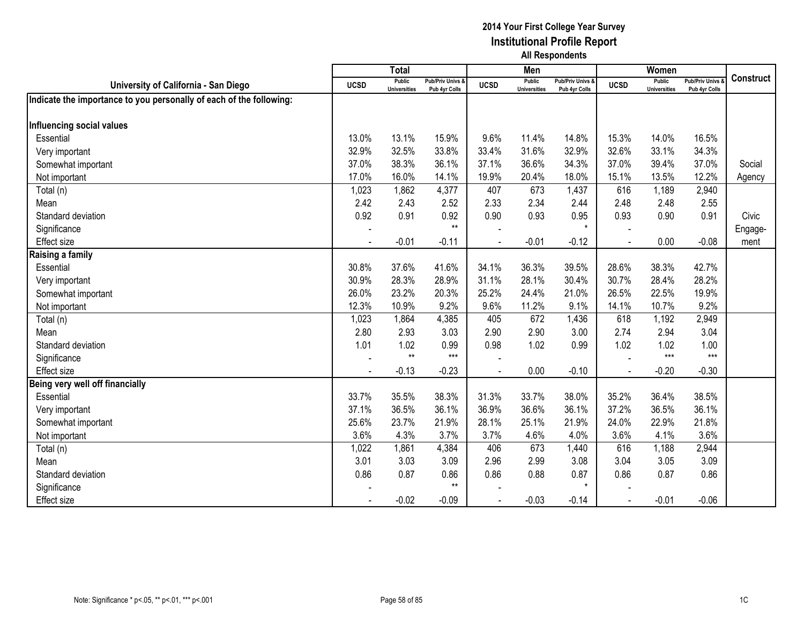|                                                                     |                | <b>Total</b>                  |                                   |             | Men                                  |                                   |                | Women                                |                                        |           |
|---------------------------------------------------------------------|----------------|-------------------------------|-----------------------------------|-------------|--------------------------------------|-----------------------------------|----------------|--------------------------------------|----------------------------------------|-----------|
| University of California - San Diego                                | <b>UCSD</b>    | Public<br><b>Universities</b> | Pub/Priv Univs &<br>Pub 4yr Colls | <b>UCSD</b> | <b>Public</b><br><b>Universities</b> | Pub/Priv Univs &<br>Pub 4yr Colls | <b>UCSD</b>    | <b>Public</b><br><b>Universities</b> | <b>Pub/Priv Univs</b><br>Pub 4yr Colls | Construct |
| Indicate the importance to you personally of each of the following: |                |                               |                                   |             |                                      |                                   |                |                                      |                                        |           |
| Influencing social values                                           |                |                               |                                   |             |                                      |                                   |                |                                      |                                        |           |
| Essential                                                           | 13.0%          | 13.1%                         | 15.9%                             | 9.6%        | 11.4%                                | 14.8%                             | 15.3%          | 14.0%                                | 16.5%                                  |           |
| Very important                                                      | 32.9%          | 32.5%                         | 33.8%                             | 33.4%       | 31.6%                                | 32.9%                             | 32.6%          | 33.1%                                | 34.3%                                  |           |
| Somewhat important                                                  | 37.0%          | 38.3%                         | 36.1%                             | 37.1%       | 36.6%                                | 34.3%                             | 37.0%          | 39.4%                                | 37.0%                                  | Social    |
| Not important                                                       | 17.0%          | 16.0%                         | 14.1%                             | 19.9%       | 20.4%                                | 18.0%                             | 15.1%          | 13.5%                                | 12.2%                                  | Agency    |
| Total (n)                                                           | 1,023          | 1,862                         | 4,377                             | 407         | 673                                  | 1,437                             | 616            | 1,189                                | 2,940                                  |           |
| Mean                                                                | 2.42           | 2.43                          | 2.52                              | 2.33        | 2.34                                 | 2.44                              | 2.48           | 2.48                                 | 2.55                                   |           |
| Standard deviation                                                  | 0.92           | 0.91                          | 0.92                              | 0.90        | 0.93                                 | 0.95                              | 0.93           | 0.90                                 | 0.91                                   | Civic     |
| Significance                                                        |                |                               | $**$                              |             |                                      | $\star$                           |                |                                      |                                        | Engage-   |
| Effect size                                                         |                | $-0.01$                       | $-0.11$                           |             | $-0.01$                              | $-0.12$                           |                | 0.00                                 | $-0.08$                                | ment      |
| Raising a family                                                    |                |                               |                                   |             |                                      |                                   |                |                                      |                                        |           |
| Essential                                                           | 30.8%          | 37.6%                         | 41.6%                             | 34.1%       | 36.3%                                | 39.5%                             | 28.6%          | 38.3%                                | 42.7%                                  |           |
| Very important                                                      | 30.9%          | 28.3%                         | 28.9%                             | 31.1%       | 28.1%                                | 30.4%                             | 30.7%          | 28.4%                                | 28.2%                                  |           |
| Somewhat important                                                  | 26.0%          | 23.2%                         | 20.3%                             | 25.2%       | 24.4%                                | 21.0%                             | 26.5%          | 22.5%                                | 19.9%                                  |           |
| Not important                                                       | 12.3%          | 10.9%                         | 9.2%                              | 9.6%        | 11.2%                                | 9.1%                              | 14.1%          | 10.7%                                | 9.2%                                   |           |
| Total (n)                                                           | 1,023          | 1,864                         | 4,385                             | 405         | 672                                  | 1,436                             | 618            | 1,192                                | 2,949                                  |           |
| Mean                                                                | 2.80           | 2.93                          | 3.03                              | 2.90        | 2.90                                 | 3.00                              | 2.74           | 2.94                                 | 3.04                                   |           |
| Standard deviation                                                  | 1.01           | 1.02                          | 0.99                              | 0.98        | 1.02                                 | 0.99                              | 1.02           | 1.02                                 | 1.00                                   |           |
| Significance                                                        |                | $**$                          | $***$                             |             |                                      |                                   |                | $***$                                | $***$                                  |           |
| Effect size                                                         | $\blacksquare$ | $-0.13$                       | $-0.23$                           |             | 0.00                                 | $-0.10$                           | $\blacksquare$ | $-0.20$                              | $-0.30$                                |           |
| Being very well off financially                                     |                |                               |                                   |             |                                      |                                   |                |                                      |                                        |           |
| Essential                                                           | 33.7%          | 35.5%                         | 38.3%                             | 31.3%       | 33.7%                                | 38.0%                             | 35.2%          | 36.4%                                | 38.5%                                  |           |
| Very important                                                      | 37.1%          | 36.5%                         | 36.1%                             | 36.9%       | 36.6%                                | 36.1%                             | 37.2%          | 36.5%                                | 36.1%                                  |           |
| Somewhat important                                                  | 25.6%          | 23.7%                         | 21.9%                             | 28.1%       | 25.1%                                | 21.9%                             | 24.0%          | 22.9%                                | 21.8%                                  |           |
| Not important                                                       | 3.6%           | 4.3%                          | 3.7%                              | 3.7%        | 4.6%                                 | 4.0%                              | 3.6%           | 4.1%                                 | 3.6%                                   |           |
| Total (n)                                                           | 1,022          | 1,861                         | 4,384                             | 406         | 673                                  | 1,440                             | 616            | 1,188                                | 2,944                                  |           |
| Mean                                                                | 3.01           | 3.03                          | 3.09                              | 2.96        | 2.99                                 | 3.08                              | 3.04           | 3.05                                 | 3.09                                   |           |
| Standard deviation                                                  | 0.86           | 0.87                          | 0.86                              | 0.86        | 0.88                                 | 0.87                              | 0.86           | 0.87                                 | 0.86                                   |           |
| Significance                                                        |                |                               | $***$                             |             |                                      | $\star$                           |                |                                      |                                        |           |
| Effect size                                                         |                | $-0.02$                       | $-0.09$                           |             | $-0.03$                              | $-0.14$                           |                | $-0.01$                              | $-0.06$                                |           |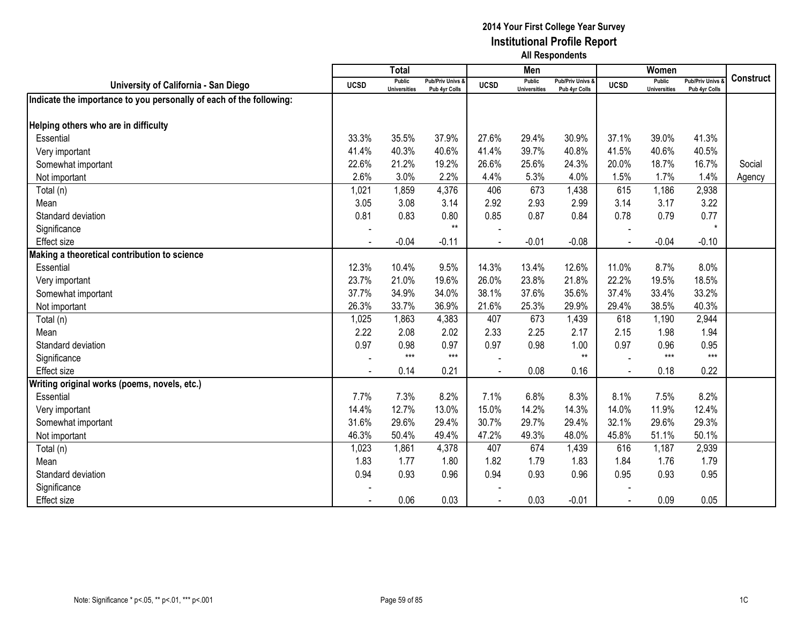|                                                                     |             | <b>Total</b>                         |                                   |             | Men                                  |                                   |                | Women                                |                                        |                  |
|---------------------------------------------------------------------|-------------|--------------------------------------|-----------------------------------|-------------|--------------------------------------|-----------------------------------|----------------|--------------------------------------|----------------------------------------|------------------|
| University of California - San Diego                                | <b>UCSD</b> | <b>Public</b><br><b>Universities</b> | Pub/Priv Univs &<br>Pub 4yr Colls | <b>UCSD</b> | <b>Public</b><br><b>Universities</b> | Pub/Priv Univs &<br>Pub 4yr Colls | <b>UCSD</b>    | <b>Public</b><br><b>Universities</b> | <b>Pub/Priv Univs</b><br>Pub 4yr Colls | <b>Construct</b> |
| Indicate the importance to you personally of each of the following: |             |                                      |                                   |             |                                      |                                   |                |                                      |                                        |                  |
|                                                                     |             |                                      |                                   |             |                                      |                                   |                |                                      |                                        |                  |
| Helping others who are in difficulty                                |             |                                      |                                   |             |                                      |                                   |                |                                      |                                        |                  |
| Essential                                                           | 33.3%       | 35.5%                                | 37.9%                             | 27.6%       | 29.4%                                | 30.9%                             | 37.1%          | 39.0%                                | 41.3%                                  |                  |
| Very important                                                      | 41.4%       | 40.3%                                | 40.6%                             | 41.4%       | 39.7%                                | 40.8%                             | 41.5%          | 40.6%                                | 40.5%                                  |                  |
| Somewhat important                                                  | 22.6%       | 21.2%                                | 19.2%                             | 26.6%       | 25.6%                                | 24.3%                             | 20.0%          | 18.7%                                | 16.7%                                  | Social           |
| Not important                                                       | 2.6%        | 3.0%                                 | 2.2%                              | 4.4%        | 5.3%                                 | 4.0%                              | 1.5%           | 1.7%                                 | 1.4%                                   | Agency           |
| Total (n)                                                           | 1,021       | 1,859                                | 4,376                             | 406         | 673                                  | 1,438                             | 615            | 1,186                                | 2,938                                  |                  |
| Mean                                                                | 3.05        | 3.08                                 | 3.14                              | 2.92        | 2.93                                 | 2.99                              | 3.14           | 3.17                                 | 3.22                                   |                  |
| Standard deviation                                                  | 0.81        | 0.83                                 | 0.80                              | 0.85        | 0.87                                 | 0.84                              | 0.78           | 0.79                                 | 0.77                                   |                  |
| Significance                                                        |             |                                      | $***$                             |             |                                      |                                   |                |                                      | $\star$                                |                  |
| <b>Effect size</b>                                                  |             | $-0.04$                              | $-0.11$                           |             | $-0.01$                              | $-0.08$                           |                | $-0.04$                              | $-0.10$                                |                  |
| Making a theoretical contribution to science                        |             |                                      |                                   |             |                                      |                                   |                |                                      |                                        |                  |
| Essential                                                           | 12.3%       | 10.4%                                | 9.5%                              | 14.3%       | 13.4%                                | 12.6%                             | 11.0%          | 8.7%                                 | 8.0%                                   |                  |
| Very important                                                      | 23.7%       | 21.0%                                | 19.6%                             | 26.0%       | 23.8%                                | 21.8%                             | 22.2%          | 19.5%                                | 18.5%                                  |                  |
| Somewhat important                                                  | 37.7%       | 34.9%                                | 34.0%                             | 38.1%       | 37.6%                                | 35.6%                             | 37.4%          | 33.4%                                | 33.2%                                  |                  |
| Not important                                                       | 26.3%       | 33.7%                                | 36.9%                             | 21.6%       | 25.3%                                | 29.9%                             | 29.4%          | 38.5%                                | 40.3%                                  |                  |
| Total (n)                                                           | 1,025       | 1,863                                | 4,383                             | 407         | 673                                  | 1,439                             | 618            | 1,190                                | 2,944                                  |                  |
| Mean                                                                | 2.22        | 2.08                                 | 2.02                              | 2.33        | 2.25                                 | 2.17                              | 2.15           | 1.98                                 | 1.94                                   |                  |
| Standard deviation                                                  | 0.97        | 0.98                                 | 0.97                              | 0.97        | 0.98                                 | 1.00                              | 0.97           | 0.96                                 | 0.95                                   |                  |
| Significance                                                        |             | $***$                                | $***$                             |             |                                      | $**$                              |                | $***$                                | $***$                                  |                  |
| <b>Effect size</b>                                                  |             | 0.14                                 | 0.21                              |             | 0.08                                 | 0.16                              | $\blacksquare$ | 0.18                                 | 0.22                                   |                  |
| Writing original works (poems, novels, etc.)                        |             |                                      |                                   |             |                                      |                                   |                |                                      |                                        |                  |
| Essential                                                           | 7.7%        | 7.3%                                 | 8.2%                              | 7.1%        | 6.8%                                 | 8.3%                              | 8.1%           | 7.5%                                 | 8.2%                                   |                  |
| Very important                                                      | 14.4%       | 12.7%                                | 13.0%                             | 15.0%       | 14.2%                                | 14.3%                             | 14.0%          | 11.9%                                | 12.4%                                  |                  |
| Somewhat important                                                  | 31.6%       | 29.6%                                | 29.4%                             | 30.7%       | 29.7%                                | 29.4%                             | 32.1%          | 29.6%                                | 29.3%                                  |                  |
| Not important                                                       | 46.3%       | 50.4%                                | 49.4%                             | 47.2%       | 49.3%                                | 48.0%                             | 45.8%          | 51.1%                                | 50.1%                                  |                  |
| Total (n)                                                           | 1,023       | 1,861                                | 4,378                             | 407         | 674                                  | 1,439                             | 616            | 1,187                                | 2,939                                  |                  |
| Mean                                                                | 1.83        | 1.77                                 | 1.80                              | 1.82        | 1.79                                 | 1.83                              | 1.84           | 1.76                                 | 1.79                                   |                  |
| Standard deviation                                                  | 0.94        | 0.93                                 | 0.96                              | 0.94        | 0.93                                 | 0.96                              | 0.95           | 0.93                                 | 0.95                                   |                  |
| Significance                                                        |             |                                      |                                   |             |                                      |                                   |                |                                      |                                        |                  |
| <b>Effect size</b>                                                  |             | 0.06                                 | 0.03                              |             | 0.03                                 | $-0.01$                           |                | 0.09                                 | 0.05                                   |                  |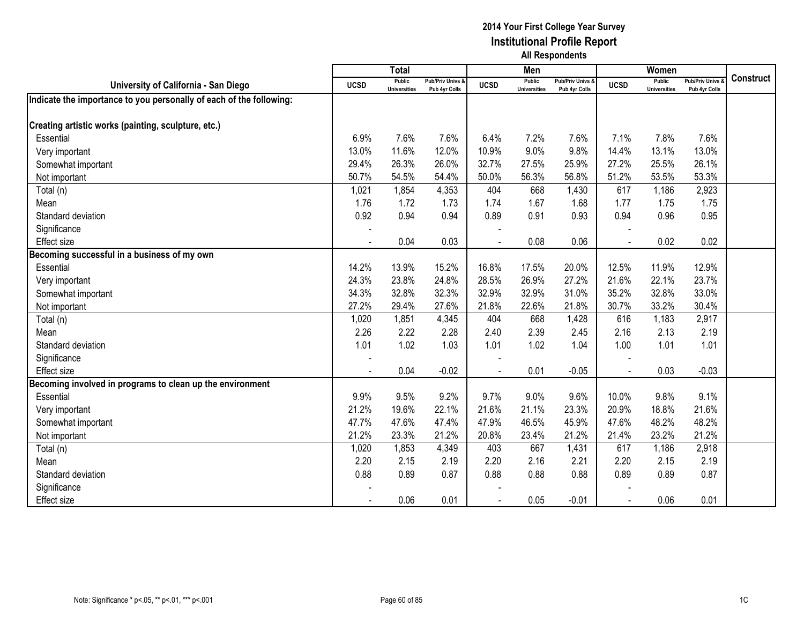|                                                                     |                | <b>Total</b>                  |                                   |             | Men                           |                                   |                | Women                                |                                        |                  |
|---------------------------------------------------------------------|----------------|-------------------------------|-----------------------------------|-------------|-------------------------------|-----------------------------------|----------------|--------------------------------------|----------------------------------------|------------------|
| University of California - San Diego                                | <b>UCSD</b>    | Public<br><b>Universities</b> | Pub/Priv Univs &<br>Pub 4yr Colls | <b>UCSD</b> | Public<br><b>Universities</b> | Pub/Priv Univs &<br>Pub 4yr Colls | <b>UCSD</b>    | <b>Public</b><br><b>Universities</b> | <b>Pub/Priv Univs</b><br>Pub 4yr Colls | <b>Construct</b> |
| Indicate the importance to you personally of each of the following: |                |                               |                                   |             |                               |                                   |                |                                      |                                        |                  |
|                                                                     |                |                               |                                   |             |                               |                                   |                |                                      |                                        |                  |
| Creating artistic works (painting, sculpture, etc.)                 |                |                               |                                   |             |                               |                                   |                |                                      |                                        |                  |
| Essential                                                           | 6.9%           | 7.6%                          | 7.6%                              | 6.4%        | 7.2%                          | 7.6%                              | 7.1%           | 7.8%                                 | 7.6%                                   |                  |
| Very important                                                      | 13.0%          | 11.6%                         | 12.0%                             | 10.9%       | 9.0%                          | 9.8%                              | 14.4%          | 13.1%                                | 13.0%                                  |                  |
| Somewhat important                                                  | 29.4%          | 26.3%                         | 26.0%                             | 32.7%       | 27.5%                         | 25.9%                             | 27.2%          | 25.5%                                | 26.1%                                  |                  |
| Not important                                                       | 50.7%          | 54.5%                         | 54.4%                             | 50.0%       | 56.3%                         | 56.8%                             | 51.2%          | 53.5%                                | 53.3%                                  |                  |
| Total (n)                                                           | 1,021          | 1,854                         | 4,353                             | 404         | 668                           | 1,430                             | 617            | 1,186                                | 2,923                                  |                  |
| Mean                                                                | 1.76           | 1.72                          | 1.73                              | 1.74        | 1.67                          | 1.68                              | 1.77           | 1.75                                 | 1.75                                   |                  |
| Standard deviation                                                  | 0.92           | 0.94                          | 0.94                              | 0.89        | 0.91                          | 0.93                              | 0.94           | 0.96                                 | 0.95                                   |                  |
| Significance                                                        |                |                               |                                   |             |                               |                                   |                |                                      |                                        |                  |
| <b>Effect size</b>                                                  |                | 0.04                          | 0.03                              |             | 0.08                          | 0.06                              |                | 0.02                                 | 0.02                                   |                  |
| Becoming successful in a business of my own                         |                |                               |                                   |             |                               |                                   |                |                                      |                                        |                  |
| Essential                                                           | 14.2%          | 13.9%                         | 15.2%                             | 16.8%       | 17.5%                         | 20.0%                             | 12.5%          | 11.9%                                | 12.9%                                  |                  |
| Very important                                                      | 24.3%          | 23.8%                         | 24.8%                             | 28.5%       | 26.9%                         | 27.2%                             | 21.6%          | 22.1%                                | 23.7%                                  |                  |
| Somewhat important                                                  | 34.3%          | 32.8%                         | 32.3%                             | 32.9%       | 32.9%                         | 31.0%                             | 35.2%          | 32.8%                                | 33.0%                                  |                  |
| Not important                                                       | 27.2%          | 29.4%                         | 27.6%                             | 21.8%       | 22.6%                         | 21.8%                             | 30.7%          | 33.2%                                | 30.4%                                  |                  |
| Total (n)                                                           | 1,020          | 1,851                         | 4,345                             | 404         | 668                           | 1,428                             | 616            | 1,183                                | 2,917                                  |                  |
| Mean                                                                | 2.26           | 2.22                          | 2.28                              | 2.40        | 2.39                          | 2.45                              | 2.16           | 2.13                                 | 2.19                                   |                  |
| Standard deviation                                                  | 1.01           | 1.02                          | 1.03                              | 1.01        | 1.02                          | 1.04                              | 1.00           | 1.01                                 | 1.01                                   |                  |
| Significance                                                        |                |                               |                                   |             |                               |                                   |                |                                      |                                        |                  |
| <b>Effect size</b>                                                  | $\blacksquare$ | 0.04                          | $-0.02$                           |             | 0.01                          | $-0.05$                           | $\blacksquare$ | 0.03                                 | $-0.03$                                |                  |
| Becoming involved in programs to clean up the environment           |                |                               |                                   |             |                               |                                   |                |                                      |                                        |                  |
| Essential                                                           | 9.9%           | 9.5%                          | 9.2%                              | 9.7%        | 9.0%                          | 9.6%                              | 10.0%          | 9.8%                                 | 9.1%                                   |                  |
| Very important                                                      | 21.2%          | 19.6%                         | 22.1%                             | 21.6%       | 21.1%                         | 23.3%                             | 20.9%          | 18.8%                                | 21.6%                                  |                  |
| Somewhat important                                                  | 47.7%          | 47.6%                         | 47.4%                             | 47.9%       | 46.5%                         | 45.9%                             | 47.6%          | 48.2%                                | 48.2%                                  |                  |
| Not important                                                       | 21.2%          | 23.3%                         | 21.2%                             | 20.8%       | 23.4%                         | 21.2%                             | 21.4%          | 23.2%                                | 21.2%                                  |                  |
| Total (n)                                                           | 1,020          | 1,853                         | 4,349                             | 403         | 667                           | 1,431                             | 617            | 1,186                                | 2,918                                  |                  |
| Mean                                                                | 2.20           | 2.15                          | 2.19                              | 2.20        | 2.16                          | 2.21                              | 2.20           | 2.15                                 | 2.19                                   |                  |
| Standard deviation                                                  | 0.88           | 0.89                          | 0.87                              | 0.88        | 0.88                          | 0.88                              | 0.89           | 0.89                                 | 0.87                                   |                  |
| Significance                                                        |                |                               |                                   |             |                               |                                   |                |                                      |                                        |                  |
| <b>Effect size</b>                                                  |                | 0.06                          | 0.01                              |             | 0.05                          | $-0.01$                           |                | 0.06                                 | 0.01                                   |                  |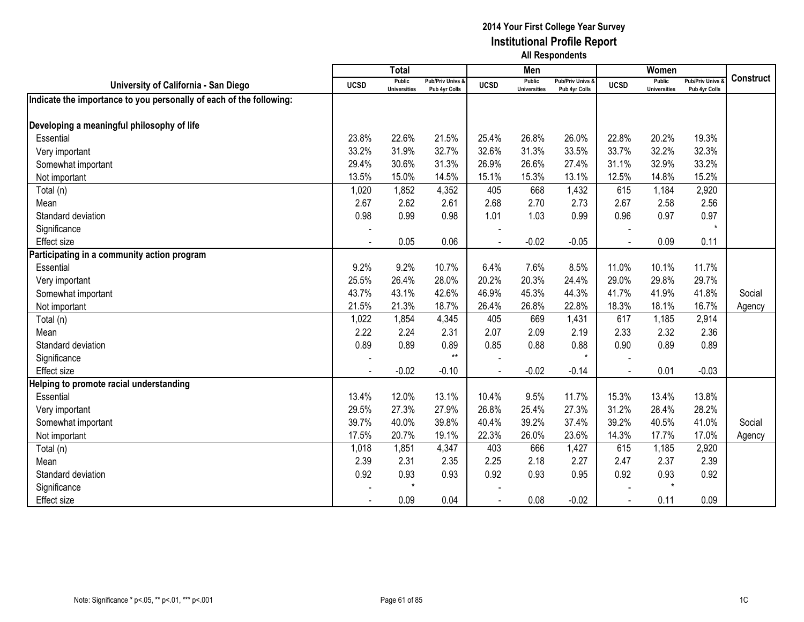|                                                                     |                | <b>Total</b>                         |                                   |             | Men                                  |                                   |                | Women                                |                                        |                  |
|---------------------------------------------------------------------|----------------|--------------------------------------|-----------------------------------|-------------|--------------------------------------|-----------------------------------|----------------|--------------------------------------|----------------------------------------|------------------|
| University of California - San Diego                                | <b>UCSD</b>    | <b>Public</b><br><b>Universities</b> | Pub/Priv Univs &<br>Pub 4yr Colls | <b>UCSD</b> | <b>Public</b><br><b>Universities</b> | Pub/Priv Univs &<br>Pub 4yr Colls | <b>UCSD</b>    | <b>Public</b><br><b>Universities</b> | <b>Pub/Priv Univs</b><br>Pub 4yr Colls | <b>Construct</b> |
| Indicate the importance to you personally of each of the following: |                |                                      |                                   |             |                                      |                                   |                |                                      |                                        |                  |
|                                                                     |                |                                      |                                   |             |                                      |                                   |                |                                      |                                        |                  |
| Developing a meaningful philosophy of life                          |                |                                      |                                   |             |                                      |                                   |                |                                      |                                        |                  |
| Essential                                                           | 23.8%          | 22.6%                                | 21.5%                             | 25.4%       | 26.8%                                | 26.0%                             | 22.8%          | 20.2%                                | 19.3%                                  |                  |
| Very important                                                      | 33.2%          | 31.9%                                | 32.7%                             | 32.6%       | 31.3%                                | 33.5%                             | 33.7%          | 32.2%                                | 32.3%                                  |                  |
| Somewhat important                                                  | 29.4%          | 30.6%                                | 31.3%                             | 26.9%       | 26.6%                                | 27.4%                             | 31.1%          | 32.9%                                | 33.2%                                  |                  |
| Not important                                                       | 13.5%          | 15.0%                                | 14.5%                             | 15.1%       | 15.3%                                | 13.1%                             | 12.5%          | 14.8%                                | 15.2%                                  |                  |
| Total (n)                                                           | 1,020          | 1,852                                | 4,352                             | 405         | 668                                  | 1,432                             | 615            | 1,184                                | 2,920                                  |                  |
| Mean                                                                | 2.67           | 2.62                                 | 2.61                              | 2.68        | 2.70                                 | 2.73                              | 2.67           | 2.58                                 | 2.56                                   |                  |
| Standard deviation                                                  | 0.98           | 0.99                                 | 0.98                              | 1.01        | 1.03                                 | 0.99                              | 0.96           | 0.97                                 | 0.97                                   |                  |
| Significance                                                        |                |                                      |                                   |             |                                      |                                   |                |                                      | $\star$                                |                  |
| <b>Effect size</b>                                                  |                | 0.05                                 | 0.06                              |             | $-0.02$                              | $-0.05$                           |                | 0.09                                 | 0.11                                   |                  |
| Participating in a community action program                         |                |                                      |                                   |             |                                      |                                   |                |                                      |                                        |                  |
| Essential                                                           | 9.2%           | 9.2%                                 | 10.7%                             | 6.4%        | 7.6%                                 | 8.5%                              | 11.0%          | 10.1%                                | 11.7%                                  |                  |
| Very important                                                      | 25.5%          | 26.4%                                | 28.0%                             | 20.2%       | 20.3%                                | 24.4%                             | 29.0%          | 29.8%                                | 29.7%                                  |                  |
| Somewhat important                                                  | 43.7%          | 43.1%                                | 42.6%                             | 46.9%       | 45.3%                                | 44.3%                             | 41.7%          | 41.9%                                | 41.8%                                  | Social           |
| Not important                                                       | 21.5%          | 21.3%                                | 18.7%                             | 26.4%       | 26.8%                                | 22.8%                             | 18.3%          | 18.1%                                | 16.7%                                  | Agency           |
| Total (n)                                                           | 1,022          | 1,854                                | 4,345                             | 405         | 669                                  | 1,431                             | 617            | 1,185                                | 2,914                                  |                  |
| Mean                                                                | 2.22           | 2.24                                 | 2.31                              | 2.07        | 2.09                                 | 2.19                              | 2.33           | 2.32                                 | 2.36                                   |                  |
| Standard deviation                                                  | 0.89           | 0.89                                 | 0.89                              | 0.85        | 0.88                                 | 0.88                              | 0.90           | 0.89                                 | 0.89                                   |                  |
| Significance                                                        |                |                                      | $**$                              |             |                                      | $\star$                           |                |                                      |                                        |                  |
| <b>Effect size</b>                                                  | $\blacksquare$ | $-0.02$                              | $-0.10$                           |             | $-0.02$                              | $-0.14$                           | $\blacksquare$ | 0.01                                 | $-0.03$                                |                  |
| Helping to promote racial understanding                             |                |                                      |                                   |             |                                      |                                   |                |                                      |                                        |                  |
| Essential                                                           | 13.4%          | 12.0%                                | 13.1%                             | 10.4%       | 9.5%                                 | 11.7%                             | 15.3%          | 13.4%                                | 13.8%                                  |                  |
| Very important                                                      | 29.5%          | 27.3%                                | 27.9%                             | 26.8%       | 25.4%                                | 27.3%                             | 31.2%          | 28.4%                                | 28.2%                                  |                  |
| Somewhat important                                                  | 39.7%          | 40.0%                                | 39.8%                             | 40.4%       | 39.2%                                | 37.4%                             | 39.2%          | 40.5%                                | 41.0%                                  | Social           |
| Not important                                                       | 17.5%          | 20.7%                                | 19.1%                             | 22.3%       | 26.0%                                | 23.6%                             | 14.3%          | 17.7%                                | 17.0%                                  | Agency           |
| Total (n)                                                           | 1,018          | 1,851                                | 4,347                             | 403         | 666                                  | 1,427                             | 615            | 1,185                                | 2,920                                  |                  |
| Mean                                                                | 2.39           | 2.31                                 | 2.35                              | 2.25        | 2.18                                 | 2.27                              | 2.47           | 2.37                                 | 2.39                                   |                  |
| Standard deviation                                                  | 0.92           | 0.93                                 | 0.93                              | 0.92        | 0.93                                 | 0.95                              | 0.92           | 0.93                                 | 0.92                                   |                  |
| Significance                                                        |                | $\star$                              |                                   |             |                                      |                                   |                | $\star$                              |                                        |                  |
| <b>Effect size</b>                                                  |                | 0.09                                 | 0.04                              |             | 0.08                                 | $-0.02$                           |                | 0.11                                 | 0.09                                   |                  |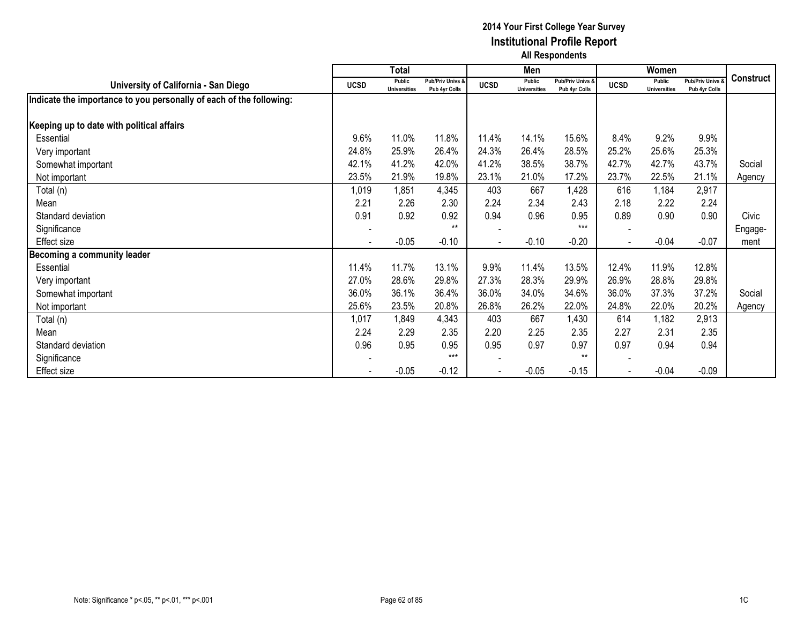|                                                                     |                          | <b>Total</b>                  |                                   |                | Men                                  |                                              |                | Women                         |                                        |                  |
|---------------------------------------------------------------------|--------------------------|-------------------------------|-----------------------------------|----------------|--------------------------------------|----------------------------------------------|----------------|-------------------------------|----------------------------------------|------------------|
| University of California - San Diego                                | <b>UCSD</b>              | Public<br><b>Universities</b> | Pub/Priv Univs &<br>Pub 4yr Colls | <b>UCSD</b>    | <b>Public</b><br><b>Universities</b> | <b>Pub/Priv Univs &amp;</b><br>Pub 4yr Colls | <b>UCSD</b>    | Public<br><b>Universities</b> | <b>Pub/Priv Univs</b><br>Pub 4yr Colls | <b>Construct</b> |
| Indicate the importance to you personally of each of the following: |                          |                               |                                   |                |                                      |                                              |                |                               |                                        |                  |
| Keeping up to date with political affairs                           |                          |                               |                                   |                |                                      |                                              |                |                               |                                        |                  |
| Essential                                                           | 9.6%                     | 11.0%                         | 11.8%                             | 11.4%          | 14.1%                                | 15.6%                                        | 8.4%           | 9.2%                          | 9.9%                                   |                  |
| Very important                                                      | 24.8%                    | 25.9%                         | 26.4%                             | 24.3%          | 26.4%                                | 28.5%                                        | 25.2%          | 25.6%                         | 25.3%                                  |                  |
| Somewhat important                                                  | 42.1%                    | 41.2%                         | 42.0%                             | 41.2%          | 38.5%                                | 38.7%                                        | 42.7%          | 42.7%                         | 43.7%                                  | Social           |
| Not important                                                       | 23.5%                    | 21.9%                         | 19.8%                             | 23.1%          | 21.0%                                | 17.2%                                        | 23.7%          | 22.5%                         | 21.1%                                  | Agency           |
| Total (n)                                                           | 1,019                    | 1,851                         | 4,345                             | 403            | 667                                  | 1,428                                        | 616            | 1,184                         | 2,917                                  |                  |
| Mean                                                                | 2.21                     | 2.26                          | 2.30                              | 2.24           | 2.34                                 | 2.43                                         | 2.18           | 2.22                          | 2.24                                   |                  |
| Standard deviation                                                  | 0.91                     | 0.92                          | 0.92                              | 0.94           | 0.96                                 | 0.95                                         | 0.89           | 0.90                          | 0.90                                   | Civic            |
| Significance                                                        | $\overline{\phantom{a}}$ |                               | $**$                              |                |                                      | $***$                                        |                |                               |                                        | Engage-          |
| Effect size                                                         |                          | $-0.05$                       | $-0.10$                           | $\blacksquare$ | $-0.10$                              | $-0.20$                                      | $\blacksquare$ | $-0.04$                       | $-0.07$                                | ment             |
| Becoming a community leader                                         |                          |                               |                                   |                |                                      |                                              |                |                               |                                        |                  |
| Essential                                                           | 11.4%                    | 11.7%                         | 13.1%                             | 9.9%           | 11.4%                                | 13.5%                                        | 12.4%          | 11.9%                         | 12.8%                                  |                  |
| Very important                                                      | 27.0%                    | 28.6%                         | 29.8%                             | 27.3%          | 28.3%                                | 29.9%                                        | 26.9%          | 28.8%                         | 29.8%                                  |                  |
| Somewhat important                                                  | 36.0%                    | 36.1%                         | 36.4%                             | 36.0%          | 34.0%                                | 34.6%                                        | 36.0%          | 37.3%                         | 37.2%                                  | Social           |
| Not important                                                       | 25.6%                    | 23.5%                         | 20.8%                             | 26.8%          | 26.2%                                | 22.0%                                        | 24.8%          | 22.0%                         | 20.2%                                  | Agency           |
| Total (n)                                                           | 1,017                    | 1,849                         | 4,343                             | 403            | 667                                  | 1,430                                        | 614            | 1,182                         | 2,913                                  |                  |
| Mean                                                                | 2.24                     | 2.29                          | 2.35                              | 2.20           | 2.25                                 | 2.35                                         | 2.27           | 2.31                          | 2.35                                   |                  |
| Standard deviation                                                  | 0.96                     | 0.95                          | 0.95                              | 0.95           | 0.97                                 | 0.97                                         | 0.97           | 0.94                          | 0.94                                   |                  |
| Significance                                                        |                          |                               | $***$                             |                |                                      | $**$                                         |                |                               |                                        |                  |
| Effect size                                                         |                          | $-0.05$                       | $-0.12$                           |                | $-0.05$                              | $-0.15$                                      |                | $-0.04$                       | $-0.09$                                |                  |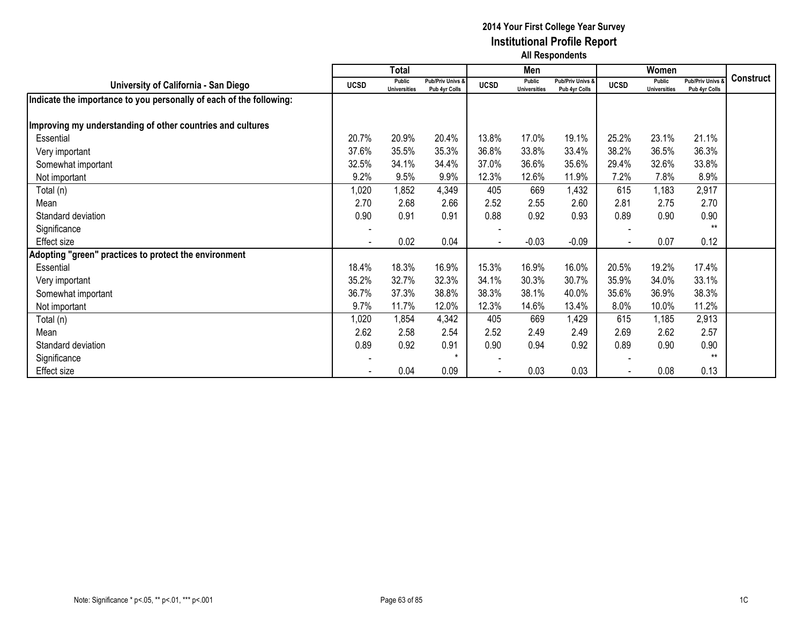|                                                                     |                          | <b>Total</b>                  |                                              |                | Men                                  |                                   |             | Women                                |                                   |                  |
|---------------------------------------------------------------------|--------------------------|-------------------------------|----------------------------------------------|----------------|--------------------------------------|-----------------------------------|-------------|--------------------------------------|-----------------------------------|------------------|
| University of California - San Diego                                | <b>UCSD</b>              | Public<br><b>Universities</b> | <b>Pub/Priv Univs &amp;</b><br>Pub 4yr Colls | <b>UCSD</b>    | <b>Public</b><br><b>Universities</b> | Pub/Priv Univs &<br>Pub 4vr Colls | <b>UCSD</b> | <b>Public</b><br><b>Universities</b> | Pub/Priv Univs &<br>Pub 4yr Colls | <b>Construct</b> |
| Indicate the importance to you personally of each of the following: |                          |                               |                                              |                |                                      |                                   |             |                                      |                                   |                  |
| Improving my understanding of other countries and cultures          |                          |                               |                                              |                |                                      |                                   |             |                                      |                                   |                  |
| Essential                                                           | 20.7%                    | 20.9%                         | 20.4%                                        | 13.8%          | 17.0%                                | 19.1%                             | 25.2%       | 23.1%                                | 21.1%                             |                  |
| Very important                                                      | 37.6%                    | 35.5%                         | 35.3%                                        | 36.8%          | 33.8%                                | 33.4%                             | 38.2%       | 36.5%                                | 36.3%                             |                  |
| Somewhat important                                                  | 32.5%                    | 34.1%                         | 34.4%                                        | 37.0%          | 36.6%                                | 35.6%                             | 29.4%       | 32.6%                                | 33.8%                             |                  |
| Not important                                                       | 9.2%                     | 9.5%                          | 9.9%                                         | 12.3%          | 12.6%                                | 11.9%                             | 7.2%        | 7.8%                                 | 8.9%                              |                  |
| Total (n)                                                           | 1,020                    | 1,852                         | 4,349                                        | 405            | 669                                  | 1,432                             | 615         | 1,183                                | 2,917                             |                  |
| Mean                                                                | 2.70                     | 2.68                          | 2.66                                         | 2.52           | 2.55                                 | 2.60                              | 2.81        | 2.75                                 | 2.70                              |                  |
| Standard deviation                                                  | 0.90                     | 0.91                          | 0.91                                         | 0.88           | 0.92                                 | 0.93                              | 0.89        | 0.90                                 | 0.90                              |                  |
| Significance                                                        |                          |                               |                                              |                |                                      |                                   |             |                                      | $**$                              |                  |
| Effect size                                                         | $\overline{\phantom{a}}$ | 0.02                          | 0.04                                         | $\blacksquare$ | $-0.03$                              | $-0.09$                           |             | 0.07                                 | 0.12                              |                  |
| Adopting "green" practices to protect the environment               |                          |                               |                                              |                |                                      |                                   |             |                                      |                                   |                  |
| Essential                                                           | 18.4%                    | 18.3%                         | 16.9%                                        | 15.3%          | 16.9%                                | 16.0%                             | 20.5%       | 19.2%                                | 17.4%                             |                  |
| Very important                                                      | 35.2%                    | 32.7%                         | 32.3%                                        | 34.1%          | 30.3%                                | 30.7%                             | 35.9%       | 34.0%                                | 33.1%                             |                  |
| Somewhat important                                                  | 36.7%                    | 37.3%                         | 38.8%                                        | 38.3%          | 38.1%                                | 40.0%                             | 35.6%       | 36.9%                                | 38.3%                             |                  |
| Not important                                                       | 9.7%                     | 11.7%                         | 12.0%                                        | 12.3%          | 14.6%                                | 13.4%                             | 8.0%        | 10.0%                                | 11.2%                             |                  |
| Total (n)                                                           | 1,020                    | 1,854                         | 4,342                                        | 405            | 669                                  | 1,429                             | 615         | 1,185                                | 2,913                             |                  |
| Mean                                                                | 2.62                     | 2.58                          | 2.54                                         | 2.52           | 2.49                                 | 2.49                              | 2.69        | 2.62                                 | 2.57                              |                  |
| Standard deviation                                                  | 0.89                     | 0.92                          | 0.91                                         | 0.90           | 0.94                                 | 0.92                              | 0.89        | 0.90                                 | 0.90                              |                  |
| Significance                                                        |                          |                               |                                              |                |                                      |                                   |             |                                      | $***$                             |                  |
| Effect size                                                         |                          | 0.04                          | 0.09                                         |                | 0.03                                 | 0.03                              |             | 0.08                                 | 0.13                              |                  |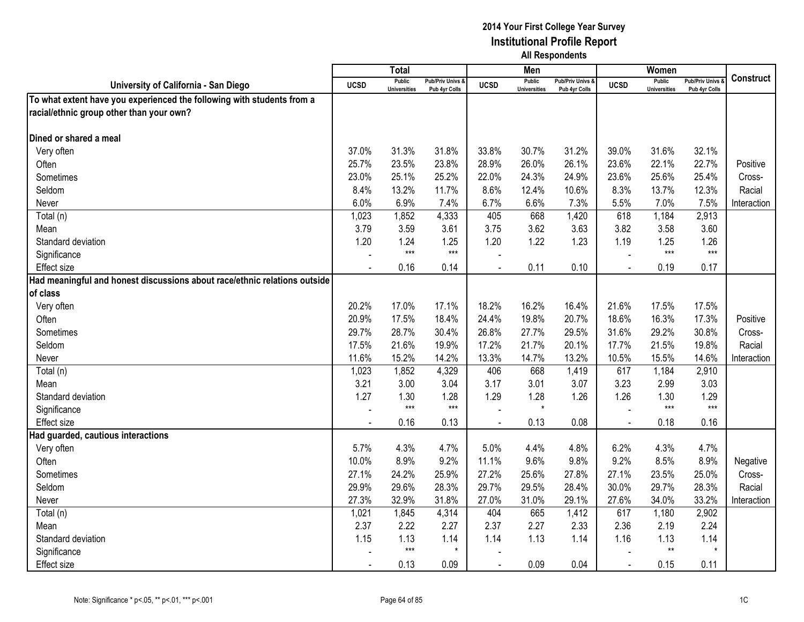|                                                                           |                | Total                                |                                              |                | Men                                  |                                              |                | Women                                |                                        |                  |
|---------------------------------------------------------------------------|----------------|--------------------------------------|----------------------------------------------|----------------|--------------------------------------|----------------------------------------------|----------------|--------------------------------------|----------------------------------------|------------------|
| University of California - San Diego                                      | <b>UCSD</b>    | <b>Public</b><br><b>Universities</b> | <b>Pub/Priv Univs &amp;</b><br>Pub 4yr Colls | <b>UCSD</b>    | <b>Public</b><br><b>Universities</b> | <b>Pub/Priv Univs &amp;</b><br>Pub 4yr Colls | <b>UCSD</b>    | <b>Public</b><br><b>Universities</b> | <b>Pub/Priv Univs</b><br>Pub 4yr Colls | <b>Construct</b> |
| To what extent have you experienced the following with students from a    |                |                                      |                                              |                |                                      |                                              |                |                                      |                                        |                  |
| racial/ethnic group other than your own?                                  |                |                                      |                                              |                |                                      |                                              |                |                                      |                                        |                  |
|                                                                           |                |                                      |                                              |                |                                      |                                              |                |                                      |                                        |                  |
| Dined or shared a meal                                                    |                |                                      |                                              |                |                                      |                                              |                |                                      |                                        |                  |
| Very often                                                                | 37.0%          | 31.3%                                | 31.8%                                        | 33.8%          | 30.7%                                | 31.2%                                        | 39.0%          | 31.6%                                | 32.1%                                  |                  |
| Often                                                                     | 25.7%          | 23.5%                                | 23.8%                                        | 28.9%          | 26.0%                                | 26.1%                                        | 23.6%          | 22.1%                                | 22.7%                                  | Positive         |
| Sometimes                                                                 | 23.0%          | 25.1%                                | 25.2%                                        | 22.0%          | 24.3%                                | 24.9%                                        | 23.6%          | 25.6%                                | 25.4%                                  | Cross-           |
| Seldom                                                                    | 8.4%           | 13.2%                                | 11.7%                                        | 8.6%           | 12.4%                                | 10.6%                                        | 8.3%           | 13.7%                                | 12.3%                                  | Racial           |
| Never                                                                     | 6.0%           | 6.9%                                 | 7.4%                                         | 6.7%           | 6.6%                                 | 7.3%                                         | 5.5%           | 7.0%                                 | 7.5%                                   | Interaction      |
| Total (n)                                                                 | 1,023          | 1,852                                | 4,333                                        | 405            | 668                                  | 1,420                                        | 618            | 1,184                                | 2,913                                  |                  |
| Mean                                                                      | 3.79           | 3.59                                 | 3.61                                         | 3.75           | 3.62                                 | 3.63                                         | 3.82           | 3.58                                 | 3.60                                   |                  |
| Standard deviation                                                        | 1.20           | 1.24                                 | 1.25                                         | 1.20           | 1.22                                 | 1.23                                         | 1.19           | 1.25                                 | 1.26                                   |                  |
| Significance                                                              |                | $***$                                | $***$                                        |                |                                      |                                              |                | $***$                                | $***$                                  |                  |
| Effect size                                                               | $\blacksquare$ | 0.16                                 | 0.14                                         | $\blacksquare$ | 0.11                                 | 0.10                                         | $\blacksquare$ | 0.19                                 | 0.17                                   |                  |
| Had meaningful and honest discussions about race/ethnic relations outside |                |                                      |                                              |                |                                      |                                              |                |                                      |                                        |                  |
| of class                                                                  |                |                                      |                                              |                |                                      |                                              |                |                                      |                                        |                  |
| Very often                                                                | 20.2%          | 17.0%                                | 17.1%                                        | 18.2%          | 16.2%                                | 16.4%                                        | 21.6%          | 17.5%                                | 17.5%                                  |                  |
| Often                                                                     | 20.9%          | 17.5%                                | 18.4%                                        | 24.4%          | 19.8%                                | 20.7%                                        | 18.6%          | 16.3%                                | 17.3%                                  | Positive         |
| Sometimes                                                                 | 29.7%          | 28.7%                                | 30.4%                                        | 26.8%          | 27.7%                                | 29.5%                                        | 31.6%          | 29.2%                                | 30.8%                                  | Cross-           |
| Seldom                                                                    | 17.5%          | 21.6%                                | 19.9%                                        | 17.2%          | 21.7%                                | 20.1%                                        | 17.7%          | 21.5%                                | 19.8%                                  | Racial           |
| Never                                                                     | 11.6%          | 15.2%                                | 14.2%                                        | 13.3%          | 14.7%                                | 13.2%                                        | 10.5%          | 15.5%                                | 14.6%                                  | Interaction      |
| Total (n)                                                                 | 1,023          | 1,852                                | 4,329                                        | 406            | 668                                  | 1,419                                        | 617            | 1,184                                | 2,910                                  |                  |
| Mean                                                                      | 3.21           | 3.00                                 | 3.04                                         | 3.17           | 3.01                                 | 3.07                                         | 3.23           | 2.99                                 | 3.03                                   |                  |
| Standard deviation                                                        | 1.27           | 1.30                                 | 1.28                                         | 1.29           | 1.28                                 | 1.26                                         | 1.26           | 1.30                                 | 1.29                                   |                  |
| Significance                                                              |                | $***$                                | $***$                                        |                | $\star$                              |                                              |                | $***$                                | $***$                                  |                  |
| Effect size                                                               |                | 0.16                                 | 0.13                                         |                | 0.13                                 | 0.08                                         |                | 0.18                                 | 0.16                                   |                  |
| Had guarded, cautious interactions                                        |                |                                      |                                              |                |                                      |                                              |                |                                      |                                        |                  |
| Very often                                                                | 5.7%           | 4.3%                                 | 4.7%                                         | 5.0%           | 4.4%                                 | 4.8%                                         | 6.2%           | 4.3%                                 | 4.7%                                   |                  |
| Often                                                                     | 10.0%          | 8.9%                                 | 9.2%                                         | 11.1%          | 9.6%                                 | 9.8%                                         | 9.2%           | 8.5%                                 | 8.9%                                   | Negative         |
| Sometimes                                                                 | 27.1%          | 24.2%                                | 25.9%                                        | 27.2%          | 25.6%                                | 27.8%                                        | 27.1%          | 23.5%                                | 25.0%                                  | Cross-           |
| Seldom                                                                    | 29.9%          | 29.6%                                | 28.3%                                        | 29.7%          | 29.5%                                | 28.4%                                        | 30.0%          | 29.7%                                | 28.3%                                  | Racial           |
| Never                                                                     | 27.3%          | 32.9%                                | 31.8%                                        | 27.0%          | 31.0%                                | 29.1%                                        | 27.6%          | 34.0%                                | 33.2%                                  | Interaction      |
| Total (n)                                                                 | 1,021          | 1,845                                | 4,314                                        | 404            | 665                                  | 1,412                                        | 617            | 1,180                                | 2,902                                  |                  |
| Mean                                                                      | 2.37           | 2.22                                 | 2.27                                         | 2.37           | 2.27                                 | 2.33                                         | 2.36           | 2.19                                 | 2.24                                   |                  |
| Standard deviation                                                        | 1.15           | 1.13<br>$***$                        | 1.14<br>$\star$                              | 1.14           | 1.13                                 | 1.14                                         | 1.16           | 1.13<br>$***$                        | 1.14<br>$\star$                        |                  |
| Significance                                                              |                |                                      |                                              |                |                                      |                                              |                |                                      |                                        |                  |
| <b>Effect size</b>                                                        | $\blacksquare$ | 0.13                                 | 0.09                                         | $\sim$         | 0.09                                 | 0.04                                         | $\mathbf{r}$   | 0.15                                 | 0.11                                   |                  |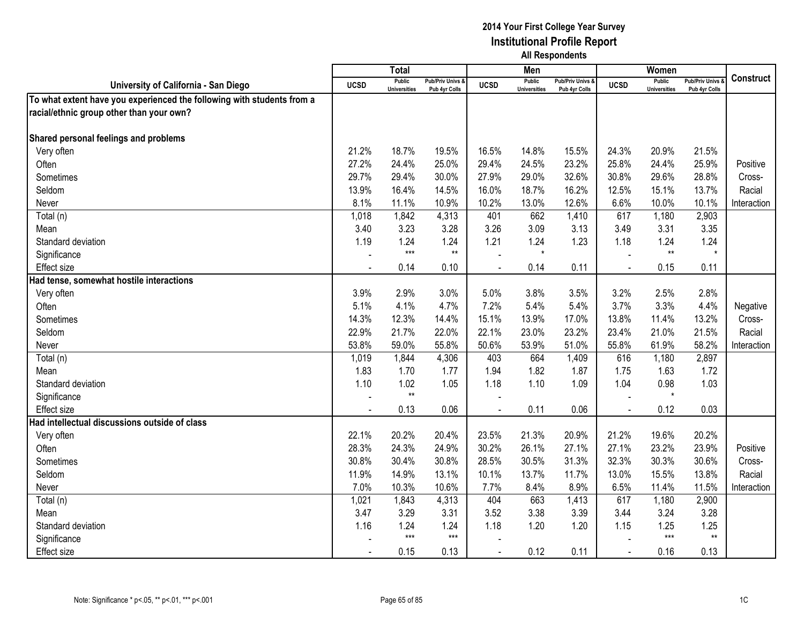|                                                                        |                | Total                                |                                   |             | Men                                  |                                   |             | Women                                |                                        |                  |
|------------------------------------------------------------------------|----------------|--------------------------------------|-----------------------------------|-------------|--------------------------------------|-----------------------------------|-------------|--------------------------------------|----------------------------------------|------------------|
| University of California - San Diego                                   | <b>UCSD</b>    | <b>Public</b><br><b>Universities</b> | Pub/Priv Univs &<br>Pub 4yr Colls | <b>UCSD</b> | <b>Public</b><br><b>Universities</b> | Pub/Priv Univs &<br>Pub 4yr Colls | <b>UCSD</b> | <b>Public</b><br><b>Universities</b> | <b>Pub/Priv Univs</b><br>Pub 4yr Colls | <b>Construct</b> |
| To what extent have you experienced the following with students from a |                |                                      |                                   |             |                                      |                                   |             |                                      |                                        |                  |
| racial/ethnic group other than your own?                               |                |                                      |                                   |             |                                      |                                   |             |                                      |                                        |                  |
|                                                                        |                |                                      |                                   |             |                                      |                                   |             |                                      |                                        |                  |
| Shared personal feelings and problems                                  |                |                                      |                                   |             |                                      |                                   |             |                                      |                                        |                  |
| Very often                                                             | 21.2%          | 18.7%                                | 19.5%                             | 16.5%       | 14.8%                                | 15.5%                             | 24.3%       | 20.9%                                | 21.5%                                  |                  |
| Often                                                                  | 27.2%          | 24.4%                                | 25.0%                             | 29.4%       | 24.5%                                | 23.2%                             | 25.8%       | 24.4%                                | 25.9%                                  | Positive         |
| Sometimes                                                              | 29.7%          | 29.4%                                | 30.0%                             | 27.9%       | 29.0%                                | 32.6%                             | 30.8%       | 29.6%                                | 28.8%                                  | Cross-           |
| Seldom                                                                 | 13.9%          | 16.4%                                | 14.5%                             | 16.0%       | 18.7%                                | 16.2%                             | 12.5%       | 15.1%                                | 13.7%                                  | Racial           |
| Never                                                                  | 8.1%           | 11.1%                                | 10.9%                             | 10.2%       | 13.0%                                | 12.6%                             | 6.6%        | 10.0%                                | 10.1%                                  | Interaction      |
| Total (n)                                                              | 1,018          | 1,842                                | 4,313                             | 401         | 662                                  | 1,410                             | 617         | 1,180                                | 2,903                                  |                  |
| Mean                                                                   | 3.40           | 3.23                                 | 3.28                              | 3.26        | 3.09                                 | 3.13                              | 3.49        | 3.31                                 | 3.35                                   |                  |
| Standard deviation                                                     | 1.19           | 1.24                                 | 1.24                              | 1.21        | 1.24                                 | 1.23                              | 1.18        | 1.24                                 | 1.24                                   |                  |
| Significance                                                           |                | $***$                                | $**$                              |             | $\star$                              |                                   |             | $**$                                 | $\star$                                |                  |
| <b>Effect size</b>                                                     |                | 0.14                                 | 0.10                              |             | 0.14                                 | 0.11                              |             | 0.15                                 | 0.11                                   |                  |
| Had tense, somewhat hostile interactions                               |                |                                      |                                   |             |                                      |                                   |             |                                      |                                        |                  |
| Very often                                                             | 3.9%           | 2.9%                                 | 3.0%                              | 5.0%        | 3.8%                                 | 3.5%                              | 3.2%        | 2.5%                                 | 2.8%                                   |                  |
| Often                                                                  | 5.1%           | 4.1%                                 | 4.7%                              | 7.2%        | 5.4%                                 | 5.4%                              | 3.7%        | 3.3%                                 | 4.4%                                   | Negative         |
| Sometimes                                                              | 14.3%          | 12.3%                                | 14.4%                             | 15.1%       | 13.9%                                | 17.0%                             | 13.8%       | 11.4%                                | 13.2%                                  | Cross-           |
| Seldom                                                                 | 22.9%          | 21.7%                                | 22.0%                             | 22.1%       | 23.0%                                | 23.2%                             | 23.4%       | 21.0%                                | 21.5%                                  | Racial           |
| Never                                                                  | 53.8%          | 59.0%                                | 55.8%                             | 50.6%       | 53.9%                                | 51.0%                             | 55.8%       | 61.9%                                | 58.2%                                  | Interaction      |
| Total (n)                                                              | 1,019          | 1,844                                | 4,306                             | 403         | 664                                  | 1,409                             | 616         | 1,180                                | 2,897                                  |                  |
| Mean                                                                   | 1.83           | 1.70                                 | 1.77                              | 1.94        | 1.82                                 | 1.87                              | 1.75        | 1.63                                 | 1.72                                   |                  |
| Standard deviation                                                     | 1.10           | 1.02                                 | 1.05                              | 1.18        | 1.10                                 | 1.09                              | 1.04        | 0.98                                 | 1.03                                   |                  |
| Significance                                                           |                | $^{\star\star}$                      |                                   |             |                                      |                                   |             | $\star$                              |                                        |                  |
| Effect size                                                            |                | 0.13                                 | 0.06                              |             | 0.11                                 | 0.06                              |             | 0.12                                 | 0.03                                   |                  |
| Had intellectual discussions outside of class                          |                |                                      |                                   |             |                                      |                                   |             |                                      |                                        |                  |
| Very often                                                             | 22.1%          | 20.2%                                | 20.4%                             | 23.5%       | 21.3%                                | 20.9%                             | 21.2%       | 19.6%                                | 20.2%                                  |                  |
| Often                                                                  | 28.3%          | 24.3%                                | 24.9%                             | 30.2%       | 26.1%                                | 27.1%                             | 27.1%       | 23.2%                                | 23.9%                                  | Positive         |
| Sometimes                                                              | 30.8%          | 30.4%                                | 30.8%                             | 28.5%       | 30.5%                                | 31.3%                             | 32.3%       | 30.3%                                | 30.6%                                  | Cross-           |
| Seldom                                                                 | 11.9%          | 14.9%                                | 13.1%                             | 10.1%       | 13.7%                                | 11.7%                             | 13.0%       | 15.5%                                | 13.8%                                  | Racial           |
| Never                                                                  | 7.0%           | 10.3%                                | 10.6%                             | 7.7%        | 8.4%                                 | 8.9%                              | 6.5%        | 11.4%                                | 11.5%                                  | Interaction      |
| Total (n)                                                              | 1,021          | 1,843                                | 4,313                             | 404         | 663                                  | 1,413                             | 617         | 1,180                                | 2,900                                  |                  |
| Mean                                                                   | 3.47           | 3.29                                 | 3.31                              | 3.52        | 3.38                                 | 3.39                              | 3.44        | 3.24                                 | 3.28                                   |                  |
| Standard deviation                                                     | 1.16           | 1.24                                 | 1.24                              | 1.18        | 1.20                                 | 1.20                              | 1.15        | 1.25                                 | 1.25                                   |                  |
| Significance                                                           |                | $***$                                | $***$                             |             |                                      |                                   |             | $***$                                | $**$                                   |                  |
| <b>Effect size</b>                                                     | $\blacksquare$ | 0.15                                 | 0.13                              | $\sim$      | 0.12                                 | 0.11                              | $\sim$      | 0.16                                 | 0.13                                   |                  |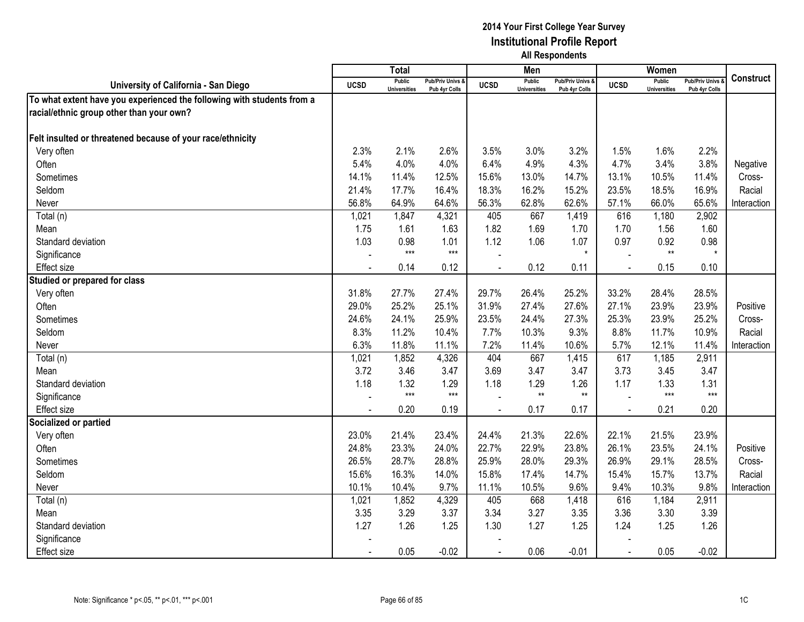|                                                                        |                | Total                                |                                   |                | Men                                  |                                   |             | Women                                |                                        |                  |
|------------------------------------------------------------------------|----------------|--------------------------------------|-----------------------------------|----------------|--------------------------------------|-----------------------------------|-------------|--------------------------------------|----------------------------------------|------------------|
| University of California - San Diego                                   | <b>UCSD</b>    | <b>Public</b><br><b>Universities</b> | Pub/Priv Univs &<br>Pub 4yr Colls | <b>UCSD</b>    | <b>Public</b><br><b>Universities</b> | Pub/Priv Univs &<br>Pub 4yr Colls | <b>UCSD</b> | <b>Public</b><br><b>Universities</b> | <b>Pub/Priv Univs</b><br>Pub 4yr Colls | <b>Construct</b> |
| To what extent have you experienced the following with students from a |                |                                      |                                   |                |                                      |                                   |             |                                      |                                        |                  |
| racial/ethnic group other than your own?                               |                |                                      |                                   |                |                                      |                                   |             |                                      |                                        |                  |
|                                                                        |                |                                      |                                   |                |                                      |                                   |             |                                      |                                        |                  |
| Felt insulted or threatened because of your race/ethnicity             |                |                                      |                                   |                |                                      |                                   |             |                                      |                                        |                  |
| Very often                                                             | 2.3%           | 2.1%                                 | 2.6%                              | 3.5%           | 3.0%                                 | 3.2%                              | 1.5%        | 1.6%                                 | 2.2%                                   |                  |
| Often                                                                  | 5.4%           | 4.0%                                 | 4.0%                              | 6.4%           | 4.9%                                 | 4.3%                              | 4.7%        | 3.4%                                 | 3.8%                                   | Negative         |
| Sometimes                                                              | 14.1%          | 11.4%                                | 12.5%                             | 15.6%          | 13.0%                                | 14.7%                             | 13.1%       | 10.5%                                | 11.4%                                  | Cross-           |
| Seldom                                                                 | 21.4%          | 17.7%                                | 16.4%                             | 18.3%          | 16.2%                                | 15.2%                             | 23.5%       | 18.5%                                | 16.9%                                  | Racial           |
| Never                                                                  | 56.8%          | 64.9%                                | 64.6%                             | 56.3%          | 62.8%                                | 62.6%                             | 57.1%       | 66.0%                                | 65.6%                                  | Interaction      |
| Total (n)                                                              | 1,021          | 1,847                                | 4,321                             | 405            | 667                                  | 1,419                             | 616         | 1,180                                | 2,902                                  |                  |
| Mean                                                                   | 1.75           | 1.61                                 | 1.63                              | 1.82           | 1.69                                 | 1.70                              | 1.70        | 1.56                                 | 1.60                                   |                  |
| Standard deviation                                                     | 1.03           | 0.98                                 | 1.01                              | 1.12           | 1.06                                 | 1.07                              | 0.97        | 0.92                                 | 0.98                                   |                  |
| Significance                                                           |                | $***$                                | $***$                             |                |                                      | $\star$                           |             | $\star\star$                         | $\star$                                |                  |
| <b>Effect size</b>                                                     |                | 0.14                                 | 0.12                              |                | 0.12                                 | 0.11                              |             | 0.15                                 | 0.10                                   |                  |
| Studied or prepared for class                                          |                |                                      |                                   |                |                                      |                                   |             |                                      |                                        |                  |
| Very often                                                             | 31.8%          | 27.7%                                | 27.4%                             | 29.7%          | 26.4%                                | 25.2%                             | 33.2%       | 28.4%                                | 28.5%                                  |                  |
| Often                                                                  | 29.0%          | 25.2%                                | 25.1%                             | 31.9%          | 27.4%                                | 27.6%                             | 27.1%       | 23.9%                                | 23.9%                                  | Positive         |
| Sometimes                                                              | 24.6%          | 24.1%                                | 25.9%                             | 23.5%          | 24.4%                                | 27.3%                             | 25.3%       | 23.9%                                | 25.2%                                  | Cross-           |
| Seldom                                                                 | 8.3%           | 11.2%                                | 10.4%                             | 7.7%           | 10.3%                                | 9.3%                              | 8.8%        | 11.7%                                | 10.9%                                  | Racial           |
| Never                                                                  | 6.3%           | 11.8%                                | 11.1%                             | 7.2%           | 11.4%                                | 10.6%                             | 5.7%        | 12.1%                                | 11.4%                                  | Interaction      |
| Total (n)                                                              | 1,021          | 1,852                                | 4,326                             | 404            | 667                                  | 1,415                             | 617         | 1,185                                | 2,911                                  |                  |
| Mean                                                                   | 3.72           | 3.46                                 | 3.47                              | 3.69           | 3.47                                 | 3.47                              | 3.73        | 3.45                                 | 3.47                                   |                  |
| Standard deviation                                                     | 1.18           | 1.32                                 | 1.29                              | 1.18           | 1.29                                 | 1.26                              | 1.17        | 1.33                                 | 1.31                                   |                  |
| Significance                                                           |                | $***$                                | $***$                             |                | $**$                                 | $**$                              |             | $***$                                | $***$                                  |                  |
| Effect size                                                            |                | 0.20                                 | 0.19                              | $\overline{a}$ | 0.17                                 | 0.17                              | $\sim$      | 0.21                                 | 0.20                                   |                  |
| Socialized or partied                                                  |                |                                      |                                   |                |                                      |                                   |             |                                      |                                        |                  |
| Very often                                                             | 23.0%          | 21.4%                                | 23.4%                             | 24.4%          | 21.3%                                | 22.6%                             | 22.1%       | 21.5%                                | 23.9%                                  |                  |
| Often                                                                  | 24.8%          | 23.3%                                | 24.0%                             | 22.7%          | 22.9%                                | 23.8%                             | 26.1%       | 23.5%                                | 24.1%                                  | Positive         |
| Sometimes                                                              | 26.5%          | 28.7%                                | 28.8%                             | 25.9%          | 28.0%                                | 29.3%                             | 26.9%       | 29.1%                                | 28.5%                                  | Cross-           |
| Seldom                                                                 | 15.6%          | 16.3%                                | 14.0%                             | 15.8%          | 17.4%                                | 14.7%                             | 15.4%       | 15.7%                                | 13.7%                                  | Racial           |
| Never                                                                  | 10.1%          | 10.4%                                | 9.7%                              | 11.1%          | 10.5%                                | 9.6%                              | 9.4%        | 10.3%                                | 9.8%                                   | Interaction      |
| Total (n)                                                              | 1,021          | 1,852                                | 4,329                             | 405            | 668                                  | 1,418                             | 616         | 1,184                                | 2,911                                  |                  |
| Mean                                                                   | 3.35           | 3.29                                 | 3.37                              | 3.34           | 3.27                                 | 3.35                              | 3.36        | 3.30                                 | 3.39                                   |                  |
| Standard deviation                                                     | 1.27           | 1.26                                 | 1.25                              | 1.30           | 1.27                                 | 1.25                              | 1.24        | 1.25                                 | 1.26                                   |                  |
| Significance                                                           |                |                                      |                                   |                |                                      |                                   |             |                                      |                                        |                  |
| <b>Effect size</b>                                                     | $\blacksquare$ | 0.05                                 | $-0.02$                           | $\blacksquare$ | 0.06                                 | $-0.01$                           | $\sim$      | 0.05                                 | $-0.02$                                |                  |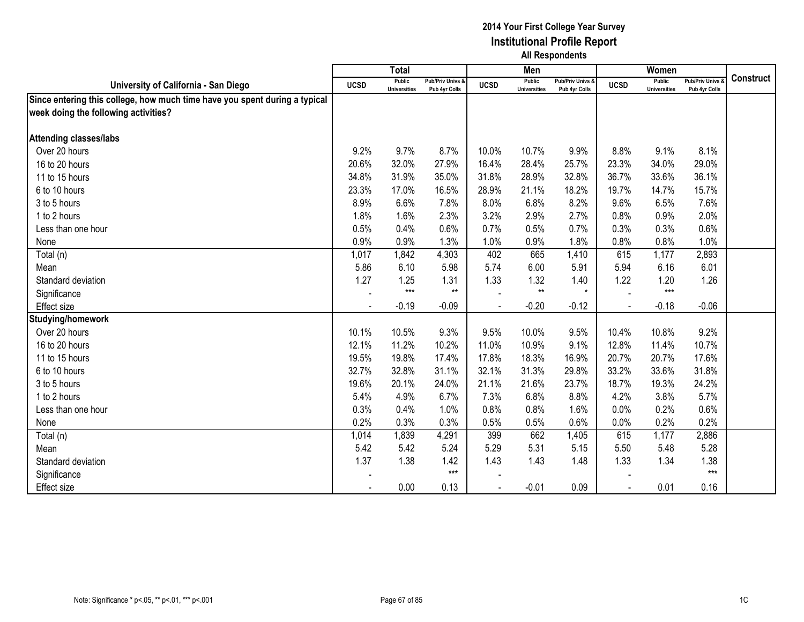|                                                                            |             | <b>Total</b>                  |                                   |             | Men                                  |                                              |             | Women                                |                                        |                  |
|----------------------------------------------------------------------------|-------------|-------------------------------|-----------------------------------|-------------|--------------------------------------|----------------------------------------------|-------------|--------------------------------------|----------------------------------------|------------------|
| University of California - San Diego                                       | <b>UCSD</b> | Public<br><b>Universities</b> | Pub/Priv Univs &<br>Pub 4yr Colls | <b>UCSD</b> | <b>Public</b><br><b>Universities</b> | <b>Pub/Priv Univs &amp;</b><br>Pub 4yr Colls | <b>UCSD</b> | <b>Public</b><br><b>Universities</b> | <b>Pub/Priv Univs</b><br>Pub 4yr Colls | <b>Construct</b> |
| Since entering this college, how much time have you spent during a typical |             |                               |                                   |             |                                      |                                              |             |                                      |                                        |                  |
| week doing the following activities?                                       |             |                               |                                   |             |                                      |                                              |             |                                      |                                        |                  |
|                                                                            |             |                               |                                   |             |                                      |                                              |             |                                      |                                        |                  |
| <b>Attending classes/labs</b>                                              |             |                               |                                   |             |                                      |                                              |             |                                      |                                        |                  |
| Over 20 hours                                                              | 9.2%        | 9.7%                          | 8.7%                              | 10.0%       | 10.7%                                | 9.9%                                         | 8.8%        | 9.1%                                 | 8.1%                                   |                  |
| 16 to 20 hours                                                             | 20.6%       | 32.0%                         | 27.9%                             | 16.4%       | 28.4%                                | 25.7%                                        | 23.3%       | 34.0%                                | 29.0%                                  |                  |
| 11 to 15 hours                                                             | 34.8%       | 31.9%                         | 35.0%                             | 31.8%       | 28.9%                                | 32.8%                                        | 36.7%       | 33.6%                                | 36.1%                                  |                  |
| 6 to 10 hours                                                              | 23.3%       | 17.0%                         | 16.5%                             | 28.9%       | 21.1%                                | 18.2%                                        | 19.7%       | 14.7%                                | 15.7%                                  |                  |
| 3 to 5 hours                                                               | 8.9%        | 6.6%                          | 7.8%                              | 8.0%        | 6.8%                                 | 8.2%                                         | 9.6%        | 6.5%                                 | 7.6%                                   |                  |
| 1 to 2 hours                                                               | 1.8%        | 1.6%                          | 2.3%                              | 3.2%        | 2.9%                                 | 2.7%                                         | 0.8%        | 0.9%                                 | 2.0%                                   |                  |
| Less than one hour                                                         | 0.5%        | 0.4%                          | 0.6%                              | 0.7%        | 0.5%                                 | 0.7%                                         | 0.3%        | 0.3%                                 | 0.6%                                   |                  |
| None                                                                       | 0.9%        | 0.9%                          | 1.3%                              | 1.0%        | 0.9%                                 | 1.8%                                         | 0.8%        | 0.8%                                 | 1.0%                                   |                  |
| Total (n)                                                                  | 1,017       | 1,842                         | 4,303                             | 402         | 665                                  | 1,410                                        | 615         | 1,177                                | 2,893                                  |                  |
| Mean                                                                       | 5.86        | 6.10                          | 5.98                              | 5.74        | 6.00                                 | 5.91                                         | 5.94        | 6.16                                 | 6.01                                   |                  |
| Standard deviation                                                         | 1.27        | 1.25                          | 1.31                              | 1.33        | 1.32                                 | 1.40                                         | 1.22        | 1.20                                 | 1.26                                   |                  |
| Significance                                                               | $\sim$      | $***$                         | $***$                             |             | $**$                                 | $\star$                                      |             | $***$                                |                                        |                  |
| <b>Effect size</b>                                                         |             | $-0.19$                       | $-0.09$                           |             | $-0.20$                              | $-0.12$                                      |             | $-0.18$                              | $-0.06$                                |                  |
| Studying/homework                                                          |             |                               |                                   |             |                                      |                                              |             |                                      |                                        |                  |
| Over 20 hours                                                              | 10.1%       | 10.5%                         | 9.3%                              | 9.5%        | 10.0%                                | 9.5%                                         | 10.4%       | 10.8%                                | 9.2%                                   |                  |
| 16 to 20 hours                                                             | 12.1%       | 11.2%                         | 10.2%                             | 11.0%       | 10.9%                                | 9.1%                                         | 12.8%       | 11.4%                                | 10.7%                                  |                  |
| 11 to 15 hours                                                             | 19.5%       | 19.8%                         | 17.4%                             | 17.8%       | 18.3%                                | 16.9%                                        | 20.7%       | 20.7%                                | 17.6%                                  |                  |
| 6 to 10 hours                                                              | 32.7%       | 32.8%                         | 31.1%                             | 32.1%       | 31.3%                                | 29.8%                                        | 33.2%       | 33.6%                                | 31.8%                                  |                  |
| 3 to 5 hours                                                               | 19.6%       | 20.1%                         | 24.0%                             | 21.1%       | 21.6%                                | 23.7%                                        | 18.7%       | 19.3%                                | 24.2%                                  |                  |
| 1 to 2 hours                                                               | 5.4%        | 4.9%                          | 6.7%                              | 7.3%        | 6.8%                                 | 8.8%                                         | 4.2%        | 3.8%                                 | 5.7%                                   |                  |
| Less than one hour                                                         | 0.3%        | 0.4%                          | 1.0%                              | 0.8%        | 0.8%                                 | 1.6%                                         | 0.0%        | 0.2%                                 | 0.6%                                   |                  |
| None                                                                       | 0.2%        | 0.3%                          | 0.3%                              | 0.5%        | 0.5%                                 | 0.6%                                         | 0.0%        | 0.2%                                 | 0.2%                                   |                  |
| Total (n)                                                                  | 1,014       | 1,839                         | 4,291                             | 399         | 662                                  | 1,405                                        | 615         | 1,177                                | 2,886                                  |                  |
| Mean                                                                       | 5.42        | 5.42                          | 5.24                              | 5.29        | 5.31                                 | 5.15                                         | 5.50        | 5.48                                 | 5.28                                   |                  |
| Standard deviation                                                         | 1.37        | 1.38                          | 1.42                              | 1.43        | 1.43                                 | 1.48                                         | 1.33        | 1.34                                 | 1.38                                   |                  |
| Significance                                                               |             |                               | $***$                             |             |                                      |                                              |             |                                      | $***$                                  |                  |
| <b>Effect size</b>                                                         |             | 0.00                          | 0.13                              |             | $-0.01$                              | 0.09                                         |             | 0.01                                 | 0.16                                   |                  |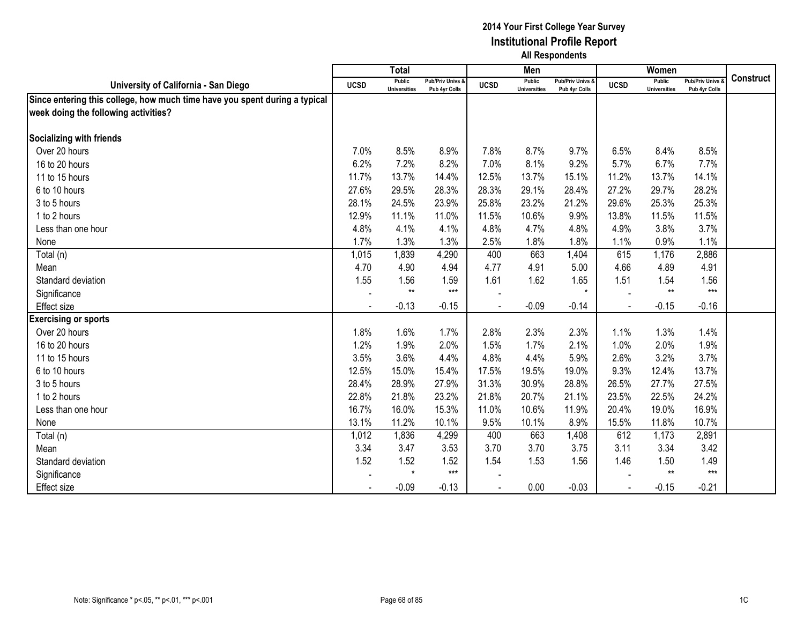|                                                                            |                | <b>Total</b>                  |                                   |             | Men                                  |                                              |             | Women                                |                                        |                  |
|----------------------------------------------------------------------------|----------------|-------------------------------|-----------------------------------|-------------|--------------------------------------|----------------------------------------------|-------------|--------------------------------------|----------------------------------------|------------------|
| University of California - San Diego                                       | <b>UCSD</b>    | Public<br><b>Universities</b> | Pub/Priv Univs &<br>Pub 4yr Colls | <b>UCSD</b> | <b>Public</b><br><b>Universities</b> | <b>Pub/Priv Univs &amp;</b><br>Pub 4yr Colls | <b>UCSD</b> | <b>Public</b><br><b>Universities</b> | <b>Pub/Priv Univs</b><br>Pub 4yr Colls | <b>Construct</b> |
| Since entering this college, how much time have you spent during a typical |                |                               |                                   |             |                                      |                                              |             |                                      |                                        |                  |
| week doing the following activities?                                       |                |                               |                                   |             |                                      |                                              |             |                                      |                                        |                  |
|                                                                            |                |                               |                                   |             |                                      |                                              |             |                                      |                                        |                  |
| <b>Socializing with friends</b>                                            |                |                               |                                   |             |                                      |                                              |             |                                      |                                        |                  |
| Over 20 hours                                                              | 7.0%           | 8.5%                          | 8.9%                              | 7.8%        | 8.7%                                 | 9.7%                                         | 6.5%        | 8.4%                                 | 8.5%                                   |                  |
| 16 to 20 hours                                                             | 6.2%           | 7.2%                          | 8.2%                              | 7.0%        | 8.1%                                 | 9.2%                                         | 5.7%        | 6.7%                                 | 7.7%                                   |                  |
| 11 to 15 hours                                                             | 11.7%          | 13.7%                         | 14.4%                             | 12.5%       | 13.7%                                | 15.1%                                        | 11.2%       | 13.7%                                | 14.1%                                  |                  |
| 6 to 10 hours                                                              | 27.6%          | 29.5%                         | 28.3%                             | 28.3%       | 29.1%                                | 28.4%                                        | 27.2%       | 29.7%                                | 28.2%                                  |                  |
| 3 to 5 hours                                                               | 28.1%          | 24.5%                         | 23.9%                             | 25.8%       | 23.2%                                | 21.2%                                        | 29.6%       | 25.3%                                | 25.3%                                  |                  |
| 1 to 2 hours                                                               | 12.9%          | 11.1%                         | 11.0%                             | 11.5%       | 10.6%                                | 9.9%                                         | 13.8%       | 11.5%                                | 11.5%                                  |                  |
| Less than one hour                                                         | 4.8%           | 4.1%                          | 4.1%                              | 4.8%        | 4.7%                                 | 4.8%                                         | 4.9%        | 3.8%                                 | 3.7%                                   |                  |
| None                                                                       | 1.7%           | 1.3%                          | 1.3%                              | 2.5%        | 1.8%                                 | 1.8%                                         | 1.1%        | 0.9%                                 | 1.1%                                   |                  |
| Total (n)                                                                  | 1,015          | 1,839                         | 4,290                             | 400         | 663                                  | 1,404                                        | 615         | 1,176                                | 2,886                                  |                  |
| Mean                                                                       | 4.70           | 4.90                          | 4.94                              | 4.77        | 4.91                                 | 5.00                                         | 4.66        | 4.89                                 | 4.91                                   |                  |
| Standard deviation                                                         | 1.55           | 1.56                          | 1.59                              | 1.61        | 1.62                                 | 1.65                                         | 1.51        | 1.54                                 | 1.56                                   |                  |
| Significance                                                               | $\blacksquare$ | $**$                          | $***$                             |             |                                      | $\star$                                      |             | $**$                                 | $***$                                  |                  |
| <b>Effect size</b>                                                         |                | $-0.13$                       | $-0.15$                           |             | $-0.09$                              | $-0.14$                                      |             | $-0.15$                              | $-0.16$                                |                  |
| <b>Exercising or sports</b>                                                |                |                               |                                   |             |                                      |                                              |             |                                      |                                        |                  |
| Over 20 hours                                                              | 1.8%           | 1.6%                          | 1.7%                              | 2.8%        | 2.3%                                 | 2.3%                                         | 1.1%        | 1.3%                                 | 1.4%                                   |                  |
| 16 to 20 hours                                                             | 1.2%           | 1.9%                          | 2.0%                              | 1.5%        | 1.7%                                 | 2.1%                                         | 1.0%        | 2.0%                                 | 1.9%                                   |                  |
| 11 to 15 hours                                                             | 3.5%           | 3.6%                          | 4.4%                              | 4.8%        | 4.4%                                 | 5.9%                                         | 2.6%        | 3.2%                                 | 3.7%                                   |                  |
| 6 to 10 hours                                                              | 12.5%          | 15.0%                         | 15.4%                             | 17.5%       | 19.5%                                | 19.0%                                        | 9.3%        | 12.4%                                | 13.7%                                  |                  |
| 3 to 5 hours                                                               | 28.4%          | 28.9%                         | 27.9%                             | 31.3%       | 30.9%                                | 28.8%                                        | 26.5%       | 27.7%                                | 27.5%                                  |                  |
| 1 to 2 hours                                                               | 22.8%          | 21.8%                         | 23.2%                             | 21.8%       | 20.7%                                | 21.1%                                        | 23.5%       | 22.5%                                | 24.2%                                  |                  |
| Less than one hour                                                         | 16.7%          | 16.0%                         | 15.3%                             | 11.0%       | 10.6%                                | 11.9%                                        | 20.4%       | 19.0%                                | 16.9%                                  |                  |
| None                                                                       | 13.1%          | 11.2%                         | 10.1%                             | 9.5%        | 10.1%                                | 8.9%                                         | 15.5%       | 11.8%                                | 10.7%                                  |                  |
| Total (n)                                                                  | 1,012          | 1,836                         | 4,299                             | 400         | 663                                  | 1,408                                        | 612         | 1,173                                | 2,891                                  |                  |
| Mean                                                                       | 3.34           | 3.47                          | 3.53                              | 3.70        | 3.70                                 | 3.75                                         | 3.11        | 3.34                                 | 3.42                                   |                  |
| Standard deviation                                                         | 1.52           | 1.52                          | 1.52                              | 1.54        | 1.53                                 | 1.56                                         | 1.46        | 1.50                                 | 1.49                                   |                  |
| Significance                                                               |                | $\star$                       | $***$                             |             |                                      |                                              |             | $**$                                 | $***$                                  |                  |
| Effect size                                                                |                | $-0.09$                       | $-0.13$                           |             | 0.00                                 | $-0.03$                                      |             | $-0.15$                              | $-0.21$                                |                  |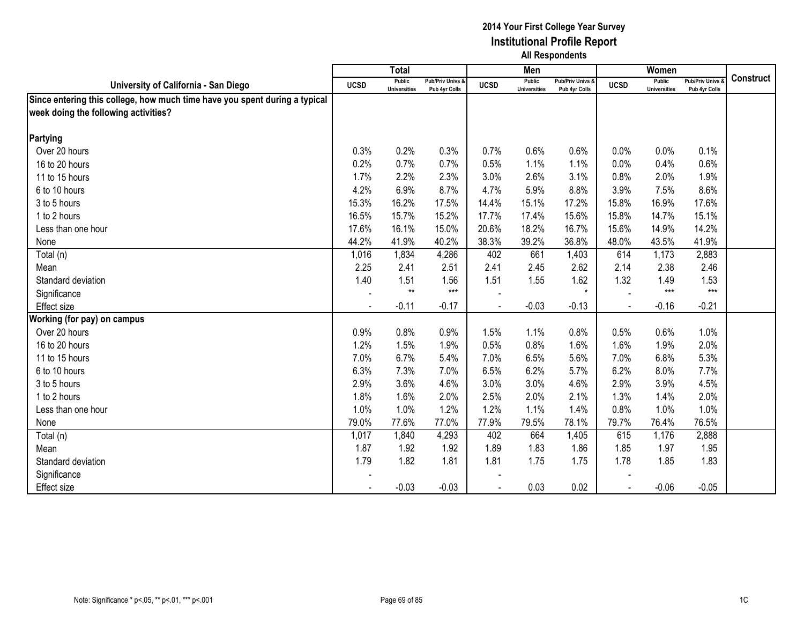|                                                                            |             | <b>Total</b>                  |                                   |             | Men                           |                                              |             | Women                         |                                        |                  |
|----------------------------------------------------------------------------|-------------|-------------------------------|-----------------------------------|-------------|-------------------------------|----------------------------------------------|-------------|-------------------------------|----------------------------------------|------------------|
| University of California - San Diego                                       | <b>UCSD</b> | Public<br><b>Universities</b> | Pub/Priv Univs &<br>Pub 4yr Colls | <b>UCSD</b> | Public<br><b>Universities</b> | <b>Pub/Priv Univs &amp;</b><br>Pub 4yr Colls | <b>UCSD</b> | Public<br><b>Universities</b> | <b>Pub/Priv Univs</b><br>Pub 4yr Colls | <b>Construct</b> |
| Since entering this college, how much time have you spent during a typical |             |                               |                                   |             |                               |                                              |             |                               |                                        |                  |
| week doing the following activities?                                       |             |                               |                                   |             |                               |                                              |             |                               |                                        |                  |
|                                                                            |             |                               |                                   |             |                               |                                              |             |                               |                                        |                  |
| Partying                                                                   |             |                               |                                   |             |                               |                                              |             |                               |                                        |                  |
| Over 20 hours                                                              | 0.3%        | 0.2%                          | 0.3%                              | 0.7%        | 0.6%                          | 0.6%                                         | 0.0%        | 0.0%                          | 0.1%                                   |                  |
| 16 to 20 hours                                                             | 0.2%        | 0.7%                          | 0.7%                              | 0.5%        | 1.1%                          | 1.1%                                         | 0.0%        | 0.4%                          | 0.6%                                   |                  |
| 11 to 15 hours                                                             | 1.7%        | 2.2%                          | 2.3%                              | 3.0%        | 2.6%                          | 3.1%                                         | 0.8%        | 2.0%                          | 1.9%                                   |                  |
| 6 to 10 hours                                                              | 4.2%        | 6.9%                          | 8.7%                              | 4.7%        | 5.9%                          | 8.8%                                         | 3.9%        | 7.5%                          | 8.6%                                   |                  |
| 3 to 5 hours                                                               | 15.3%       | 16.2%                         | 17.5%                             | 14.4%       | 15.1%                         | 17.2%                                        | 15.8%       | 16.9%                         | 17.6%                                  |                  |
| 1 to 2 hours                                                               | 16.5%       | 15.7%                         | 15.2%                             | 17.7%       | 17.4%                         | 15.6%                                        | 15.8%       | 14.7%                         | 15.1%                                  |                  |
| Less than one hour                                                         | 17.6%       | 16.1%                         | 15.0%                             | 20.6%       | 18.2%                         | 16.7%                                        | 15.6%       | 14.9%                         | 14.2%                                  |                  |
| None                                                                       | 44.2%       | 41.9%                         | 40.2%                             | 38.3%       | 39.2%                         | 36.8%                                        | 48.0%       | 43.5%                         | 41.9%                                  |                  |
| Total (n)                                                                  | 1,016       | 1,834                         | 4,286                             | 402         | 661                           | 1,403                                        | 614         | 1,173                         | 2,883                                  |                  |
| Mean                                                                       | 2.25        | 2.41                          | 2.51                              | 2.41        | 2.45                          | 2.62                                         | 2.14        | 2.38                          | 2.46                                   |                  |
| Standard deviation                                                         | 1.40        | 1.51                          | 1.56                              | 1.51        | 1.55                          | 1.62                                         | 1.32        | 1.49                          | 1.53                                   |                  |
| Significance                                                               |             | $***$                         | $***$                             |             |                               | $\star$                                      |             | $***$                         | $***$                                  |                  |
| <b>Effect size</b>                                                         |             | $-0.11$                       | $-0.17$                           |             | $-0.03$                       | $-0.13$                                      | $\sim$      | $-0.16$                       | $-0.21$                                |                  |
| Working (for pay) on campus                                                |             |                               |                                   |             |                               |                                              |             |                               |                                        |                  |
| Over 20 hours                                                              | 0.9%        | 0.8%                          | 0.9%                              | 1.5%        | 1.1%                          | 0.8%                                         | 0.5%        | 0.6%                          | 1.0%                                   |                  |
| 16 to 20 hours                                                             | 1.2%        | 1.5%                          | 1.9%                              | 0.5%        | 0.8%                          | 1.6%                                         | 1.6%        | 1.9%                          | 2.0%                                   |                  |
| 11 to 15 hours                                                             | 7.0%        | 6.7%                          | 5.4%                              | 7.0%        | 6.5%                          | 5.6%                                         | 7.0%        | 6.8%                          | 5.3%                                   |                  |
| 6 to 10 hours                                                              | 6.3%        | 7.3%                          | 7.0%                              | 6.5%        | 6.2%                          | 5.7%                                         | 6.2%        | 8.0%                          | 7.7%                                   |                  |
| 3 to 5 hours                                                               | 2.9%        | 3.6%                          | 4.6%                              | 3.0%        | 3.0%                          | 4.6%                                         | 2.9%        | 3.9%                          | 4.5%                                   |                  |
| 1 to 2 hours                                                               | 1.8%        | 1.6%                          | 2.0%                              | 2.5%        | 2.0%                          | 2.1%                                         | 1.3%        | 1.4%                          | 2.0%                                   |                  |
| Less than one hour                                                         | 1.0%        | 1.0%                          | 1.2%                              | 1.2%        | 1.1%                          | 1.4%                                         | 0.8%        | 1.0%                          | 1.0%                                   |                  |
| None                                                                       | 79.0%       | 77.6%                         | 77.0%                             | 77.9%       | 79.5%                         | 78.1%                                        | 79.7%       | 76.4%                         | 76.5%                                  |                  |
| Total (n)                                                                  | 1,017       | 1,840                         | 4,293                             | 402         | 664                           | 1,405                                        | 615         | 1,176                         | 2,888                                  |                  |
| Mean                                                                       | 1.87        | 1.92                          | 1.92                              | 1.89        | 1.83                          | 1.86                                         | 1.85        | 1.97                          | 1.95                                   |                  |
| Standard deviation                                                         | 1.79        | 1.82                          | 1.81                              | 1.81        | 1.75                          | 1.75                                         | 1.78        | 1.85                          | 1.83                                   |                  |
| Significance                                                               |             |                               |                                   |             |                               |                                              |             |                               |                                        |                  |
| <b>Effect size</b>                                                         |             | $-0.03$                       | $-0.03$                           |             | 0.03                          | 0.02                                         |             | $-0.06$                       | $-0.05$                                |                  |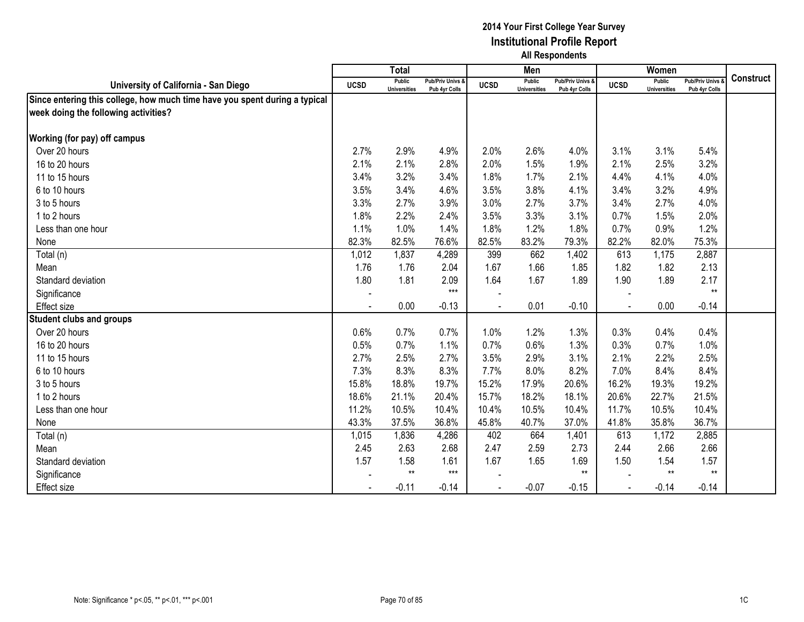|                                                                            |                          | <b>Total</b>                  |                                   |                | Men                                  |                                   |             | Women                                |                                        |                  |
|----------------------------------------------------------------------------|--------------------------|-------------------------------|-----------------------------------|----------------|--------------------------------------|-----------------------------------|-------------|--------------------------------------|----------------------------------------|------------------|
| University of California - San Diego                                       | <b>UCSD</b>              | Public<br><b>Universities</b> | Pub/Priv Univs &<br>Pub 4yr Colls | <b>UCSD</b>    | <b>Public</b><br><b>Universities</b> | Pub/Priv Univs &<br>Pub 4yr Colls | <b>UCSD</b> | <b>Public</b><br><b>Universities</b> | <b>Pub/Priv Univs</b><br>Pub 4yr Colls | <b>Construct</b> |
| Since entering this college, how much time have you spent during a typical |                          |                               |                                   |                |                                      |                                   |             |                                      |                                        |                  |
| week doing the following activities?                                       |                          |                               |                                   |                |                                      |                                   |             |                                      |                                        |                  |
|                                                                            |                          |                               |                                   |                |                                      |                                   |             |                                      |                                        |                  |
| <b>Working (for pay) off campus</b>                                        |                          |                               |                                   |                |                                      |                                   |             |                                      |                                        |                  |
| Over 20 hours                                                              | 2.7%                     | 2.9%                          | 4.9%                              | 2.0%           | 2.6%                                 | 4.0%                              | 3.1%        | 3.1%                                 | 5.4%                                   |                  |
| 16 to 20 hours                                                             | 2.1%                     | 2.1%                          | 2.8%                              | 2.0%           | 1.5%                                 | 1.9%                              | 2.1%        | 2.5%                                 | 3.2%                                   |                  |
| 11 to 15 hours                                                             | 3.4%                     | 3.2%                          | 3.4%                              | 1.8%           | 1.7%                                 | 2.1%                              | 4.4%        | 4.1%                                 | 4.0%                                   |                  |
| 6 to 10 hours                                                              | 3.5%                     | 3.4%                          | 4.6%                              | 3.5%           | 3.8%                                 | 4.1%                              | 3.4%        | 3.2%                                 | 4.9%                                   |                  |
| 3 to 5 hours                                                               | 3.3%                     | 2.7%                          | 3.9%                              | 3.0%           | 2.7%                                 | 3.7%                              | 3.4%        | 2.7%                                 | 4.0%                                   |                  |
| 1 to 2 hours                                                               | 1.8%                     | 2.2%                          | 2.4%                              | 3.5%           | 3.3%                                 | 3.1%                              | 0.7%        | 1.5%                                 | 2.0%                                   |                  |
| Less than one hour                                                         | 1.1%                     | 1.0%                          | 1.4%                              | 1.8%           | 1.2%                                 | 1.8%                              | 0.7%        | 0.9%                                 | 1.2%                                   |                  |
| None                                                                       | 82.3%                    | 82.5%                         | 76.6%                             | 82.5%          | 83.2%                                | 79.3%                             | 82.2%       | 82.0%                                | 75.3%                                  |                  |
| Total (n)                                                                  | 1,012                    | 1,837                         | 4,289                             | 399            | 662                                  | 1,402                             | 613         | 1,175                                | 2,887                                  |                  |
| Mean                                                                       | 1.76                     | 1.76                          | 2.04                              | 1.67           | 1.66                                 | 1.85                              | 1.82        | 1.82                                 | 2.13                                   |                  |
| Standard deviation                                                         | 1.80                     | 1.81                          | 2.09                              | 1.64           | 1.67                                 | 1.89                              | 1.90        | 1.89                                 | 2.17                                   |                  |
| Significance                                                               | $\overline{\phantom{a}}$ |                               | $***$                             |                |                                      |                                   |             |                                      | $***$                                  |                  |
| Effect size                                                                |                          | 0.00                          | $-0.13$                           |                | 0.01                                 | $-0.10$                           |             | 0.00                                 | $-0.14$                                |                  |
| <b>Student clubs and groups</b>                                            |                          |                               |                                   |                |                                      |                                   |             |                                      |                                        |                  |
| Over 20 hours                                                              | 0.6%                     | 0.7%                          | 0.7%                              | 1.0%           | 1.2%                                 | 1.3%                              | 0.3%        | 0.4%                                 | 0.4%                                   |                  |
| 16 to 20 hours                                                             | 0.5%                     | 0.7%                          | 1.1%                              | 0.7%           | 0.6%                                 | 1.3%                              | 0.3%        | 0.7%                                 | 1.0%                                   |                  |
| 11 to 15 hours                                                             | 2.7%                     | 2.5%                          | 2.7%                              | 3.5%           | 2.9%                                 | 3.1%                              | 2.1%        | 2.2%                                 | 2.5%                                   |                  |
| 6 to 10 hours                                                              | 7.3%                     | 8.3%                          | 8.3%                              | 7.7%           | 8.0%                                 | 8.2%                              | 7.0%        | 8.4%                                 | 8.4%                                   |                  |
| 3 to 5 hours                                                               | 15.8%                    | 18.8%                         | 19.7%                             | 15.2%          | 17.9%                                | 20.6%                             | 16.2%       | 19.3%                                | 19.2%                                  |                  |
| 1 to 2 hours                                                               | 18.6%                    | 21.1%                         | 20.4%                             | 15.7%          | 18.2%                                | 18.1%                             | 20.6%       | 22.7%                                | 21.5%                                  |                  |
| Less than one hour                                                         | 11.2%                    | 10.5%                         | 10.4%                             | 10.4%          | 10.5%                                | 10.4%                             | 11.7%       | 10.5%                                | 10.4%                                  |                  |
| None                                                                       | 43.3%                    | 37.5%                         | 36.8%                             | 45.8%          | 40.7%                                | 37.0%                             | 41.8%       | 35.8%                                | 36.7%                                  |                  |
| Total (n)                                                                  | 1,015                    | 1,836                         | 4,286                             | 402            | 664                                  | 1,401                             | 613         | 1,172                                | 2,885                                  |                  |
| Mean                                                                       | 2.45                     | 2.63                          | 2.68                              | 2.47           | 2.59                                 | 2.73                              | 2.44        | 2.66                                 | 2.66                                   |                  |
| Standard deviation                                                         | 1.57                     | 1.58                          | 1.61                              | 1.67           | 1.65                                 | 1.69                              | 1.50        | 1.54                                 | 1.57                                   |                  |
| Significance                                                               |                          | $***$                         | $***$                             |                |                                      | $**$                              |             | $**$                                 | $***$                                  |                  |
| <b>Effect size</b>                                                         |                          | $-0.11$                       | $-0.14$                           | $\blacksquare$ | $-0.07$                              | $-0.15$                           |             | $-0.14$                              | $-0.14$                                |                  |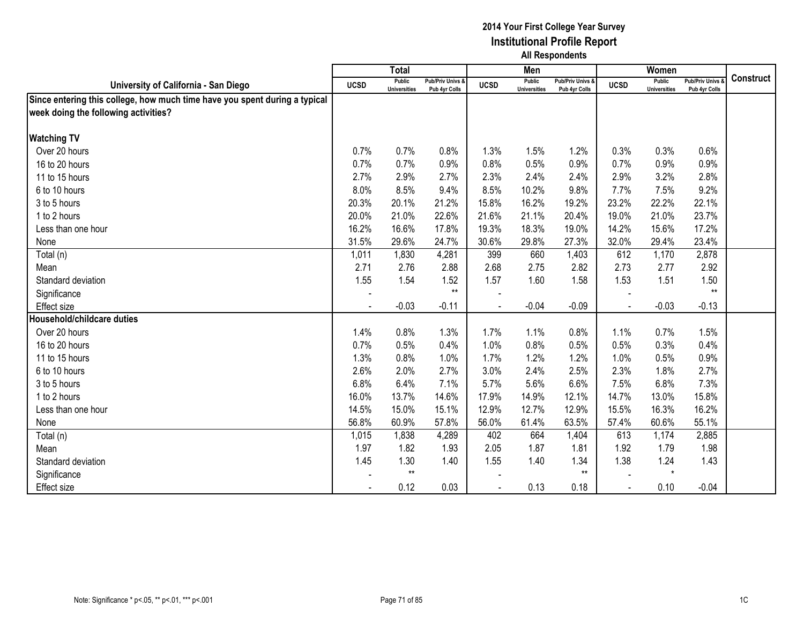|                                                                            |                | <b>Total</b>                  |                                   |             | Men                           |                                              |                | Women                                |                                        |                  |
|----------------------------------------------------------------------------|----------------|-------------------------------|-----------------------------------|-------------|-------------------------------|----------------------------------------------|----------------|--------------------------------------|----------------------------------------|------------------|
| University of California - San Diego                                       | <b>UCSD</b>    | Public<br><b>Universities</b> | Pub/Priv Univs &<br>Pub 4yr Colls | <b>UCSD</b> | Public<br><b>Universities</b> | <b>Pub/Priv Univs &amp;</b><br>Pub 4vr Colls | <b>UCSD</b>    | <b>Public</b><br><b>Universities</b> | <b>Pub/Priv Univs</b><br>Pub 4yr Colls | <b>Construct</b> |
| Since entering this college, how much time have you spent during a typical |                |                               |                                   |             |                               |                                              |                |                                      |                                        |                  |
| week doing the following activities?                                       |                |                               |                                   |             |                               |                                              |                |                                      |                                        |                  |
|                                                                            |                |                               |                                   |             |                               |                                              |                |                                      |                                        |                  |
| <b>Watching TV</b>                                                         |                |                               |                                   |             |                               |                                              |                |                                      |                                        |                  |
| Over 20 hours                                                              | 0.7%           | 0.7%                          | 0.8%                              | 1.3%        | 1.5%                          | 1.2%                                         | 0.3%           | 0.3%                                 | 0.6%                                   |                  |
| 16 to 20 hours                                                             | 0.7%           | 0.7%                          | 0.9%                              | 0.8%        | 0.5%                          | 0.9%                                         | 0.7%           | 0.9%                                 | 0.9%                                   |                  |
| 11 to 15 hours                                                             | 2.7%           | 2.9%                          | 2.7%                              | 2.3%        | 2.4%                          | 2.4%                                         | 2.9%           | 3.2%                                 | 2.8%                                   |                  |
| 6 to 10 hours                                                              | 8.0%           | 8.5%                          | 9.4%                              | 8.5%        | 10.2%                         | 9.8%                                         | 7.7%           | 7.5%                                 | 9.2%                                   |                  |
| 3 to 5 hours                                                               | 20.3%          | 20.1%                         | 21.2%                             | 15.8%       | 16.2%                         | 19.2%                                        | 23.2%          | 22.2%                                | 22.1%                                  |                  |
| 1 to 2 hours                                                               | 20.0%          | 21.0%                         | 22.6%                             | 21.6%       | 21.1%                         | 20.4%                                        | 19.0%          | 21.0%                                | 23.7%                                  |                  |
| Less than one hour                                                         | 16.2%          | 16.6%                         | 17.8%                             | 19.3%       | 18.3%                         | 19.0%                                        | 14.2%          | 15.6%                                | 17.2%                                  |                  |
| None                                                                       | 31.5%          | 29.6%                         | 24.7%                             | 30.6%       | 29.8%                         | 27.3%                                        | 32.0%          | 29.4%                                | 23.4%                                  |                  |
| Total (n)                                                                  | 1,011          | 1,830                         | 4,281                             | 399         | 660                           | 1,403                                        | 612            | 1,170                                | 2,878                                  |                  |
| Mean                                                                       | 2.71           | 2.76                          | 2.88                              | 2.68        | 2.75                          | 2.82                                         | 2.73           | 2.77                                 | 2.92                                   |                  |
| Standard deviation                                                         | 1.55           | 1.54                          | 1.52                              | 1.57        | 1.60                          | 1.58                                         | 1.53           | 1.51                                 | 1.50                                   |                  |
| Significance                                                               | $\blacksquare$ |                               | $**$                              |             |                               |                                              |                |                                      | $**$                                   |                  |
| <b>Effect size</b>                                                         |                | $-0.03$                       | $-0.11$                           |             | $-0.04$                       | $-0.09$                                      |                | $-0.03$                              | $-0.13$                                |                  |
| Household/childcare duties                                                 |                |                               |                                   |             |                               |                                              |                |                                      |                                        |                  |
| Over 20 hours                                                              | 1.4%           | 0.8%                          | 1.3%                              | 1.7%        | 1.1%                          | 0.8%                                         | 1.1%           | 0.7%                                 | 1.5%                                   |                  |
| 16 to 20 hours                                                             | 0.7%           | 0.5%                          | 0.4%                              | 1.0%        | 0.8%                          | 0.5%                                         | 0.5%           | 0.3%                                 | 0.4%                                   |                  |
| 11 to 15 hours                                                             | 1.3%           | 0.8%                          | 1.0%                              | 1.7%        | 1.2%                          | 1.2%                                         | 1.0%           | 0.5%                                 | 0.9%                                   |                  |
| 6 to 10 hours                                                              | 2.6%           | 2.0%                          | 2.7%                              | 3.0%        | 2.4%                          | 2.5%                                         | 2.3%           | 1.8%                                 | 2.7%                                   |                  |
| 3 to 5 hours                                                               | 6.8%           | 6.4%                          | 7.1%                              | 5.7%        | 5.6%                          | 6.6%                                         | 7.5%           | 6.8%                                 | 7.3%                                   |                  |
| 1 to 2 hours                                                               | 16.0%          | 13.7%                         | 14.6%                             | 17.9%       | 14.9%                         | 12.1%                                        | 14.7%          | 13.0%                                | 15.8%                                  |                  |
| Less than one hour                                                         | 14.5%          | 15.0%                         | 15.1%                             | 12.9%       | 12.7%                         | 12.9%                                        | 15.5%          | 16.3%                                | 16.2%                                  |                  |
| None                                                                       | 56.8%          | 60.9%                         | 57.8%                             | 56.0%       | 61.4%                         | 63.5%                                        | 57.4%          | 60.6%                                | 55.1%                                  |                  |
| Total (n)                                                                  | 1,015          | 1,838                         | 4,289                             | 402         | 664                           | 1,404                                        | 613            | 1,174                                | 2,885                                  |                  |
| Mean                                                                       | 1.97           | 1.82                          | 1.93                              | 2.05        | 1.87                          | 1.81                                         | 1.92           | 1.79                                 | 1.98                                   |                  |
| Standard deviation                                                         | 1.45           | 1.30                          | 1.40                              | 1.55        | 1.40                          | 1.34                                         | 1.38           | 1.24                                 | 1.43                                   |                  |
| Significance                                                               |                | $**$                          |                                   |             |                               | $**$                                         |                | $\star$                              |                                        |                  |
| <b>Effect size</b>                                                         |                | 0.12                          | 0.03                              |             | 0.13                          | 0.18                                         | $\blacksquare$ | 0.10                                 | $-0.04$                                |                  |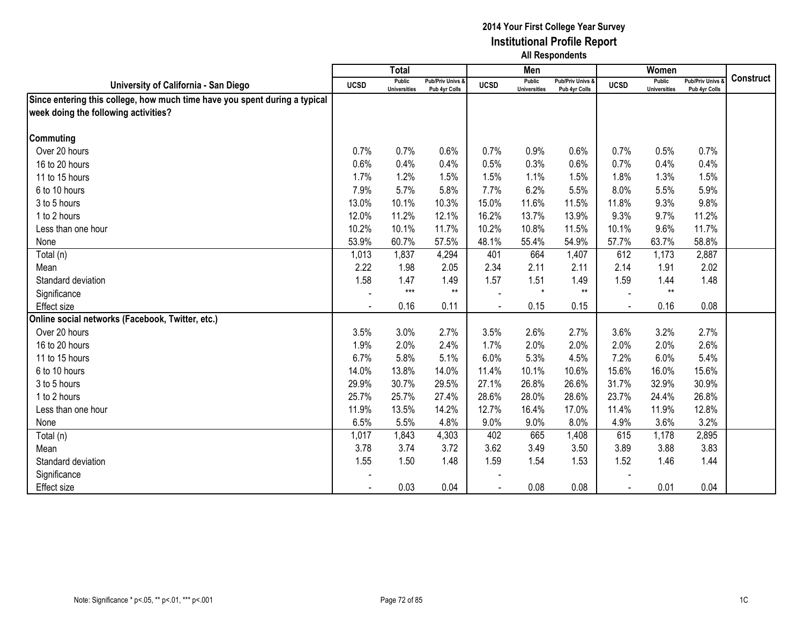|                                                                            |             | <b>Total</b>                  |                                   |             | Men                                  |                                   |             | Women                                |                                        |                  |
|----------------------------------------------------------------------------|-------------|-------------------------------|-----------------------------------|-------------|--------------------------------------|-----------------------------------|-------------|--------------------------------------|----------------------------------------|------------------|
| University of California - San Diego                                       | <b>UCSD</b> | Public<br><b>Universities</b> | Pub/Priv Univs &<br>Pub 4yr Colls | <b>UCSD</b> | <b>Public</b><br><b>Universities</b> | Pub/Priv Univs &<br>Pub 4yr Colls | <b>UCSD</b> | <b>Public</b><br><b>Universities</b> | <b>Pub/Priv Univs</b><br>Pub 4yr Colls | <b>Construct</b> |
| Since entering this college, how much time have you spent during a typical |             |                               |                                   |             |                                      |                                   |             |                                      |                                        |                  |
| week doing the following activities?                                       |             |                               |                                   |             |                                      |                                   |             |                                      |                                        |                  |
|                                                                            |             |                               |                                   |             |                                      |                                   |             |                                      |                                        |                  |
| Commuting                                                                  |             |                               |                                   |             |                                      |                                   |             |                                      |                                        |                  |
| Over 20 hours                                                              | 0.7%        | 0.7%                          | 0.6%                              | 0.7%        | 0.9%                                 | 0.6%                              | 0.7%        | 0.5%                                 | 0.7%                                   |                  |
| 16 to 20 hours                                                             | 0.6%        | 0.4%                          | 0.4%                              | 0.5%        | 0.3%                                 | 0.6%                              | 0.7%        | 0.4%                                 | 0.4%                                   |                  |
| 11 to 15 hours                                                             | 1.7%        | 1.2%                          | 1.5%                              | 1.5%        | 1.1%                                 | 1.5%                              | 1.8%        | 1.3%                                 | 1.5%                                   |                  |
| 6 to 10 hours                                                              | 7.9%        | 5.7%                          | 5.8%                              | 7.7%        | 6.2%                                 | 5.5%                              | 8.0%        | 5.5%                                 | 5.9%                                   |                  |
| 3 to 5 hours                                                               | 13.0%       | 10.1%                         | 10.3%                             | 15.0%       | 11.6%                                | 11.5%                             | 11.8%       | 9.3%                                 | 9.8%                                   |                  |
| 1 to 2 hours                                                               | 12.0%       | 11.2%                         | 12.1%                             | 16.2%       | 13.7%                                | 13.9%                             | 9.3%        | 9.7%                                 | 11.2%                                  |                  |
| Less than one hour                                                         | 10.2%       | 10.1%                         | 11.7%                             | 10.2%       | 10.8%                                | 11.5%                             | 10.1%       | 9.6%                                 | 11.7%                                  |                  |
| None                                                                       | 53.9%       | 60.7%                         | 57.5%                             | 48.1%       | 55.4%                                | 54.9%                             | 57.7%       | 63.7%                                | 58.8%                                  |                  |
| Total (n)                                                                  | 1,013       | 1,837                         | 4,294                             | 401         | 664                                  | 1,407                             | 612         | 1,173                                | 2,887                                  |                  |
| Mean                                                                       | 2.22        | 1.98                          | 2.05                              | 2.34        | 2.11                                 | 2.11                              | 2.14        | 1.91                                 | 2.02                                   |                  |
| Standard deviation                                                         | 1.58        | 1.47                          | 1.49                              | 1.57        | 1.51                                 | 1.49                              | 1.59        | 1.44                                 | 1.48                                   |                  |
| Significance                                                               | $\sim$      | $***$                         | $**$                              |             | $\star$                              | $**$                              |             | $**$                                 |                                        |                  |
| Effect size                                                                |             | 0.16                          | 0.11                              |             | 0.15                                 | 0.15                              |             | 0.16                                 | 0.08                                   |                  |
| Online social networks (Facebook, Twitter, etc.)                           |             |                               |                                   |             |                                      |                                   |             |                                      |                                        |                  |
| Over 20 hours                                                              | 3.5%        | 3.0%                          | 2.7%                              | 3.5%        | 2.6%                                 | 2.7%                              | 3.6%        | 3.2%                                 | 2.7%                                   |                  |
| 16 to 20 hours                                                             | 1.9%        | 2.0%                          | 2.4%                              | 1.7%        | 2.0%                                 | 2.0%                              | 2.0%        | 2.0%                                 | 2.6%                                   |                  |
| 11 to 15 hours                                                             | 6.7%        | 5.8%                          | 5.1%                              | 6.0%        | 5.3%                                 | 4.5%                              | 7.2%        | 6.0%                                 | 5.4%                                   |                  |
| 6 to 10 hours                                                              | 14.0%       | 13.8%                         | 14.0%                             | 11.4%       | 10.1%                                | 10.6%                             | 15.6%       | 16.0%                                | 15.6%                                  |                  |
| 3 to 5 hours                                                               | 29.9%       | 30.7%                         | 29.5%                             | 27.1%       | 26.8%                                | 26.6%                             | 31.7%       | 32.9%                                | 30.9%                                  |                  |
| 1 to 2 hours                                                               | 25.7%       | 25.7%                         | 27.4%                             | 28.6%       | 28.0%                                | 28.6%                             | 23.7%       | 24.4%                                | 26.8%                                  |                  |
| Less than one hour                                                         | 11.9%       | 13.5%                         | 14.2%                             | 12.7%       | 16.4%                                | 17.0%                             | 11.4%       | 11.9%                                | 12.8%                                  |                  |
| None                                                                       | 6.5%        | 5.5%                          | 4.8%                              | 9.0%        | 9.0%                                 | 8.0%                              | 4.9%        | 3.6%                                 | 3.2%                                   |                  |
| Total (n)                                                                  | 1,017       | 1,843                         | 4,303                             | 402         | 665                                  | 1,408                             | 615         | 1,178                                | 2,895                                  |                  |
| Mean                                                                       | 3.78        | 3.74                          | 3.72                              | 3.62        | 3.49                                 | 3.50                              | 3.89        | 3.88                                 | 3.83                                   |                  |
| Standard deviation                                                         | 1.55        | 1.50                          | 1.48                              | 1.59        | 1.54                                 | 1.53                              | 1.52        | 1.46                                 | 1.44                                   |                  |
| Significance                                                               |             |                               |                                   |             |                                      |                                   |             |                                      |                                        |                  |
| Effect size                                                                |             | 0.03                          | 0.04                              |             | 0.08                                 | 0.08                              |             | 0.01                                 | 0.04                                   |                  |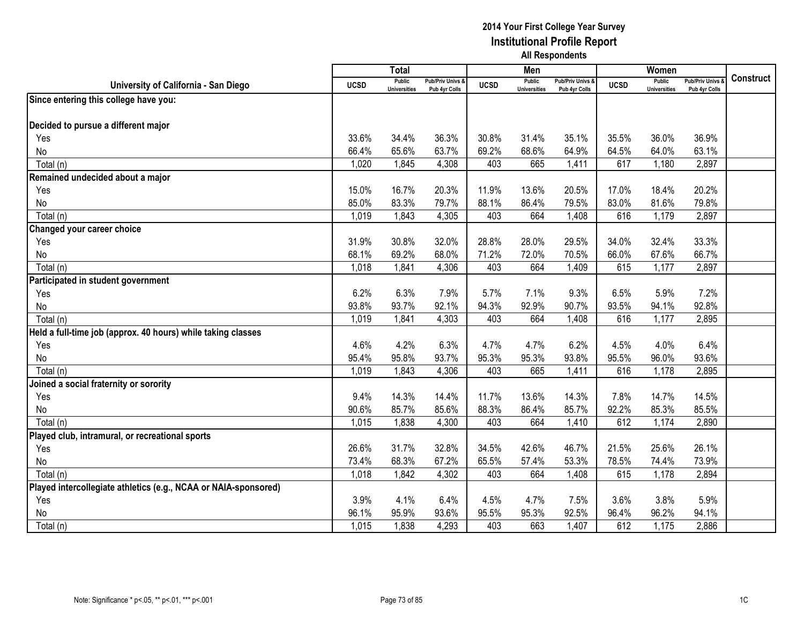|                                                                 |             | <b>Total</b>                         |                                   |             | Men                                  |                                   |             | Women                         |                                        |                  |
|-----------------------------------------------------------------|-------------|--------------------------------------|-----------------------------------|-------------|--------------------------------------|-----------------------------------|-------------|-------------------------------|----------------------------------------|------------------|
| University of California - San Diego                            | <b>UCSD</b> | <b>Public</b><br><b>Universities</b> | Pub/Priv Univs &<br>Pub 4yr Colls | <b>UCSD</b> | <b>Public</b><br><b>Universities</b> | Pub/Priv Univs &<br>Pub 4yr Colls | <b>UCSD</b> | Public<br><b>Universities</b> | <b>Pub/Priv Univs</b><br>Pub 4yr Colls | <b>Construct</b> |
| Since entering this college have you:                           |             |                                      |                                   |             |                                      |                                   |             |                               |                                        |                  |
|                                                                 |             |                                      |                                   |             |                                      |                                   |             |                               |                                        |                  |
| Decided to pursue a different major                             |             |                                      |                                   |             |                                      |                                   |             |                               |                                        |                  |
| Yes                                                             | 33.6%       | 34.4%                                | 36.3%                             | 30.8%       | 31.4%                                | 35.1%                             | 35.5%       | 36.0%                         | 36.9%                                  |                  |
| No                                                              | 66.4%       | 65.6%                                | 63.7%                             | 69.2%       | 68.6%                                | 64.9%                             | 64.5%       | 64.0%                         | 63.1%                                  |                  |
| Total (n)                                                       | 1,020       | 1,845                                | 4,308                             | 403         | 665                                  | 1,411                             | 617         | 1,180                         | 2,897                                  |                  |
| Remained undecided about a major                                |             |                                      |                                   |             |                                      |                                   |             |                               |                                        |                  |
| Yes                                                             | 15.0%       | 16.7%                                | 20.3%                             | 11.9%       | 13.6%                                | 20.5%                             | 17.0%       | 18.4%                         | 20.2%                                  |                  |
| No                                                              | 85.0%       | 83.3%                                | 79.7%                             | 88.1%       | 86.4%                                | 79.5%                             | 83.0%       | 81.6%                         | 79.8%                                  |                  |
| Total (n)                                                       | 1,019       | 1,843                                | 4,305                             | 403         | 664                                  | 1,408                             | 616         | 1,179                         | 2,897                                  |                  |
| Changed your career choice                                      |             |                                      |                                   |             |                                      |                                   |             |                               |                                        |                  |
| Yes                                                             | 31.9%       | 30.8%                                | 32.0%                             | 28.8%       | 28.0%                                | 29.5%                             | 34.0%       | 32.4%                         | 33.3%                                  |                  |
| No                                                              | 68.1%       | 69.2%                                | 68.0%                             | 71.2%       | 72.0%                                | 70.5%                             | 66.0%       | 67.6%                         | 66.7%                                  |                  |
| Total (n)                                                       | 1,018       | 1,841                                | 4,306                             | 403         | 664                                  | 1,409                             | 615         | 1,177                         | 2,897                                  |                  |
| Participated in student government                              |             |                                      |                                   |             |                                      |                                   |             |                               |                                        |                  |
| Yes                                                             | 6.2%        | 6.3%                                 | 7.9%                              | 5.7%        | 7.1%                                 | 9.3%                              | 6.5%        | 5.9%                          | 7.2%                                   |                  |
| No                                                              | 93.8%       | 93.7%                                | 92.1%                             | 94.3%       | 92.9%                                | 90.7%                             | 93.5%       | 94.1%                         | 92.8%                                  |                  |
| Total (n)                                                       | 1,019       | 1,841                                | 4,303                             | 403         | 664                                  | 1,408                             | 616         | 1,177                         | 2,895                                  |                  |
| Held a full-time job (approx. 40 hours) while taking classes    |             |                                      |                                   |             |                                      |                                   |             |                               |                                        |                  |
| Yes                                                             | 4.6%        | 4.2%                                 | 6.3%                              | 4.7%        | 4.7%                                 | 6.2%                              | 4.5%        | 4.0%                          | 6.4%                                   |                  |
| No                                                              | 95.4%       | 95.8%                                | 93.7%                             | 95.3%       | 95.3%                                | 93.8%                             | 95.5%       | 96.0%                         | 93.6%                                  |                  |
| Total (n)                                                       | 1,019       | 1,843                                | 4,306                             | 403         | 665                                  | 1,411                             | 616         | 1,178                         | 2,895                                  |                  |
| Joined a social fraternity or sorority                          |             |                                      |                                   |             |                                      |                                   |             |                               |                                        |                  |
| Yes                                                             | 9.4%        | 14.3%                                | 14.4%                             | 11.7%       | 13.6%                                | 14.3%                             | 7.8%        | 14.7%                         | 14.5%                                  |                  |
| No                                                              | 90.6%       | 85.7%                                | 85.6%                             | 88.3%       | 86.4%                                | 85.7%                             | 92.2%       | 85.3%                         | 85.5%                                  |                  |
| Total (n)                                                       | 1,015       | 1,838                                | 4,300                             | 403         | 664                                  | 1,410                             | 612         | 1,174                         | 2,890                                  |                  |
| Played club, intramural, or recreational sports                 |             |                                      |                                   |             |                                      |                                   |             |                               |                                        |                  |
| Yes                                                             | 26.6%       | 31.7%                                | 32.8%                             | 34.5%       | 42.6%                                | 46.7%                             | 21.5%       | 25.6%                         | 26.1%                                  |                  |
| No                                                              | 73.4%       | 68.3%                                | 67.2%                             | 65.5%       | 57.4%                                | 53.3%                             | 78.5%       | 74.4%                         | 73.9%                                  |                  |
| Total (n)                                                       | 1,018       | 1,842                                | 4,302                             | 403         | 664                                  | 1,408                             | 615         | 1,178                         | 2,894                                  |                  |
| Played intercollegiate athletics (e.g., NCAA or NAIA-sponsored) |             |                                      |                                   |             |                                      |                                   |             |                               |                                        |                  |
| Yes                                                             | 3.9%        | 4.1%                                 | 6.4%                              | 4.5%        | 4.7%                                 | 7.5%                              | 3.6%        | 3.8%                          | 5.9%                                   |                  |
| No                                                              | 96.1%       | 95.9%                                | 93.6%                             | 95.5%       | 95.3%                                | 92.5%                             | 96.4%       | 96.2%                         | 94.1%                                  |                  |
| Total (n)                                                       | 1,015       | 1,838                                | 4,293                             | 403         | 663                                  | 1,407                             | 612         | 1,175                         | 2,886                                  |                  |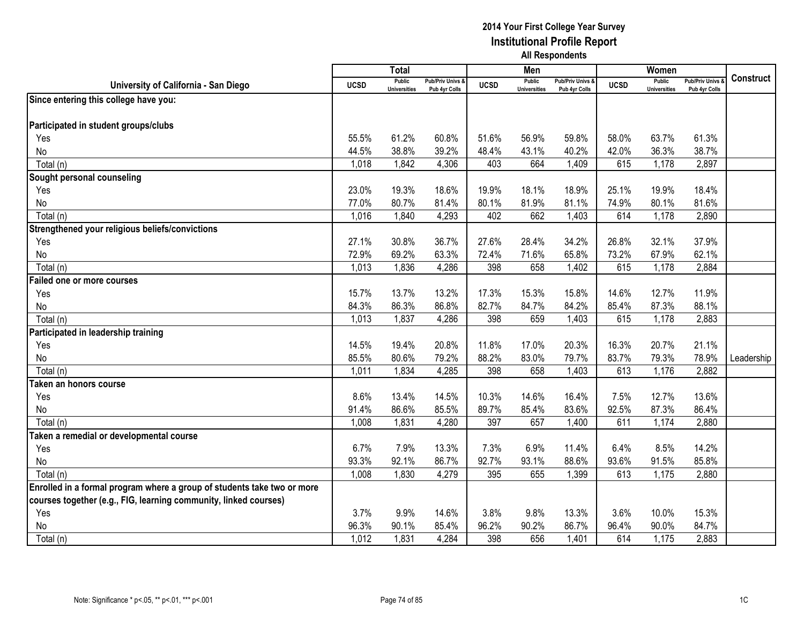|                                                                         |             | <b>Total</b>                         |                                   |             | Men                                  |                                   |             | Women                                |                                        |            |
|-------------------------------------------------------------------------|-------------|--------------------------------------|-----------------------------------|-------------|--------------------------------------|-----------------------------------|-------------|--------------------------------------|----------------------------------------|------------|
| University of California - San Diego                                    | <b>UCSD</b> | <b>Public</b><br><b>Universities</b> | Pub/Priv Univs &<br>Pub 4yr Colls | <b>UCSD</b> | <b>Public</b><br><b>Universities</b> | Pub/Priv Univs &<br>Pub 4yr Colls | <b>UCSD</b> | <b>Public</b><br><b>Universities</b> | <b>Pub/Priv Univs</b><br>Pub 4yr Colls | Construct  |
| Since entering this college have you:                                   |             |                                      |                                   |             |                                      |                                   |             |                                      |                                        |            |
|                                                                         |             |                                      |                                   |             |                                      |                                   |             |                                      |                                        |            |
| Participated in student groups/clubs                                    |             |                                      |                                   |             |                                      |                                   |             |                                      |                                        |            |
| Yes                                                                     | 55.5%       | 61.2%                                | 60.8%                             | 51.6%       | 56.9%                                | 59.8%                             | 58.0%       | 63.7%                                | 61.3%                                  |            |
| No                                                                      | 44.5%       | 38.8%                                | 39.2%                             | 48.4%       | 43.1%                                | 40.2%                             | 42.0%       | 36.3%                                | 38.7%                                  |            |
| Total (n)                                                               | 1,018       | 1,842                                | 4,306                             | 403         | 664                                  | 1,409                             | 615         | 1,178                                | 2,897                                  |            |
| Sought personal counseling                                              |             |                                      |                                   |             |                                      |                                   |             |                                      |                                        |            |
| Yes                                                                     | 23.0%       | 19.3%                                | 18.6%                             | 19.9%       | 18.1%                                | 18.9%                             | 25.1%       | 19.9%                                | 18.4%                                  |            |
| No                                                                      | 77.0%       | 80.7%                                | 81.4%                             | 80.1%       | 81.9%                                | 81.1%                             | 74.9%       | 80.1%                                | 81.6%                                  |            |
| Total (n)                                                               | 1,016       | 1,840                                | 4,293                             | 402         | 662                                  | 1,403                             | 614         | 1,178                                | 2,890                                  |            |
| Strengthened your religious beliefs/convictions                         |             |                                      |                                   |             |                                      |                                   |             |                                      |                                        |            |
| Yes                                                                     | 27.1%       | 30.8%                                | 36.7%                             | 27.6%       | 28.4%                                | 34.2%                             | 26.8%       | 32.1%                                | 37.9%                                  |            |
| No                                                                      | 72.9%       | 69.2%                                | 63.3%                             | 72.4%       | 71.6%                                | 65.8%                             | 73.2%       | 67.9%                                | 62.1%                                  |            |
| Total (n)                                                               | 1,013       | 1,836                                | 4,286                             | 398         | 658                                  | 1,402                             | 615         | 1,178                                | 2,884                                  |            |
| Failed one or more courses                                              |             |                                      |                                   |             |                                      |                                   |             |                                      |                                        |            |
| Yes                                                                     | 15.7%       | 13.7%                                | 13.2%                             | 17.3%       | 15.3%                                | 15.8%                             | 14.6%       | 12.7%                                | 11.9%                                  |            |
| No                                                                      | 84.3%       | 86.3%                                | 86.8%                             | 82.7%       | 84.7%                                | 84.2%                             | 85.4%       | 87.3%                                | 88.1%                                  |            |
| Total (n)                                                               | 1,013       | 1,837                                | 4,286                             | 398         | 659                                  | 1,403                             | 615         | 1,178                                | 2,883                                  |            |
| Participated in leadership training                                     |             |                                      |                                   |             |                                      |                                   |             |                                      |                                        |            |
| Yes                                                                     | 14.5%       | 19.4%                                | 20.8%                             | 11.8%       | 17.0%                                | 20.3%                             | 16.3%       | 20.7%                                | 21.1%                                  |            |
| No                                                                      | 85.5%       | 80.6%                                | 79.2%                             | 88.2%       | 83.0%                                | 79.7%                             | 83.7%       | 79.3%                                | 78.9%                                  | Leadership |
| Total (n)                                                               | 1,011       | 1,834                                | 4,285                             | 398         | 658                                  | 1,403                             | 613         | 1,176                                | 2,882                                  |            |
| Taken an honors course                                                  |             |                                      |                                   |             |                                      |                                   |             |                                      |                                        |            |
| Yes                                                                     | 8.6%        | 13.4%                                | 14.5%                             | 10.3%       | 14.6%                                | 16.4%                             | 7.5%        | 12.7%                                | 13.6%                                  |            |
| No                                                                      | 91.4%       | 86.6%                                | 85.5%                             | 89.7%       | 85.4%                                | 83.6%                             | 92.5%       | 87.3%                                | 86.4%                                  |            |
| Total (n)                                                               | 1,008       | 1,831                                | 4,280                             | 397         | 657                                  | 1,400                             | 611         | 1,174                                | 2,880                                  |            |
| Taken a remedial or developmental course                                |             |                                      |                                   |             |                                      |                                   |             |                                      |                                        |            |
| Yes                                                                     | 6.7%        | 7.9%                                 | 13.3%                             | 7.3%        | 6.9%                                 | 11.4%                             | 6.4%        | 8.5%                                 | 14.2%                                  |            |
| No                                                                      | 93.3%       | 92.1%                                | 86.7%                             | 92.7%       | 93.1%                                | 88.6%                             | 93.6%       | 91.5%                                | 85.8%                                  |            |
| Total (n)                                                               | 1,008       | 1,830                                | 4,279                             | 395         | 655                                  | 1,399                             | 613         | 1,175                                | 2,880                                  |            |
| Enrolled in a formal program where a group of students take two or more |             |                                      |                                   |             |                                      |                                   |             |                                      |                                        |            |
| courses together (e.g., FIG, learning community, linked courses)        |             |                                      |                                   |             |                                      |                                   |             |                                      |                                        |            |
| Yes                                                                     | 3.7%        | 9.9%                                 | 14.6%                             | 3.8%        | 9.8%                                 | 13.3%                             | 3.6%        | 10.0%                                | 15.3%                                  |            |
| No                                                                      | 96.3%       | 90.1%                                | 85.4%                             | 96.2%       | 90.2%                                | 86.7%                             | 96.4%       | 90.0%                                | 84.7%                                  |            |
| Total (n)                                                               | 1,012       | 1,831                                | 4,284                             | 398         | 656                                  | 1,401                             | 614         | 1,175                                | 2,883                                  |            |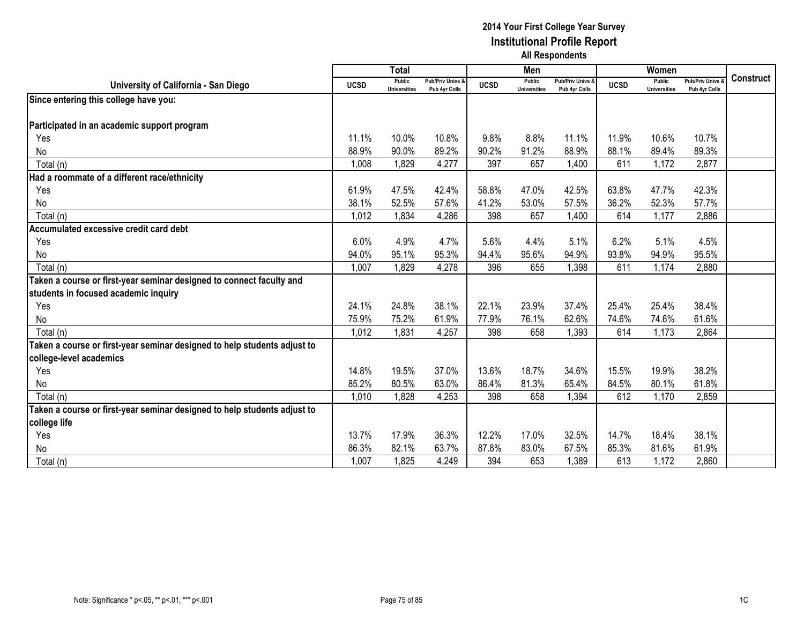|                                                                          |             | <b>Total</b>                  |                                              |             | Men                           |                                   |             | Women                                |                                        |                  |
|--------------------------------------------------------------------------|-------------|-------------------------------|----------------------------------------------|-------------|-------------------------------|-----------------------------------|-------------|--------------------------------------|----------------------------------------|------------------|
| University of California - San Diego                                     | <b>UCSD</b> | Public<br><b>Universities</b> | <b>Pub/Priv Univs &amp;</b><br>Pub 4yr Colls | <b>UCSD</b> | Public<br><b>Universities</b> | Pub/Priv Univs &<br>Pub 4yr Colls | <b>UCSD</b> | <b>Public</b><br><b>Universities</b> | <b>Pub/Priv Univs</b><br>Pub 4yr Colls | <b>Construct</b> |
| Since entering this college have you:                                    |             |                               |                                              |             |                               |                                   |             |                                      |                                        |                  |
|                                                                          |             |                               |                                              |             |                               |                                   |             |                                      |                                        |                  |
| Participated in an academic support program                              |             |                               |                                              |             |                               |                                   |             |                                      |                                        |                  |
| Yes                                                                      | 11.1%       | 10.0%                         | 10.8%                                        | 9.8%        | 8.8%                          | 11.1%                             | 11.9%       | 10.6%                                | 10.7%                                  |                  |
| No                                                                       | 88.9%       | 90.0%                         | 89.2%                                        | 90.2%       | 91.2%                         | 88.9%                             | 88.1%       | 89.4%                                | 89.3%                                  |                  |
| Total (n)                                                                | 1,008       | 1,829                         | 4,277                                        | 397         | 657                           | 1,400                             | 611         | 1,172                                | 2,877                                  |                  |
| Had a roommate of a different race/ethnicity                             |             |                               |                                              |             |                               |                                   |             |                                      |                                        |                  |
| Yes                                                                      | 61.9%       | 47.5%                         | 42.4%                                        | 58.8%       | 47.0%                         | 42.5%                             | 63.8%       | 47.7%                                | 42.3%                                  |                  |
| No                                                                       | 38.1%       | 52.5%                         | 57.6%                                        | 41.2%       | 53.0%                         | 57.5%                             | 36.2%       | 52.3%                                | 57.7%                                  |                  |
| Total (n)                                                                | 1,012       | 1,834                         | 4,286                                        | 398         | 657                           | 1,400                             | 614         | 1,177                                | 2,886                                  |                  |
| Accumulated excessive credit card debt                                   |             |                               |                                              |             |                               |                                   |             |                                      |                                        |                  |
| Yes                                                                      | 6.0%        | 4.9%                          | 4.7%                                         | 5.6%        | 4.4%                          | 5.1%                              | 6.2%        | 5.1%                                 | 4.5%                                   |                  |
| No                                                                       | 94.0%       | 95.1%                         | 95.3%                                        | 94.4%       | 95.6%                         | 94.9%                             | 93.8%       | 94.9%                                | 95.5%                                  |                  |
| Total (n)                                                                | 1,007       | 1,829                         | 4,278                                        | 396         | 655                           | 1,398                             | 611         | 1,174                                | 2,880                                  |                  |
| Taken a course or first-year seminar designed to connect faculty and     |             |                               |                                              |             |                               |                                   |             |                                      |                                        |                  |
| students in focused academic inquiry                                     |             |                               |                                              |             |                               |                                   |             |                                      |                                        |                  |
| Yes                                                                      | 24.1%       | 24.8%                         | 38.1%                                        | 22.1%       | 23.9%                         | 37.4%                             | 25.4%       | 25.4%                                | 38.4%                                  |                  |
| No                                                                       | 75.9%       | 75.2%                         | 61.9%                                        | 77.9%       | 76.1%                         | 62.6%                             | 74.6%       | 74.6%                                | 61.6%                                  |                  |
| Total (n)                                                                | 1,012       | 1,831                         | 4,257                                        | 398         | 658                           | 1,393                             | 614         | 1,173                                | 2,864                                  |                  |
| Taken a course or first-year seminar designed to help students adjust to |             |                               |                                              |             |                               |                                   |             |                                      |                                        |                  |
| college-level academics                                                  |             |                               |                                              |             |                               |                                   |             |                                      |                                        |                  |
| Yes                                                                      | 14.8%       | 19.5%                         | 37.0%                                        | 13.6%       | 18.7%                         | 34.6%                             | 15.5%       | 19.9%                                | 38.2%                                  |                  |
| No                                                                       | 85.2%       | 80.5%                         | 63.0%                                        | 86.4%       | 81.3%                         | 65.4%                             | 84.5%       | 80.1%                                | 61.8%                                  |                  |
| Total (n)                                                                | 1,010       | 1,828                         | 4,253                                        | 398         | 658                           | 1,394                             | 612         | 1,170                                | 2,859                                  |                  |
| Taken a course or first-year seminar designed to help students adjust to |             |                               |                                              |             |                               |                                   |             |                                      |                                        |                  |
| college life                                                             |             |                               |                                              |             |                               |                                   |             |                                      |                                        |                  |
| Yes                                                                      | 13.7%       | 17.9%                         | 36.3%                                        | 12.2%       | 17.0%                         | 32.5%                             | 14.7%       | 18.4%                                | 38.1%                                  |                  |
| No                                                                       | 86.3%       | 82.1%                         | 63.7%                                        | 87.8%       | 83.0%                         | 67.5%                             | 85.3%       | 81.6%                                | 61.9%                                  |                  |
| Total (n)                                                                | 1,007       | 1,825                         | 4,249                                        | 394         | 653                           | 1,389                             | 613         | 1,172                                | 2,860                                  |                  |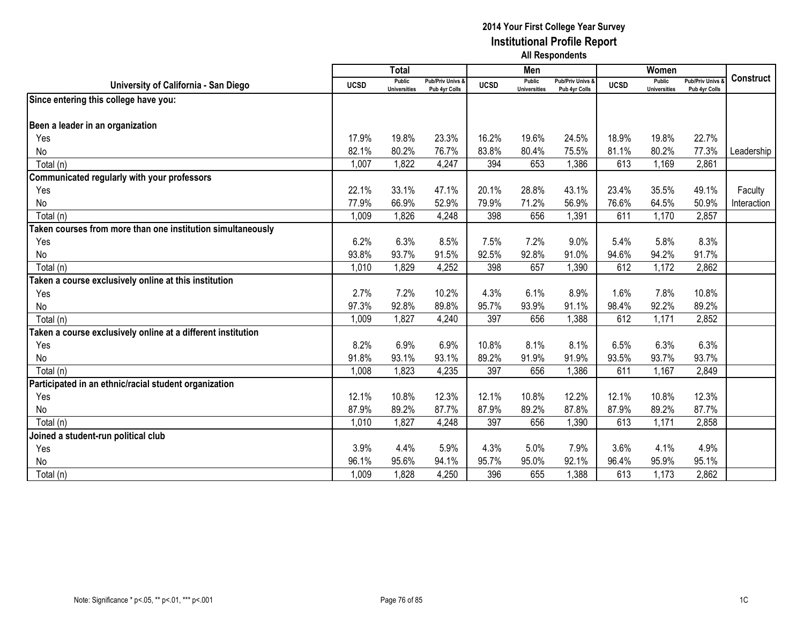|                                                              |             | <b>Total</b>                         |                                              |             | Men                           |                                              |             | Women                                |                                        |                  |
|--------------------------------------------------------------|-------------|--------------------------------------|----------------------------------------------|-------------|-------------------------------|----------------------------------------------|-------------|--------------------------------------|----------------------------------------|------------------|
| University of California - San Diego                         | <b>UCSD</b> | <b>Public</b><br><b>Universities</b> | <b>Pub/Priv Univs &amp;</b><br>Pub 4yr Colls | <b>UCSD</b> | Public<br><b>Universities</b> | <b>Pub/Priv Univs &amp;</b><br>Pub 4yr Colls | <b>UCSD</b> | <b>Public</b><br><b>Universities</b> | <b>Pub/Priv Univs</b><br>Pub 4yr Colls | <b>Construct</b> |
| Since entering this college have you:                        |             |                                      |                                              |             |                               |                                              |             |                                      |                                        |                  |
| Been a leader in an organization                             |             |                                      |                                              |             |                               |                                              |             |                                      |                                        |                  |
| Yes                                                          | 17.9%       | 19.8%                                | 23.3%                                        | 16.2%       | 19.6%                         | 24.5%                                        | 18.9%       | 19.8%                                | 22.7%                                  |                  |
| No                                                           | 82.1%       | 80.2%                                | 76.7%                                        | 83.8%       | 80.4%                         | 75.5%                                        | 81.1%       | 80.2%                                | 77.3%                                  | Leadership       |
| Total (n)                                                    | 1,007       | 1,822                                | 4,247                                        | 394         | 653                           | 1,386                                        | 613         | 1,169                                | 2,861                                  |                  |
| Communicated regularly with your professors                  |             |                                      |                                              |             |                               |                                              |             |                                      |                                        |                  |
| Yes                                                          | 22.1%       | 33.1%                                | 47.1%                                        | 20.1%       | 28.8%                         | 43.1%                                        | 23.4%       | 35.5%                                | 49.1%                                  | Faculty          |
| No                                                           | 77.9%       | 66.9%                                | 52.9%                                        | 79.9%       | 71.2%                         | 56.9%                                        | 76.6%       | 64.5%                                | 50.9%                                  | Interaction      |
| Total (n)                                                    | 1,009       | 1,826                                | 4,248                                        | 398         | 656                           | 1,391                                        | 611         | 1,170                                | 2,857                                  |                  |
| Taken courses from more than one institution simultaneously  |             |                                      |                                              |             |                               |                                              |             |                                      |                                        |                  |
| Yes                                                          | 6.2%        | 6.3%                                 | 8.5%                                         | 7.5%        | 7.2%                          | 9.0%                                         | 5.4%        | 5.8%                                 | 8.3%                                   |                  |
| No                                                           | 93.8%       | 93.7%                                | 91.5%                                        | 92.5%       | 92.8%                         | 91.0%                                        | 94.6%       | 94.2%                                | 91.7%                                  |                  |
| Total (n)                                                    | 1,010       | 1,829                                | 4,252                                        | 398         | 657                           | 1,390                                        | 612         | 1,172                                | 2,862                                  |                  |
| Taken a course exclusively online at this institution        |             |                                      |                                              |             |                               |                                              |             |                                      |                                        |                  |
| Yes                                                          | 2.7%        | 7.2%                                 | 10.2%                                        | 4.3%        | 6.1%                          | 8.9%                                         | 1.6%        | 7.8%                                 | 10.8%                                  |                  |
| No                                                           | 97.3%       | 92.8%                                | 89.8%                                        | 95.7%       | 93.9%                         | 91.1%                                        | 98.4%       | 92.2%                                | 89.2%                                  |                  |
| Total (n)                                                    | 1,009       | 1,827                                | 4,240                                        | 397         | 656                           | 1,388                                        | 612         | 1,171                                | 2,852                                  |                  |
| Taken a course exclusively online at a different institution |             |                                      |                                              |             |                               |                                              |             |                                      |                                        |                  |
| Yes                                                          | 8.2%        | 6.9%                                 | 6.9%                                         | 10.8%       | 8.1%                          | 8.1%                                         | 6.5%        | 6.3%                                 | 6.3%                                   |                  |
| No                                                           | 91.8%       | 93.1%                                | 93.1%                                        | 89.2%       | 91.9%                         | 91.9%                                        | 93.5%       | 93.7%                                | 93.7%                                  |                  |
| Total (n)                                                    | 1,008       | 1,823                                | 4,235                                        | 397         | 656                           | 1,386                                        | 611         | 1,167                                | 2,849                                  |                  |
| Participated in an ethnic/racial student organization        |             |                                      |                                              |             |                               |                                              |             |                                      |                                        |                  |
| Yes                                                          | 12.1%       | 10.8%                                | 12.3%                                        | 12.1%       | 10.8%                         | 12.2%                                        | 12.1%       | 10.8%                                | 12.3%                                  |                  |
| No                                                           | 87.9%       | 89.2%                                | 87.7%                                        | 87.9%       | 89.2%                         | 87.8%                                        | 87.9%       | 89.2%                                | 87.7%                                  |                  |
| Total (n)                                                    | 1,010       | 1,827                                | 4,248                                        | 397         | 656                           | 1,390                                        | 613         | 1,171                                | 2,858                                  |                  |
| Joined a student-run political club                          |             |                                      |                                              |             |                               |                                              |             |                                      |                                        |                  |
| Yes                                                          | 3.9%        | 4.4%                                 | 5.9%                                         | 4.3%        | 5.0%                          | 7.9%                                         | 3.6%        | 4.1%                                 | 4.9%                                   |                  |
| No                                                           | 96.1%       | 95.6%                                | 94.1%                                        | 95.7%       | 95.0%                         | 92.1%                                        | 96.4%       | 95.9%                                | 95.1%                                  |                  |
| Total (n)                                                    | 1,009       | 1,828                                | 4,250                                        | 396         | 655                           | 1,388                                        | 613         | 1,173                                | 2,862                                  |                  |
|                                                              |             |                                      |                                              |             |                               |                                              |             |                                      |                                        |                  |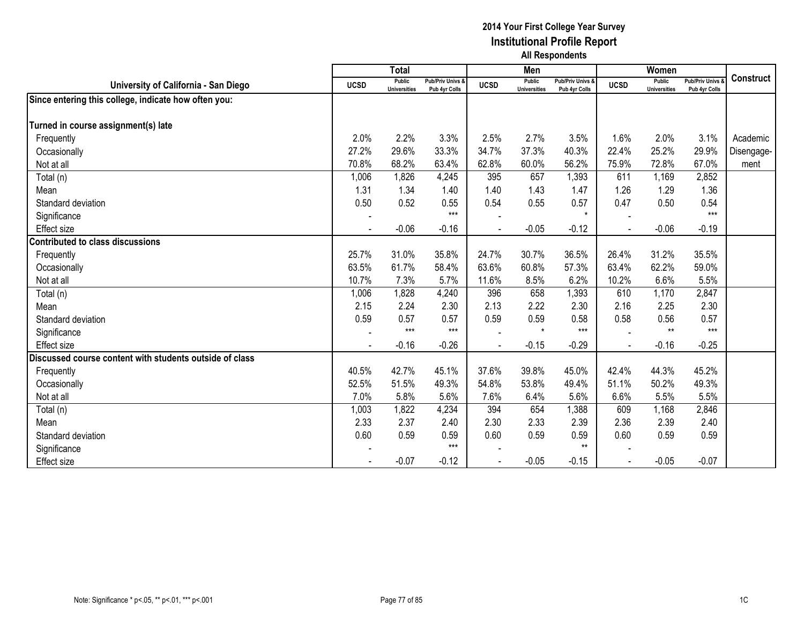|                                                         |             | <b>Total</b>                  |                                   |             | Men                                  |                                   |             | Women                         |                                        |                  |
|---------------------------------------------------------|-------------|-------------------------------|-----------------------------------|-------------|--------------------------------------|-----------------------------------|-------------|-------------------------------|----------------------------------------|------------------|
| University of California - San Diego                    | <b>UCSD</b> | Public<br><b>Universities</b> | Pub/Priv Univs &<br>Pub 4yr Colls | <b>UCSD</b> | <b>Public</b><br><b>Universities</b> | Pub/Priv Univs &<br>Pub 4yr Colls | <b>UCSD</b> | Public<br><b>Universities</b> | <b>Pub/Priv Univs</b><br>Pub 4yr Colls | <b>Construct</b> |
| Since entering this college, indicate how often you:    |             |                               |                                   |             |                                      |                                   |             |                               |                                        |                  |
|                                                         |             |                               |                                   |             |                                      |                                   |             |                               |                                        |                  |
| Turned in course assignment(s) late                     |             |                               |                                   |             |                                      |                                   |             |                               |                                        |                  |
| Frequently                                              | 2.0%        | 2.2%                          | 3.3%                              | 2.5%        | 2.7%                                 | 3.5%                              | 1.6%        | 2.0%                          | 3.1%                                   | Academic         |
| Occasionally                                            | 27.2%       | 29.6%                         | 33.3%                             | 34.7%       | 37.3%                                | 40.3%                             | 22.4%       | 25.2%                         | 29.9%                                  | Disengage-       |
| Not at all                                              | 70.8%       | 68.2%                         | 63.4%                             | 62.8%       | 60.0%                                | 56.2%                             | 75.9%       | 72.8%                         | 67.0%                                  | ment             |
| Total (n)                                               | 1,006       | 1,826                         | 4,245                             | 395         | 657                                  | 1,393                             | 611         | 1,169                         | 2,852                                  |                  |
| Mean                                                    | 1.31        | 1.34                          | 1.40                              | 1.40        | 1.43                                 | 1.47                              | 1.26        | 1.29                          | 1.36                                   |                  |
| Standard deviation                                      | 0.50        | 0.52                          | 0.55                              | 0.54        | 0.55                                 | 0.57                              | 0.47        | 0.50                          | 0.54                                   |                  |
| Significance                                            |             |                               | $***$                             |             |                                      | $\star$                           |             |                               | $***$                                  |                  |
| Effect size                                             |             | $-0.06$                       | $-0.16$                           |             | $-0.05$                              | $-0.12$                           |             | $-0.06$                       | $-0.19$                                |                  |
| Contributed to class discussions                        |             |                               |                                   |             |                                      |                                   |             |                               |                                        |                  |
| Frequently                                              | 25.7%       | 31.0%                         | 35.8%                             | 24.7%       | 30.7%                                | 36.5%                             | 26.4%       | 31.2%                         | 35.5%                                  |                  |
| Occasionally                                            | 63.5%       | 61.7%                         | 58.4%                             | 63.6%       | 60.8%                                | 57.3%                             | 63.4%       | 62.2%                         | 59.0%                                  |                  |
| Not at all                                              | 10.7%       | 7.3%                          | 5.7%                              | 11.6%       | 8.5%                                 | 6.2%                              | 10.2%       | 6.6%                          | 5.5%                                   |                  |
| Total (n)                                               | 1,006       | 1,828                         | 4,240                             | 396         | 658                                  | 1,393                             | 610         | 1,170                         | 2,847                                  |                  |
| Mean                                                    | 2.15        | 2.24                          | 2.30                              | 2.13        | 2.22                                 | 2.30                              | 2.16        | 2.25                          | 2.30                                   |                  |
| Standard deviation                                      | 0.59        | 0.57                          | 0.57                              | 0.59        | 0.59                                 | 0.58                              | 0.58        | 0.56                          | 0.57                                   |                  |
| Significance                                            |             | $***$                         | $***$                             |             | $\star$                              | $***$                             |             | $**$                          | $***$                                  |                  |
| Effect size                                             |             | $-0.16$                       | $-0.26$                           |             | $-0.15$                              | $-0.29$                           |             | $-0.16$                       | $-0.25$                                |                  |
| Discussed course content with students outside of class |             |                               |                                   |             |                                      |                                   |             |                               |                                        |                  |
| Frequently                                              | 40.5%       | 42.7%                         | 45.1%                             | 37.6%       | 39.8%                                | 45.0%                             | 42.4%       | 44.3%                         | 45.2%                                  |                  |
| Occasionally                                            | 52.5%       | 51.5%                         | 49.3%                             | 54.8%       | 53.8%                                | 49.4%                             | 51.1%       | 50.2%                         | 49.3%                                  |                  |
| Not at all                                              | 7.0%        | 5.8%                          | 5.6%                              | 7.6%        | 6.4%                                 | 5.6%                              | 6.6%        | 5.5%                          | 5.5%                                   |                  |
| Total (n)                                               | 1,003       | 1,822                         | 4,234                             | 394         | 654                                  | 1,388                             | 609         | 1,168                         | 2,846                                  |                  |
| Mean                                                    | 2.33        | 2.37                          | 2.40                              | 2.30        | 2.33                                 | 2.39                              | 2.36        | 2.39                          | 2.40                                   |                  |
| Standard deviation                                      | 0.60        | 0.59                          | 0.59                              | 0.60        | 0.59                                 | 0.59                              | 0.60        | 0.59                          | 0.59                                   |                  |
| Significance                                            |             |                               | $***$                             |             |                                      | $**$                              |             |                               |                                        |                  |
| <b>Effect size</b>                                      |             | $-0.07$                       | $-0.12$                           |             | $-0.05$                              | $-0.15$                           |             | $-0.05$                       | $-0.07$                                |                  |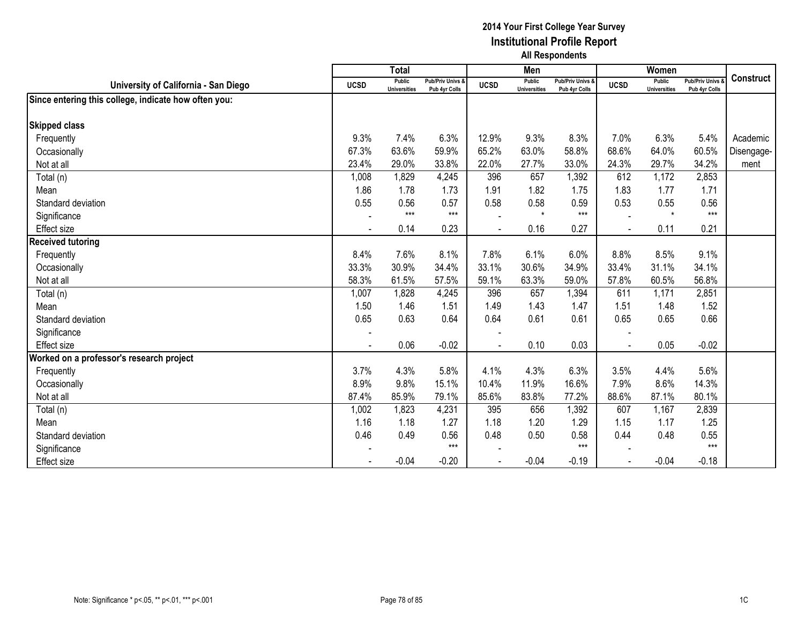|                                                      |                | <b>Total</b>                  |                                   |             | Men                                  |                                   |             | Women                         |                                        |                  |
|------------------------------------------------------|----------------|-------------------------------|-----------------------------------|-------------|--------------------------------------|-----------------------------------|-------------|-------------------------------|----------------------------------------|------------------|
| University of California - San Diego                 | <b>UCSD</b>    | Public<br><b>Universities</b> | Pub/Priv Univs &<br>Pub 4yr Colls | <b>UCSD</b> | <b>Public</b><br><b>Universities</b> | Pub/Priv Univs &<br>Pub 4yr Colls | <b>UCSD</b> | Public<br><b>Universities</b> | <b>Pub/Priv Univs</b><br>Pub 4yr Colls | <b>Construct</b> |
| Since entering this college, indicate how often you: |                |                               |                                   |             |                                      |                                   |             |                               |                                        |                  |
|                                                      |                |                               |                                   |             |                                      |                                   |             |                               |                                        |                  |
| <b>Skipped class</b>                                 |                |                               |                                   |             |                                      |                                   |             |                               |                                        |                  |
| Frequently                                           | 9.3%           | 7.4%                          | 6.3%                              | 12.9%       | 9.3%                                 | 8.3%                              | 7.0%        | 6.3%                          | 5.4%                                   | Academic         |
| Occasionally                                         | 67.3%          | 63.6%                         | 59.9%                             | 65.2%       | 63.0%                                | 58.8%                             | 68.6%       | 64.0%                         | 60.5%                                  | Disengage-       |
| Not at all                                           | 23.4%          | 29.0%                         | 33.8%                             | 22.0%       | 27.7%                                | 33.0%                             | 24.3%       | 29.7%                         | 34.2%                                  | ment             |
| Total (n)                                            | 1,008          | 1,829                         | 4,245                             | 396         | 657                                  | 1,392                             | 612         | 1,172                         | 2,853                                  |                  |
| Mean                                                 | 1.86           | 1.78                          | 1.73                              | 1.91        | 1.82                                 | 1.75                              | 1.83        | 1.77                          | 1.71                                   |                  |
| Standard deviation                                   | 0.55           | 0.56                          | 0.57                              | 0.58        | 0.58                                 | 0.59                              | 0.53        | 0.55                          | 0.56                                   |                  |
| Significance                                         |                | $***$                         | $***$                             |             | $\star$                              | $***$                             |             | $\star$                       | $***$                                  |                  |
| Effect size                                          | $\blacksquare$ | 0.14                          | 0.23                              |             | 0.16                                 | 0.27                              |             | 0.11                          | 0.21                                   |                  |
| <b>Received tutoring</b>                             |                |                               |                                   |             |                                      |                                   |             |                               |                                        |                  |
| Frequently                                           | 8.4%           | 7.6%                          | 8.1%                              | 7.8%        | 6.1%                                 | 6.0%                              | 8.8%        | 8.5%                          | 9.1%                                   |                  |
| Occasionally                                         | 33.3%          | 30.9%                         | 34.4%                             | 33.1%       | 30.6%                                | 34.9%                             | 33.4%       | 31.1%                         | 34.1%                                  |                  |
| Not at all                                           | 58.3%          | 61.5%                         | 57.5%                             | 59.1%       | 63.3%                                | 59.0%                             | 57.8%       | 60.5%                         | 56.8%                                  |                  |
| Total (n)                                            | 1,007          | 1,828                         | 4,245                             | 396         | 657                                  | 1,394                             | 611         | 1,171                         | 2,851                                  |                  |
| Mean                                                 | 1.50           | 1.46                          | 1.51                              | 1.49        | 1.43                                 | 1.47                              | 1.51        | 1.48                          | 1.52                                   |                  |
| Standard deviation                                   | 0.65           | 0.63                          | 0.64                              | 0.64        | 0.61                                 | 0.61                              | 0.65        | 0.65                          | 0.66                                   |                  |
| Significance                                         |                |                               |                                   |             |                                      |                                   |             |                               |                                        |                  |
| Effect size                                          |                | 0.06                          | $-0.02$                           |             | 0.10                                 | 0.03                              |             | 0.05                          | $-0.02$                                |                  |
| Worked on a professor's research project             |                |                               |                                   |             |                                      |                                   |             |                               |                                        |                  |
| Frequently                                           | 3.7%           | 4.3%                          | 5.8%                              | 4.1%        | 4.3%                                 | 6.3%                              | 3.5%        | 4.4%                          | 5.6%                                   |                  |
| Occasionally                                         | 8.9%           | 9.8%                          | 15.1%                             | 10.4%       | 11.9%                                | 16.6%                             | 7.9%        | 8.6%                          | 14.3%                                  |                  |
| Not at all                                           | 87.4%          | 85.9%                         | 79.1%                             | 85.6%       | 83.8%                                | 77.2%                             | 88.6%       | 87.1%                         | 80.1%                                  |                  |
| Total (n)                                            | 1,002          | 1,823                         | 4,231                             | 395         | 656                                  | 1,392                             | 607         | 1,167                         | 2,839                                  |                  |
| Mean                                                 | 1.16           | 1.18                          | 1.27                              | 1.18        | 1.20                                 | 1.29                              | 1.15        | 1.17                          | 1.25                                   |                  |
| Standard deviation                                   | 0.46           | 0.49                          | 0.56                              | 0.48        | 0.50                                 | 0.58                              | 0.44        | 0.48                          | 0.55                                   |                  |
| Significance                                         |                |                               | $***$                             |             |                                      | $***$                             |             |                               | $***$                                  |                  |
| <b>Effect size</b>                                   |                | $-0.04$                       | $-0.20$                           |             | $-0.04$                              | $-0.19$                           |             | $-0.04$                       | $-0.18$                                |                  |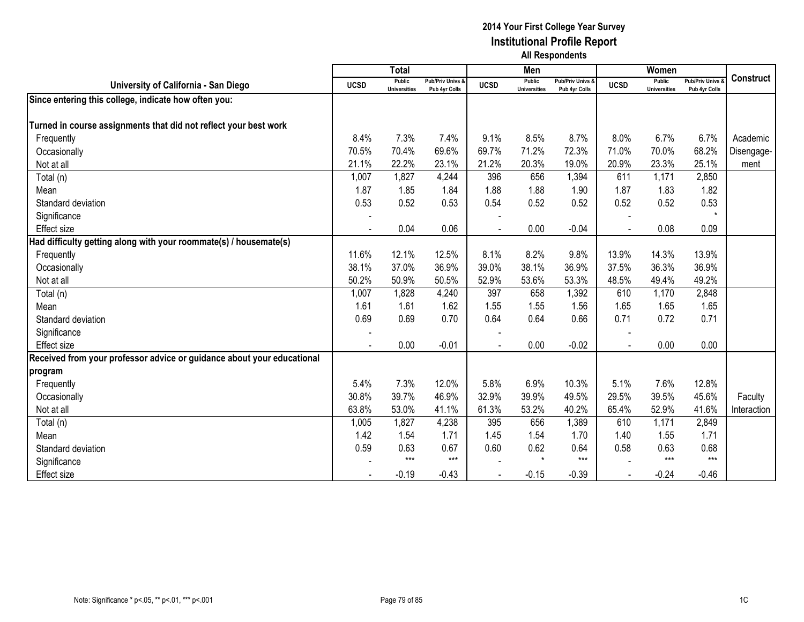|                                                                        |             | <b>Total</b>                  |                                   |             | Men                                  |                                   |                | Women                                |                                        |                  |
|------------------------------------------------------------------------|-------------|-------------------------------|-----------------------------------|-------------|--------------------------------------|-----------------------------------|----------------|--------------------------------------|----------------------------------------|------------------|
| University of California - San Diego                                   | <b>UCSD</b> | Public<br><b>Universities</b> | Pub/Priv Univs &<br>Pub 4yr Colls | <b>UCSD</b> | <b>Public</b><br><b>Universities</b> | Pub/Priv Univs &<br>Pub 4yr Colls | <b>UCSD</b>    | <b>Public</b><br><b>Universities</b> | <b>Pub/Priv Univs</b><br>Pub 4yr Colls | <b>Construct</b> |
| Since entering this college, indicate how often you:                   |             |                               |                                   |             |                                      |                                   |                |                                      |                                        |                  |
|                                                                        |             |                               |                                   |             |                                      |                                   |                |                                      |                                        |                  |
| Turned in course assignments that did not reflect your best work       |             |                               |                                   |             |                                      |                                   |                |                                      |                                        |                  |
| Frequently                                                             | 8.4%        | 7.3%                          | 7.4%                              | 9.1%        | 8.5%                                 | 8.7%                              | 8.0%           | 6.7%                                 | 6.7%                                   | Academic         |
| Occasionally                                                           | 70.5%       | 70.4%                         | 69.6%                             | 69.7%       | 71.2%                                | 72.3%                             | 71.0%          | 70.0%                                | 68.2%                                  | Disengage-       |
| Not at all                                                             | 21.1%       | 22.2%                         | 23.1%                             | 21.2%       | 20.3%                                | 19.0%                             | 20.9%          | 23.3%                                | 25.1%                                  | ment             |
| Total (n)                                                              | 1,007       | 1,827                         | 4,244                             | 396         | 656                                  | 1,394                             | 611            | 1,171                                | 2,850                                  |                  |
| Mean                                                                   | 1.87        | 1.85                          | 1.84                              | 1.88        | 1.88                                 | 1.90                              | 1.87           | 1.83                                 | 1.82                                   |                  |
| Standard deviation                                                     | 0.53        | 0.52                          | 0.53                              | 0.54        | 0.52                                 | 0.52                              | 0.52           | 0.52                                 | 0.53                                   |                  |
| Significance                                                           |             |                               |                                   |             |                                      |                                   |                |                                      |                                        |                  |
| <b>Effect size</b>                                                     |             | 0.04                          | 0.06                              |             | 0.00                                 | $-0.04$                           |                | 0.08                                 | 0.09                                   |                  |
| Had difficulty getting along with your roommate(s) / housemate(s)      |             |                               |                                   |             |                                      |                                   |                |                                      |                                        |                  |
| Frequently                                                             | 11.6%       | 12.1%                         | 12.5%                             | 8.1%        | 8.2%                                 | 9.8%                              | 13.9%          | 14.3%                                | 13.9%                                  |                  |
| Occasionally                                                           | 38.1%       | 37.0%                         | 36.9%                             | 39.0%       | 38.1%                                | 36.9%                             | 37.5%          | 36.3%                                | 36.9%                                  |                  |
| Not at all                                                             | 50.2%       | 50.9%                         | 50.5%                             | 52.9%       | 53.6%                                | 53.3%                             | 48.5%          | 49.4%                                | 49.2%                                  |                  |
| Total (n)                                                              | 1,007       | 1,828                         | 4,240                             | 397         | 658                                  | 1,392                             | 610            | 1,170                                | 2,848                                  |                  |
| Mean                                                                   | 1.61        | 1.61                          | 1.62                              | 1.55        | 1.55                                 | 1.56                              | 1.65           | 1.65                                 | 1.65                                   |                  |
| Standard deviation                                                     | 0.69        | 0.69                          | 0.70                              | 0.64        | 0.64                                 | 0.66                              | 0.71           | 0.72                                 | 0.71                                   |                  |
| Significance                                                           |             |                               |                                   |             |                                      |                                   |                |                                      |                                        |                  |
| <b>Effect</b> size                                                     | L.          | 0.00                          | $-0.01$                           |             | 0.00                                 | $-0.02$                           | $\blacksquare$ | 0.00                                 | 0.00                                   |                  |
| Received from your professor advice or guidance about your educational |             |                               |                                   |             |                                      |                                   |                |                                      |                                        |                  |
| program                                                                |             |                               |                                   |             |                                      |                                   |                |                                      |                                        |                  |
| Frequently                                                             | 5.4%        | 7.3%                          | 12.0%                             | 5.8%        | 6.9%                                 | 10.3%                             | 5.1%           | 7.6%                                 | 12.8%                                  |                  |
| Occasionally                                                           | 30.8%       | 39.7%                         | 46.9%                             | 32.9%       | 39.9%                                | 49.5%                             | 29.5%          | 39.5%                                | 45.6%                                  | Faculty          |
| Not at all                                                             | 63.8%       | 53.0%                         | 41.1%                             | 61.3%       | 53.2%                                | 40.2%                             | 65.4%          | 52.9%                                | 41.6%                                  | Interaction      |
| Total (n)                                                              | 1,005       | 1,827                         | 4,238                             | 395         | 656                                  | 1,389                             | 610            | 1,171                                | 2,849                                  |                  |
| Mean                                                                   | 1.42        | 1.54                          | 1.71                              | 1.45        | 1.54                                 | 1.70                              | 1.40           | 1.55                                 | 1.71                                   |                  |
| Standard deviation                                                     | 0.59        | 0.63                          | 0.67                              | 0.60        | 0.62                                 | 0.64                              | 0.58           | 0.63                                 | 0.68                                   |                  |
| Significance                                                           |             | $***$                         | $***$                             |             | $\star$                              | $***$                             |                | $***$                                | $***$                                  |                  |
| Effect size                                                            |             | $-0.19$                       | $-0.43$                           |             | $-0.15$                              | $-0.39$                           |                | $-0.24$                              | $-0.46$                                |                  |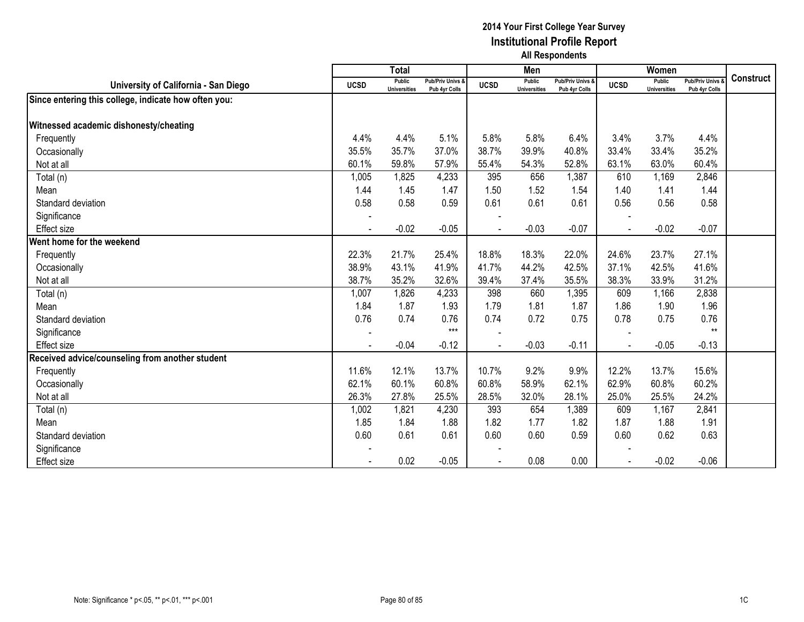|                                                      |             | <b>Total</b>                  |                                   |             | Men                           |                                   |                | Women                                |                                        |                  |
|------------------------------------------------------|-------------|-------------------------------|-----------------------------------|-------------|-------------------------------|-----------------------------------|----------------|--------------------------------------|----------------------------------------|------------------|
| University of California - San Diego                 | <b>UCSD</b> | Public<br><b>Universities</b> | Pub/Priv Univs &<br>Pub 4yr Colls | <b>UCSD</b> | Public<br><b>Universities</b> | Pub/Priv Univs &<br>Pub 4yr Colls | <b>UCSD</b>    | <b>Public</b><br><b>Universities</b> | <b>Pub/Priv Univs</b><br>Pub 4yr Colls | <b>Construct</b> |
| Since entering this college, indicate how often you: |             |                               |                                   |             |                               |                                   |                |                                      |                                        |                  |
|                                                      |             |                               |                                   |             |                               |                                   |                |                                      |                                        |                  |
| Witnessed academic dishonesty/cheating               |             |                               |                                   |             |                               |                                   |                |                                      |                                        |                  |
| Frequently                                           | 4.4%        | 4.4%                          | 5.1%                              | 5.8%        | 5.8%                          | 6.4%                              | 3.4%           | 3.7%                                 | 4.4%                                   |                  |
| Occasionally                                         | 35.5%       | 35.7%                         | 37.0%                             | 38.7%       | 39.9%                         | 40.8%                             | 33.4%          | 33.4%                                | 35.2%                                  |                  |
| Not at all                                           | 60.1%       | 59.8%                         | 57.9%                             | 55.4%       | 54.3%                         | 52.8%                             | 63.1%          | 63.0%                                | 60.4%                                  |                  |
| Total (n)                                            | 1,005       | 1,825                         | 4,233                             | 395         | 656                           | 1,387                             | 610            | 1,169                                | 2,846                                  |                  |
| Mean                                                 | 1.44        | 1.45                          | 1.47                              | 1.50        | 1.52                          | 1.54                              | 1.40           | 1.41                                 | 1.44                                   |                  |
| Standard deviation                                   | 0.58        | 0.58                          | 0.59                              | 0.61        | 0.61                          | 0.61                              | 0.56           | 0.56                                 | 0.58                                   |                  |
| Significance                                         |             |                               |                                   |             |                               |                                   |                |                                      |                                        |                  |
| Effect size                                          |             | $-0.02$                       | $-0.05$                           |             | $-0.03$                       | $-0.07$                           |                | $-0.02$                              | $-0.07$                                |                  |
| Went home for the weekend                            |             |                               |                                   |             |                               |                                   |                |                                      |                                        |                  |
| Frequently                                           | 22.3%       | 21.7%                         | 25.4%                             | 18.8%       | 18.3%                         | 22.0%                             | 24.6%          | 23.7%                                | 27.1%                                  |                  |
| Occasionally                                         | 38.9%       | 43.1%                         | 41.9%                             | 41.7%       | 44.2%                         | 42.5%                             | 37.1%          | 42.5%                                | 41.6%                                  |                  |
| Not at all                                           | 38.7%       | 35.2%                         | 32.6%                             | 39.4%       | 37.4%                         | 35.5%                             | 38.3%          | 33.9%                                | 31.2%                                  |                  |
| Total (n)                                            | 1,007       | 1,826                         | 4,233                             | 398         | 660                           | 1,395                             | 609            | 1,166                                | 2,838                                  |                  |
| Mean                                                 | 1.84        | 1.87                          | 1.93                              | 1.79        | 1.81                          | 1.87                              | 1.86           | 1.90                                 | 1.96                                   |                  |
| Standard deviation                                   | 0.76        | 0.74                          | 0.76                              | 0.74        | 0.72                          | 0.75                              | 0.78           | 0.75                                 | 0.76                                   |                  |
| Significance                                         |             |                               | $***$                             |             |                               |                                   |                |                                      | $**$                                   |                  |
| Effect size                                          |             | $-0.04$                       | $-0.12$                           |             | $-0.03$                       | $-0.11$                           |                | $-0.05$                              | $-0.13$                                |                  |
| Received advice/counseling from another student      |             |                               |                                   |             |                               |                                   |                |                                      |                                        |                  |
| Frequently                                           | 11.6%       | 12.1%                         | 13.7%                             | 10.7%       | 9.2%                          | 9.9%                              | 12.2%          | 13.7%                                | 15.6%                                  |                  |
| Occasionally                                         | 62.1%       | 60.1%                         | 60.8%                             | 60.8%       | 58.9%                         | 62.1%                             | 62.9%          | 60.8%                                | 60.2%                                  |                  |
| Not at all                                           | 26.3%       | 27.8%                         | 25.5%                             | 28.5%       | 32.0%                         | 28.1%                             | 25.0%          | 25.5%                                | 24.2%                                  |                  |
| Total (n)                                            | 1,002       | 1,821                         | 4,230                             | 393         | 654                           | 1,389                             | 609            | 1,167                                | 2,841                                  |                  |
| Mean                                                 | 1.85        | 1.84                          | 1.88                              | 1.82        | 1.77                          | 1.82                              | 1.87           | 1.88                                 | 1.91                                   |                  |
| Standard deviation                                   | 0.60        | 0.61                          | 0.61                              | 0.60        | 0.60                          | 0.59                              | 0.60           | 0.62                                 | 0.63                                   |                  |
| Significance                                         |             |                               |                                   |             |                               |                                   |                |                                      |                                        |                  |
| <b>Effect size</b>                                   |             | 0.02                          | $-0.05$                           |             | 0.08                          | 0.00                              | $\blacksquare$ | $-0.02$                              | $-0.06$                                |                  |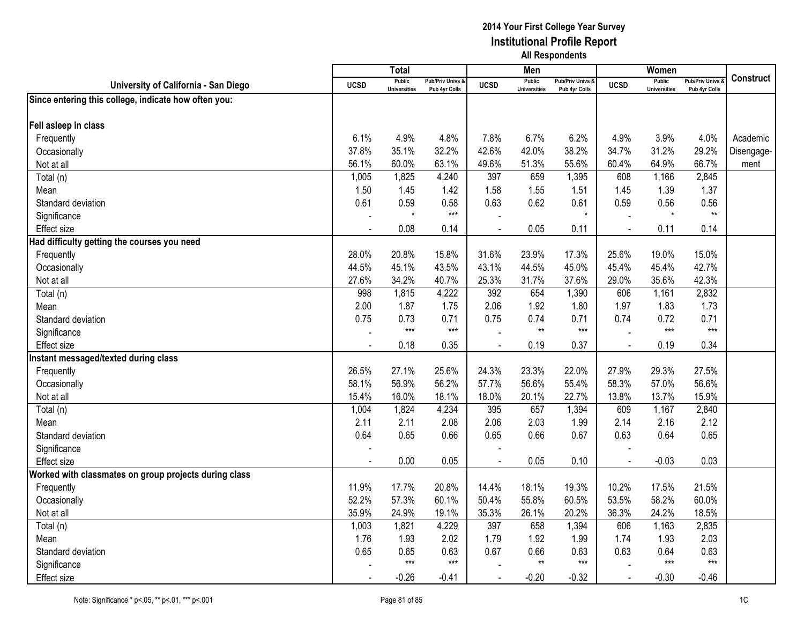|                                                       |                | <b>Total</b>                         |                                   |                          | Men                                  |                                 |             | Women                                |                                        |                  |
|-------------------------------------------------------|----------------|--------------------------------------|-----------------------------------|--------------------------|--------------------------------------|---------------------------------|-------------|--------------------------------------|----------------------------------------|------------------|
| University of California - San Diego                  | <b>UCSD</b>    | <b>Public</b><br><b>Universities</b> | Pub/Priv Univs &<br>Pub 4yr Colls | <b>UCSD</b>              | <b>Public</b><br><b>Universities</b> | Pub/Priv Univs<br>Pub 4yr Colls | <b>UCSD</b> | <b>Public</b><br><b>Universities</b> | <b>Pub/Priv Univs</b><br>Pub 4yr Colls | <b>Construct</b> |
| Since entering this college, indicate how often you:  |                |                                      |                                   |                          |                                      |                                 |             |                                      |                                        |                  |
|                                                       |                |                                      |                                   |                          |                                      |                                 |             |                                      |                                        |                  |
| Fell asleep in class                                  |                |                                      |                                   |                          |                                      |                                 |             |                                      |                                        |                  |
| Frequently                                            | 6.1%           | 4.9%                                 | 4.8%                              | 7.8%                     | 6.7%                                 | 6.2%                            | 4.9%        | 3.9%                                 | 4.0%                                   | Academic         |
| Occasionally                                          | 37.8%          | 35.1%                                | 32.2%                             | 42.6%                    | 42.0%                                | 38.2%                           | 34.7%       | 31.2%                                | 29.2%                                  | Disengage-       |
| Not at all                                            | 56.1%          | 60.0%                                | 63.1%                             | 49.6%                    | 51.3%                                | 55.6%                           | 60.4%       | 64.9%                                | 66.7%                                  | ment             |
| Total (n)                                             | 1,005          | 1,825                                | 4,240                             | 397                      | 659                                  | 1,395                           | 608         | 1,166                                | 2,845                                  |                  |
| Mean                                                  | 1.50           | 1.45                                 | 1.42                              | 1.58                     | 1.55                                 | 1.51                            | 1.45        | 1.39                                 | 1.37                                   |                  |
| Standard deviation                                    | 0.61           | 0.59                                 | 0.58                              | 0.63                     | 0.62                                 | 0.61                            | 0.59        | 0.56                                 | 0.56                                   |                  |
| Significance                                          |                | $\star$                              | $***$                             |                          |                                      |                                 |             |                                      | $**$                                   |                  |
| <b>Effect size</b>                                    |                | 0.08                                 | 0.14                              |                          | 0.05                                 | 0.11                            |             | 0.11                                 | 0.14                                   |                  |
| Had difficulty getting the courses you need           |                |                                      |                                   |                          |                                      |                                 |             |                                      |                                        |                  |
| Frequently                                            | 28.0%          | 20.8%                                | 15.8%                             | 31.6%                    | 23.9%                                | 17.3%                           | 25.6%       | 19.0%                                | 15.0%                                  |                  |
| Occasionally                                          | 44.5%          | 45.1%                                | 43.5%                             | 43.1%                    | 44.5%                                | 45.0%                           | 45.4%       | 45.4%                                | 42.7%                                  |                  |
| Not at all                                            | 27.6%          | 34.2%                                | 40.7%                             | 25.3%                    | 31.7%                                | 37.6%                           | 29.0%       | 35.6%                                | 42.3%                                  |                  |
| Total (n)                                             | 998            | 1,815                                | 4,222                             | 392                      | 654                                  | 1,390                           | 606         | 1,161                                | 2,832                                  |                  |
| Mean                                                  | 2.00           | 1.87                                 | 1.75                              | 2.06                     | 1.92                                 | 1.80                            | 1.97        | 1.83                                 | 1.73                                   |                  |
| Standard deviation                                    | 0.75           | 0.73                                 | 0.71                              | 0.75                     | 0.74                                 | 0.71                            | 0.74        | 0.72                                 | 0.71                                   |                  |
| Significance                                          |                | $***$                                | $***$                             |                          | $**$                                 | $***$                           |             | $***$                                | $***$                                  |                  |
| <b>Effect</b> size                                    | $\overline{a}$ | 0.18                                 | 0.35                              | $\overline{a}$           | 0.19                                 | 0.37                            | $\sim$      | 0.19                                 | 0.34                                   |                  |
| Instant messaged/texted during class                  |                |                                      |                                   |                          |                                      |                                 |             |                                      |                                        |                  |
| Frequently                                            | 26.5%          | 27.1%                                | 25.6%                             | 24.3%                    | 23.3%                                | 22.0%                           | 27.9%       | 29.3%                                | 27.5%                                  |                  |
| Occasionally                                          | 58.1%          | 56.9%                                | 56.2%                             | 57.7%                    | 56.6%                                | 55.4%                           | 58.3%       | 57.0%                                | 56.6%                                  |                  |
| Not at all                                            | 15.4%          | 16.0%                                | 18.1%                             | 18.0%                    | 20.1%                                | 22.7%                           | 13.8%       | 13.7%                                | 15.9%                                  |                  |
| Total (n)                                             | 1,004          | 1,824                                | 4,234                             | 395                      | 657                                  | 1,394                           | 609         | 1,167                                | 2,840                                  |                  |
| Mean                                                  | 2.11           | 2.11                                 | 2.08                              | 2.06                     | 2.03                                 | 1.99                            | 2.14        | 2.16                                 | 2.12                                   |                  |
| Standard deviation                                    | 0.64           | 0.65                                 | 0.66                              | 0.65                     | 0.66                                 | 0.67                            | 0.63        | 0.64                                 | 0.65                                   |                  |
| Significance                                          |                |                                      |                                   | $\overline{\phantom{a}}$ |                                      |                                 |             |                                      |                                        |                  |
| <b>Effect</b> size                                    |                | 0.00                                 | 0.05                              |                          | 0.05                                 | 0.10                            |             | $-0.03$                              | 0.03                                   |                  |
| Worked with classmates on group projects during class |                |                                      |                                   |                          |                                      |                                 |             |                                      |                                        |                  |
| Frequently                                            | 11.9%          | 17.7%                                | 20.8%                             | 14.4%                    | 18.1%                                | 19.3%                           | 10.2%       | 17.5%                                | 21.5%                                  |                  |
| Occasionally                                          | 52.2%          | 57.3%                                | 60.1%                             | 50.4%                    | 55.8%                                | 60.5%                           | 53.5%       | 58.2%                                | 60.0%                                  |                  |
| Not at all                                            | 35.9%          | 24.9%                                | 19.1%                             | 35.3%                    | 26.1%                                | 20.2%                           | 36.3%       | 24.2%                                | 18.5%                                  |                  |
| Total (n)                                             | 1,003          | 1,821                                | 4,229                             | 397                      | 658                                  | 1,394                           | 606         | 1,163                                | 2,835                                  |                  |
| Mean                                                  | 1.76           | 1.93                                 | 2.02                              | 1.79                     | 1.92                                 | 1.99                            | 1.74        | 1.93                                 | 2.03                                   |                  |
| Standard deviation                                    | 0.65           | 0.65                                 | 0.63                              | 0.67                     | 0.66                                 | 0.63                            | 0.63        | 0.64                                 | 0.63                                   |                  |
| Significance                                          |                | $***$                                | $***$                             |                          | $**$                                 | $***$                           |             | $***$                                | $***$                                  |                  |
| <b>Effect size</b>                                    |                | $-0.26$                              | $-0.41$                           |                          | $-0.20$                              | $-0.32$                         |             | $-0.30$                              | $-0.46$                                |                  |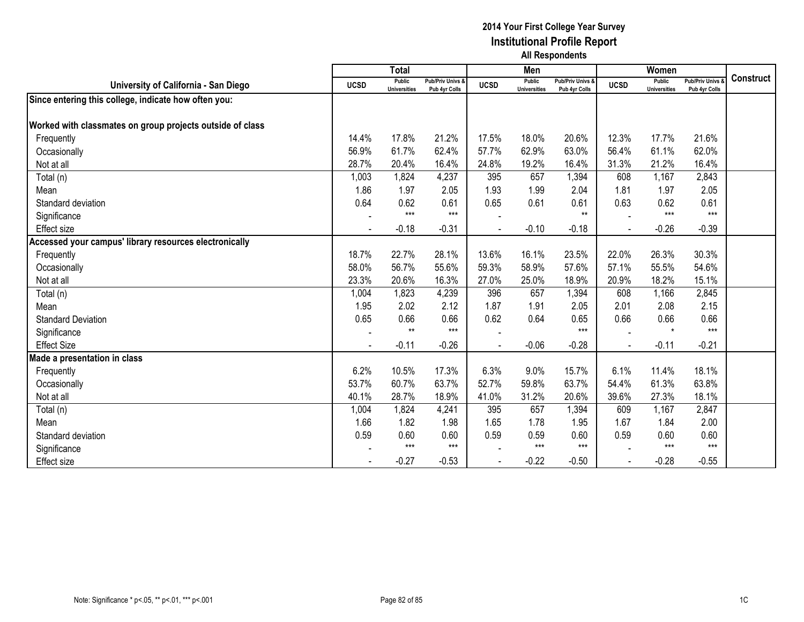|                                                           |             | <b>Total</b>                  |                                   |             | Men                           |                                   |             | Women                                |                                        |                  |
|-----------------------------------------------------------|-------------|-------------------------------|-----------------------------------|-------------|-------------------------------|-----------------------------------|-------------|--------------------------------------|----------------------------------------|------------------|
| University of California - San Diego                      | <b>UCSD</b> | Public<br><b>Universities</b> | Pub/Priv Univs &<br>Pub 4yr Colls | <b>UCSD</b> | Public<br><b>Universities</b> | Pub/Priv Univs &<br>Pub 4yr Colls | <b>UCSD</b> | <b>Public</b><br><b>Universities</b> | <b>Pub/Priv Univs</b><br>Pub 4yr Colls | <b>Construct</b> |
| Since entering this college, indicate how often you:      |             |                               |                                   |             |                               |                                   |             |                                      |                                        |                  |
|                                                           |             |                               |                                   |             |                               |                                   |             |                                      |                                        |                  |
| Worked with classmates on group projects outside of class |             |                               |                                   |             |                               |                                   |             |                                      |                                        |                  |
| Frequently                                                | 14.4%       | 17.8%                         | 21.2%                             | 17.5%       | 18.0%                         | 20.6%                             | 12.3%       | 17.7%                                | 21.6%                                  |                  |
| Occasionally                                              | 56.9%       | 61.7%                         | 62.4%                             | 57.7%       | 62.9%                         | 63.0%                             | 56.4%       | 61.1%                                | 62.0%                                  |                  |
| Not at all                                                | 28.7%       | 20.4%                         | 16.4%                             | 24.8%       | 19.2%                         | 16.4%                             | 31.3%       | 21.2%                                | 16.4%                                  |                  |
| Total (n)                                                 | 1,003       | 1,824                         | 4,237                             | 395         | 657                           | 1,394                             | 608         | 1,167                                | 2,843                                  |                  |
| Mean                                                      | 1.86        | 1.97                          | 2.05                              | 1.93        | 1.99                          | 2.04                              | 1.81        | 1.97                                 | 2.05                                   |                  |
| Standard deviation                                        | 0.64        | 0.62                          | 0.61                              | 0.65        | 0.61                          | 0.61                              | 0.63        | 0.62                                 | 0.61                                   |                  |
| Significance                                              |             | $***$                         | $***$                             |             |                               | $**$                              |             | $***$                                | $***$                                  |                  |
| Effect size                                               |             | $-0.18$                       | $-0.31$                           |             | $-0.10$                       | $-0.18$                           |             | $-0.26$                              | $-0.39$                                |                  |
| Accessed your campus' library resources electronically    |             |                               |                                   |             |                               |                                   |             |                                      |                                        |                  |
| Frequently                                                | 18.7%       | 22.7%                         | 28.1%                             | 13.6%       | 16.1%                         | 23.5%                             | 22.0%       | 26.3%                                | 30.3%                                  |                  |
| Occasionally                                              | 58.0%       | 56.7%                         | 55.6%                             | 59.3%       | 58.9%                         | 57.6%                             | 57.1%       | 55.5%                                | 54.6%                                  |                  |
| Not at all                                                | 23.3%       | 20.6%                         | 16.3%                             | 27.0%       | 25.0%                         | 18.9%                             | 20.9%       | 18.2%                                | 15.1%                                  |                  |
| Total (n)                                                 | 1,004       | 1,823                         | 4,239                             | 396         | 657                           | 1,394                             | 608         | 1,166                                | 2,845                                  |                  |
| Mean                                                      | 1.95        | 2.02                          | 2.12                              | 1.87        | 1.91                          | 2.05                              | 2.01        | 2.08                                 | 2.15                                   |                  |
| <b>Standard Deviation</b>                                 | 0.65        | 0.66                          | 0.66                              | 0.62        | 0.64                          | 0.65                              | 0.66        | 0.66                                 | 0.66                                   |                  |
| Significance                                              |             | $**$                          | $***$                             |             |                               | $***$                             |             | $\star$                              | $***$                                  |                  |
| <b>Effect Size</b>                                        |             | $-0.11$                       | $-0.26$                           |             | $-0.06$                       | $-0.28$                           |             | $-0.11$                              | $-0.21$                                |                  |
| Made a presentation in class                              |             |                               |                                   |             |                               |                                   |             |                                      |                                        |                  |
| Frequently                                                | 6.2%        | 10.5%                         | 17.3%                             | 6.3%        | 9.0%                          | 15.7%                             | 6.1%        | 11.4%                                | 18.1%                                  |                  |
| Occasionally                                              | 53.7%       | 60.7%                         | 63.7%                             | 52.7%       | 59.8%                         | 63.7%                             | 54.4%       | 61.3%                                | 63.8%                                  |                  |
| Not at all                                                | 40.1%       | 28.7%                         | 18.9%                             | 41.0%       | 31.2%                         | 20.6%                             | 39.6%       | 27.3%                                | 18.1%                                  |                  |
| Total (n)                                                 | 1,004       | 1,824                         | 4,241                             | 395         | 657                           | 1,394                             | 609         | 1,167                                | 2,847                                  |                  |
| Mean                                                      | 1.66        | 1.82                          | 1.98                              | 1.65        | 1.78                          | 1.95                              | 1.67        | 1.84                                 | 2.00                                   |                  |
| Standard deviation                                        | 0.59        | 0.60                          | 0.60                              | 0.59        | 0.59                          | 0.60                              | 0.59        | 0.60                                 | 0.60                                   |                  |
| Significance                                              |             | $***$                         | $***$                             |             | $***$                         | $***$                             |             | $***$                                | $***$                                  |                  |
| Effect size                                               |             | $-0.27$                       | $-0.53$                           |             | $-0.22$                       | $-0.50$                           |             | $-0.28$                              | $-0.55$                                |                  |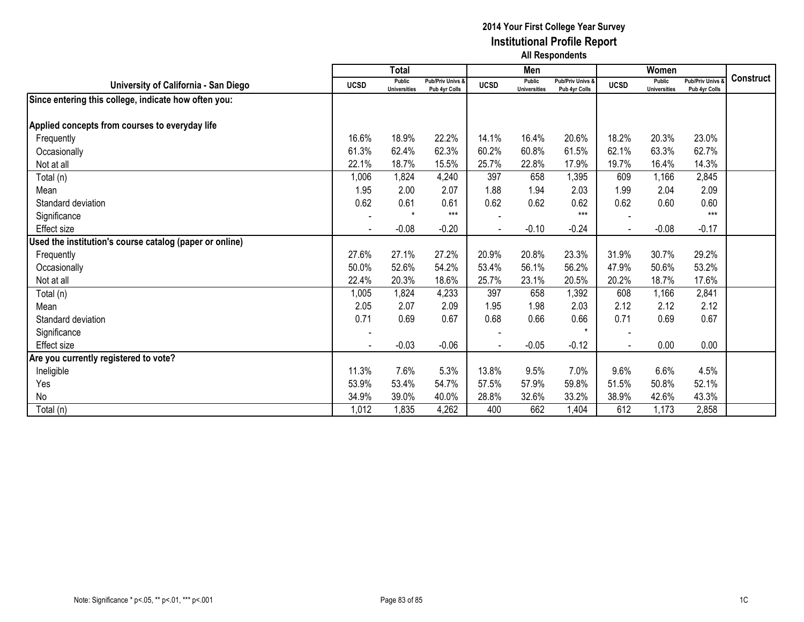|                                                         |                | <b>Total</b>                         |                                   |                | Men                                  |                                   |                | Women                                |                                        |                  |
|---------------------------------------------------------|----------------|--------------------------------------|-----------------------------------|----------------|--------------------------------------|-----------------------------------|----------------|--------------------------------------|----------------------------------------|------------------|
| University of California - San Diego                    | <b>UCSD</b>    | <b>Public</b><br><b>Universities</b> | Pub/Priv Univs &<br>Pub 4yr Colls | <b>UCSD</b>    | <b>Public</b><br><b>Universities</b> | Pub/Priv Univs &<br>Pub 4yr Colls | <b>UCSD</b>    | <b>Public</b><br><b>Universities</b> | <b>Pub/Priv Univs</b><br>Pub 4yr Colls | <b>Construct</b> |
| Since entering this college, indicate how often you:    |                |                                      |                                   |                |                                      |                                   |                |                                      |                                        |                  |
|                                                         |                |                                      |                                   |                |                                      |                                   |                |                                      |                                        |                  |
| Applied concepts from courses to everyday life          |                |                                      |                                   |                |                                      |                                   |                |                                      |                                        |                  |
| Frequently                                              | 16.6%          | 18.9%                                | 22.2%                             | 14.1%          | 16.4%                                | 20.6%                             | 18.2%          | 20.3%                                | 23.0%                                  |                  |
| Occasionally                                            | 61.3%          | 62.4%                                | 62.3%                             | 60.2%          | 60.8%                                | 61.5%                             | 62.1%          | 63.3%                                | 62.7%                                  |                  |
| Not at all                                              | 22.1%          | 18.7%                                | 15.5%                             | 25.7%          | 22.8%                                | 17.9%                             | 19.7%          | 16.4%                                | 14.3%                                  |                  |
| Total (n)                                               | 1,006          | 1,824                                | 4,240                             | 397            | 658                                  | 1,395                             | 609            | 1,166                                | 2,845                                  |                  |
| Mean                                                    | 1.95           | 2.00                                 | 2.07                              | 1.88           | 1.94                                 | 2.03                              | 1.99           | 2.04                                 | 2.09                                   |                  |
| Standard deviation                                      | 0.62           | 0.61                                 | 0.61                              | 0.62           | 0.62                                 | 0.62                              | 0.62           | 0.60                                 | 0.60                                   |                  |
| Significance                                            |                | $\star$                              | $***$                             |                |                                      | $***$                             |                |                                      | $***$                                  |                  |
| <b>Effect size</b>                                      | $\blacksquare$ | $-0.08$                              | $-0.20$                           | $\blacksquare$ | $-0.10$                              | $-0.24$                           | $\blacksquare$ | $-0.08$                              | $-0.17$                                |                  |
| Used the institution's course catalog (paper or online) |                |                                      |                                   |                |                                      |                                   |                |                                      |                                        |                  |
| Frequently                                              | 27.6%          | 27.1%                                | 27.2%                             | 20.9%          | 20.8%                                | 23.3%                             | 31.9%          | 30.7%                                | 29.2%                                  |                  |
| Occasionally                                            | 50.0%          | 52.6%                                | 54.2%                             | 53.4%          | 56.1%                                | 56.2%                             | 47.9%          | 50.6%                                | 53.2%                                  |                  |
| Not at all                                              | 22.4%          | 20.3%                                | 18.6%                             | 25.7%          | 23.1%                                | 20.5%                             | 20.2%          | 18.7%                                | 17.6%                                  |                  |
| Total (n)                                               | 1,005          | 1,824                                | 4,233                             | 397            | 658                                  | 1,392                             | 608            | 1,166                                | 2,841                                  |                  |
| Mean                                                    | 2.05           | 2.07                                 | 2.09                              | 1.95           | 1.98                                 | 2.03                              | 2.12           | 2.12                                 | 2.12                                   |                  |
| Standard deviation                                      | 0.71           | 0.69                                 | 0.67                              | 0.68           | 0.66                                 | 0.66                              | 0.71           | 0.69                                 | 0.67                                   |                  |
| Significance                                            |                |                                      |                                   |                |                                      | $\star$                           |                |                                      |                                        |                  |
| Effect size                                             |                | $-0.03$                              | $-0.06$                           |                | $-0.05$                              | $-0.12$                           |                | 0.00                                 | 0.00                                   |                  |
| Are you currently registered to vote?                   |                |                                      |                                   |                |                                      |                                   |                |                                      |                                        |                  |
| Ineligible                                              | 11.3%          | 7.6%                                 | 5.3%                              | 13.8%          | 9.5%                                 | 7.0%                              | 9.6%           | 6.6%                                 | 4.5%                                   |                  |
| Yes                                                     | 53.9%          | 53.4%                                | 54.7%                             | 57.5%          | 57.9%                                | 59.8%                             | 51.5%          | 50.8%                                | 52.1%                                  |                  |
| No                                                      | 34.9%          | 39.0%                                | 40.0%                             | 28.8%          | 32.6%                                | 33.2%                             | 38.9%          | 42.6%                                | 43.3%                                  |                  |
| Total (n)                                               | 1,012          | 1,835                                | 4,262                             | 400            | 662                                  | 1,404                             | 612            | 1,173                                | 2,858                                  |                  |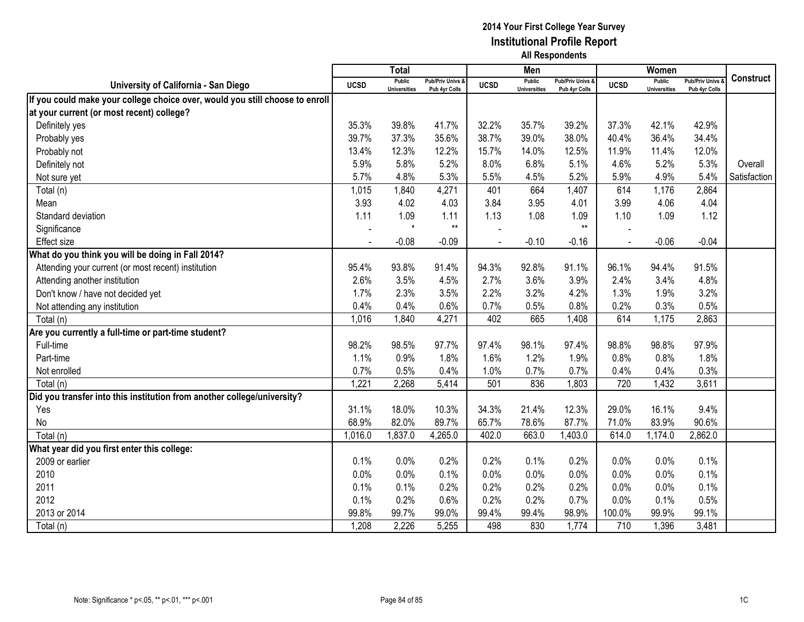|                                                                              |             | <b>Total</b>                         |                                   |                | Men                                  |                                              |             | Women                                |                                        |                  |
|------------------------------------------------------------------------------|-------------|--------------------------------------|-----------------------------------|----------------|--------------------------------------|----------------------------------------------|-------------|--------------------------------------|----------------------------------------|------------------|
| University of California - San Diego                                         | <b>UCSD</b> | <b>Public</b><br><b>Universities</b> | Pub/Priv Univs &<br>Pub 4yr Colls | <b>UCSD</b>    | <b>Public</b><br><b>Universities</b> | <b>Pub/Priv Univs &amp;</b><br>Pub 4vr Colls | <b>UCSD</b> | <b>Public</b><br><b>Universities</b> | <b>Pub/Priv Univs</b><br>Pub 4yr Colls | <b>Construct</b> |
| If you could make your college choice over, would you still choose to enroll |             |                                      |                                   |                |                                      |                                              |             |                                      |                                        |                  |
| at your current (or most recent) college?                                    |             |                                      |                                   |                |                                      |                                              |             |                                      |                                        |                  |
| Definitely yes                                                               | 35.3%       | 39.8%                                | 41.7%                             | 32.2%          | 35.7%                                | 39.2%                                        | 37.3%       | 42.1%                                | 42.9%                                  |                  |
| Probably yes                                                                 | 39.7%       | 37.3%                                | 35.6%                             | 38.7%          | 39.0%                                | 38.0%                                        | 40.4%       | 36.4%                                | 34.4%                                  |                  |
| Probably not                                                                 | 13.4%       | 12.3%                                | 12.2%                             | 15.7%          | 14.0%                                | 12.5%                                        | 11.9%       | 11.4%                                | 12.0%                                  |                  |
| Definitely not                                                               | 5.9%        | 5.8%                                 | 5.2%                              | 8.0%           | 6.8%                                 | 5.1%                                         | 4.6%        | 5.2%                                 | 5.3%                                   | Overall          |
| Not sure yet                                                                 | 5.7%        | 4.8%                                 | 5.3%                              | 5.5%           | 4.5%                                 | 5.2%                                         | 5.9%        | 4.9%                                 | 5.4%                                   | Satisfaction     |
| Total (n)                                                                    | 1,015       | 1,840                                | 4,271                             | 401            | 664                                  | 1,407                                        | 614         | 1,176                                | 2,864                                  |                  |
| Mean                                                                         | 3.93        | 4.02                                 | 4.03                              | 3.84           | 3.95                                 | 4.01                                         | 3.99        | 4.06                                 | 4.04                                   |                  |
| Standard deviation                                                           | 1.11        | 1.09                                 | 1.11                              | 1.13           | 1.08                                 | 1.09                                         | 1.10        | 1.09                                 | 1.12                                   |                  |
| Significance                                                                 |             | $\star$                              | $***$                             |                |                                      | $**$                                         |             |                                      |                                        |                  |
| <b>Effect size</b>                                                           |             | $-0.08$                              | $-0.09$                           | $\overline{a}$ | $-0.10$                              | $-0.16$                                      | $\sim$      | $-0.06$                              | $-0.04$                                |                  |
| What do you think you will be doing in Fall 2014?                            |             |                                      |                                   |                |                                      |                                              |             |                                      |                                        |                  |
| Attending your current (or most recent) institution                          | 95.4%       | 93.8%                                | 91.4%                             | 94.3%          | 92.8%                                | 91.1%                                        | 96.1%       | 94.4%                                | 91.5%                                  |                  |
| Attending another institution                                                | 2.6%        | 3.5%                                 | 4.5%                              | 2.7%           | 3.6%                                 | 3.9%                                         | 2.4%        | 3.4%                                 | 4.8%                                   |                  |
| Don't know / have not decided yet                                            | 1.7%        | 2.3%                                 | 3.5%                              | 2.2%           | 3.2%                                 | 4.2%                                         | 1.3%        | 1.9%                                 | 3.2%                                   |                  |
| Not attending any institution                                                | 0.4%        | 0.4%                                 | 0.6%                              | 0.7%           | 0.5%                                 | 0.8%                                         | 0.2%        | 0.3%                                 | 0.5%                                   |                  |
| Total (n)                                                                    | 1,016       | 1,840                                | 4,271                             | 402            | 665                                  | 1,408                                        | 614         | 1,175                                | 2,863                                  |                  |
| Are you currently a full-time or part-time student?                          |             |                                      |                                   |                |                                      |                                              |             |                                      |                                        |                  |
| Full-time                                                                    | 98.2%       | 98.5%                                | 97.7%                             | 97.4%          | 98.1%                                | 97.4%                                        | 98.8%       | 98.8%                                | 97.9%                                  |                  |
| Part-time                                                                    | 1.1%        | 0.9%                                 | 1.8%                              | 1.6%           | 1.2%                                 | 1.9%                                         | 0.8%        | 0.8%                                 | 1.8%                                   |                  |
| Not enrolled                                                                 | 0.7%        | 0.5%                                 | 0.4%                              | 1.0%           | 0.7%                                 | 0.7%                                         | 0.4%        | 0.4%                                 | 0.3%                                   |                  |
| Total (n)                                                                    | 1,221       | 2,268                                | 5,414                             | 501            | 836                                  | 1,803                                        | 720         | 1,432                                | 3,611                                  |                  |
| Did you transfer into this institution from another college/university?      |             |                                      |                                   |                |                                      |                                              |             |                                      |                                        |                  |
| Yes                                                                          | 31.1%       | 18.0%                                | 10.3%                             | 34.3%          | 21.4%                                | 12.3%                                        | 29.0%       | 16.1%                                | 9.4%                                   |                  |
| No                                                                           | 68.9%       | 82.0%                                | 89.7%                             | 65.7%          | 78.6%                                | 87.7%                                        | 71.0%       | 83.9%                                | 90.6%                                  |                  |
| Total (n)                                                                    | 1,016.0     | 1,837.0                              | 4,265.0                           | 402.0          | 663.0                                | 1,403.0                                      | 614.0       | 1,174.0                              | 2,862.0                                |                  |
| What year did you first enter this college:                                  |             |                                      |                                   |                |                                      |                                              |             |                                      |                                        |                  |
| 2009 or earlier                                                              | 0.1%        | 0.0%                                 | 0.2%                              | 0.2%           | 0.1%                                 | 0.2%                                         | 0.0%        | 0.0%                                 | 0.1%                                   |                  |
| 2010                                                                         | 0.0%        | 0.0%                                 | 0.1%                              | 0.0%           | 0.0%                                 | 0.0%                                         | 0.0%        | 0.0%                                 | 0.1%                                   |                  |
| 2011                                                                         | 0.1%        | 0.1%                                 | 0.2%                              | 0.2%           | 0.2%                                 | 0.2%                                         | 0.0%        | 0.0%                                 | 0.1%                                   |                  |
| 2012                                                                         | 0.1%        | 0.2%                                 | 0.6%                              | 0.2%           | 0.2%                                 | 0.7%                                         | 0.0%        | 0.1%                                 | 0.5%                                   |                  |
| 2013 or 2014                                                                 | 99.8%       | 99.7%                                | 99.0%                             | 99.4%          | 99.4%                                | 98.9%                                        | 100.0%      | 99.9%                                | 99.1%                                  |                  |
| Total (n)                                                                    | 1,208       | 2,226                                | 5,255                             | 498            | 830                                  | 1,774                                        | 710         | 1,396                                | 3,481                                  |                  |